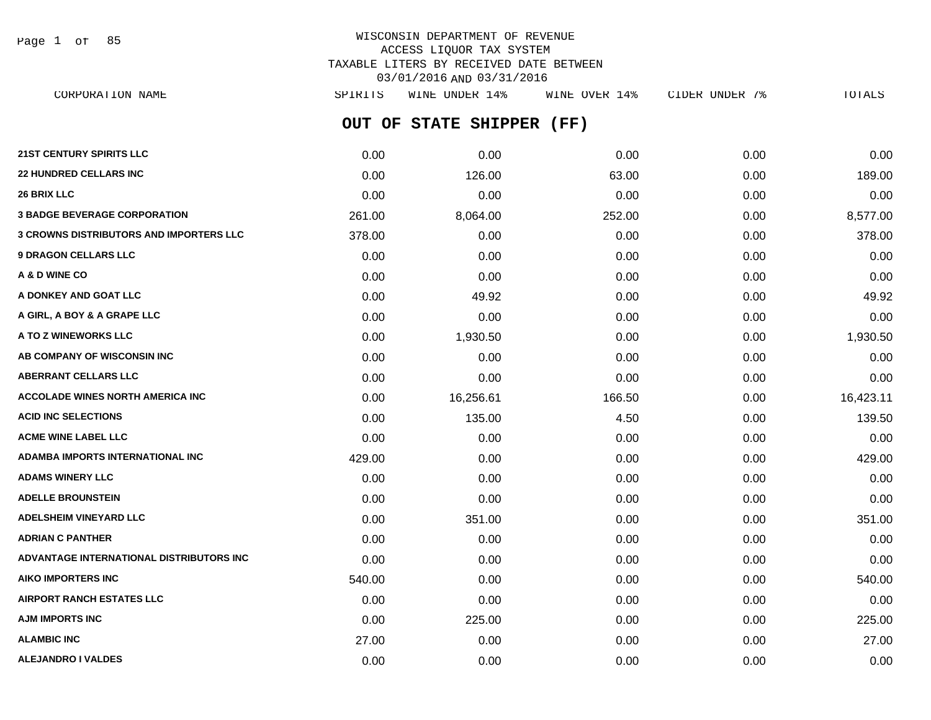Page 1 of 85

## WISCONSIN DEPARTMENT OF REVENUE ACCESS LIQUOR TAX SYSTEM TAXABLE LITERS BY RECEIVED DATE BETWEEN 03/01/2016 AND 03/31/2016

**OUT OF STATE SHIPPER (FF) 21ST CENTURY SPIRITS LLC** 0.00 0.00 0.00 0.00 0.00 **22 HUNDRED CELLARS INC** 0.00 126.00 63.00 0.00 189.00 **26 BRIX LLC** 0.00 0.00 0.00 0.00 0.00 **3 BADGE BEVERAGE CORPORATION** 261.00 8,064.00 252.00 0.00 8,577.00 **3 CROWNS DISTRIBUTORS AND IMPORTERS LLC** 378.00 0.00 0.00 0.00 378.00 **9 DRAGON CELLARS LLC** 0.00 0.00 0.00 0.00 0.00 **A & D WINE CO** 0.00 0.00 0.00 0.00 0.00 **A DONKEY AND GOAT LLC** 0.00 49.92 0.00 0.00 49.92 **A GIRL, A BOY & A GRAPE LLC** 0.00 0.00 0.00 0.00 0.00 **A TO Z WINEWORKS LLC** 0.00 1,930.50 0.00 0.00 1,930.50 CORPORATION NAME SPIRITS WINE UNDER 14% WINE OVER 14% CIDER UNDER 7% TOTALS

**AB COMPANY OF WISCONSIN INC**  $0.00$   $0.00$   $0.00$   $0.00$   $0.00$   $0.00$   $0.00$   $0.00$   $0.00$   $0.00$   $0.00$   $0.00$   $0.00$   $0.00$   $0.00$   $0.00$   $0.00$   $0.00$   $0.00$   $0.00$   $0.00$   $0.00$   $0.00$   $0.00$   $0.00$   $0.00$   $0.00$   $0.$ **ABERRANT CELLARS LLC** 0.00 0.00 0.00 0.00 0.00 **ACCOLADE WINES NORTH AMERICA INC 16,423.11** 0.00 16.256.61 16.6.50 166.50 0.00 16.423.11 **ACID INC SELECTIONS** 0.00 135.00 4.50 0.00 139.50 **ACME WINE LABEL LLC** 0.00 0.00 0.00 0.00 0.00 **ADAMBA IMPORTS INTERNATIONAL INC** 429.00 0.00 0.00 0.00 429.00 **ADAMS WINERY LLC** 0.00 0.00 0.00 0.00 0.00 **ADELLE BROUNSTEIN** 0.00 0.00 0.00 0.00 0.00 **ADELSHEIM VINEYARD LLC** 0.00 351.00 0.00 0.00 351.00 **ADRIAN C PANTHER** 0.00 0.00 0.00 0.00 0.00 **ADVANTAGE INTERNATIONAL DISTRIBUTORS INC** 0.00 0.00 0.00 0.00 0.00 **AIKO IMPORTERS INC** 540.00 0.00 0.00 0.00 540.00 **AIRPORT RANCH ESTATES LLC** 0.00 0.00 0.00 0.00 0.00 **AJM IMPORTS INC** 0.00 225.00 0.00 0.00 225.00

**ALAMBIC INC** 27.00 0.00 0.00 0.00 27.00 **ALEJANDRO I VALDES** 0.00 0.00 0.00 0.00 0.00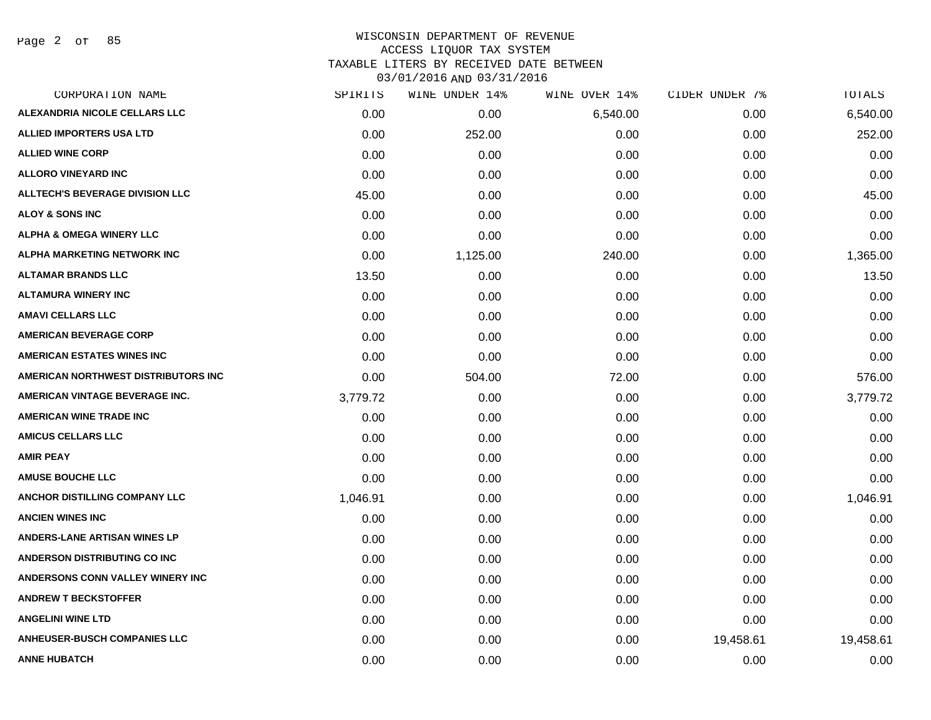Page 2 of 85

#### WISCONSIN DEPARTMENT OF REVENUE ACCESS LIQUOR TAX SYSTEM TAXABLE LITERS BY RECEIVED DATE BETWEEN

| CORPORATION NAME                       | SPIRITS  | WINE UNDER 14% | WINE OVER 14% | CIDER UNDER 7% | TOTALS    |
|----------------------------------------|----------|----------------|---------------|----------------|-----------|
| ALEXANDRIA NICOLE CELLARS LLC          | 0.00     | 0.00           | 6,540.00      | 0.00           | 6,540.00  |
| <b>ALLIED IMPORTERS USA LTD</b>        | 0.00     | 252.00         | 0.00          | 0.00           | 252.00    |
| <b>ALLIED WINE CORP</b>                | 0.00     | 0.00           | 0.00          | 0.00           | 0.00      |
| <b>ALLORO VINEYARD INC</b>             | 0.00     | 0.00           | 0.00          | 0.00           | 0.00      |
| <b>ALLTECH'S BEVERAGE DIVISION LLC</b> | 45.00    | 0.00           | 0.00          | 0.00           | 45.00     |
| <b>ALOY &amp; SONS INC</b>             | 0.00     | 0.00           | 0.00          | 0.00           | 0.00      |
| <b>ALPHA &amp; OMEGA WINERY LLC</b>    | 0.00     | 0.00           | 0.00          | 0.00           | 0.00      |
| ALPHA MARKETING NETWORK INC            | 0.00     | 1,125.00       | 240.00        | 0.00           | 1,365.00  |
| <b>ALTAMAR BRANDS LLC</b>              | 13.50    | 0.00           | 0.00          | 0.00           | 13.50     |
| <b>ALTAMURA WINERY INC</b>             | 0.00     | 0.00           | 0.00          | 0.00           | 0.00      |
| <b>AMAVI CELLARS LLC</b>               | 0.00     | 0.00           | 0.00          | 0.00           | 0.00      |
| <b>AMERICAN BEVERAGE CORP</b>          | 0.00     | 0.00           | 0.00          | 0.00           | 0.00      |
| <b>AMERICAN ESTATES WINES INC</b>      | 0.00     | 0.00           | 0.00          | 0.00           | 0.00      |
| AMERICAN NORTHWEST DISTRIBUTORS INC    | 0.00     | 504.00         | 72.00         | 0.00           | 576.00    |
| <b>AMERICAN VINTAGE BEVERAGE INC.</b>  | 3,779.72 | 0.00           | 0.00          | 0.00           | 3,779.72  |
| <b>AMERICAN WINE TRADE INC</b>         | 0.00     | 0.00           | 0.00          | 0.00           | 0.00      |
| <b>AMICUS CELLARS LLC</b>              | 0.00     | 0.00           | 0.00          | 0.00           | 0.00      |
| <b>AMIR PEAY</b>                       | 0.00     | 0.00           | 0.00          | 0.00           | 0.00      |
| <b>AMUSE BOUCHE LLC</b>                | 0.00     | 0.00           | 0.00          | 0.00           | 0.00      |
| ANCHOR DISTILLING COMPANY LLC          | 1,046.91 | 0.00           | 0.00          | 0.00           | 1,046.91  |
| <b>ANCIEN WINES INC</b>                | 0.00     | 0.00           | 0.00          | 0.00           | 0.00      |
| <b>ANDERS-LANE ARTISAN WINES LP</b>    | 0.00     | 0.00           | 0.00          | 0.00           | 0.00      |
| <b>ANDERSON DISTRIBUTING CO INC</b>    | 0.00     | 0.00           | 0.00          | 0.00           | 0.00      |
| ANDERSONS CONN VALLEY WINERY INC       | 0.00     | 0.00           | 0.00          | 0.00           | 0.00      |
| <b>ANDREW T BECKSTOFFER</b>            | 0.00     | 0.00           | 0.00          | 0.00           | 0.00      |
| <b>ANGELINI WINE LTD</b>               | 0.00     | 0.00           | 0.00          | 0.00           | 0.00      |
| <b>ANHEUSER-BUSCH COMPANIES LLC</b>    | 0.00     | 0.00           | 0.00          | 19,458.61      | 19,458.61 |
| <b>ANNE HUBATCH</b>                    | 0.00     | 0.00           | 0.00          | 0.00           | 0.00      |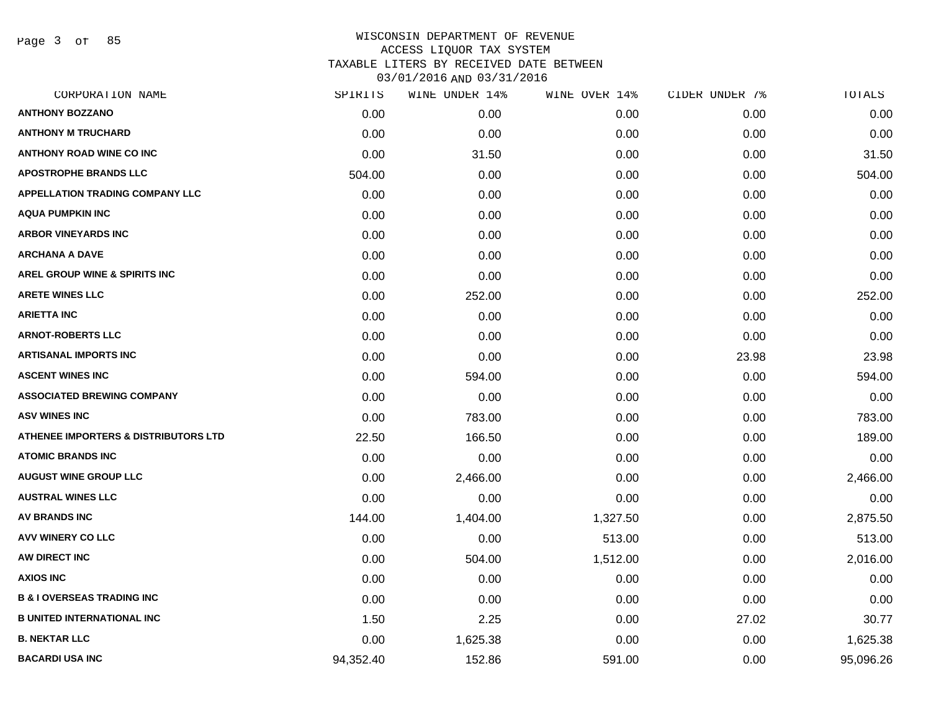Page 3 of 85

| CORPORATION NAME                                | SPIRITS   | WINE UNDER 14% | WINE OVER 14% | CIDER UNDER 7% | TOTALS    |
|-------------------------------------------------|-----------|----------------|---------------|----------------|-----------|
| <b>ANTHONY BOZZANO</b>                          | 0.00      | 0.00           | 0.00          | 0.00           | 0.00      |
| <b>ANTHONY M TRUCHARD</b>                       | 0.00      | 0.00           | 0.00          | 0.00           | 0.00      |
| <b>ANTHONY ROAD WINE CO INC</b>                 | 0.00      | 31.50          | 0.00          | 0.00           | 31.50     |
| <b>APOSTROPHE BRANDS LLC</b>                    | 504.00    | 0.00           | 0.00          | 0.00           | 504.00    |
| <b>APPELLATION TRADING COMPANY LLC</b>          | 0.00      | 0.00           | 0.00          | 0.00           | 0.00      |
| <b>AQUA PUMPKIN INC</b>                         | 0.00      | 0.00           | 0.00          | 0.00           | 0.00      |
| <b>ARBOR VINEYARDS INC</b>                      | 0.00      | 0.00           | 0.00          | 0.00           | 0.00      |
| <b>ARCHANA A DAVE</b>                           | 0.00      | 0.00           | 0.00          | 0.00           | 0.00      |
| <b>AREL GROUP WINE &amp; SPIRITS INC</b>        | 0.00      | 0.00           | 0.00          | 0.00           | 0.00      |
| <b>ARETE WINES LLC</b>                          | 0.00      | 252.00         | 0.00          | 0.00           | 252.00    |
| <b>ARIETTA INC</b>                              | 0.00      | 0.00           | 0.00          | 0.00           | 0.00      |
| <b>ARNOT-ROBERTS LLC</b>                        | 0.00      | 0.00           | 0.00          | 0.00           | 0.00      |
| <b>ARTISANAL IMPORTS INC</b>                    | 0.00      | 0.00           | 0.00          | 23.98          | 23.98     |
| <b>ASCENT WINES INC</b>                         | 0.00      | 594.00         | 0.00          | 0.00           | 594.00    |
| <b>ASSOCIATED BREWING COMPANY</b>               | 0.00      | 0.00           | 0.00          | 0.00           | 0.00      |
| <b>ASV WINES INC</b>                            | 0.00      | 783.00         | 0.00          | 0.00           | 783.00    |
| <b>ATHENEE IMPORTERS &amp; DISTRIBUTORS LTD</b> | 22.50     | 166.50         | 0.00          | 0.00           | 189.00    |
| <b>ATOMIC BRANDS INC</b>                        | 0.00      | 0.00           | 0.00          | 0.00           | 0.00      |
| <b>AUGUST WINE GROUP LLC</b>                    | 0.00      | 2,466.00       | 0.00          | 0.00           | 2,466.00  |
| <b>AUSTRAL WINES LLC</b>                        | 0.00      | 0.00           | 0.00          | 0.00           | 0.00      |
| <b>AV BRANDS INC</b>                            | 144.00    | 1,404.00       | 1,327.50      | 0.00           | 2,875.50  |
| <b>AVV WINERY CO LLC</b>                        | 0.00      | 0.00           | 513.00        | 0.00           | 513.00    |
| AW DIRECT INC                                   | 0.00      | 504.00         | 1,512.00      | 0.00           | 2,016.00  |
| <b>AXIOS INC</b>                                | 0.00      | 0.00           | 0.00          | 0.00           | 0.00      |
| <b>B &amp; I OVERSEAS TRADING INC</b>           | 0.00      | 0.00           | 0.00          | 0.00           | 0.00      |
| <b>B UNITED INTERNATIONAL INC</b>               | 1.50      | 2.25           | 0.00          | 27.02          | 30.77     |
| <b>B. NEKTAR LLC</b>                            | 0.00      | 1,625.38       | 0.00          | 0.00           | 1,625.38  |
| <b>BACARDI USA INC</b>                          | 94,352.40 | 152.86         | 591.00        | 0.00           | 95,096.26 |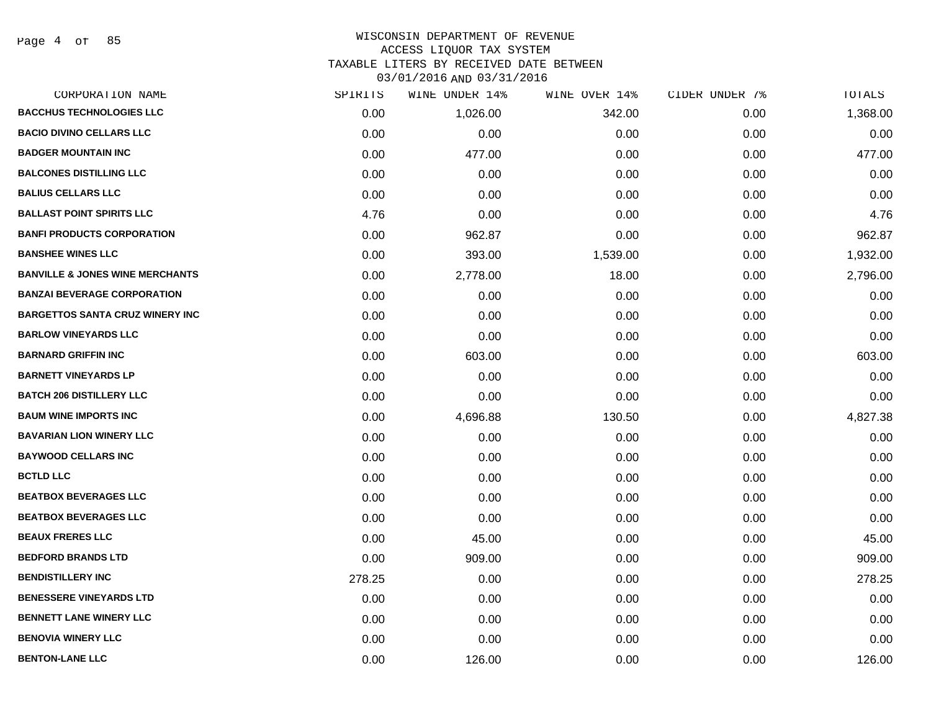### WISCONSIN DEPARTMENT OF REVENUE ACCESS LIQUOR TAX SYSTEM

TAXABLE LITERS BY RECEIVED DATE BETWEEN

| CORPORATION NAME                           | SPIRITS | WINE UNDER 14% | WINE OVER 14% | CIDER UNDER 7% | TOTALS   |
|--------------------------------------------|---------|----------------|---------------|----------------|----------|
| <b>BACCHUS TECHNOLOGIES LLC</b>            | 0.00    | 1,026.00       | 342.00        | 0.00           | 1,368.00 |
| <b>BACIO DIVINO CELLARS LLC</b>            | 0.00    | 0.00           | 0.00          | 0.00           | 0.00     |
| <b>BADGER MOUNTAIN INC</b>                 | 0.00    | 477.00         | 0.00          | 0.00           | 477.00   |
| <b>BALCONES DISTILLING LLC</b>             | 0.00    | 0.00           | 0.00          | 0.00           | 0.00     |
| <b>BALIUS CELLARS LLC</b>                  | 0.00    | 0.00           | 0.00          | 0.00           | 0.00     |
| <b>BALLAST POINT SPIRITS LLC</b>           | 4.76    | 0.00           | 0.00          | 0.00           | 4.76     |
| <b>BANFI PRODUCTS CORPORATION</b>          | 0.00    | 962.87         | 0.00          | 0.00           | 962.87   |
| <b>BANSHEE WINES LLC</b>                   | 0.00    | 393.00         | 1,539.00      | 0.00           | 1,932.00 |
| <b>BANVILLE &amp; JONES WINE MERCHANTS</b> | 0.00    | 2,778.00       | 18.00         | 0.00           | 2,796.00 |
| <b>BANZAI BEVERAGE CORPORATION</b>         | 0.00    | 0.00           | 0.00          | 0.00           | 0.00     |
| <b>BARGETTOS SANTA CRUZ WINERY INC</b>     | 0.00    | 0.00           | 0.00          | 0.00           | 0.00     |
| <b>BARLOW VINEYARDS LLC</b>                | 0.00    | 0.00           | 0.00          | 0.00           | 0.00     |
| <b>BARNARD GRIFFIN INC</b>                 | 0.00    | 603.00         | 0.00          | 0.00           | 603.00   |
| <b>BARNETT VINEYARDS LP</b>                | 0.00    | 0.00           | 0.00          | 0.00           | 0.00     |
| <b>BATCH 206 DISTILLERY LLC</b>            | 0.00    | 0.00           | 0.00          | 0.00           | 0.00     |
| <b>BAUM WINE IMPORTS INC</b>               | 0.00    | 4,696.88       | 130.50        | 0.00           | 4,827.38 |
| <b>BAVARIAN LION WINERY LLC</b>            | 0.00    | 0.00           | 0.00          | 0.00           | 0.00     |
| <b>BAYWOOD CELLARS INC</b>                 | 0.00    | 0.00           | 0.00          | 0.00           | 0.00     |
| <b>BCTLD LLC</b>                           | 0.00    | 0.00           | 0.00          | 0.00           | 0.00     |
| <b>BEATBOX BEVERAGES LLC</b>               | 0.00    | 0.00           | 0.00          | 0.00           | 0.00     |
| <b>BEATBOX BEVERAGES LLC</b>               | 0.00    | 0.00           | 0.00          | 0.00           | 0.00     |
| <b>BEAUX FRERES LLC</b>                    | 0.00    | 45.00          | 0.00          | 0.00           | 45.00    |
| <b>BEDFORD BRANDS LTD</b>                  | 0.00    | 909.00         | 0.00          | 0.00           | 909.00   |
| <b>BENDISTILLERY INC</b>                   | 278.25  | 0.00           | 0.00          | 0.00           | 278.25   |
| <b>BENESSERE VINEYARDS LTD</b>             | 0.00    | 0.00           | 0.00          | 0.00           | 0.00     |
| <b>BENNETT LANE WINERY LLC</b>             | 0.00    | 0.00           | 0.00          | 0.00           | 0.00     |
| <b>BENOVIA WINERY LLC</b>                  | 0.00    | 0.00           | 0.00          | 0.00           | 0.00     |
| <b>BENTON-LANE LLC</b>                     | 0.00    | 126.00         | 0.00          | 0.00           | 126.00   |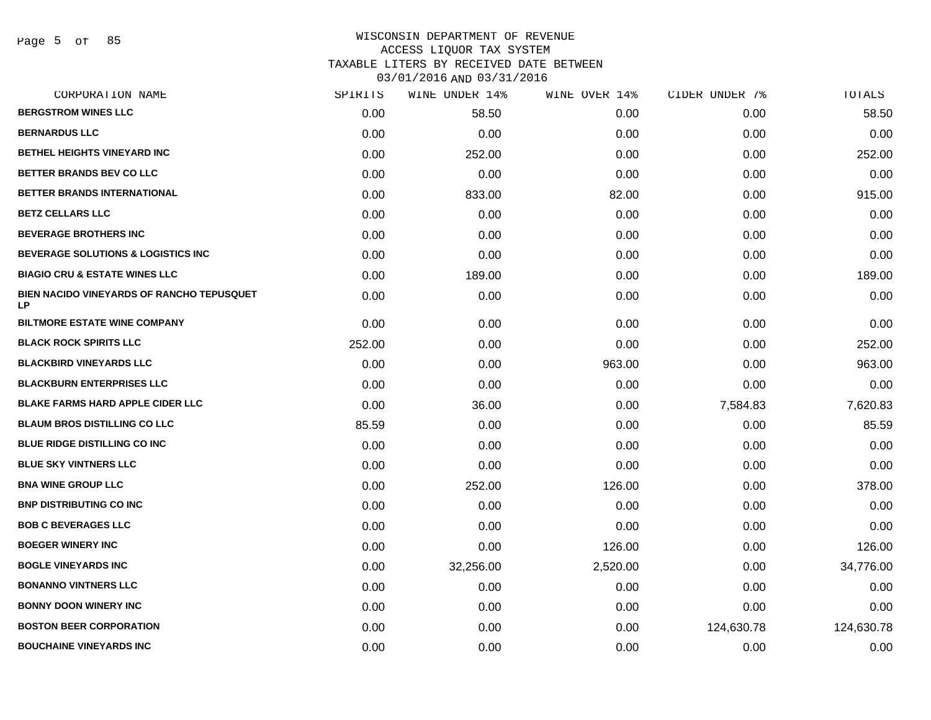## WISCONSIN DEPARTMENT OF REVENUE ACCESS LIQUOR TAX SYSTEM TAXABLE LITERS BY RECEIVED DATE BETWEEN

| CORPORATION NAME                                       | SPIRITS | WINE UNDER 14% | WINE OVER 14% | CIDER UNDER 7% | TOTALS     |
|--------------------------------------------------------|---------|----------------|---------------|----------------|------------|
| <b>BERGSTROM WINES LLC</b>                             | 0.00    | 58.50          | 0.00          | 0.00           | 58.50      |
| <b>BERNARDUS LLC</b>                                   | 0.00    | 0.00           | 0.00          | 0.00           | 0.00       |
| <b>BETHEL HEIGHTS VINEYARD INC</b>                     | 0.00    | 252.00         | 0.00          | 0.00           | 252.00     |
| BETTER BRANDS BEV CO LLC                               | 0.00    | 0.00           | 0.00          | 0.00           | 0.00       |
| BETTER BRANDS INTERNATIONAL                            | 0.00    | 833.00         | 82.00         | 0.00           | 915.00     |
| <b>BETZ CELLARS LLC</b>                                | 0.00    | 0.00           | 0.00          | 0.00           | 0.00       |
| <b>BEVERAGE BROTHERS INC</b>                           | 0.00    | 0.00           | 0.00          | 0.00           | 0.00       |
| <b>BEVERAGE SOLUTIONS &amp; LOGISTICS INC</b>          | 0.00    | 0.00           | 0.00          | 0.00           | 0.00       |
| <b>BIAGIO CRU &amp; ESTATE WINES LLC</b>               | 0.00    | 189.00         | 0.00          | 0.00           | 189.00     |
| BIEN NACIDO VINEYARDS OF RANCHO TEPUSQUET<br><b>LP</b> | 0.00    | 0.00           | 0.00          | 0.00           | 0.00       |
| <b>BILTMORE ESTATE WINE COMPANY</b>                    | 0.00    | 0.00           | 0.00          | 0.00           | 0.00       |
| <b>BLACK ROCK SPIRITS LLC</b>                          | 252.00  | 0.00           | 0.00          | 0.00           | 252.00     |
| <b>BLACKBIRD VINEYARDS LLC</b>                         | 0.00    | 0.00           | 963.00        | 0.00           | 963.00     |
| <b>BLACKBURN ENTERPRISES LLC</b>                       | 0.00    | 0.00           | 0.00          | 0.00           | 0.00       |
| <b>BLAKE FARMS HARD APPLE CIDER LLC</b>                | 0.00    | 36.00          | 0.00          | 7,584.83       | 7,620.83   |
| <b>BLAUM BROS DISTILLING CO LLC</b>                    | 85.59   | 0.00           | 0.00          | 0.00           | 85.59      |
| <b>BLUE RIDGE DISTILLING CO INC</b>                    | 0.00    | 0.00           | 0.00          | 0.00           | 0.00       |
| <b>BLUE SKY VINTNERS LLC</b>                           | 0.00    | 0.00           | 0.00          | 0.00           | 0.00       |
| <b>BNA WINE GROUP LLC</b>                              | 0.00    | 252.00         | 126.00        | 0.00           | 378.00     |
| <b>BNP DISTRIBUTING CO INC</b>                         | 0.00    | 0.00           | 0.00          | 0.00           | 0.00       |
| <b>BOB C BEVERAGES LLC</b>                             | 0.00    | 0.00           | 0.00          | 0.00           | 0.00       |
| <b>BOEGER WINERY INC</b>                               | 0.00    | 0.00           | 126.00        | 0.00           | 126.00     |
| <b>BOGLE VINEYARDS INC</b>                             | 0.00    | 32,256.00      | 2,520.00      | 0.00           | 34,776.00  |
| <b>BONANNO VINTNERS LLC</b>                            | 0.00    | 0.00           | 0.00          | 0.00           | 0.00       |
| <b>BONNY DOON WINERY INC</b>                           | 0.00    | 0.00           | 0.00          | 0.00           | 0.00       |
| <b>BOSTON BEER CORPORATION</b>                         | 0.00    | 0.00           | 0.00          | 124,630.78     | 124,630.78 |
| <b>BOUCHAINE VINEYARDS INC</b>                         | 0.00    | 0.00           | 0.00          | 0.00           | 0.00       |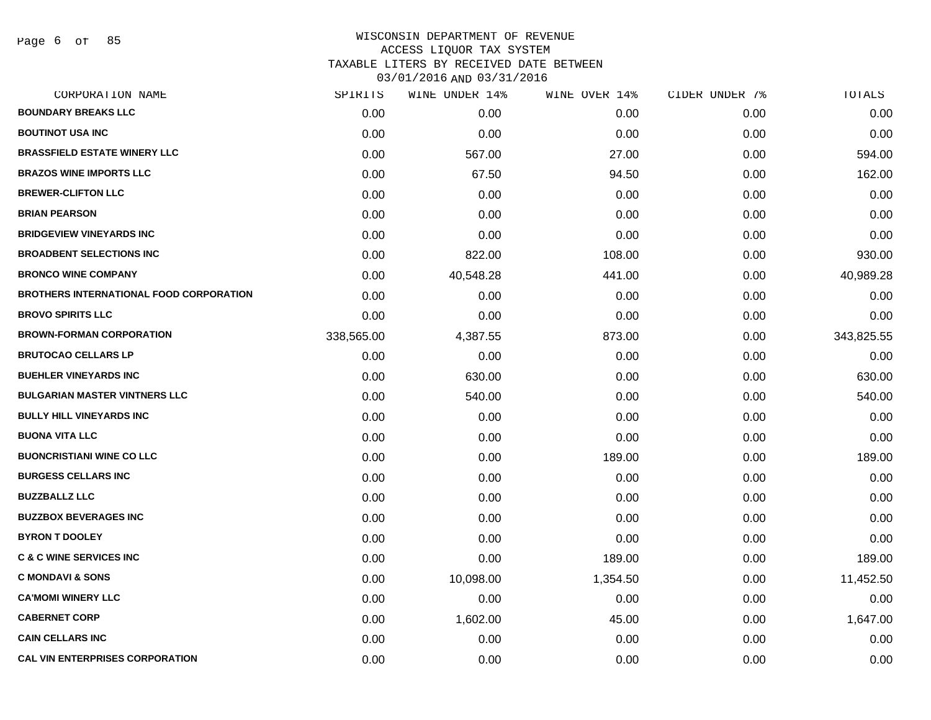Page 6 of 85

# WISCONSIN DEPARTMENT OF REVENUE ACCESS LIQUOR TAX SYSTEM TAXABLE LITERS BY RECEIVED DATE BETWEEN

| CORPORATION NAME                               | SPIRITS    | WINE UNDER 14% | WINE OVER 14% | CIDER UNDER 7% | TOTALS     |
|------------------------------------------------|------------|----------------|---------------|----------------|------------|
| <b>BOUNDARY BREAKS LLC</b>                     | 0.00       | 0.00           | 0.00          | 0.00           | 0.00       |
| <b>BOUTINOT USA INC</b>                        | 0.00       | 0.00           | 0.00          | 0.00           | 0.00       |
| <b>BRASSFIELD ESTATE WINERY LLC</b>            | 0.00       | 567.00         | 27.00         | 0.00           | 594.00     |
| <b>BRAZOS WINE IMPORTS LLC</b>                 | 0.00       | 67.50          | 94.50         | 0.00           | 162.00     |
| <b>BREWER-CLIFTON LLC</b>                      | 0.00       | 0.00           | 0.00          | 0.00           | 0.00       |
| <b>BRIAN PEARSON</b>                           | 0.00       | 0.00           | 0.00          | 0.00           | 0.00       |
| <b>BRIDGEVIEW VINEYARDS INC</b>                | 0.00       | 0.00           | 0.00          | 0.00           | 0.00       |
| <b>BROADBENT SELECTIONS INC</b>                | 0.00       | 822.00         | 108.00        | 0.00           | 930.00     |
| <b>BRONCO WINE COMPANY</b>                     | 0.00       | 40,548.28      | 441.00        | 0.00           | 40,989.28  |
| <b>BROTHERS INTERNATIONAL FOOD CORPORATION</b> | 0.00       | 0.00           | 0.00          | 0.00           | 0.00       |
| <b>BROVO SPIRITS LLC</b>                       | 0.00       | 0.00           | 0.00          | 0.00           | 0.00       |
| <b>BROWN-FORMAN CORPORATION</b>                | 338,565.00 | 4,387.55       | 873.00        | 0.00           | 343,825.55 |
| <b>BRUTOCAO CELLARS LP</b>                     | 0.00       | 0.00           | 0.00          | 0.00           | 0.00       |
| <b>BUEHLER VINEYARDS INC</b>                   | 0.00       | 630.00         | 0.00          | 0.00           | 630.00     |
| <b>BULGARIAN MASTER VINTNERS LLC</b>           | 0.00       | 540.00         | 0.00          | 0.00           | 540.00     |
| <b>BULLY HILL VINEYARDS INC</b>                | 0.00       | 0.00           | 0.00          | 0.00           | 0.00       |
| <b>BUONA VITA LLC</b>                          | 0.00       | 0.00           | 0.00          | 0.00           | 0.00       |
| <b>BUONCRISTIANI WINE CO LLC</b>               | 0.00       | 0.00           | 189.00        | 0.00           | 189.00     |
| <b>BURGESS CELLARS INC</b>                     | 0.00       | 0.00           | 0.00          | 0.00           | 0.00       |
| <b>BUZZBALLZ LLC</b>                           | 0.00       | 0.00           | 0.00          | 0.00           | 0.00       |
| <b>BUZZBOX BEVERAGES INC</b>                   | 0.00       | 0.00           | 0.00          | 0.00           | 0.00       |
| <b>BYRON T DOOLEY</b>                          | 0.00       | 0.00           | 0.00          | 0.00           | 0.00       |
| <b>C &amp; C WINE SERVICES INC</b>             | 0.00       | 0.00           | 189.00        | 0.00           | 189.00     |
| <b>C MONDAVI &amp; SONS</b>                    | 0.00       | 10,098.00      | 1,354.50      | 0.00           | 11,452.50  |
| <b>CA'MOMI WINERY LLC</b>                      | 0.00       | 0.00           | 0.00          | 0.00           | 0.00       |
| <b>CABERNET CORP</b>                           | 0.00       | 1,602.00       | 45.00         | 0.00           | 1,647.00   |
| <b>CAIN CELLARS INC</b>                        | 0.00       | 0.00           | 0.00          | 0.00           | 0.00       |
| <b>CAL VIN ENTERPRISES CORPORATION</b>         | 0.00       | 0.00           | 0.00          | 0.00           | 0.00       |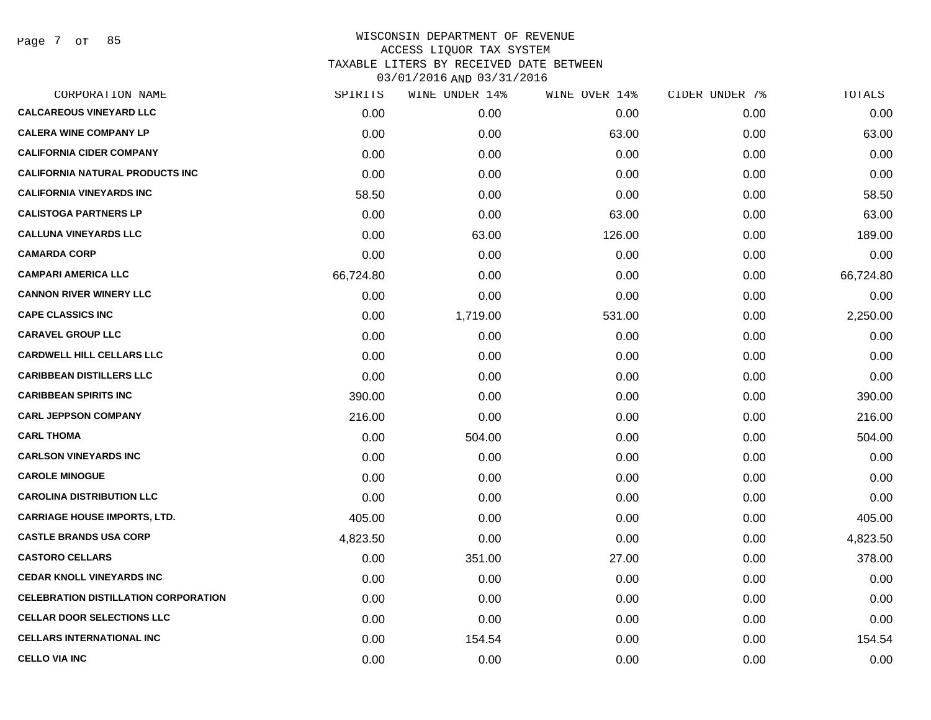Page 7 of 85

| CORPORATION NAME                            | SPIRITS   | WINE UNDER 14% | WINE OVER 14% | CIDER UNDER 7% | TOTALS    |
|---------------------------------------------|-----------|----------------|---------------|----------------|-----------|
| <b>CALCAREOUS VINEYARD LLC</b>              | 0.00      | 0.00           | 0.00          | 0.00           | 0.00      |
| <b>CALERA WINE COMPANY LP</b>               | 0.00      | 0.00           | 63.00         | 0.00           | 63.00     |
| <b>CALIFORNIA CIDER COMPANY</b>             | 0.00      | 0.00           | 0.00          | 0.00           | 0.00      |
| <b>CALIFORNIA NATURAL PRODUCTS INC</b>      | 0.00      | 0.00           | 0.00          | 0.00           | 0.00      |
| <b>CALIFORNIA VINEYARDS INC</b>             | 58.50     | 0.00           | 0.00          | 0.00           | 58.50     |
| <b>CALISTOGA PARTNERS LP</b>                | 0.00      | 0.00           | 63.00         | 0.00           | 63.00     |
| <b>CALLUNA VINEYARDS LLC</b>                | 0.00      | 63.00          | 126.00        | 0.00           | 189.00    |
| <b>CAMARDA CORP</b>                         | 0.00      | 0.00           | 0.00          | 0.00           | 0.00      |
| <b>CAMPARI AMERICA LLC</b>                  | 66,724.80 | 0.00           | 0.00          | 0.00           | 66,724.80 |
| <b>CANNON RIVER WINERY LLC</b>              | 0.00      | 0.00           | 0.00          | 0.00           | 0.00      |
| <b>CAPE CLASSICS INC</b>                    | 0.00      | 1,719.00       | 531.00        | 0.00           | 2,250.00  |
| <b>CARAVEL GROUP LLC</b>                    | 0.00      | 0.00           | 0.00          | 0.00           | 0.00      |
| <b>CARDWELL HILL CELLARS LLC</b>            | 0.00      | 0.00           | 0.00          | 0.00           | 0.00      |
| <b>CARIBBEAN DISTILLERS LLC</b>             | 0.00      | 0.00           | 0.00          | 0.00           | 0.00      |
| <b>CARIBBEAN SPIRITS INC</b>                | 390.00    | 0.00           | 0.00          | 0.00           | 390.00    |
| <b>CARL JEPPSON COMPANY</b>                 | 216.00    | 0.00           | 0.00          | 0.00           | 216.00    |
| <b>CARL THOMA</b>                           | 0.00      | 504.00         | 0.00          | 0.00           | 504.00    |
| <b>CARLSON VINEYARDS INC</b>                | 0.00      | 0.00           | 0.00          | 0.00           | 0.00      |
| <b>CAROLE MINOGUE</b>                       | 0.00      | 0.00           | 0.00          | 0.00           | 0.00      |
| <b>CAROLINA DISTRIBUTION LLC</b>            | 0.00      | 0.00           | 0.00          | 0.00           | 0.00      |
| <b>CARRIAGE HOUSE IMPORTS, LTD.</b>         | 405.00    | 0.00           | 0.00          | 0.00           | 405.00    |
| <b>CASTLE BRANDS USA CORP</b>               | 4,823.50  | 0.00           | 0.00          | 0.00           | 4,823.50  |
| <b>CASTORO CELLARS</b>                      | 0.00      | 351.00         | 27.00         | 0.00           | 378.00    |
| <b>CEDAR KNOLL VINEYARDS INC</b>            | 0.00      | 0.00           | 0.00          | 0.00           | 0.00      |
| <b>CELEBRATION DISTILLATION CORPORATION</b> | 0.00      | 0.00           | 0.00          | 0.00           | 0.00      |
| <b>CELLAR DOOR SELECTIONS LLC</b>           | 0.00      | 0.00           | 0.00          | 0.00           | 0.00      |
| <b>CELLARS INTERNATIONAL INC</b>            | 0.00      | 154.54         | 0.00          | 0.00           | 154.54    |
| <b>CELLO VIA INC</b>                        | 0.00      | 0.00           | 0.00          | 0.00           | 0.00      |
|                                             |           |                |               |                |           |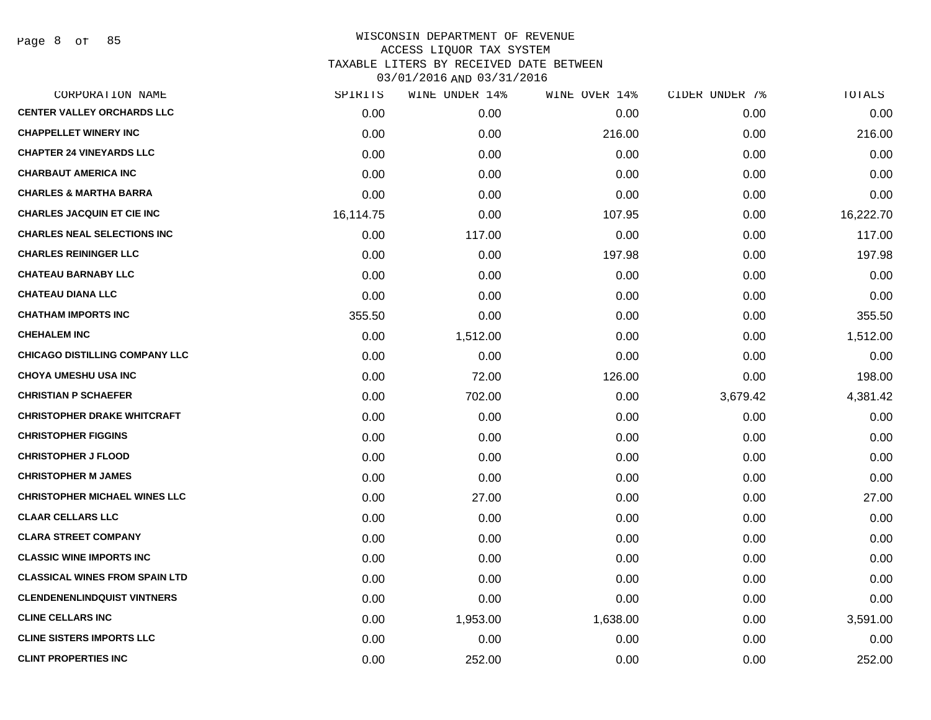Page 8 of 85

| CORPORATION NAME                      | SPIRITS   | WINE UNDER 14% | WINE OVER 14% | CIDER UNDER 7% | TOTALS    |
|---------------------------------------|-----------|----------------|---------------|----------------|-----------|
| <b>CENTER VALLEY ORCHARDS LLC</b>     | 0.00      | 0.00           | 0.00          | 0.00           | 0.00      |
| <b>CHAPPELLET WINERY INC</b>          | 0.00      | 0.00           | 216.00        | 0.00           | 216.00    |
| <b>CHAPTER 24 VINEYARDS LLC</b>       | 0.00      | 0.00           | 0.00          | 0.00           | 0.00      |
| <b>CHARBAUT AMERICA INC</b>           | 0.00      | 0.00           | 0.00          | 0.00           | 0.00      |
| <b>CHARLES &amp; MARTHA BARRA</b>     | 0.00      | 0.00           | 0.00          | 0.00           | 0.00      |
| <b>CHARLES JACQUIN ET CIE INC</b>     | 16,114.75 | 0.00           | 107.95        | 0.00           | 16,222.70 |
| <b>CHARLES NEAL SELECTIONS INC</b>    | 0.00      | 117.00         | 0.00          | 0.00           | 117.00    |
| <b>CHARLES REININGER LLC</b>          | 0.00      | 0.00           | 197.98        | 0.00           | 197.98    |
| <b>CHATEAU BARNABY LLC</b>            | 0.00      | 0.00           | 0.00          | 0.00           | 0.00      |
| <b>CHATEAU DIANA LLC</b>              | 0.00      | 0.00           | 0.00          | 0.00           | 0.00      |
| <b>CHATHAM IMPORTS INC</b>            | 355.50    | 0.00           | 0.00          | 0.00           | 355.50    |
| <b>CHEHALEM INC</b>                   | 0.00      | 1,512.00       | 0.00          | 0.00           | 1,512.00  |
| <b>CHICAGO DISTILLING COMPANY LLC</b> | 0.00      | 0.00           | 0.00          | 0.00           | 0.00      |
| <b>CHOYA UMESHU USA INC</b>           | 0.00      | 72.00          | 126.00        | 0.00           | 198.00    |
| <b>CHRISTIAN P SCHAEFER</b>           | 0.00      | 702.00         | 0.00          | 3,679.42       | 4,381.42  |
| <b>CHRISTOPHER DRAKE WHITCRAFT</b>    | 0.00      | 0.00           | 0.00          | 0.00           | 0.00      |
| <b>CHRISTOPHER FIGGINS</b>            | 0.00      | 0.00           | 0.00          | 0.00           | 0.00      |
| <b>CHRISTOPHER J FLOOD</b>            | 0.00      | 0.00           | 0.00          | 0.00           | 0.00      |
| <b>CHRISTOPHER M JAMES</b>            | 0.00      | 0.00           | 0.00          | 0.00           | 0.00      |
| <b>CHRISTOPHER MICHAEL WINES LLC</b>  | 0.00      | 27.00          | 0.00          | 0.00           | 27.00     |
| <b>CLAAR CELLARS LLC</b>              | 0.00      | 0.00           | 0.00          | 0.00           | 0.00      |
| <b>CLARA STREET COMPANY</b>           | 0.00      | 0.00           | 0.00          | 0.00           | 0.00      |
| <b>CLASSIC WINE IMPORTS INC</b>       | 0.00      | 0.00           | 0.00          | 0.00           | 0.00      |
| <b>CLASSICAL WINES FROM SPAIN LTD</b> | 0.00      | 0.00           | 0.00          | 0.00           | 0.00      |
| <b>CLENDENENLINDQUIST VINTNERS</b>    | 0.00      | 0.00           | 0.00          | 0.00           | 0.00      |
| <b>CLINE CELLARS INC</b>              | 0.00      | 1,953.00       | 1,638.00      | 0.00           | 3,591.00  |
| <b>CLINE SISTERS IMPORTS LLC</b>      | 0.00      | 0.00           | 0.00          | 0.00           | 0.00      |
| <b>CLINT PROPERTIES INC</b>           | 0.00      | 252.00         | 0.00          | 0.00           | 252.00    |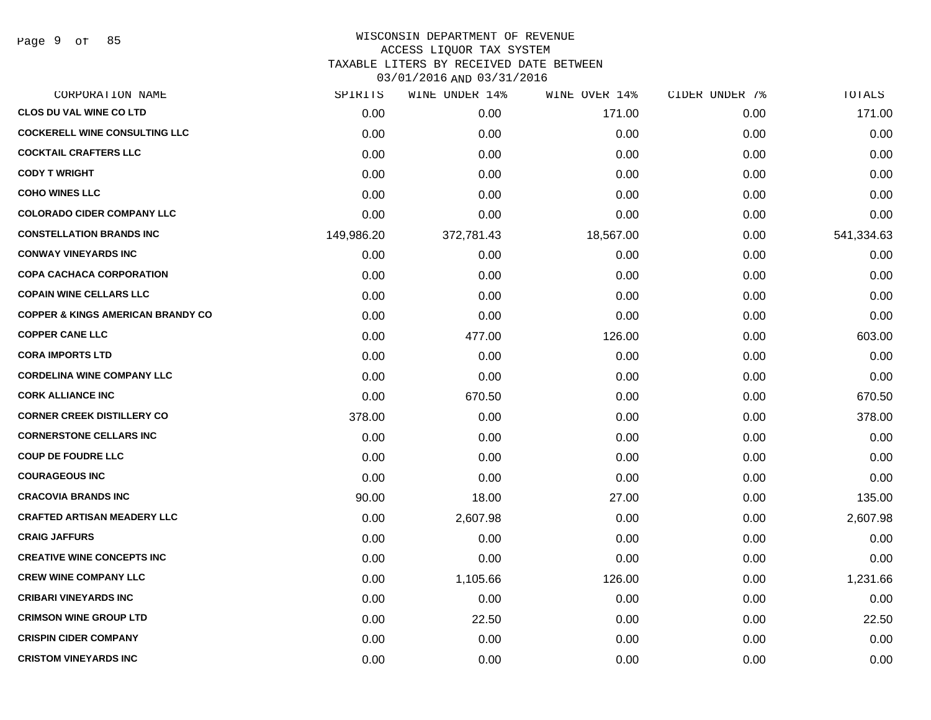Page 9 of 85

## WISCONSIN DEPARTMENT OF REVENUE ACCESS LIQUOR TAX SYSTEM TAXABLE LITERS BY RECEIVED DATE BETWEEN

| CORPORATION NAME                             | SPIRITS    | WINE UNDER 14% | WINE OVER 14% | CIDER UNDER 7% | TOTALS     |
|----------------------------------------------|------------|----------------|---------------|----------------|------------|
| <b>CLOS DU VAL WINE CO LTD</b>               | 0.00       | 0.00           | 171.00        | 0.00           | 171.00     |
| <b>COCKERELL WINE CONSULTING LLC</b>         | 0.00       | 0.00           | 0.00          | 0.00           | 0.00       |
| <b>COCKTAIL CRAFTERS LLC</b>                 | 0.00       | 0.00           | 0.00          | 0.00           | 0.00       |
| <b>CODY T WRIGHT</b>                         | 0.00       | 0.00           | 0.00          | 0.00           | 0.00       |
| <b>COHO WINES LLC</b>                        | 0.00       | 0.00           | 0.00          | 0.00           | 0.00       |
| <b>COLORADO CIDER COMPANY LLC</b>            | 0.00       | 0.00           | 0.00          | 0.00           | 0.00       |
| <b>CONSTELLATION BRANDS INC</b>              | 149,986.20 | 372,781.43     | 18,567.00     | 0.00           | 541,334.63 |
| <b>CONWAY VINEYARDS INC</b>                  | 0.00       | 0.00           | 0.00          | 0.00           | 0.00       |
| <b>COPA CACHACA CORPORATION</b>              | 0.00       | 0.00           | 0.00          | 0.00           | 0.00       |
| <b>COPAIN WINE CELLARS LLC</b>               | 0.00       | 0.00           | 0.00          | 0.00           | 0.00       |
| <b>COPPER &amp; KINGS AMERICAN BRANDY CO</b> | 0.00       | 0.00           | 0.00          | 0.00           | 0.00       |
| <b>COPPER CANE LLC</b>                       | 0.00       | 477.00         | 126.00        | 0.00           | 603.00     |
| <b>CORA IMPORTS LTD</b>                      | 0.00       | 0.00           | 0.00          | 0.00           | 0.00       |
| <b>CORDELINA WINE COMPANY LLC</b>            | 0.00       | 0.00           | 0.00          | 0.00           | 0.00       |
| <b>CORK ALLIANCE INC</b>                     | 0.00       | 670.50         | 0.00          | 0.00           | 670.50     |
| <b>CORNER CREEK DISTILLERY CO</b>            | 378.00     | 0.00           | 0.00          | 0.00           | 378.00     |
| <b>CORNERSTONE CELLARS INC</b>               | 0.00       | 0.00           | 0.00          | 0.00           | 0.00       |
| <b>COUP DE FOUDRE LLC</b>                    | 0.00       | 0.00           | 0.00          | 0.00           | 0.00       |
| <b>COURAGEOUS INC</b>                        | 0.00       | 0.00           | 0.00          | 0.00           | 0.00       |
| <b>CRACOVIA BRANDS INC</b>                   | 90.00      | 18.00          | 27.00         | 0.00           | 135.00     |
| <b>CRAFTED ARTISAN MEADERY LLC</b>           | 0.00       | 2,607.98       | 0.00          | 0.00           | 2,607.98   |
| <b>CRAIG JAFFURS</b>                         | 0.00       | 0.00           | 0.00          | 0.00           | 0.00       |
| <b>CREATIVE WINE CONCEPTS INC</b>            | 0.00       | 0.00           | 0.00          | 0.00           | 0.00       |
| <b>CREW WINE COMPANY LLC</b>                 | 0.00       | 1,105.66       | 126.00        | 0.00           | 1,231.66   |
| <b>CRIBARI VINEYARDS INC</b>                 | 0.00       | 0.00           | 0.00          | 0.00           | 0.00       |
| <b>CRIMSON WINE GROUP LTD</b>                | 0.00       | 22.50          | 0.00          | 0.00           | 22.50      |
| <b>CRISPIN CIDER COMPANY</b>                 | 0.00       | 0.00           | 0.00          | 0.00           | 0.00       |
| <b>CRISTOM VINEYARDS INC</b>                 | 0.00       | 0.00           | 0.00          | 0.00           | 0.00       |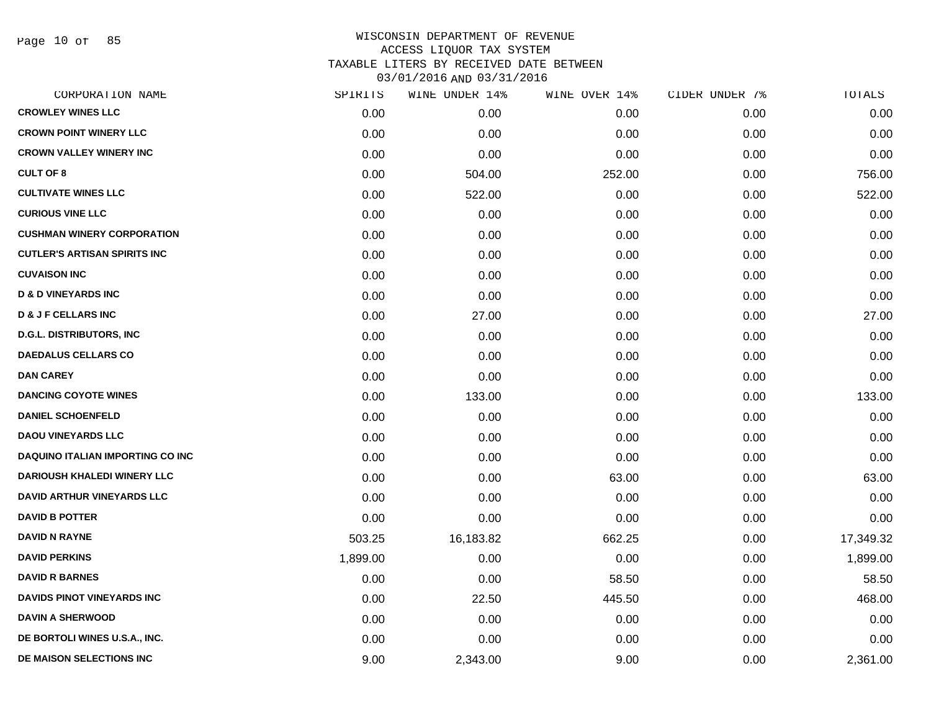Page 10 of 85

| CORPORATION NAME                        | SPIRITS  | WINE UNDER 14% | WINE OVER 14% | CIDER UNDER 7% | TOTALS    |
|-----------------------------------------|----------|----------------|---------------|----------------|-----------|
| <b>CROWLEY WINES LLC</b>                | 0.00     | 0.00           | 0.00          | 0.00           | 0.00      |
| <b>CROWN POINT WINERY LLC</b>           | 0.00     | 0.00           | 0.00          | 0.00           | 0.00      |
| <b>CROWN VALLEY WINERY INC</b>          | 0.00     | 0.00           | 0.00          | 0.00           | 0.00      |
| <b>CULT OF 8</b>                        | 0.00     | 504.00         | 252.00        | 0.00           | 756.00    |
| <b>CULTIVATE WINES LLC</b>              | 0.00     | 522.00         | 0.00          | 0.00           | 522.00    |
| <b>CURIOUS VINE LLC</b>                 | 0.00     | 0.00           | 0.00          | 0.00           | 0.00      |
| <b>CUSHMAN WINERY CORPORATION</b>       | 0.00     | 0.00           | 0.00          | 0.00           | 0.00      |
| <b>CUTLER'S ARTISAN SPIRITS INC</b>     | 0.00     | 0.00           | 0.00          | 0.00           | 0.00      |
| <b>CUVAISON INC</b>                     | 0.00     | 0.00           | 0.00          | 0.00           | 0.00      |
| <b>D &amp; D VINEYARDS INC</b>          | 0.00     | 0.00           | 0.00          | 0.00           | 0.00      |
| <b>D &amp; J F CELLARS INC</b>          | 0.00     | 27.00          | 0.00          | 0.00           | 27.00     |
| <b>D.G.L. DISTRIBUTORS, INC</b>         | 0.00     | 0.00           | 0.00          | 0.00           | 0.00      |
| <b>DAEDALUS CELLARS CO</b>              | 0.00     | 0.00           | 0.00          | 0.00           | 0.00      |
| <b>DAN CAREY</b>                        | 0.00     | 0.00           | 0.00          | 0.00           | 0.00      |
| <b>DANCING COYOTE WINES</b>             | 0.00     | 133.00         | 0.00          | 0.00           | 133.00    |
| <b>DANIEL SCHOENFELD</b>                | 0.00     | 0.00           | 0.00          | 0.00           | 0.00      |
| <b>DAOU VINEYARDS LLC</b>               | 0.00     | 0.00           | 0.00          | 0.00           | 0.00      |
| <b>DAQUINO ITALIAN IMPORTING CO INC</b> | 0.00     | 0.00           | 0.00          | 0.00           | 0.00      |
| <b>DARIOUSH KHALEDI WINERY LLC</b>      | 0.00     | 0.00           | 63.00         | 0.00           | 63.00     |
| <b>DAVID ARTHUR VINEYARDS LLC</b>       | 0.00     | 0.00           | 0.00          | 0.00           | 0.00      |
| <b>DAVID B POTTER</b>                   | 0.00     | 0.00           | 0.00          | 0.00           | 0.00      |
| <b>DAVID N RAYNE</b>                    | 503.25   | 16,183.82      | 662.25        | 0.00           | 17,349.32 |
| <b>DAVID PERKINS</b>                    | 1,899.00 | 0.00           | 0.00          | 0.00           | 1,899.00  |
| <b>DAVID R BARNES</b>                   | 0.00     | 0.00           | 58.50         | 0.00           | 58.50     |
| <b>DAVIDS PINOT VINEYARDS INC</b>       | 0.00     | 22.50          | 445.50        | 0.00           | 468.00    |
| <b>DAVIN A SHERWOOD</b>                 | 0.00     | 0.00           | 0.00          | 0.00           | 0.00      |
| DE BORTOLI WINES U.S.A., INC.           | 0.00     | 0.00           | 0.00          | 0.00           | 0.00      |
| DE MAISON SELECTIONS INC                | 9.00     | 2,343.00       | 9.00          | 0.00           | 2,361.00  |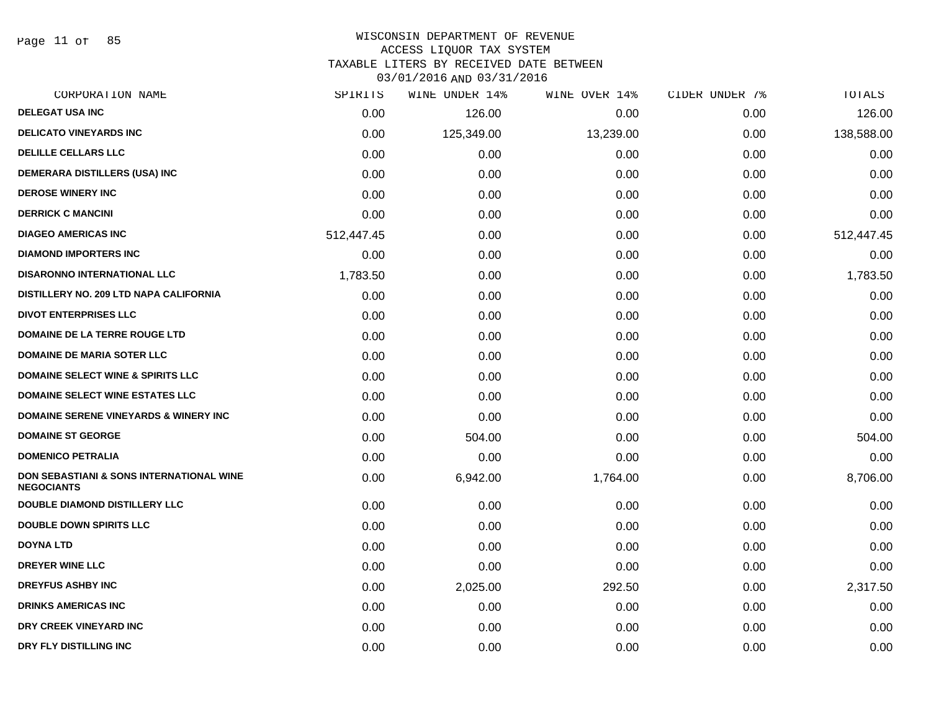Page 11 of 85

#### WISCONSIN DEPARTMENT OF REVENUE ACCESS LIQUOR TAX SYSTEM

TAXABLE LITERS BY RECEIVED DATE BETWEEN

| CORPORATION NAME                                                         | SPIRITS    | WINE UNDER 14% | WINE OVER 14% | CIDER UNDER 7% | TOTALS     |
|--------------------------------------------------------------------------|------------|----------------|---------------|----------------|------------|
| <b>DELEGAT USA INC</b>                                                   | 0.00       | 126.00         | 0.00          | 0.00           | 126.00     |
| <b>DELICATO VINEYARDS INC</b>                                            | 0.00       | 125,349.00     | 13,239.00     | 0.00           | 138,588.00 |
| <b>DELILLE CELLARS LLC</b>                                               | 0.00       | 0.00           | 0.00          | 0.00           | 0.00       |
| <b>DEMERARA DISTILLERS (USA) INC</b>                                     | 0.00       | 0.00           | 0.00          | 0.00           | 0.00       |
| <b>DEROSE WINERY INC</b>                                                 | 0.00       | 0.00           | 0.00          | 0.00           | 0.00       |
| <b>DERRICK C MANCINI</b>                                                 | 0.00       | 0.00           | 0.00          | 0.00           | 0.00       |
| <b>DIAGEO AMERICAS INC</b>                                               | 512,447.45 | 0.00           | 0.00          | 0.00           | 512,447.45 |
| <b>DIAMOND IMPORTERS INC</b>                                             | 0.00       | 0.00           | 0.00          | 0.00           | 0.00       |
| <b>DISARONNO INTERNATIONAL LLC</b>                                       | 1,783.50   | 0.00           | 0.00          | 0.00           | 1,783.50   |
| DISTILLERY NO. 209 LTD NAPA CALIFORNIA                                   | 0.00       | 0.00           | 0.00          | 0.00           | 0.00       |
| <b>DIVOT ENTERPRISES LLC</b>                                             | 0.00       | 0.00           | 0.00          | 0.00           | 0.00       |
| DOMAINE DE LA TERRE ROUGE LTD                                            | 0.00       | 0.00           | 0.00          | 0.00           | 0.00       |
| <b>DOMAINE DE MARIA SOTER LLC</b>                                        | 0.00       | 0.00           | 0.00          | 0.00           | 0.00       |
| <b>DOMAINE SELECT WINE &amp; SPIRITS LLC</b>                             | 0.00       | 0.00           | 0.00          | 0.00           | 0.00       |
| <b>DOMAINE SELECT WINE ESTATES LLC</b>                                   | 0.00       | 0.00           | 0.00          | 0.00           | 0.00       |
| <b>DOMAINE SERENE VINEYARDS &amp; WINERY INC</b>                         | 0.00       | 0.00           | 0.00          | 0.00           | 0.00       |
| <b>DOMAINE ST GEORGE</b>                                                 | 0.00       | 504.00         | 0.00          | 0.00           | 504.00     |
| <b>DOMENICO PETRALIA</b>                                                 | 0.00       | 0.00           | 0.00          | 0.00           | 0.00       |
| <b>DON SEBASTIANI &amp; SONS INTERNATIONAL WINE</b><br><b>NEGOCIANTS</b> | 0.00       | 6,942.00       | 1,764.00      | 0.00           | 8,706.00   |
| <b>DOUBLE DIAMOND DISTILLERY LLC</b>                                     | 0.00       | 0.00           | 0.00          | 0.00           | 0.00       |
| <b>DOUBLE DOWN SPIRITS LLC</b>                                           | 0.00       | 0.00           | 0.00          | 0.00           | 0.00       |
| <b>DOYNA LTD</b>                                                         | 0.00       | 0.00           | 0.00          | 0.00           | 0.00       |
| <b>DREYER WINE LLC</b>                                                   | 0.00       | 0.00           | 0.00          | 0.00           | 0.00       |
| <b>DREYFUS ASHBY INC</b>                                                 | 0.00       | 2,025.00       | 292.50        | 0.00           | 2,317.50   |
| <b>DRINKS AMERICAS INC</b>                                               | 0.00       | 0.00           | 0.00          | 0.00           | 0.00       |
| DRY CREEK VINEYARD INC                                                   | 0.00       | 0.00           | 0.00          | 0.00           | 0.00       |
| DRY FLY DISTILLING INC                                                   | 0.00       | 0.00           | 0.00          | 0.00           | 0.00       |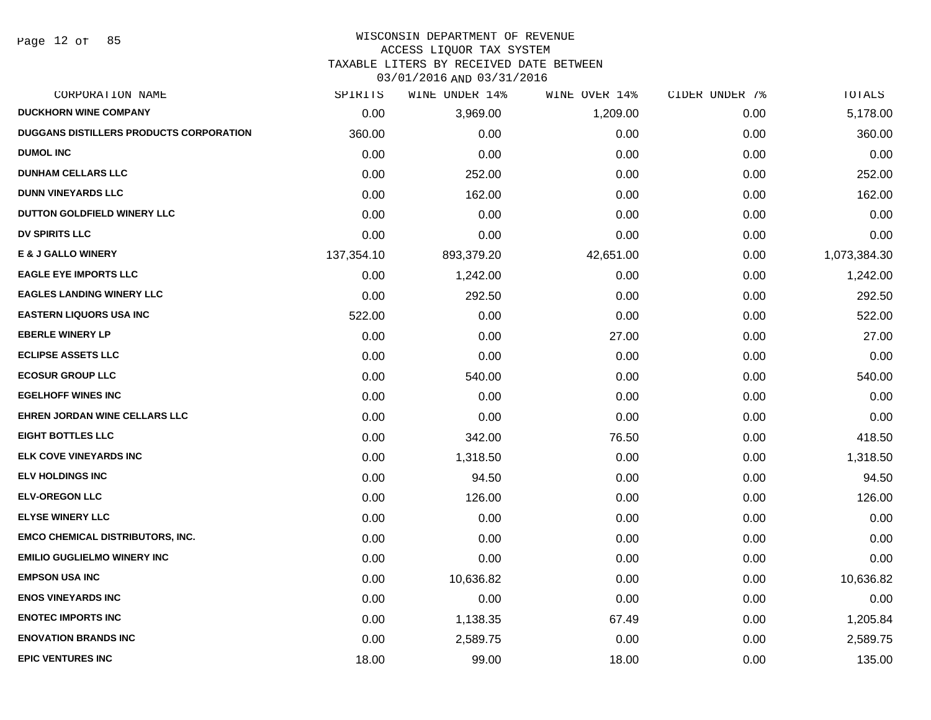#### WISCONSIN DEPARTMENT OF REVENUE

#### ACCESS LIQUOR TAX SYSTEM

TAXABLE LITERS BY RECEIVED DATE BETWEEN

| CORPORATION NAME                               | SPIRITS    | WINE UNDER 14% | WINE OVER 14% | CIDER UNDER 7% | TOTALS       |
|------------------------------------------------|------------|----------------|---------------|----------------|--------------|
| <b>DUCKHORN WINE COMPANY</b>                   | 0.00       | 3,969.00       | 1,209.00      | 0.00           | 5,178.00     |
| <b>DUGGANS DISTILLERS PRODUCTS CORPORATION</b> | 360.00     | 0.00           | 0.00          | 0.00           | 360.00       |
| <b>DUMOL INC</b>                               | 0.00       | 0.00           | 0.00          | 0.00           | 0.00         |
| <b>DUNHAM CELLARS LLC</b>                      | 0.00       | 252.00         | 0.00          | 0.00           | 252.00       |
| <b>DUNN VINEYARDS LLC</b>                      | 0.00       | 162.00         | 0.00          | 0.00           | 162.00       |
| DUTTON GOLDFIELD WINERY LLC                    | 0.00       | 0.00           | 0.00          | 0.00           | 0.00         |
| DV SPIRITS LLC                                 | 0.00       | 0.00           | 0.00          | 0.00           | 0.00         |
| <b>E &amp; J GALLO WINERY</b>                  | 137,354.10 | 893,379.20     | 42,651.00     | 0.00           | 1,073,384.30 |
| <b>EAGLE EYE IMPORTS LLC</b>                   | 0.00       | 1,242.00       | 0.00          | 0.00           | 1,242.00     |
| <b>EAGLES LANDING WINERY LLC</b>               | 0.00       | 292.50         | 0.00          | 0.00           | 292.50       |
| <b>EASTERN LIQUORS USA INC</b>                 | 522.00     | 0.00           | 0.00          | 0.00           | 522.00       |
| <b>EBERLE WINERY LP</b>                        | 0.00       | 0.00           | 27.00         | 0.00           | 27.00        |
| <b>ECLIPSE ASSETS LLC</b>                      | 0.00       | 0.00           | 0.00          | 0.00           | 0.00         |
| <b>ECOSUR GROUP LLC</b>                        | 0.00       | 540.00         | 0.00          | 0.00           | 540.00       |
| <b>EGELHOFF WINES INC</b>                      | 0.00       | 0.00           | 0.00          | 0.00           | 0.00         |
| <b>EHREN JORDAN WINE CELLARS LLC</b>           | 0.00       | 0.00           | 0.00          | 0.00           | 0.00         |
| <b>EIGHT BOTTLES LLC</b>                       | 0.00       | 342.00         | 76.50         | 0.00           | 418.50       |
| ELK COVE VINEYARDS INC                         | 0.00       | 1,318.50       | 0.00          | 0.00           | 1,318.50     |
| <b>ELV HOLDINGS INC</b>                        | 0.00       | 94.50          | 0.00          | 0.00           | 94.50        |
| <b>ELV-OREGON LLC</b>                          | 0.00       | 126.00         | 0.00          | 0.00           | 126.00       |
| <b>ELYSE WINERY LLC</b>                        | 0.00       | 0.00           | 0.00          | 0.00           | 0.00         |
| <b>EMCO CHEMICAL DISTRIBUTORS, INC.</b>        | 0.00       | 0.00           | 0.00          | 0.00           | 0.00         |
| <b>EMILIO GUGLIELMO WINERY INC</b>             | 0.00       | 0.00           | 0.00          | 0.00           | 0.00         |
| <b>EMPSON USA INC</b>                          | 0.00       | 10,636.82      | 0.00          | 0.00           | 10,636.82    |
| <b>ENOS VINEYARDS INC</b>                      | 0.00       | 0.00           | 0.00          | 0.00           | 0.00         |
| <b>ENOTEC IMPORTS INC</b>                      | 0.00       | 1,138.35       | 67.49         | 0.00           | 1,205.84     |
| <b>ENOVATION BRANDS INC</b>                    | 0.00       | 2,589.75       | 0.00          | 0.00           | 2,589.75     |
| <b>EPIC VENTURES INC</b>                       | 18.00      | 99.00          | 18.00         | 0.00           | 135.00       |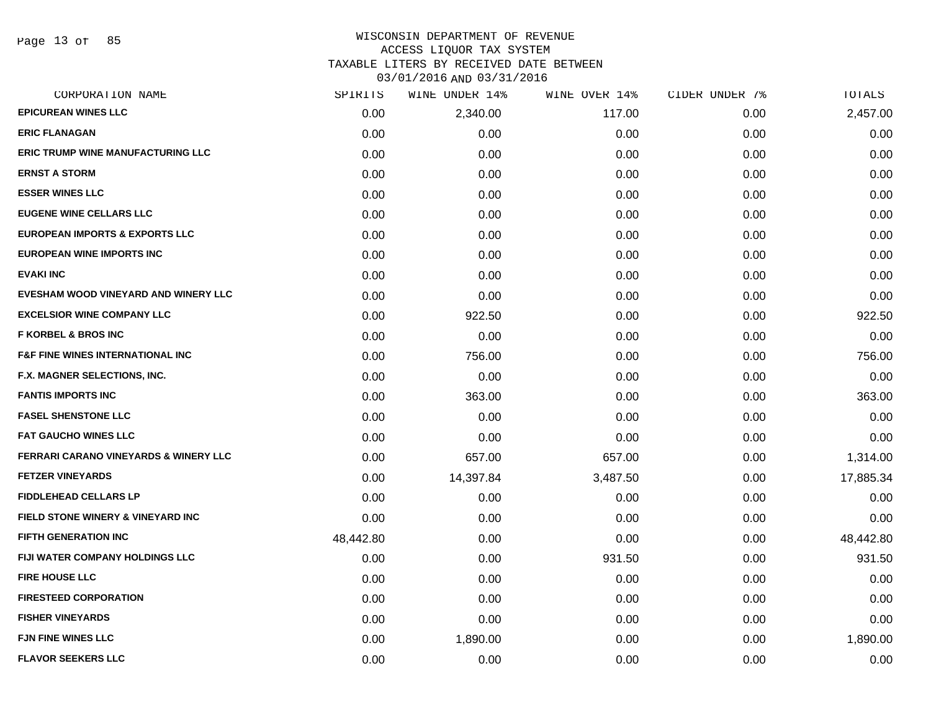Page 13 of 85

# WISCONSIN DEPARTMENT OF REVENUE ACCESS LIQUOR TAX SYSTEM TAXABLE LITERS BY RECEIVED DATE BETWEEN

| CORPORATION NAME                                 | SPIRITS   | WINE UNDER 14% | WINE OVER 14% | CIDER UNDER 7% | TOTALS    |
|--------------------------------------------------|-----------|----------------|---------------|----------------|-----------|
| <b>EPICUREAN WINES LLC</b>                       | 0.00      | 2,340.00       | 117.00        | 0.00           | 2,457.00  |
| <b>ERIC FLANAGAN</b>                             | 0.00      | 0.00           | 0.00          | 0.00           | 0.00      |
| <b>ERIC TRUMP WINE MANUFACTURING LLC</b>         | 0.00      | 0.00           | 0.00          | 0.00           | 0.00      |
| <b>ERNST A STORM</b>                             | 0.00      | 0.00           | 0.00          | 0.00           | 0.00      |
| <b>ESSER WINES LLC</b>                           | 0.00      | 0.00           | 0.00          | 0.00           | 0.00      |
| <b>EUGENE WINE CELLARS LLC</b>                   | 0.00      | 0.00           | 0.00          | 0.00           | 0.00      |
| <b>EUROPEAN IMPORTS &amp; EXPORTS LLC</b>        | 0.00      | 0.00           | 0.00          | 0.00           | 0.00      |
| <b>EUROPEAN WINE IMPORTS INC</b>                 | 0.00      | 0.00           | 0.00          | 0.00           | 0.00      |
| <b>EVAKI INC</b>                                 | 0.00      | 0.00           | 0.00          | 0.00           | 0.00      |
| EVESHAM WOOD VINEYARD AND WINERY LLC             | 0.00      | 0.00           | 0.00          | 0.00           | 0.00      |
| <b>EXCELSIOR WINE COMPANY LLC</b>                | 0.00      | 922.50         | 0.00          | 0.00           | 922.50    |
| <b>F KORBEL &amp; BROS INC</b>                   | 0.00      | 0.00           | 0.00          | 0.00           | 0.00      |
| <b>F&amp;F FINE WINES INTERNATIONAL INC</b>      | 0.00      | 756.00         | 0.00          | 0.00           | 756.00    |
| F.X. MAGNER SELECTIONS, INC.                     | 0.00      | 0.00           | 0.00          | 0.00           | 0.00      |
| <b>FANTIS IMPORTS INC</b>                        | 0.00      | 363.00         | 0.00          | 0.00           | 363.00    |
| <b>FASEL SHENSTONE LLC</b>                       | 0.00      | 0.00           | 0.00          | 0.00           | 0.00      |
| <b>FAT GAUCHO WINES LLC</b>                      | 0.00      | 0.00           | 0.00          | 0.00           | 0.00      |
| <b>FERRARI CARANO VINEYARDS &amp; WINERY LLC</b> | 0.00      | 657.00         | 657.00        | 0.00           | 1,314.00  |
| <b>FETZER VINEYARDS</b>                          | 0.00      | 14,397.84      | 3,487.50      | 0.00           | 17,885.34 |
| <b>FIDDLEHEAD CELLARS LP</b>                     | 0.00      | 0.00           | 0.00          | 0.00           | 0.00      |
| <b>FIELD STONE WINERY &amp; VINEYARD INC</b>     | 0.00      | 0.00           | 0.00          | 0.00           | 0.00      |
| <b>FIFTH GENERATION INC</b>                      | 48,442.80 | 0.00           | 0.00          | 0.00           | 48,442.80 |
| FIJI WATER COMPANY HOLDINGS LLC                  | 0.00      | 0.00           | 931.50        | 0.00           | 931.50    |
| <b>FIRE HOUSE LLC</b>                            | 0.00      | 0.00           | 0.00          | 0.00           | 0.00      |
| <b>FIRESTEED CORPORATION</b>                     | 0.00      | 0.00           | 0.00          | 0.00           | 0.00      |
| <b>FISHER VINEYARDS</b>                          | 0.00      | 0.00           | 0.00          | 0.00           | 0.00      |
| <b>FJN FINE WINES LLC</b>                        | 0.00      | 1,890.00       | 0.00          | 0.00           | 1,890.00  |
| <b>FLAVOR SEEKERS LLC</b>                        | 0.00      | 0.00           | 0.00          | 0.00           | 0.00      |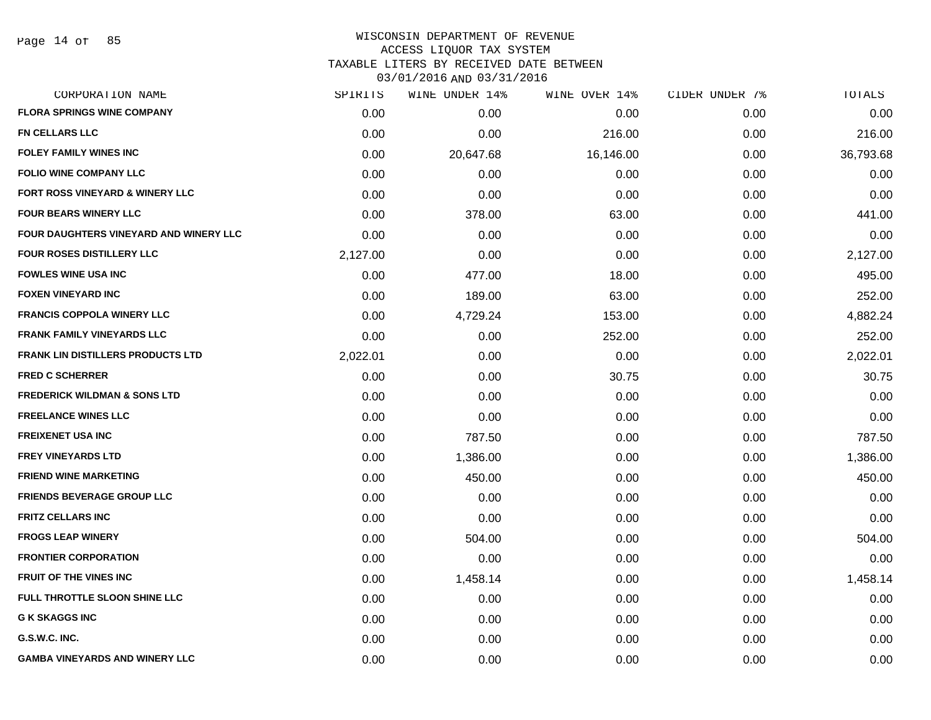#### WISCONSIN DEPARTMENT OF REVENUE ACCESS LIQUOR TAX SYSTEM

TAXABLE LITERS BY RECEIVED DATE BETWEEN

| CORPORATION NAME                         | SPIRITS  | WINE UNDER 14% | WINE OVER 14% | CIDER UNDER 7% | TOTALS    |
|------------------------------------------|----------|----------------|---------------|----------------|-----------|
| <b>FLORA SPRINGS WINE COMPANY</b>        | 0.00     | 0.00           | 0.00          | 0.00           | 0.00      |
| <b>FN CELLARS LLC</b>                    | 0.00     | 0.00           | 216.00        | 0.00           | 216.00    |
| <b>FOLEY FAMILY WINES INC</b>            | 0.00     | 20,647.68      | 16,146.00     | 0.00           | 36,793.68 |
| <b>FOLIO WINE COMPANY LLC</b>            | 0.00     | 0.00           | 0.00          | 0.00           | 0.00      |
| FORT ROSS VINEYARD & WINERY LLC          | 0.00     | 0.00           | 0.00          | 0.00           | 0.00      |
| <b>FOUR BEARS WINERY LLC</b>             | 0.00     | 378.00         | 63.00         | 0.00           | 441.00    |
| FOUR DAUGHTERS VINEYARD AND WINERY LLC   | 0.00     | 0.00           | 0.00          | 0.00           | 0.00      |
| <b>FOUR ROSES DISTILLERY LLC</b>         | 2,127.00 | 0.00           | 0.00          | 0.00           | 2,127.00  |
| <b>FOWLES WINE USA INC</b>               | 0.00     | 477.00         | 18.00         | 0.00           | 495.00    |
| <b>FOXEN VINEYARD INC</b>                | 0.00     | 189.00         | 63.00         | 0.00           | 252.00    |
| <b>FRANCIS COPPOLA WINERY LLC</b>        | 0.00     | 4,729.24       | 153.00        | 0.00           | 4,882.24  |
| <b>FRANK FAMILY VINEYARDS LLC</b>        | 0.00     | 0.00           | 252.00        | 0.00           | 252.00    |
| <b>FRANK LIN DISTILLERS PRODUCTS LTD</b> | 2,022.01 | 0.00           | 0.00          | 0.00           | 2,022.01  |
| <b>FRED C SCHERRER</b>                   | 0.00     | 0.00           | 30.75         | 0.00           | 30.75     |
| <b>FREDERICK WILDMAN &amp; SONS LTD</b>  | 0.00     | 0.00           | 0.00          | 0.00           | 0.00      |
| <b>FREELANCE WINES LLC</b>               | 0.00     | 0.00           | 0.00          | 0.00           | 0.00      |
| <b>FREIXENET USA INC</b>                 | 0.00     | 787.50         | 0.00          | 0.00           | 787.50    |
| <b>FREY VINEYARDS LTD</b>                | 0.00     | 1,386.00       | 0.00          | 0.00           | 1,386.00  |
| <b>FRIEND WINE MARKETING</b>             | 0.00     | 450.00         | 0.00          | 0.00           | 450.00    |
| <b>FRIENDS BEVERAGE GROUP LLC</b>        | 0.00     | 0.00           | 0.00          | 0.00           | 0.00      |
| <b>FRITZ CELLARS INC</b>                 | 0.00     | 0.00           | 0.00          | 0.00           | 0.00      |
| <b>FROGS LEAP WINERY</b>                 | 0.00     | 504.00         | 0.00          | 0.00           | 504.00    |
| <b>FRONTIER CORPORATION</b>              | 0.00     | 0.00           | 0.00          | 0.00           | 0.00      |
| <b>FRUIT OF THE VINES INC</b>            | 0.00     | 1,458.14       | 0.00          | 0.00           | 1,458.14  |
| FULL THROTTLE SLOON SHINE LLC            | 0.00     | 0.00           | 0.00          | 0.00           | 0.00      |
| <b>G K SKAGGS INC</b>                    | 0.00     | 0.00           | 0.00          | 0.00           | 0.00      |
| G.S.W.C. INC.                            | 0.00     | 0.00           | 0.00          | 0.00           | 0.00      |
| <b>GAMBA VINEYARDS AND WINERY LLC</b>    | 0.00     | 0.00           | 0.00          | 0.00           | 0.00      |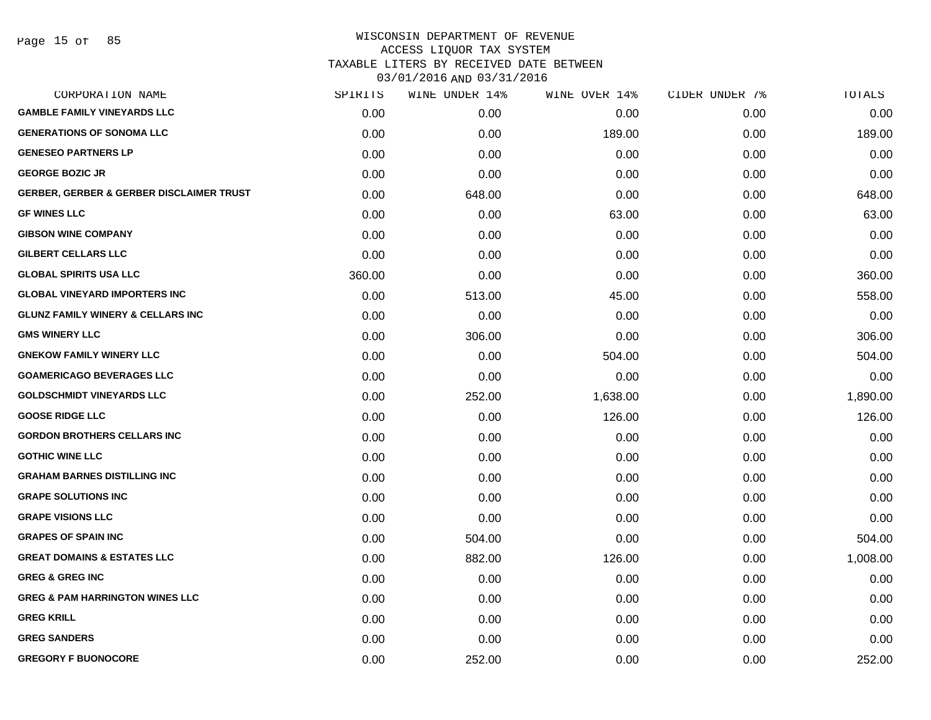#### WISCONSIN DEPARTMENT OF REVENUE ACCESS LIQUOR TAX SYSTEM TAXABLE LITERS BY RECEIVED DATE BETWEEN

| CORPORATION NAME                                    | SPIRITS | WINE UNDER 14% | WINE OVER 14% | CIDER UNDER 7% | TOTALS   |
|-----------------------------------------------------|---------|----------------|---------------|----------------|----------|
| <b>GAMBLE FAMILY VINEYARDS LLC</b>                  | 0.00    | 0.00           | 0.00          | 0.00           | 0.00     |
| <b>GENERATIONS OF SONOMA LLC</b>                    | 0.00    | 0.00           | 189.00        | 0.00           | 189.00   |
| <b>GENESEO PARTNERS LP</b>                          | 0.00    | 0.00           | 0.00          | 0.00           | 0.00     |
| <b>GEORGE BOZIC JR</b>                              | 0.00    | 0.00           | 0.00          | 0.00           | 0.00     |
| <b>GERBER, GERBER &amp; GERBER DISCLAIMER TRUST</b> | 0.00    | 648.00         | 0.00          | 0.00           | 648.00   |
| <b>GF WINES LLC</b>                                 | 0.00    | 0.00           | 63.00         | 0.00           | 63.00    |
| <b>GIBSON WINE COMPANY</b>                          | 0.00    | 0.00           | 0.00          | 0.00           | 0.00     |
| <b>GILBERT CELLARS LLC</b>                          | 0.00    | 0.00           | 0.00          | 0.00           | 0.00     |
| <b>GLOBAL SPIRITS USA LLC</b>                       | 360.00  | 0.00           | 0.00          | 0.00           | 360.00   |
| <b>GLOBAL VINEYARD IMPORTERS INC</b>                | 0.00    | 513.00         | 45.00         | 0.00           | 558.00   |
| <b>GLUNZ FAMILY WINERY &amp; CELLARS INC</b>        | 0.00    | 0.00           | 0.00          | 0.00           | 0.00     |
| <b>GMS WINERY LLC</b>                               | 0.00    | 306.00         | 0.00          | 0.00           | 306.00   |
| <b>GNEKOW FAMILY WINERY LLC</b>                     | 0.00    | 0.00           | 504.00        | 0.00           | 504.00   |
| <b>GOAMERICAGO BEVERAGES LLC</b>                    | 0.00    | 0.00           | 0.00          | 0.00           | 0.00     |
| <b>GOLDSCHMIDT VINEYARDS LLC</b>                    | 0.00    | 252.00         | 1,638.00      | 0.00           | 1,890.00 |
| <b>GOOSE RIDGE LLC</b>                              | 0.00    | 0.00           | 126.00        | 0.00           | 126.00   |
| <b>GORDON BROTHERS CELLARS INC</b>                  | 0.00    | 0.00           | 0.00          | 0.00           | 0.00     |
| <b>GOTHIC WINE LLC</b>                              | 0.00    | 0.00           | 0.00          | 0.00           | 0.00     |
| <b>GRAHAM BARNES DISTILLING INC</b>                 | 0.00    | 0.00           | 0.00          | 0.00           | 0.00     |
| <b>GRAPE SOLUTIONS INC</b>                          | 0.00    | 0.00           | 0.00          | 0.00           | 0.00     |
| <b>GRAPE VISIONS LLC</b>                            | 0.00    | 0.00           | 0.00          | 0.00           | 0.00     |
| <b>GRAPES OF SPAIN INC</b>                          | 0.00    | 504.00         | 0.00          | 0.00           | 504.00   |
| <b>GREAT DOMAINS &amp; ESTATES LLC</b>              | 0.00    | 882.00         | 126.00        | 0.00           | 1,008.00 |
| <b>GREG &amp; GREG INC</b>                          | 0.00    | 0.00           | 0.00          | 0.00           | 0.00     |
| <b>GREG &amp; PAM HARRINGTON WINES LLC</b>          | 0.00    | 0.00           | 0.00          | 0.00           | 0.00     |
| <b>GREG KRILL</b>                                   | 0.00    | 0.00           | 0.00          | 0.00           | 0.00     |
| <b>GREG SANDERS</b>                                 | 0.00    | 0.00           | 0.00          | 0.00           | 0.00     |
| <b>GREGORY F BUONOCORE</b>                          | 0.00    | 252.00         | 0.00          | 0.00           | 252.00   |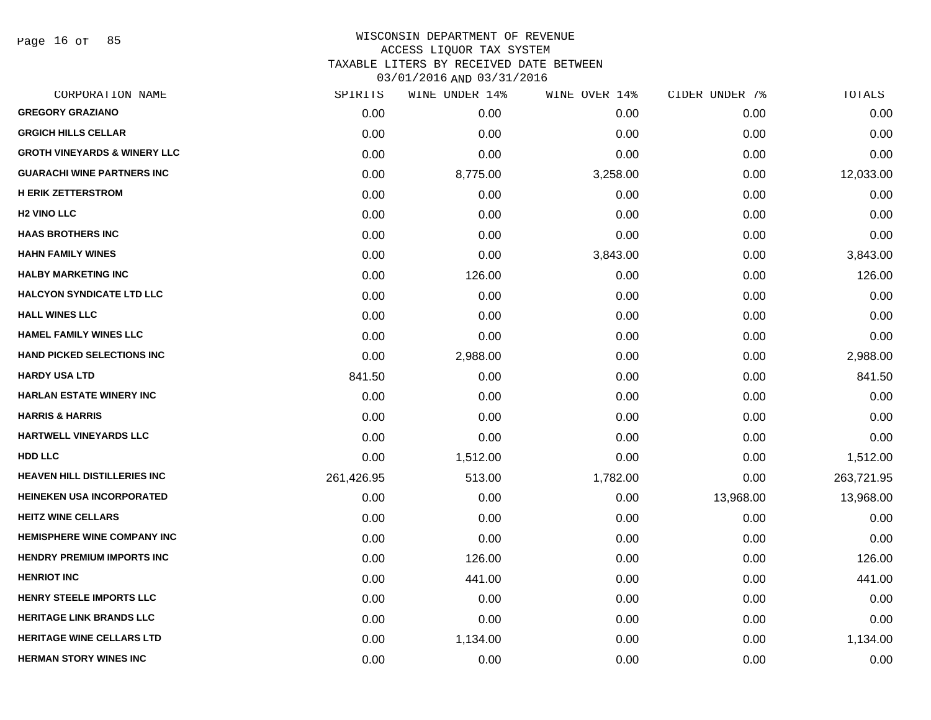Page 16 of 85

| CORPORATION NAME                        | SPIRITS    | WINE UNDER 14% | WINE OVER 14% | CIDER UNDER 7% | TOTALS     |
|-----------------------------------------|------------|----------------|---------------|----------------|------------|
| <b>GREGORY GRAZIANO</b>                 | 0.00       | 0.00           | 0.00          | 0.00           | 0.00       |
| <b>GRGICH HILLS CELLAR</b>              | 0.00       | 0.00           | 0.00          | 0.00           | 0.00       |
| <b>GROTH VINEYARDS &amp; WINERY LLC</b> | 0.00       | 0.00           | 0.00          | 0.00           | 0.00       |
| <b>GUARACHI WINE PARTNERS INC</b>       | 0.00       | 8,775.00       | 3,258.00      | 0.00           | 12,033.00  |
| <b>H ERIK ZETTERSTROM</b>               | 0.00       | 0.00           | 0.00          | 0.00           | 0.00       |
| <b>H2 VINO LLC</b>                      | 0.00       | 0.00           | 0.00          | 0.00           | 0.00       |
| <b>HAAS BROTHERS INC</b>                | 0.00       | 0.00           | 0.00          | 0.00           | 0.00       |
| <b>HAHN FAMILY WINES</b>                | 0.00       | 0.00           | 3,843.00      | 0.00           | 3,843.00   |
| <b>HALBY MARKETING INC</b>              | 0.00       | 126.00         | 0.00          | 0.00           | 126.00     |
| <b>HALCYON SYNDICATE LTD LLC</b>        | 0.00       | 0.00           | 0.00          | 0.00           | 0.00       |
| <b>HALL WINES LLC</b>                   | 0.00       | 0.00           | 0.00          | 0.00           | 0.00       |
| <b>HAMEL FAMILY WINES LLC</b>           | 0.00       | 0.00           | 0.00          | 0.00           | 0.00       |
| <b>HAND PICKED SELECTIONS INC</b>       | 0.00       | 2,988.00       | 0.00          | 0.00           | 2,988.00   |
| <b>HARDY USA LTD</b>                    | 841.50     | 0.00           | 0.00          | 0.00           | 841.50     |
| <b>HARLAN ESTATE WINERY INC</b>         | 0.00       | 0.00           | 0.00          | 0.00           | 0.00       |
| <b>HARRIS &amp; HARRIS</b>              | 0.00       | 0.00           | 0.00          | 0.00           | 0.00       |
| HARTWELL VINEYARDS LLC                  | 0.00       | 0.00           | 0.00          | 0.00           | 0.00       |
| <b>HDD LLC</b>                          | 0.00       | 1,512.00       | 0.00          | 0.00           | 1,512.00   |
| <b>HEAVEN HILL DISTILLERIES INC</b>     | 261,426.95 | 513.00         | 1,782.00      | 0.00           | 263,721.95 |
| <b>HEINEKEN USA INCORPORATED</b>        | 0.00       | 0.00           | 0.00          | 13,968.00      | 13,968.00  |
| <b>HEITZ WINE CELLARS</b>               | 0.00       | 0.00           | 0.00          | 0.00           | 0.00       |
| <b>HEMISPHERE WINE COMPANY INC</b>      | 0.00       | 0.00           | 0.00          | 0.00           | 0.00       |
| <b>HENDRY PREMIUM IMPORTS INC</b>       | 0.00       | 126.00         | 0.00          | 0.00           | 126.00     |
| <b>HENRIOT INC</b>                      | 0.00       | 441.00         | 0.00          | 0.00           | 441.00     |
| <b>HENRY STEELE IMPORTS LLC</b>         | 0.00       | 0.00           | 0.00          | 0.00           | 0.00       |
| <b>HERITAGE LINK BRANDS LLC</b>         | 0.00       | 0.00           | 0.00          | 0.00           | 0.00       |
| <b>HERITAGE WINE CELLARS LTD</b>        | 0.00       | 1,134.00       | 0.00          | 0.00           | 1,134.00   |
| <b>HERMAN STORY WINES INC</b>           | 0.00       | 0.00           | 0.00          | 0.00           | 0.00       |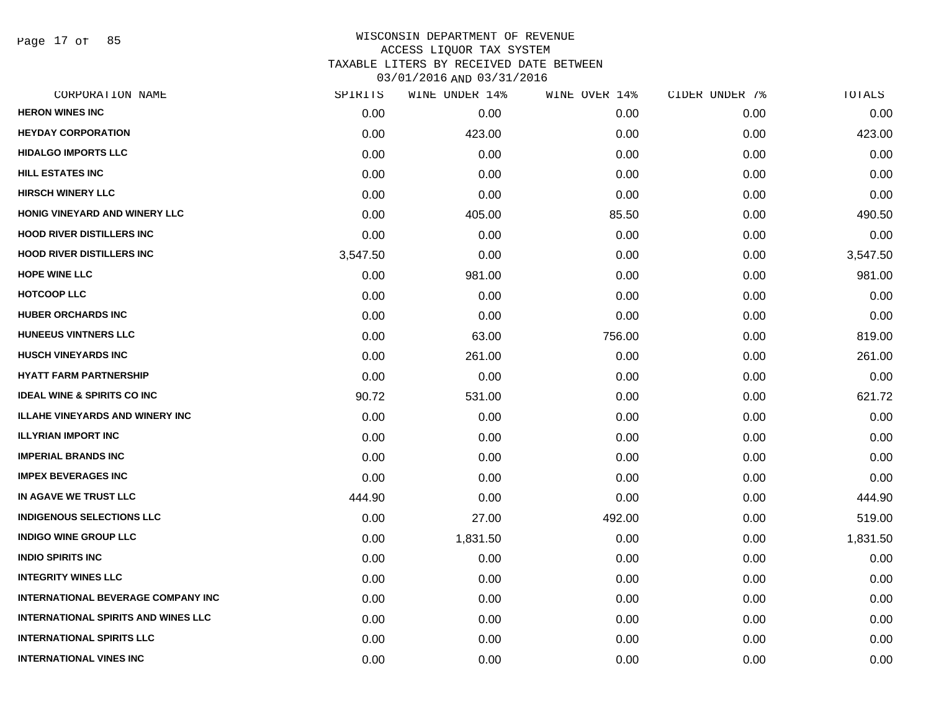Page 17 of 85

## WISCONSIN DEPARTMENT OF REVENUE ACCESS LIQUOR TAX SYSTEM TAXABLE LITERS BY RECEIVED DATE BETWEEN

| CORPORATION NAME                           | SPIRITS  | WINE UNDER 14% | WINE OVER 14% | CIDER UNDER 7% | TOTALS   |
|--------------------------------------------|----------|----------------|---------------|----------------|----------|
| <b>HERON WINES INC</b>                     | 0.00     | 0.00           | 0.00          | 0.00           | 0.00     |
| <b>HEYDAY CORPORATION</b>                  | 0.00     | 423.00         | 0.00          | 0.00           | 423.00   |
| <b>HIDALGO IMPORTS LLC</b>                 | 0.00     | 0.00           | 0.00          | 0.00           | 0.00     |
| <b>HILL ESTATES INC</b>                    | 0.00     | 0.00           | 0.00          | 0.00           | 0.00     |
| <b>HIRSCH WINERY LLC</b>                   | 0.00     | 0.00           | 0.00          | 0.00           | 0.00     |
| HONIG VINEYARD AND WINERY LLC              | 0.00     | 405.00         | 85.50         | 0.00           | 490.50   |
| <b>HOOD RIVER DISTILLERS INC</b>           | 0.00     | 0.00           | 0.00          | 0.00           | 0.00     |
| <b>HOOD RIVER DISTILLERS INC</b>           | 3,547.50 | 0.00           | 0.00          | 0.00           | 3,547.50 |
| <b>HOPE WINE LLC</b>                       | 0.00     | 981.00         | 0.00          | 0.00           | 981.00   |
| <b>HOTCOOP LLC</b>                         | 0.00     | 0.00           | 0.00          | 0.00           | 0.00     |
| <b>HUBER ORCHARDS INC</b>                  | 0.00     | 0.00           | 0.00          | 0.00           | 0.00     |
| <b>HUNEEUS VINTNERS LLC</b>                | 0.00     | 63.00          | 756.00        | 0.00           | 819.00   |
| <b>HUSCH VINEYARDS INC</b>                 | 0.00     | 261.00         | 0.00          | 0.00           | 261.00   |
| <b>HYATT FARM PARTNERSHIP</b>              | 0.00     | 0.00           | 0.00          | 0.00           | 0.00     |
| <b>IDEAL WINE &amp; SPIRITS CO INC</b>     | 90.72    | 531.00         | 0.00          | 0.00           | 621.72   |
| <b>ILLAHE VINEYARDS AND WINERY INC</b>     | 0.00     | 0.00           | 0.00          | 0.00           | 0.00     |
| <b>ILLYRIAN IMPORT INC</b>                 | 0.00     | 0.00           | 0.00          | 0.00           | 0.00     |
| <b>IMPERIAL BRANDS INC</b>                 | 0.00     | 0.00           | 0.00          | 0.00           | 0.00     |
| <b>IMPEX BEVERAGES INC</b>                 | 0.00     | 0.00           | 0.00          | 0.00           | 0.00     |
| IN AGAVE WE TRUST LLC                      | 444.90   | 0.00           | 0.00          | 0.00           | 444.90   |
| <b>INDIGENOUS SELECTIONS LLC</b>           | 0.00     | 27.00          | 492.00        | 0.00           | 519.00   |
| <b>INDIGO WINE GROUP LLC</b>               | 0.00     | 1,831.50       | 0.00          | 0.00           | 1,831.50 |
| <b>INDIO SPIRITS INC</b>                   | 0.00     | 0.00           | 0.00          | 0.00           | 0.00     |
| <b>INTEGRITY WINES LLC</b>                 | 0.00     | 0.00           | 0.00          | 0.00           | 0.00     |
| <b>INTERNATIONAL BEVERAGE COMPANY INC</b>  | 0.00     | 0.00           | 0.00          | 0.00           | 0.00     |
| <b>INTERNATIONAL SPIRITS AND WINES LLC</b> | 0.00     | 0.00           | 0.00          | 0.00           | 0.00     |
| <b>INTERNATIONAL SPIRITS LLC</b>           | 0.00     | 0.00           | 0.00          | 0.00           | 0.00     |
| <b>INTERNATIONAL VINES INC</b>             | 0.00     | 0.00           | 0.00          | 0.00           | 0.00     |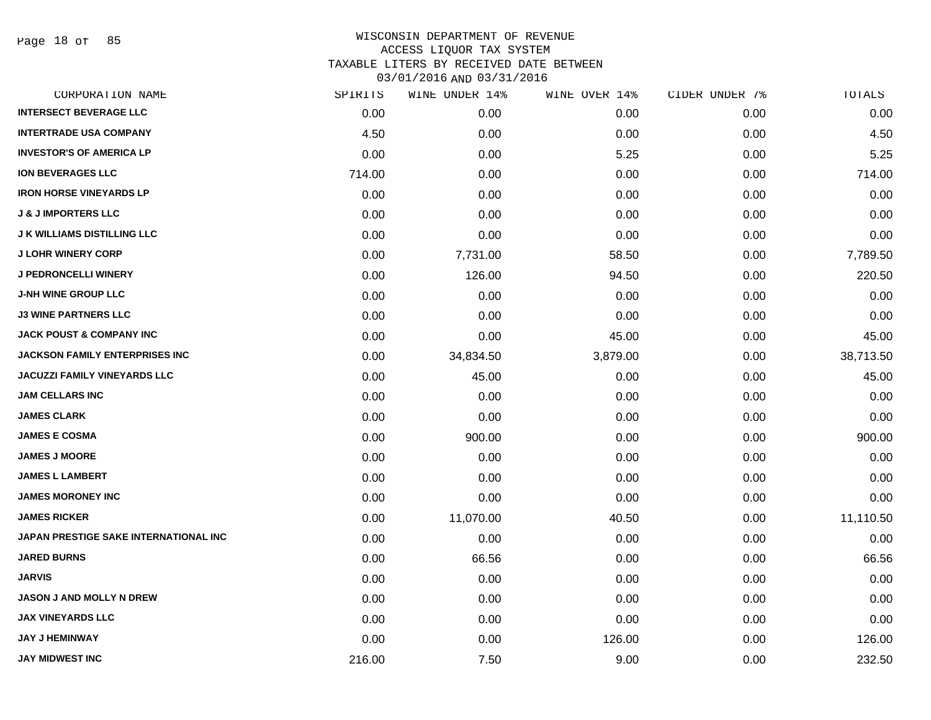Page 18 of 85

| CORPORATION NAME                      | SPIRITS | WINE UNDER 14% | WINE OVER 14% | CIDER UNDER 7% | TOTALS    |
|---------------------------------------|---------|----------------|---------------|----------------|-----------|
| <b>INTERSECT BEVERAGE LLC</b>         | 0.00    | 0.00           | 0.00          | 0.00           | 0.00      |
| <b>INTERTRADE USA COMPANY</b>         | 4.50    | 0.00           | 0.00          | 0.00           | 4.50      |
| <b>INVESTOR'S OF AMERICA LP</b>       | 0.00    | 0.00           | 5.25          | 0.00           | 5.25      |
| <b>ION BEVERAGES LLC</b>              | 714.00  | 0.00           | 0.00          | 0.00           | 714.00    |
| <b>IRON HORSE VINEYARDS LP</b>        | 0.00    | 0.00           | 0.00          | 0.00           | 0.00      |
| <b>J &amp; J IMPORTERS LLC</b>        | 0.00    | 0.00           | 0.00          | 0.00           | 0.00      |
| <b>J K WILLIAMS DISTILLING LLC</b>    | 0.00    | 0.00           | 0.00          | 0.00           | 0.00      |
| <b>J LOHR WINERY CORP</b>             | 0.00    | 7,731.00       | 58.50         | 0.00           | 7,789.50  |
| <b>J PEDRONCELLI WINERY</b>           | 0.00    | 126.00         | 94.50         | 0.00           | 220.50    |
| <b>J-NH WINE GROUP LLC</b>            | 0.00    | 0.00           | 0.00          | 0.00           | 0.00      |
| <b>J3 WINE PARTNERS LLC</b>           | 0.00    | 0.00           | 0.00          | 0.00           | 0.00      |
| <b>JACK POUST &amp; COMPANY INC</b>   | 0.00    | 0.00           | 45.00         | 0.00           | 45.00     |
| <b>JACKSON FAMILY ENTERPRISES INC</b> | 0.00    | 34,834.50      | 3,879.00      | 0.00           | 38,713.50 |
| <b>JACUZZI FAMILY VINEYARDS LLC</b>   | 0.00    | 45.00          | 0.00          | 0.00           | 45.00     |
| <b>JAM CELLARS INC</b>                | 0.00    | 0.00           | 0.00          | 0.00           | 0.00      |
| <b>JAMES CLARK</b>                    | 0.00    | 0.00           | 0.00          | 0.00           | 0.00      |
| <b>JAMES E COSMA</b>                  | 0.00    | 900.00         | 0.00          | 0.00           | 900.00    |
| <b>JAMES J MOORE</b>                  | 0.00    | 0.00           | 0.00          | 0.00           | 0.00      |
| <b>JAMES L LAMBERT</b>                | 0.00    | 0.00           | 0.00          | 0.00           | 0.00      |
| <b>JAMES MORONEY INC</b>              | 0.00    | 0.00           | 0.00          | 0.00           | 0.00      |
| <b>JAMES RICKER</b>                   | 0.00    | 11,070.00      | 40.50         | 0.00           | 11,110.50 |
| JAPAN PRESTIGE SAKE INTERNATIONAL INC | 0.00    | 0.00           | 0.00          | 0.00           | 0.00      |
| <b>JARED BURNS</b>                    | 0.00    | 66.56          | 0.00          | 0.00           | 66.56     |
| <b>JARVIS</b>                         | 0.00    | 0.00           | 0.00          | 0.00           | 0.00      |
| <b>JASON J AND MOLLY N DREW</b>       | 0.00    | 0.00           | 0.00          | 0.00           | 0.00      |
| <b>JAX VINEYARDS LLC</b>              | 0.00    | 0.00           | 0.00          | 0.00           | 0.00      |
| <b>JAY J HEMINWAY</b>                 | 0.00    | 0.00           | 126.00        | 0.00           | 126.00    |
| <b>JAY MIDWEST INC</b>                | 216.00  | 7.50           | 9.00          | 0.00           | 232.50    |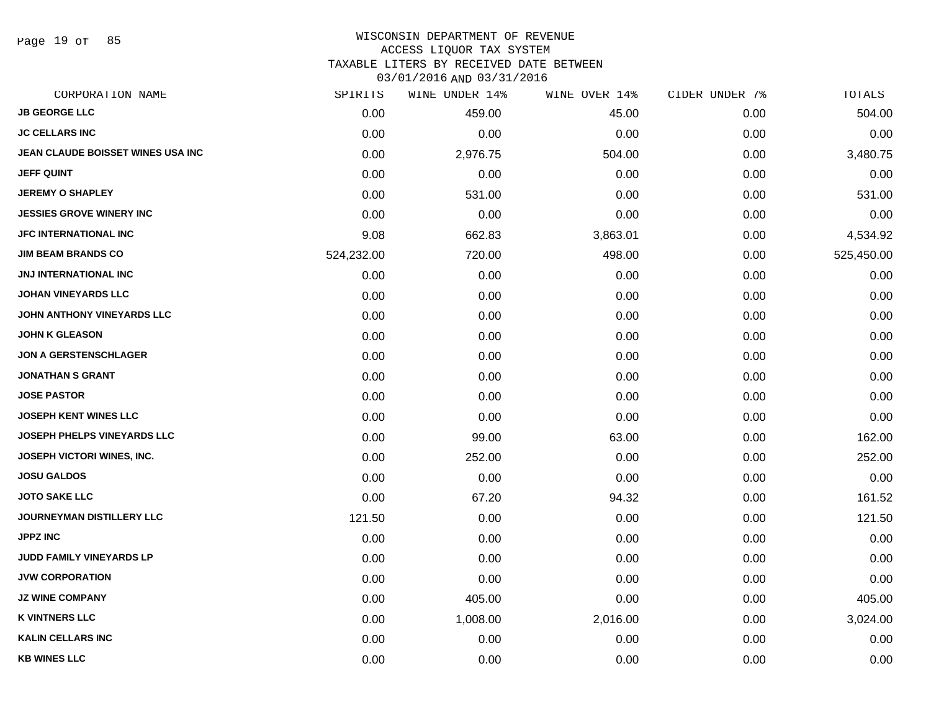Page 19 of 85

#### WISCONSIN DEPARTMENT OF REVENUE ACCESS LIQUOR TAX SYSTEM

TAXABLE LITERS BY RECEIVED DATE BETWEEN

| CORPORATION NAME                  | SPIRITS    | WINE UNDER 14% | WINE OVER 14% | CIDER UNDER 7% | TOTALS     |
|-----------------------------------|------------|----------------|---------------|----------------|------------|
| <b>JB GEORGE LLC</b>              | 0.00       | 459.00         | 45.00         | 0.00           | 504.00     |
| <b>JC CELLARS INC</b>             | 0.00       | 0.00           | 0.00          | 0.00           | 0.00       |
| JEAN CLAUDE BOISSET WINES USA INC | 0.00       | 2,976.75       | 504.00        | 0.00           | 3,480.75   |
| <b>JEFF QUINT</b>                 | 0.00       | 0.00           | 0.00          | 0.00           | 0.00       |
| <b>JEREMY O SHAPLEY</b>           | 0.00       | 531.00         | 0.00          | 0.00           | 531.00     |
| <b>JESSIES GROVE WINERY INC</b>   | 0.00       | 0.00           | 0.00          | 0.00           | 0.00       |
| <b>JFC INTERNATIONAL INC</b>      | 9.08       | 662.83         | 3,863.01      | 0.00           | 4,534.92   |
| <b>JIM BEAM BRANDS CO</b>         | 524,232.00 | 720.00         | 498.00        | 0.00           | 525,450.00 |
| <b>JNJ INTERNATIONAL INC</b>      | 0.00       | 0.00           | 0.00          | 0.00           | 0.00       |
| <b>JOHAN VINEYARDS LLC</b>        | 0.00       | 0.00           | 0.00          | 0.00           | 0.00       |
| JOHN ANTHONY VINEYARDS LLC        | 0.00       | 0.00           | 0.00          | 0.00           | 0.00       |
| <b>JOHN K GLEASON</b>             | 0.00       | 0.00           | 0.00          | 0.00           | 0.00       |
| <b>JON A GERSTENSCHLAGER</b>      | 0.00       | 0.00           | 0.00          | 0.00           | 0.00       |
| <b>JONATHAN S GRANT</b>           | 0.00       | 0.00           | 0.00          | 0.00           | 0.00       |
| <b>JOSE PASTOR</b>                | 0.00       | 0.00           | 0.00          | 0.00           | 0.00       |
| <b>JOSEPH KENT WINES LLC</b>      | 0.00       | 0.00           | 0.00          | 0.00           | 0.00       |
| JOSEPH PHELPS VINEYARDS LLC       | 0.00       | 99.00          | 63.00         | 0.00           | 162.00     |
| JOSEPH VICTORI WINES, INC.        | 0.00       | 252.00         | 0.00          | 0.00           | 252.00     |
| <b>JOSU GALDOS</b>                | 0.00       | 0.00           | 0.00          | 0.00           | 0.00       |
| <b>JOTO SAKE LLC</b>              | 0.00       | 67.20          | 94.32         | 0.00           | 161.52     |
| <b>JOURNEYMAN DISTILLERY LLC</b>  | 121.50     | 0.00           | 0.00          | 0.00           | 121.50     |
| <b>JPPZ INC</b>                   | 0.00       | 0.00           | 0.00          | 0.00           | 0.00       |
| JUDD FAMILY VINEYARDS LP          | 0.00       | 0.00           | 0.00          | 0.00           | 0.00       |
| <b>JVW CORPORATION</b>            | 0.00       | 0.00           | 0.00          | 0.00           | 0.00       |
| <b>JZ WINE COMPANY</b>            | 0.00       | 405.00         | 0.00          | 0.00           | 405.00     |
| <b>K VINTNERS LLC</b>             | 0.00       | 1,008.00       | 2,016.00      | 0.00           | 3,024.00   |
| <b>KALIN CELLARS INC</b>          | 0.00       | 0.00           | 0.00          | 0.00           | 0.00       |
| <b>KB WINES LLC</b>               | 0.00       | 0.00           | 0.00          | 0.00           | 0.00       |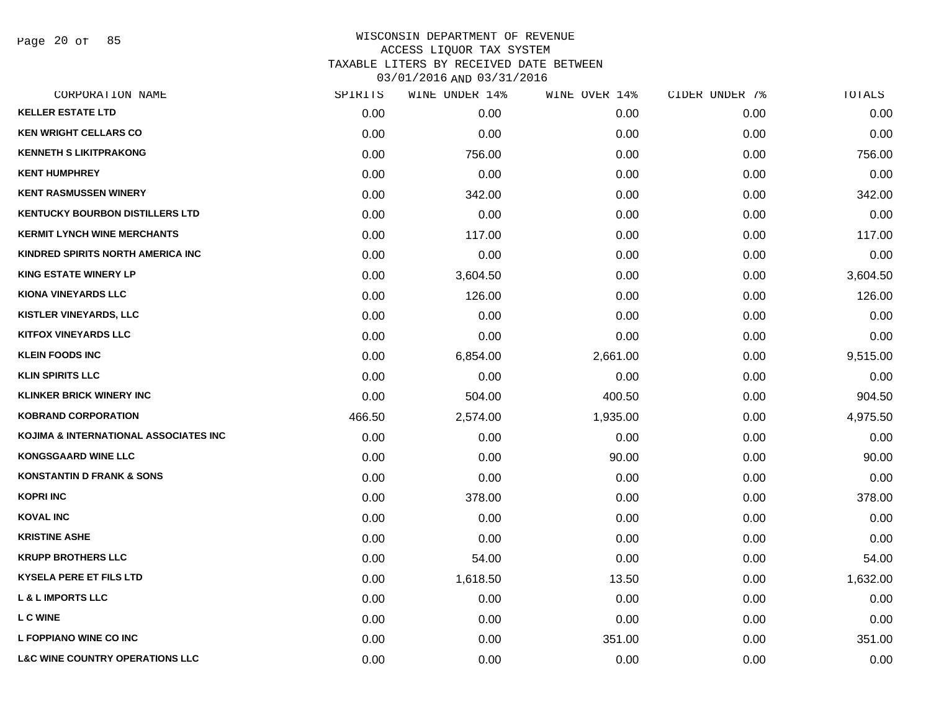Page 20 of 85

| CORPORATION NAME                           | SPIRITS | WINE UNDER 14% | WINE OVER 14% | CIDER UNDER 7% | TOTALS   |
|--------------------------------------------|---------|----------------|---------------|----------------|----------|
| <b>KELLER ESTATE LTD</b>                   | 0.00    | 0.00           | 0.00          | 0.00           | 0.00     |
| <b>KEN WRIGHT CELLARS CO</b>               | 0.00    | 0.00           | 0.00          | 0.00           | 0.00     |
| <b>KENNETH S LIKITPRAKONG</b>              | 0.00    | 756.00         | 0.00          | 0.00           | 756.00   |
| <b>KENT HUMPHREY</b>                       | 0.00    | 0.00           | 0.00          | 0.00           | 0.00     |
| <b>KENT RASMUSSEN WINERY</b>               | 0.00    | 342.00         | 0.00          | 0.00           | 342.00   |
| <b>KENTUCKY BOURBON DISTILLERS LTD</b>     | 0.00    | 0.00           | 0.00          | 0.00           | 0.00     |
| <b>KERMIT LYNCH WINE MERCHANTS</b>         | 0.00    | 117.00         | 0.00          | 0.00           | 117.00   |
| KINDRED SPIRITS NORTH AMERICA INC          | 0.00    | 0.00           | 0.00          | 0.00           | 0.00     |
| <b>KING ESTATE WINERY LP</b>               | 0.00    | 3,604.50       | 0.00          | 0.00           | 3,604.50 |
| <b>KIONA VINEYARDS LLC</b>                 | 0.00    | 126.00         | 0.00          | 0.00           | 126.00   |
| <b>KISTLER VINEYARDS, LLC</b>              | 0.00    | 0.00           | 0.00          | 0.00           | 0.00     |
| <b>KITFOX VINEYARDS LLC</b>                | 0.00    | 0.00           | 0.00          | 0.00           | 0.00     |
| <b>KLEIN FOODS INC</b>                     | 0.00    | 6,854.00       | 2,661.00      | 0.00           | 9,515.00 |
| <b>KLIN SPIRITS LLC</b>                    | 0.00    | 0.00           | 0.00          | 0.00           | 0.00     |
| <b>KLINKER BRICK WINERY INC</b>            | 0.00    | 504.00         | 400.50        | 0.00           | 904.50   |
| <b>KOBRAND CORPORATION</b>                 | 466.50  | 2,574.00       | 1,935.00      | 0.00           | 4,975.50 |
| KOJIMA & INTERNATIONAL ASSOCIATES INC      | 0.00    | 0.00           | 0.00          | 0.00           | 0.00     |
| <b>KONGSGAARD WINE LLC</b>                 | 0.00    | 0.00           | 90.00         | 0.00           | 90.00    |
| <b>KONSTANTIN D FRANK &amp; SONS</b>       | 0.00    | 0.00           | 0.00          | 0.00           | 0.00     |
| <b>KOPRI INC</b>                           | 0.00    | 378.00         | 0.00          | 0.00           | 378.00   |
| <b>KOVAL INC</b>                           | 0.00    | 0.00           | 0.00          | 0.00           | 0.00     |
| <b>KRISTINE ASHE</b>                       | 0.00    | 0.00           | 0.00          | 0.00           | 0.00     |
| <b>KRUPP BROTHERS LLC</b>                  | 0.00    | 54.00          | 0.00          | 0.00           | 54.00    |
| <b>KYSELA PERE ET FILS LTD</b>             | 0.00    | 1,618.50       | 13.50         | 0.00           | 1,632.00 |
| <b>L &amp; L IMPORTS LLC</b>               | 0.00    | 0.00           | 0.00          | 0.00           | 0.00     |
| <b>LC WINE</b>                             | 0.00    | 0.00           | 0.00          | 0.00           | 0.00     |
| L FOPPIANO WINE CO INC                     | 0.00    | 0.00           | 351.00        | 0.00           | 351.00   |
| <b>L&amp;C WINE COUNTRY OPERATIONS LLC</b> | 0.00    | 0.00           | 0.00          | 0.00           | 0.00     |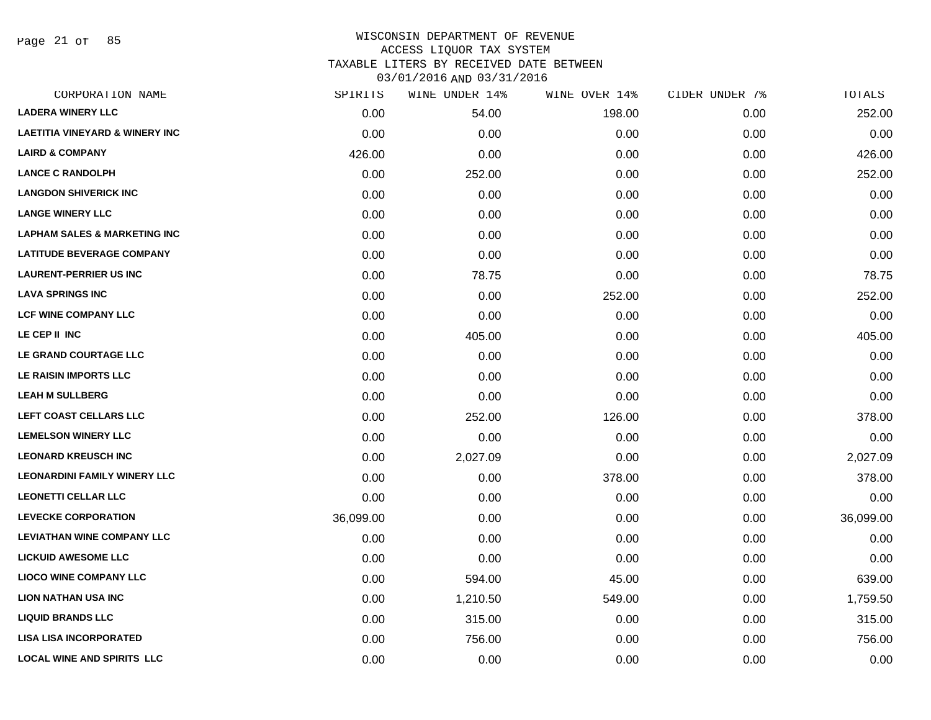Page 21 of 85

| CORPORATION NAME                          | SPIRITS   | WINE UNDER 14% | WINE OVER 14% | CIDER UNDER 7% | TOTALS    |
|-------------------------------------------|-----------|----------------|---------------|----------------|-----------|
| <b>LADERA WINERY LLC</b>                  | 0.00      | 54.00          | 198.00        | 0.00           | 252.00    |
| <b>LAETITIA VINEYARD &amp; WINERY INC</b> | 0.00      | 0.00           | 0.00          | 0.00           | 0.00      |
| <b>LAIRD &amp; COMPANY</b>                | 426.00    | 0.00           | 0.00          | 0.00           | 426.00    |
| <b>LANCE C RANDOLPH</b>                   | 0.00      | 252.00         | 0.00          | 0.00           | 252.00    |
| <b>LANGDON SHIVERICK INC</b>              | 0.00      | 0.00           | 0.00          | 0.00           | 0.00      |
| <b>LANGE WINERY LLC</b>                   | 0.00      | 0.00           | 0.00          | 0.00           | 0.00      |
| <b>LAPHAM SALES &amp; MARKETING INC</b>   | 0.00      | 0.00           | 0.00          | 0.00           | 0.00      |
| <b>LATITUDE BEVERAGE COMPANY</b>          | 0.00      | 0.00           | 0.00          | 0.00           | 0.00      |
| <b>LAURENT-PERRIER US INC</b>             | 0.00      | 78.75          | 0.00          | 0.00           | 78.75     |
| <b>LAVA SPRINGS INC</b>                   | 0.00      | 0.00           | 252.00        | 0.00           | 252.00    |
| <b>LCF WINE COMPANY LLC</b>               | 0.00      | 0.00           | 0.00          | 0.00           | 0.00      |
| LE CEP II INC                             | 0.00      | 405.00         | 0.00          | 0.00           | 405.00    |
| LE GRAND COURTAGE LLC                     | 0.00      | 0.00           | 0.00          | 0.00           | 0.00      |
| LE RAISIN IMPORTS LLC                     | 0.00      | 0.00           | 0.00          | 0.00           | 0.00      |
| <b>LEAH M SULLBERG</b>                    | 0.00      | 0.00           | 0.00          | 0.00           | 0.00      |
| LEFT COAST CELLARS LLC                    | 0.00      | 252.00         | 126.00        | 0.00           | 378.00    |
| <b>LEMELSON WINERY LLC</b>                | 0.00      | 0.00           | 0.00          | 0.00           | 0.00      |
| <b>LEONARD KREUSCH INC</b>                | 0.00      | 2,027.09       | 0.00          | 0.00           | 2,027.09  |
| <b>LEONARDINI FAMILY WINERY LLC</b>       | 0.00      | 0.00           | 378.00        | 0.00           | 378.00    |
| <b>LEONETTI CELLAR LLC</b>                | 0.00      | 0.00           | 0.00          | 0.00           | 0.00      |
| <b>LEVECKE CORPORATION</b>                | 36,099.00 | 0.00           | 0.00          | 0.00           | 36,099.00 |
| <b>LEVIATHAN WINE COMPANY LLC</b>         | 0.00      | 0.00           | 0.00          | 0.00           | 0.00      |
| <b>LICKUID AWESOME LLC</b>                | 0.00      | 0.00           | 0.00          | 0.00           | 0.00      |
| <b>LIOCO WINE COMPANY LLC</b>             | 0.00      | 594.00         | 45.00         | 0.00           | 639.00    |
| <b>LION NATHAN USA INC</b>                | 0.00      | 1,210.50       | 549.00        | 0.00           | 1,759.50  |
| <b>LIQUID BRANDS LLC</b>                  | 0.00      | 315.00         | 0.00          | 0.00           | 315.00    |
| <b>LISA LISA INCORPORATED</b>             | 0.00      | 756.00         | 0.00          | 0.00           | 756.00    |
| <b>LOCAL WINE AND SPIRITS LLC</b>         | 0.00      | 0.00           | 0.00          | 0.00           | 0.00      |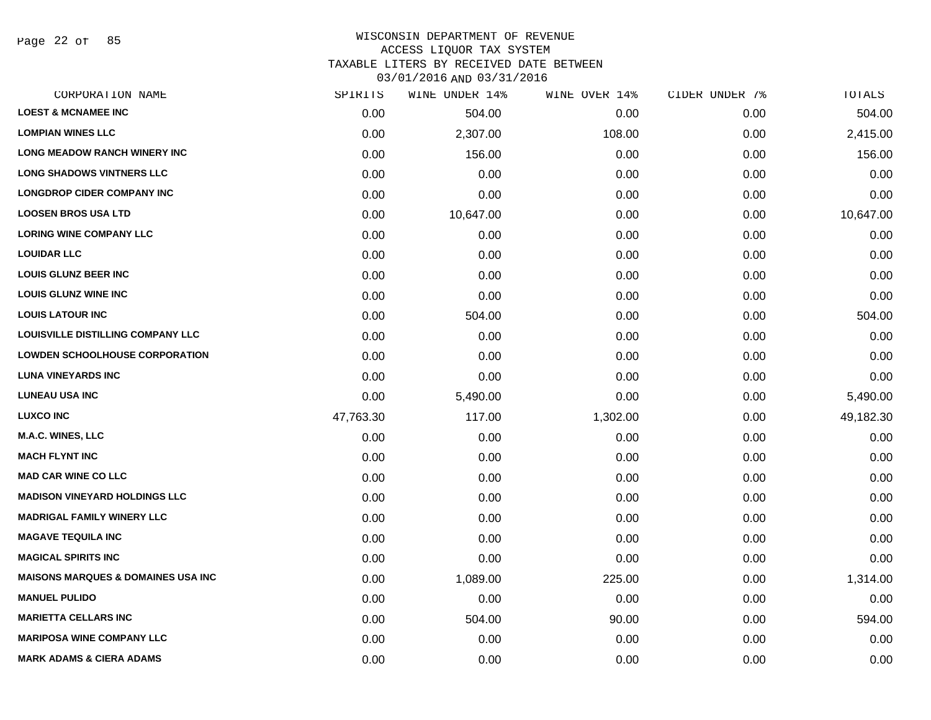Page 22 of 85

#### WISCONSIN DEPARTMENT OF REVENUE ACCESS LIQUOR TAX SYSTEM TAXABLE LITERS BY RECEIVED DATE BETWEEN

| CORPORATION NAME                              | SPIRITS   | WINE UNDER 14% | WINE OVER 14% | CIDER UNDER 7% | <b>TOTALS</b> |
|-----------------------------------------------|-----------|----------------|---------------|----------------|---------------|
| <b>LOEST &amp; MCNAMEE INC</b>                | 0.00      | 504.00         | 0.00          | 0.00           | 504.00        |
| <b>LOMPIAN WINES LLC</b>                      | 0.00      | 2,307.00       | 108.00        | 0.00           | 2,415.00      |
| <b>LONG MEADOW RANCH WINERY INC</b>           | 0.00      | 156.00         | 0.00          | 0.00           | 156.00        |
| <b>LONG SHADOWS VINTNERS LLC</b>              | 0.00      | 0.00           | 0.00          | 0.00           | 0.00          |
| <b>LONGDROP CIDER COMPANY INC</b>             | 0.00      | 0.00           | 0.00          | 0.00           | 0.00          |
| <b>LOOSEN BROS USA LTD</b>                    | 0.00      | 10,647.00      | 0.00          | 0.00           | 10,647.00     |
| <b>LORING WINE COMPANY LLC</b>                | 0.00      | 0.00           | 0.00          | 0.00           | 0.00          |
| <b>LOUIDAR LLC</b>                            | 0.00      | 0.00           | 0.00          | 0.00           | 0.00          |
| <b>LOUIS GLUNZ BEER INC</b>                   | 0.00      | 0.00           | 0.00          | 0.00           | 0.00          |
| <b>LOUIS GLUNZ WINE INC</b>                   | 0.00      | 0.00           | 0.00          | 0.00           | 0.00          |
| <b>LOUIS LATOUR INC</b>                       | 0.00      | 504.00         | 0.00          | 0.00           | 504.00        |
| <b>LOUISVILLE DISTILLING COMPANY LLC</b>      | 0.00      | 0.00           | 0.00          | 0.00           | 0.00          |
| <b>LOWDEN SCHOOLHOUSE CORPORATION</b>         | 0.00      | 0.00           | 0.00          | 0.00           | 0.00          |
| <b>LUNA VINEYARDS INC</b>                     | 0.00      | 0.00           | 0.00          | 0.00           | 0.00          |
| <b>LUNEAU USA INC</b>                         | 0.00      | 5,490.00       | 0.00          | 0.00           | 5,490.00      |
| <b>LUXCO INC</b>                              | 47,763.30 | 117.00         | 1,302.00      | 0.00           | 49,182.30     |
| M.A.C. WINES, LLC                             | 0.00      | 0.00           | 0.00          | 0.00           | 0.00          |
| <b>MACH FLYNT INC</b>                         | 0.00      | 0.00           | 0.00          | 0.00           | 0.00          |
| <b>MAD CAR WINE CO LLC</b>                    | 0.00      | 0.00           | 0.00          | 0.00           | 0.00          |
| <b>MADISON VINEYARD HOLDINGS LLC</b>          | 0.00      | 0.00           | 0.00          | 0.00           | 0.00          |
| <b>MADRIGAL FAMILY WINERY LLC</b>             | 0.00      | 0.00           | 0.00          | 0.00           | 0.00          |
| <b>MAGAVE TEQUILA INC</b>                     | 0.00      | 0.00           | 0.00          | 0.00           | 0.00          |
| <b>MAGICAL SPIRITS INC</b>                    | 0.00      | 0.00           | 0.00          | 0.00           | 0.00          |
| <b>MAISONS MARQUES &amp; DOMAINES USA INC</b> | 0.00      | 1,089.00       | 225.00        | 0.00           | 1,314.00      |
| <b>MANUEL PULIDO</b>                          | 0.00      | 0.00           | 0.00          | 0.00           | 0.00          |
| <b>MARIETTA CELLARS INC</b>                   | 0.00      | 504.00         | 90.00         | 0.00           | 594.00        |
| <b>MARIPOSA WINE COMPANY LLC</b>              | 0.00      | 0.00           | 0.00          | 0.00           | 0.00          |
| <b>MARK ADAMS &amp; CIERA ADAMS</b>           | 0.00      | 0.00           | 0.00          | 0.00           | 0.00          |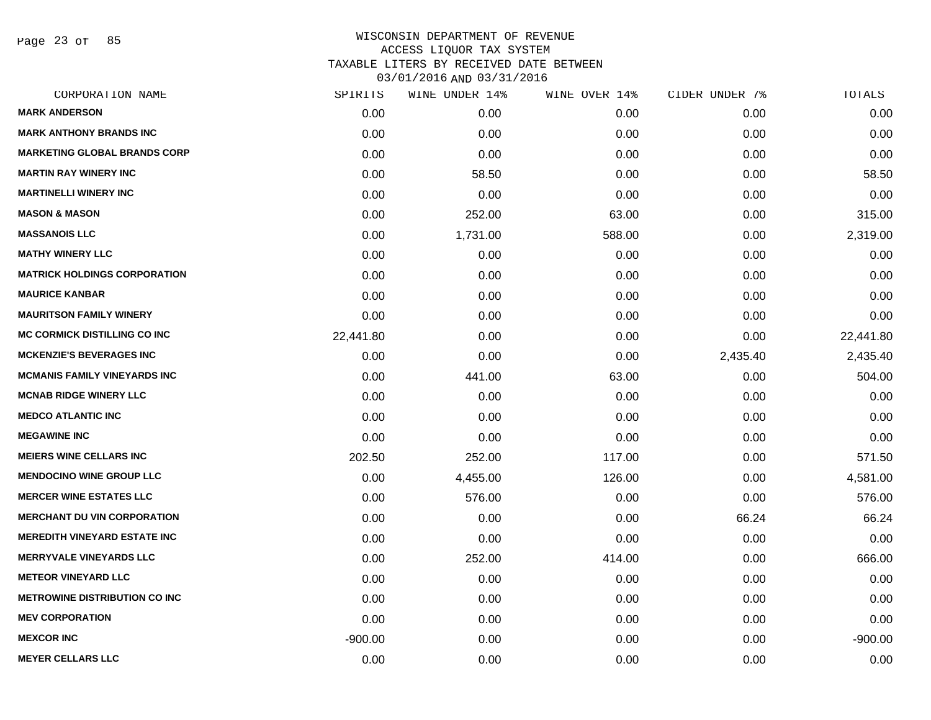Page 23 of 85

| SPIRITS   | WINE UNDER 14% | WINE OVER 14% | CIDER UNDER 7% | TOTALS    |
|-----------|----------------|---------------|----------------|-----------|
| 0.00      | 0.00           | 0.00          | 0.00           | 0.00      |
| 0.00      | 0.00           | 0.00          | 0.00           | 0.00      |
| 0.00      | 0.00           | 0.00          | 0.00           | 0.00      |
| 0.00      | 58.50          | 0.00          | 0.00           | 58.50     |
| 0.00      | 0.00           | 0.00          | 0.00           | 0.00      |
| 0.00      | 252.00         | 63.00         | 0.00           | 315.00    |
| 0.00      | 1,731.00       | 588.00        | 0.00           | 2,319.00  |
| 0.00      | 0.00           | 0.00          | 0.00           | 0.00      |
| 0.00      | 0.00           | 0.00          | 0.00           | 0.00      |
| 0.00      | 0.00           | 0.00          | 0.00           | 0.00      |
| 0.00      | 0.00           | 0.00          | 0.00           | 0.00      |
| 22,441.80 | 0.00           | 0.00          | 0.00           | 22,441.80 |
| 0.00      | 0.00           | 0.00          | 2,435.40       | 2,435.40  |
| 0.00      | 441.00         | 63.00         | 0.00           | 504.00    |
| 0.00      | 0.00           | 0.00          | 0.00           | 0.00      |
| 0.00      | 0.00           | 0.00          | 0.00           | 0.00      |
| 0.00      | 0.00           | 0.00          | 0.00           | 0.00      |
| 202.50    | 252.00         | 117.00        | 0.00           | 571.50    |
| 0.00      | 4,455.00       | 126.00        | 0.00           | 4,581.00  |
| 0.00      | 576.00         | 0.00          | 0.00           | 576.00    |
| 0.00      | 0.00           | 0.00          | 66.24          | 66.24     |
| 0.00      | 0.00           | 0.00          | 0.00           | 0.00      |
| 0.00      | 252.00         | 414.00        | 0.00           | 666.00    |
| 0.00      | 0.00           | 0.00          | 0.00           | 0.00      |
| 0.00      | 0.00           | 0.00          | 0.00           | 0.00      |
| 0.00      | 0.00           | 0.00          | 0.00           | 0.00      |
| $-900.00$ | 0.00           | 0.00          | 0.00           | $-900.00$ |
| 0.00      | 0.00           | 0.00          | 0.00           | 0.00      |
|           |                |               |                |           |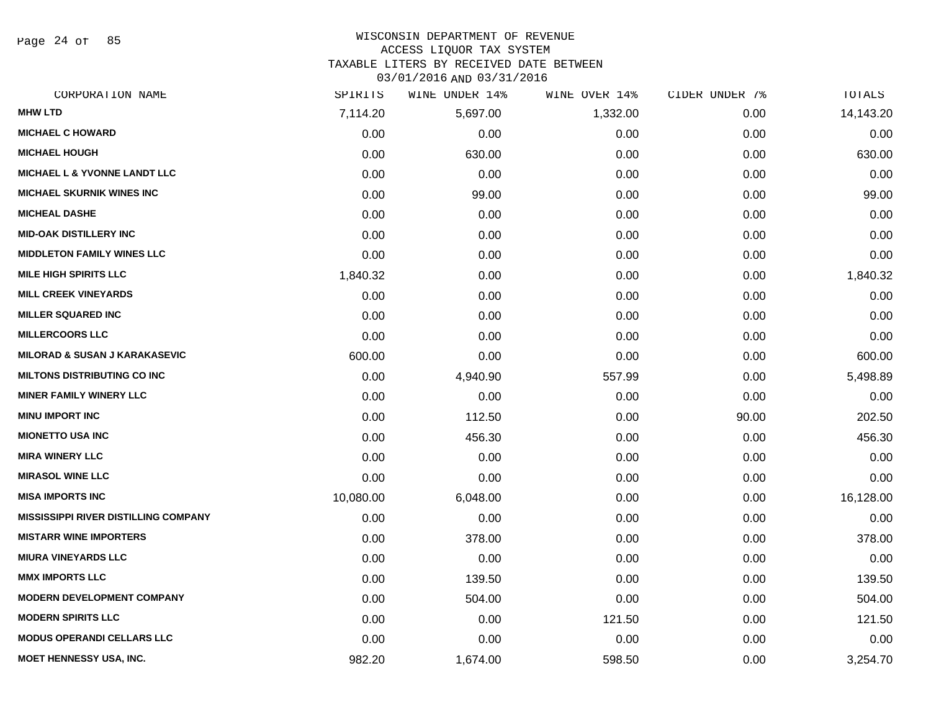Page 24 of 85

# WISCONSIN DEPARTMENT OF REVENUE ACCESS LIQUOR TAX SYSTEM

TAXABLE LITERS BY RECEIVED DATE BETWEEN

| CORPORATION NAME                            | SPIRITS   | WINE UNDER 14% | WINE OVER 14% | CIDER UNDER 7% | TOTALS    |
|---------------------------------------------|-----------|----------------|---------------|----------------|-----------|
| <b>MHW LTD</b>                              | 7,114.20  | 5,697.00       | 1,332.00      | 0.00           | 14,143.20 |
| <b>MICHAEL C HOWARD</b>                     | 0.00      | 0.00           | 0.00          | 0.00           | 0.00      |
| <b>MICHAEL HOUGH</b>                        | 0.00      | 630.00         | 0.00          | 0.00           | 630.00    |
| <b>MICHAEL L &amp; YVONNE LANDT LLC</b>     | 0.00      | 0.00           | 0.00          | 0.00           | 0.00      |
| <b>MICHAEL SKURNIK WINES INC</b>            | 0.00      | 99.00          | 0.00          | 0.00           | 99.00     |
| <b>MICHEAL DASHE</b>                        | 0.00      | 0.00           | 0.00          | 0.00           | 0.00      |
| <b>MID-OAK DISTILLERY INC</b>               | 0.00      | 0.00           | 0.00          | 0.00           | 0.00      |
| <b>MIDDLETON FAMILY WINES LLC</b>           | 0.00      | 0.00           | 0.00          | 0.00           | 0.00      |
| <b>MILE HIGH SPIRITS LLC</b>                | 1,840.32  | 0.00           | 0.00          | 0.00           | 1,840.32  |
| <b>MILL CREEK VINEYARDS</b>                 | 0.00      | 0.00           | 0.00          | 0.00           | 0.00      |
| <b>MILLER SQUARED INC</b>                   | 0.00      | 0.00           | 0.00          | 0.00           | 0.00      |
| <b>MILLERCOORS LLC</b>                      | 0.00      | 0.00           | 0.00          | 0.00           | 0.00      |
| <b>MILORAD &amp; SUSAN J KARAKASEVIC</b>    | 600.00    | 0.00           | 0.00          | 0.00           | 600.00    |
| <b>MILTONS DISTRIBUTING CO INC</b>          | 0.00      | 4,940.90       | 557.99        | 0.00           | 5,498.89  |
| <b>MINER FAMILY WINERY LLC</b>              | 0.00      | 0.00           | 0.00          | 0.00           | 0.00      |
| <b>MINU IMPORT INC</b>                      | 0.00      | 112.50         | 0.00          | 90.00          | 202.50    |
| <b>MIONETTO USA INC</b>                     | 0.00      | 456.30         | 0.00          | 0.00           | 456.30    |
| <b>MIRA WINERY LLC</b>                      | 0.00      | 0.00           | 0.00          | 0.00           | 0.00      |
| <b>MIRASOL WINE LLC</b>                     | 0.00      | 0.00           | 0.00          | 0.00           | 0.00      |
| <b>MISA IMPORTS INC</b>                     | 10,080.00 | 6,048.00       | 0.00          | 0.00           | 16,128.00 |
| <b>MISSISSIPPI RIVER DISTILLING COMPANY</b> | 0.00      | 0.00           | 0.00          | 0.00           | 0.00      |
| <b>MISTARR WINE IMPORTERS</b>               | 0.00      | 378.00         | 0.00          | 0.00           | 378.00    |
| <b>MIURA VINEYARDS LLC</b>                  | 0.00      | 0.00           | 0.00          | 0.00           | 0.00      |
| <b>MMX IMPORTS LLC</b>                      | 0.00      | 139.50         | 0.00          | 0.00           | 139.50    |
| <b>MODERN DEVELOPMENT COMPANY</b>           | 0.00      | 504.00         | 0.00          | 0.00           | 504.00    |
| <b>MODERN SPIRITS LLC</b>                   | 0.00      | 0.00           | 121.50        | 0.00           | 121.50    |
| <b>MODUS OPERANDI CELLARS LLC</b>           | 0.00      | 0.00           | 0.00          | 0.00           | 0.00      |
| <b>MOET HENNESSY USA, INC.</b>              | 982.20    | 1,674.00       | 598.50        | 0.00           | 3,254.70  |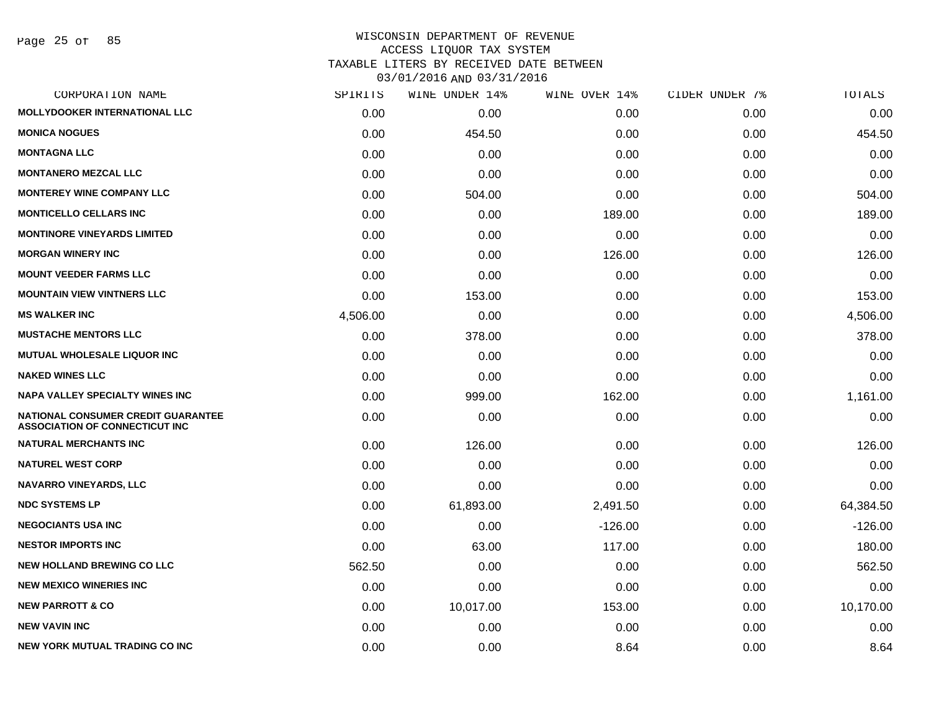Page 25 of 85

| CORPORATION NAME                                                                   | SPIRITS  | WINE UNDER 14% | WINE OVER 14% | CIDER UNDER 7% | TOTALS    |
|------------------------------------------------------------------------------------|----------|----------------|---------------|----------------|-----------|
| <b>MOLLYDOOKER INTERNATIONAL LLC</b>                                               | 0.00     | 0.00           | 0.00          | 0.00           | 0.00      |
| <b>MONICA NOGUES</b>                                                               | 0.00     | 454.50         | 0.00          | 0.00           | 454.50    |
| <b>MONTAGNA LLC</b>                                                                | 0.00     | 0.00           | 0.00          | 0.00           | 0.00      |
| <b>MONTANERO MEZCAL LLC</b>                                                        | 0.00     | 0.00           | 0.00          | 0.00           | 0.00      |
| <b>MONTEREY WINE COMPANY LLC</b>                                                   | 0.00     | 504.00         | 0.00          | 0.00           | 504.00    |
| <b>MONTICELLO CELLARS INC</b>                                                      | 0.00     | 0.00           | 189.00        | 0.00           | 189.00    |
| <b>MONTINORE VINEYARDS LIMITED</b>                                                 | 0.00     | 0.00           | 0.00          | 0.00           | 0.00      |
| <b>MORGAN WINERY INC</b>                                                           | 0.00     | 0.00           | 126.00        | 0.00           | 126.00    |
| <b>MOUNT VEEDER FARMS LLC</b>                                                      | 0.00     | 0.00           | 0.00          | 0.00           | 0.00      |
| <b>MOUNTAIN VIEW VINTNERS LLC</b>                                                  | 0.00     | 153.00         | 0.00          | 0.00           | 153.00    |
| <b>MS WALKER INC</b>                                                               | 4,506.00 | 0.00           | 0.00          | 0.00           | 4,506.00  |
| <b>MUSTACHE MENTORS LLC</b>                                                        | 0.00     | 378.00         | 0.00          | 0.00           | 378.00    |
| <b>MUTUAL WHOLESALE LIQUOR INC</b>                                                 | 0.00     | 0.00           | 0.00          | 0.00           | 0.00      |
| <b>NAKED WINES LLC</b>                                                             | 0.00     | 0.00           | 0.00          | 0.00           | 0.00      |
| <b>NAPA VALLEY SPECIALTY WINES INC</b>                                             | 0.00     | 999.00         | 162.00        | 0.00           | 1,161.00  |
| <b>NATIONAL CONSUMER CREDIT GUARANTEE</b><br><b>ASSOCIATION OF CONNECTICUT INC</b> | 0.00     | 0.00           | 0.00          | 0.00           | 0.00      |
| <b>NATURAL MERCHANTS INC</b>                                                       | 0.00     | 126.00         | 0.00          | 0.00           | 126.00    |
| <b>NATUREL WEST CORP</b>                                                           | 0.00     | 0.00           | 0.00          | 0.00           | 0.00      |
| <b>NAVARRO VINEYARDS, LLC</b>                                                      | 0.00     | 0.00           | 0.00          | 0.00           | 0.00      |
| <b>NDC SYSTEMS LP</b>                                                              | 0.00     | 61,893.00      | 2,491.50      | 0.00           | 64,384.50 |
| <b>NEGOCIANTS USA INC</b>                                                          | 0.00     | 0.00           | $-126.00$     | 0.00           | $-126.00$ |
| <b>NESTOR IMPORTS INC</b>                                                          | 0.00     | 63.00          | 117.00        | 0.00           | 180.00    |
| <b>NEW HOLLAND BREWING CO LLC</b>                                                  | 562.50   | 0.00           | 0.00          | 0.00           | 562.50    |
| <b>NEW MEXICO WINERIES INC.</b>                                                    | 0.00     | 0.00           | 0.00          | 0.00           | 0.00      |
| <b>NEW PARROTT &amp; CO</b>                                                        | 0.00     | 10,017.00      | 153.00        | 0.00           | 10,170.00 |
| <b>NEW VAVIN INC</b>                                                               | 0.00     | 0.00           | 0.00          | 0.00           | 0.00      |
| <b>NEW YORK MUTUAL TRADING CO INC</b>                                              | 0.00     | 0.00           | 8.64          | 0.00           | 8.64      |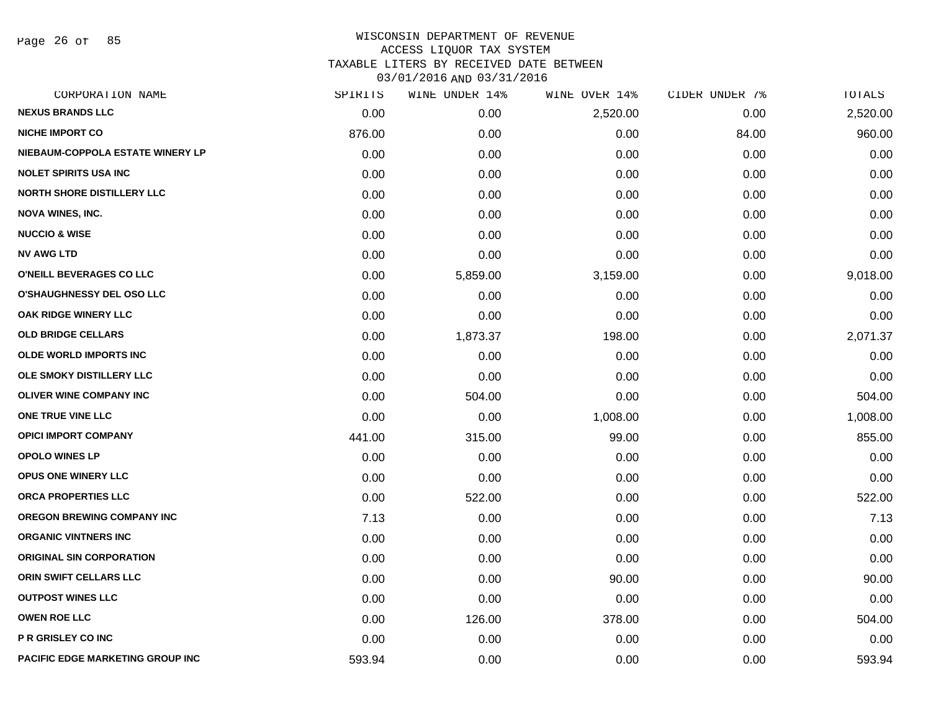Page 26 of 85

| CORPORATION NAME                        | SPIRITS | WINE UNDER 14% | WINE OVER 14% | CIDER UNDER 7% | TOTALS   |
|-----------------------------------------|---------|----------------|---------------|----------------|----------|
| <b>NEXUS BRANDS LLC</b>                 | 0.00    | 0.00           | 2,520.00      | 0.00           | 2,520.00 |
| <b>NICHE IMPORT CO</b>                  | 876.00  | 0.00           | 0.00          | 84.00          | 960.00   |
| NIEBAUM-COPPOLA ESTATE WINERY LP        | 0.00    | 0.00           | 0.00          | 0.00           | 0.00     |
| <b>NOLET SPIRITS USA INC</b>            | 0.00    | 0.00           | 0.00          | 0.00           | 0.00     |
| <b>NORTH SHORE DISTILLERY LLC</b>       | 0.00    | 0.00           | 0.00          | 0.00           | 0.00     |
| <b>NOVA WINES, INC.</b>                 | 0.00    | 0.00           | 0.00          | 0.00           | 0.00     |
| <b>NUCCIO &amp; WISE</b>                | 0.00    | 0.00           | 0.00          | 0.00           | 0.00     |
| <b>NV AWG LTD</b>                       | 0.00    | 0.00           | 0.00          | 0.00           | 0.00     |
| O'NEILL BEVERAGES CO LLC                | 0.00    | 5,859.00       | 3,159.00      | 0.00           | 9,018.00 |
| O'SHAUGHNESSY DEL OSO LLC               | 0.00    | 0.00           | 0.00          | 0.00           | 0.00     |
| OAK RIDGE WINERY LLC                    | 0.00    | 0.00           | 0.00          | 0.00           | 0.00     |
| <b>OLD BRIDGE CELLARS</b>               | 0.00    | 1,873.37       | 198.00        | 0.00           | 2,071.37 |
| <b>OLDE WORLD IMPORTS INC</b>           | 0.00    | 0.00           | 0.00          | 0.00           | 0.00     |
| OLE SMOKY DISTILLERY LLC                | 0.00    | 0.00           | 0.00          | 0.00           | 0.00     |
| <b>OLIVER WINE COMPANY INC</b>          | 0.00    | 504.00         | 0.00          | 0.00           | 504.00   |
| ONE TRUE VINE LLC                       | 0.00    | 0.00           | 1,008.00      | 0.00           | 1,008.00 |
| <b>OPICI IMPORT COMPANY</b>             | 441.00  | 315.00         | 99.00         | 0.00           | 855.00   |
| <b>OPOLO WINES LP</b>                   | 0.00    | 0.00           | 0.00          | 0.00           | 0.00     |
| <b>OPUS ONE WINERY LLC</b>              | 0.00    | 0.00           | 0.00          | 0.00           | 0.00     |
| ORCA PROPERTIES LLC                     | 0.00    | 522.00         | 0.00          | 0.00           | 522.00   |
| <b>OREGON BREWING COMPANY INC</b>       | 7.13    | 0.00           | 0.00          | 0.00           | 7.13     |
| <b>ORGANIC VINTNERS INC</b>             | 0.00    | 0.00           | 0.00          | 0.00           | 0.00     |
| <b>ORIGINAL SIN CORPORATION</b>         | 0.00    | 0.00           | 0.00          | 0.00           | 0.00     |
| ORIN SWIFT CELLARS LLC                  | 0.00    | 0.00           | 90.00         | 0.00           | 90.00    |
| <b>OUTPOST WINES LLC</b>                | 0.00    | 0.00           | 0.00          | 0.00           | 0.00     |
| <b>OWEN ROE LLC</b>                     | 0.00    | 126.00         | 378.00        | 0.00           | 504.00   |
| <b>P R GRISLEY CO INC</b>               | 0.00    | 0.00           | 0.00          | 0.00           | 0.00     |
| <b>PACIFIC EDGE MARKETING GROUP INC</b> | 593.94  | 0.00           | 0.00          | 0.00           | 593.94   |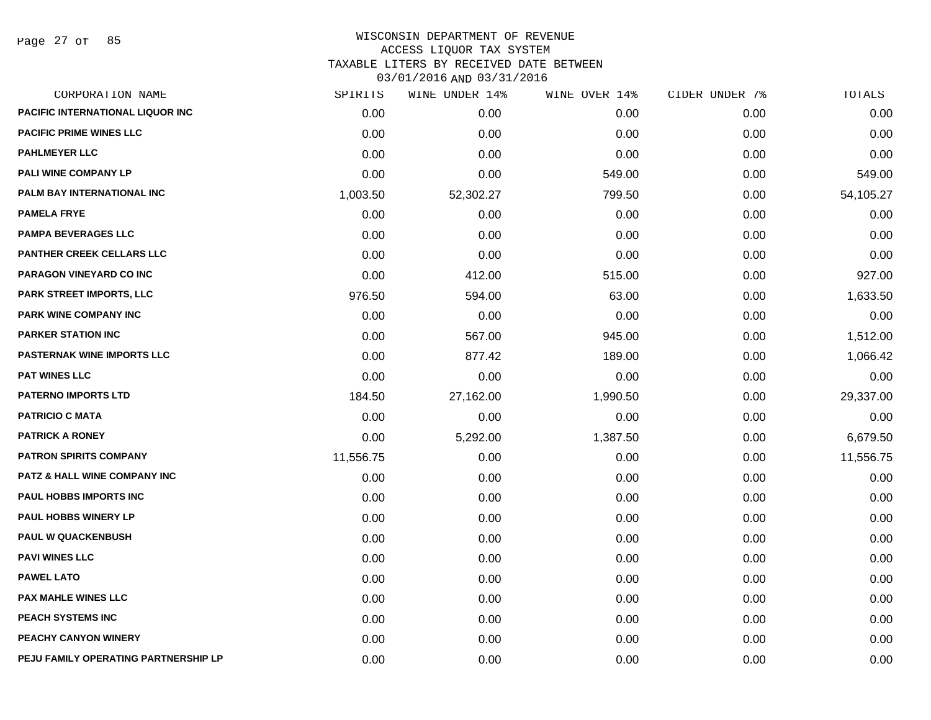Page 27 of 85

| CORPORATION NAME                        | SPIRITS   | WINE UNDER 14% | WINE OVER 14% | CIDER UNDER 7% | TOTALS    |
|-----------------------------------------|-----------|----------------|---------------|----------------|-----------|
| <b>PACIFIC INTERNATIONAL LIQUOR INC</b> | 0.00      | 0.00           | 0.00          | 0.00           | 0.00      |
| <b>PACIFIC PRIME WINES LLC</b>          | 0.00      | 0.00           | 0.00          | 0.00           | 0.00      |
| <b>PAHLMEYER LLC</b>                    | 0.00      | 0.00           | 0.00          | 0.00           | 0.00      |
| PALI WINE COMPANY LP                    | 0.00      | 0.00           | 549.00        | 0.00           | 549.00    |
| PALM BAY INTERNATIONAL INC              | 1,003.50  | 52,302.27      | 799.50        | 0.00           | 54,105.27 |
| <b>PAMELA FRYE</b>                      | 0.00      | 0.00           | 0.00          | 0.00           | 0.00      |
| <b>PAMPA BEVERAGES LLC</b>              | 0.00      | 0.00           | 0.00          | 0.00           | 0.00      |
| <b>PANTHER CREEK CELLARS LLC</b>        | 0.00      | 0.00           | 0.00          | 0.00           | 0.00      |
| PARAGON VINEYARD CO INC                 | 0.00      | 412.00         | 515.00        | 0.00           | 927.00    |
| PARK STREET IMPORTS, LLC                | 976.50    | 594.00         | 63.00         | 0.00           | 1,633.50  |
| <b>PARK WINE COMPANY INC</b>            | 0.00      | 0.00           | 0.00          | 0.00           | 0.00      |
| <b>PARKER STATION INC</b>               | 0.00      | 567.00         | 945.00        | 0.00           | 1,512.00  |
| <b>PASTERNAK WINE IMPORTS LLC</b>       | 0.00      | 877.42         | 189.00        | 0.00           | 1,066.42  |
| <b>PAT WINES LLC</b>                    | 0.00      | 0.00           | 0.00          | 0.00           | 0.00      |
| <b>PATERNO IMPORTS LTD</b>              | 184.50    | 27,162.00      | 1,990.50      | 0.00           | 29,337.00 |
| <b>PATRICIO C MATA</b>                  | 0.00      | 0.00           | 0.00          | 0.00           | 0.00      |
| <b>PATRICK A RONEY</b>                  | 0.00      | 5,292.00       | 1,387.50      | 0.00           | 6,679.50  |
| <b>PATRON SPIRITS COMPANY</b>           | 11,556.75 | 0.00           | 0.00          | 0.00           | 11,556.75 |
| PATZ & HALL WINE COMPANY INC            | 0.00      | 0.00           | 0.00          | 0.00           | 0.00      |
| PAUL HOBBS IMPORTS INC                  | 0.00      | 0.00           | 0.00          | 0.00           | 0.00      |
| PAUL HOBBS WINERY LP                    | 0.00      | 0.00           | 0.00          | 0.00           | 0.00      |
| <b>PAUL W QUACKENBUSH</b>               | 0.00      | 0.00           | 0.00          | 0.00           | 0.00      |
| <b>PAVI WINES LLC</b>                   | 0.00      | 0.00           | 0.00          | 0.00           | 0.00      |
| <b>PAWEL LATO</b>                       | 0.00      | 0.00           | 0.00          | 0.00           | 0.00      |
| <b>PAX MAHLE WINES LLC</b>              | 0.00      | 0.00           | 0.00          | 0.00           | 0.00      |
| PEACH SYSTEMS INC                       | 0.00      | 0.00           | 0.00          | 0.00           | 0.00      |
| <b>PEACHY CANYON WINERY</b>             | 0.00      | 0.00           | 0.00          | 0.00           | 0.00      |
| PEJU FAMILY OPERATING PARTNERSHIP LP    | 0.00      | 0.00           | 0.00          | 0.00           | 0.00      |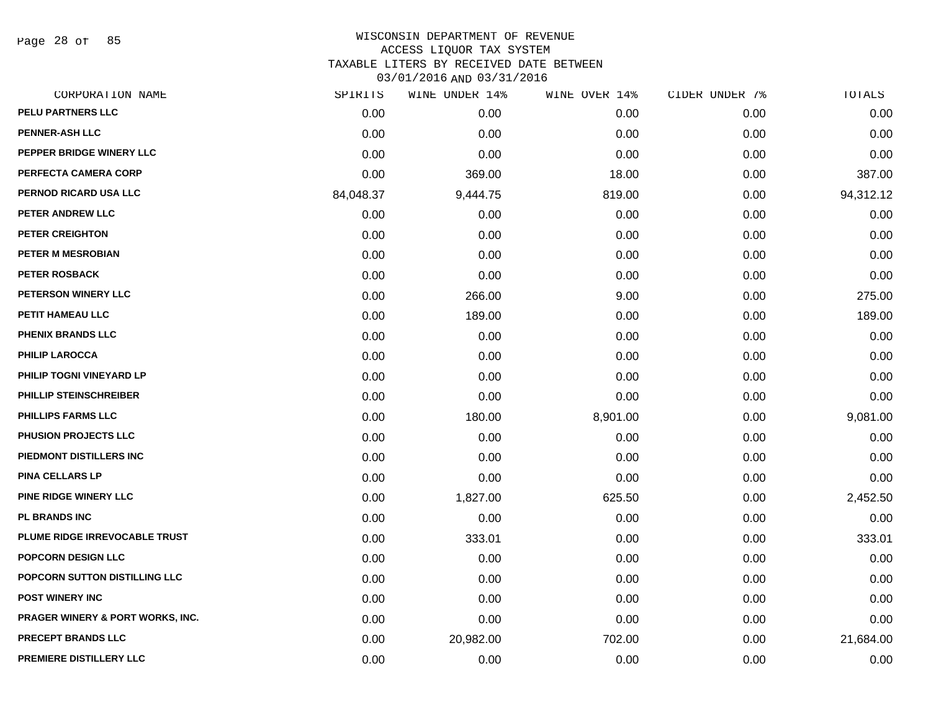Page 28 of 85

# WISCONSIN DEPARTMENT OF REVENUE ACCESS LIQUOR TAX SYSTEM TAXABLE LITERS BY RECEIVED DATE BETWEEN

| CORPORATION NAME                            | SPIRITS   | WINE UNDER 14% | WINE OVER 14% | CIDER UNDER 7% | TOTALS    |
|---------------------------------------------|-----------|----------------|---------------|----------------|-----------|
| PELU PARTNERS LLC                           | 0.00      | 0.00           | 0.00          | 0.00           | 0.00      |
| <b>PENNER-ASH LLC</b>                       | 0.00      | 0.00           | 0.00          | 0.00           | 0.00      |
| PEPPER BRIDGE WINERY LLC                    | 0.00      | 0.00           | 0.00          | 0.00           | 0.00      |
| PERFECTA CAMERA CORP                        | 0.00      | 369.00         | 18.00         | 0.00           | 387.00    |
| PERNOD RICARD USA LLC                       | 84,048.37 | 9,444.75       | 819.00        | 0.00           | 94,312.12 |
| PETER ANDREW LLC                            | 0.00      | 0.00           | 0.00          | 0.00           | 0.00      |
| PETER CREIGHTON                             | 0.00      | 0.00           | 0.00          | 0.00           | 0.00      |
| PETER M MESROBIAN                           | 0.00      | 0.00           | 0.00          | 0.00           | 0.00      |
| PETER ROSBACK                               | 0.00      | 0.00           | 0.00          | 0.00           | 0.00      |
| PETERSON WINERY LLC                         | 0.00      | 266.00         | 9.00          | 0.00           | 275.00    |
| PETIT HAMEAU LLC                            | 0.00      | 189.00         | 0.00          | 0.00           | 189.00    |
| PHENIX BRANDS LLC                           | 0.00      | 0.00           | 0.00          | 0.00           | 0.00      |
| <b>PHILIP LAROCCA</b>                       | 0.00      | 0.00           | 0.00          | 0.00           | 0.00      |
| PHILIP TOGNI VINEYARD LP                    | 0.00      | 0.00           | 0.00          | 0.00           | 0.00      |
| PHILLIP STEINSCHREIBER                      | 0.00      | 0.00           | 0.00          | 0.00           | 0.00      |
| <b>PHILLIPS FARMS LLC</b>                   | 0.00      | 180.00         | 8,901.00      | 0.00           | 9,081.00  |
| PHUSION PROJECTS LLC                        | 0.00      | 0.00           | 0.00          | 0.00           | 0.00      |
| PIEDMONT DISTILLERS INC                     | 0.00      | 0.00           | 0.00          | 0.00           | 0.00      |
| <b>PINA CELLARS LP</b>                      | 0.00      | 0.00           | 0.00          | 0.00           | 0.00      |
| <b>PINE RIDGE WINERY LLC</b>                | 0.00      | 1,827.00       | 625.50        | 0.00           | 2,452.50  |
| <b>PL BRANDS INC</b>                        | 0.00      | 0.00           | 0.00          | 0.00           | 0.00      |
| PLUME RIDGE IRREVOCABLE TRUST               | 0.00      | 333.01         | 0.00          | 0.00           | 333.01    |
| <b>POPCORN DESIGN LLC</b>                   | 0.00      | 0.00           | 0.00          | 0.00           | 0.00      |
| POPCORN SUTTON DISTILLING LLC               | 0.00      | 0.00           | 0.00          | 0.00           | 0.00      |
| <b>POST WINERY INC</b>                      | 0.00      | 0.00           | 0.00          | 0.00           | 0.00      |
| <b>PRAGER WINERY &amp; PORT WORKS, INC.</b> | 0.00      | 0.00           | 0.00          | 0.00           | 0.00      |
| PRECEPT BRANDS LLC                          | 0.00      | 20,982.00      | 702.00        | 0.00           | 21,684.00 |
| PREMIERE DISTILLERY LLC                     | 0.00      | 0.00           | 0.00          | 0.00           | 0.00      |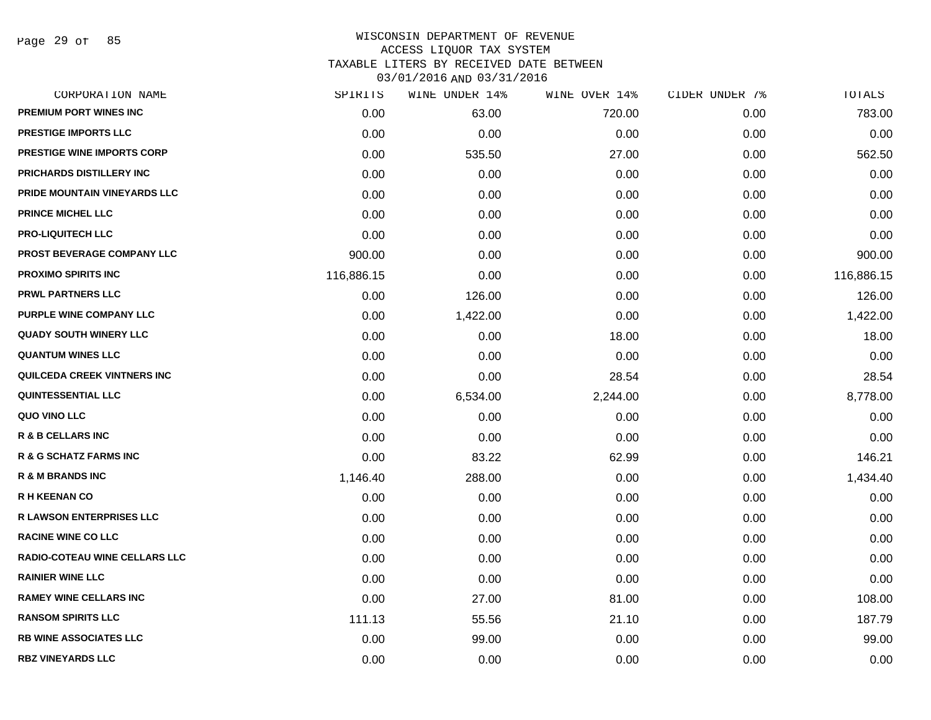Page 29 of 85

| CORPORATION NAME                     | SPIRITS    | WINE UNDER 14% | WINE OVER 14% | CIDER UNDER 7% | TOTALS     |
|--------------------------------------|------------|----------------|---------------|----------------|------------|
| <b>PREMIUM PORT WINES INC</b>        | 0.00       | 63.00          | 720.00        | 0.00           | 783.00     |
| <b>PRESTIGE IMPORTS LLC</b>          | 0.00       | 0.00           | 0.00          | 0.00           | 0.00       |
| <b>PRESTIGE WINE IMPORTS CORP</b>    | 0.00       | 535.50         | 27.00         | 0.00           | 562.50     |
| PRICHARDS DISTILLERY INC             | 0.00       | 0.00           | 0.00          | 0.00           | 0.00       |
| PRIDE MOUNTAIN VINEYARDS LLC         | 0.00       | 0.00           | 0.00          | 0.00           | 0.00       |
| <b>PRINCE MICHEL LLC</b>             | 0.00       | 0.00           | 0.00          | 0.00           | 0.00       |
| <b>PRO-LIQUITECH LLC</b>             | 0.00       | 0.00           | 0.00          | 0.00           | 0.00       |
| <b>PROST BEVERAGE COMPANY LLC</b>    | 900.00     | 0.00           | 0.00          | 0.00           | 900.00     |
| <b>PROXIMO SPIRITS INC</b>           | 116,886.15 | 0.00           | 0.00          | 0.00           | 116,886.15 |
| <b>PRWL PARTNERS LLC</b>             | 0.00       | 126.00         | 0.00          | 0.00           | 126.00     |
| PURPLE WINE COMPANY LLC              | 0.00       | 1,422.00       | 0.00          | 0.00           | 1,422.00   |
| <b>QUADY SOUTH WINERY LLC</b>        | 0.00       | 0.00           | 18.00         | 0.00           | 18.00      |
| <b>QUANTUM WINES LLC</b>             | 0.00       | 0.00           | 0.00          | 0.00           | 0.00       |
| QUILCEDA CREEK VINTNERS INC          | 0.00       | 0.00           | 28.54         | 0.00           | 28.54      |
| <b>QUINTESSENTIAL LLC</b>            | 0.00       | 6,534.00       | 2,244.00      | 0.00           | 8,778.00   |
| QUO VINO LLC                         | 0.00       | 0.00           | 0.00          | 0.00           | 0.00       |
| <b>R &amp; B CELLARS INC</b>         | 0.00       | 0.00           | 0.00          | 0.00           | 0.00       |
| <b>R &amp; G SCHATZ FARMS INC</b>    | 0.00       | 83.22          | 62.99         | 0.00           | 146.21     |
| <b>R &amp; M BRANDS INC</b>          | 1,146.40   | 288.00         | 0.00          | 0.00           | 1,434.40   |
| <b>R H KEENAN CO</b>                 | 0.00       | 0.00           | 0.00          | 0.00           | 0.00       |
| <b>R LAWSON ENTERPRISES LLC</b>      | 0.00       | 0.00           | 0.00          | 0.00           | 0.00       |
| <b>RACINE WINE CO LLC</b>            | 0.00       | 0.00           | 0.00          | 0.00           | 0.00       |
| <b>RADIO-COTEAU WINE CELLARS LLC</b> | 0.00       | 0.00           | 0.00          | 0.00           | 0.00       |
| <b>RAINIER WINE LLC</b>              | 0.00       | 0.00           | 0.00          | 0.00           | 0.00       |
| <b>RAMEY WINE CELLARS INC</b>        | 0.00       | 27.00          | 81.00         | 0.00           | 108.00     |
| <b>RANSOM SPIRITS LLC</b>            | 111.13     | 55.56          | 21.10         | 0.00           | 187.79     |
| <b>RB WINE ASSOCIATES LLC</b>        | 0.00       | 99.00          | 0.00          | 0.00           | 99.00      |
| <b>RBZ VINEYARDS LLC</b>             | 0.00       | 0.00           | 0.00          | 0.00           | 0.00       |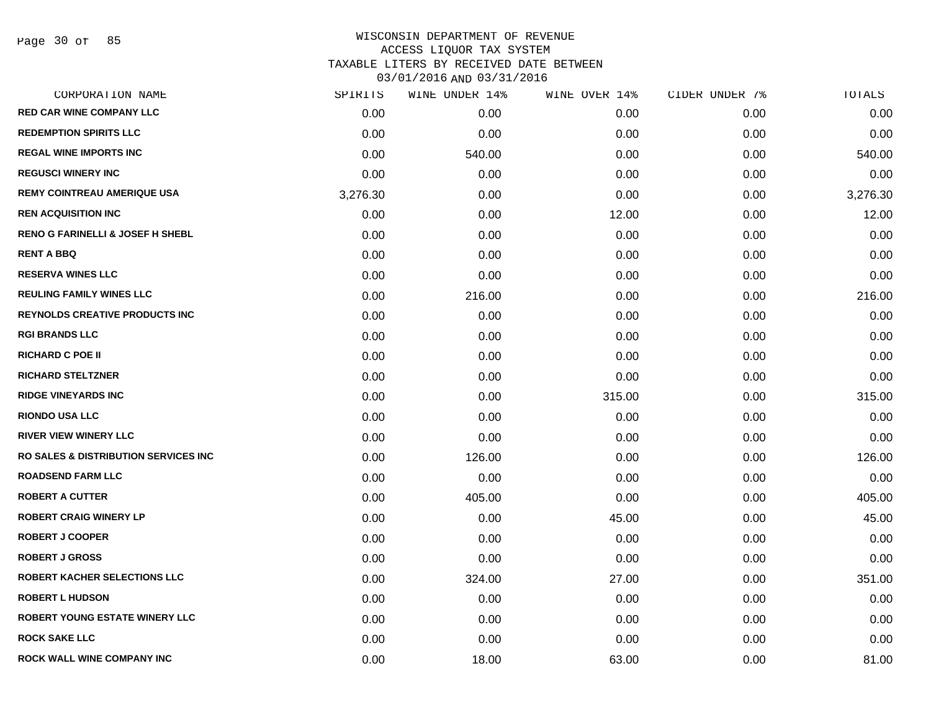| CORPORATION NAME                                | SPIRITS  | WINE UNDER 14% | WINE OVER 14% | CIDER UNDER 7% | TOTALS   |
|-------------------------------------------------|----------|----------------|---------------|----------------|----------|
| <b>RED CAR WINE COMPANY LLC</b>                 | 0.00     | 0.00           | 0.00          | 0.00           | 0.00     |
| <b>REDEMPTION SPIRITS LLC</b>                   | 0.00     | 0.00           | 0.00          | 0.00           | 0.00     |
| <b>REGAL WINE IMPORTS INC</b>                   | 0.00     | 540.00         | 0.00          | 0.00           | 540.00   |
| <b>REGUSCI WINERY INC</b>                       | 0.00     | 0.00           | 0.00          | 0.00           | 0.00     |
| <b>REMY COINTREAU AMERIQUE USA</b>              | 3,276.30 | 0.00           | 0.00          | 0.00           | 3,276.30 |
| <b>REN ACQUISITION INC</b>                      | 0.00     | 0.00           | 12.00         | 0.00           | 12.00    |
| <b>RENO G FARINELLI &amp; JOSEF H SHEBL</b>     | 0.00     | 0.00           | 0.00          | 0.00           | 0.00     |
| <b>RENT A BBQ</b>                               | 0.00     | 0.00           | 0.00          | 0.00           | 0.00     |
| <b>RESERVA WINES LLC</b>                        | 0.00     | 0.00           | 0.00          | 0.00           | 0.00     |
| <b>REULING FAMILY WINES LLC</b>                 | 0.00     | 216.00         | 0.00          | 0.00           | 216.00   |
| <b>REYNOLDS CREATIVE PRODUCTS INC</b>           | 0.00     | 0.00           | 0.00          | 0.00           | 0.00     |
| <b>RGI BRANDS LLC</b>                           | 0.00     | 0.00           | 0.00          | 0.00           | 0.00     |
| <b>RICHARD C POE II</b>                         | 0.00     | 0.00           | 0.00          | 0.00           | 0.00     |
| <b>RICHARD STELTZNER</b>                        | 0.00     | 0.00           | 0.00          | 0.00           | 0.00     |
| <b>RIDGE VINEYARDS INC</b>                      | 0.00     | 0.00           | 315.00        | 0.00           | 315.00   |
| <b>RIONDO USA LLC</b>                           | 0.00     | 0.00           | 0.00          | 0.00           | 0.00     |
| <b>RIVER VIEW WINERY LLC</b>                    | 0.00     | 0.00           | 0.00          | 0.00           | 0.00     |
| <b>RO SALES &amp; DISTRIBUTION SERVICES INC</b> | 0.00     | 126.00         | 0.00          | 0.00           | 126.00   |
| <b>ROADSEND FARM LLC</b>                        | 0.00     | 0.00           | 0.00          | 0.00           | 0.00     |
| <b>ROBERT A CUTTER</b>                          | 0.00     | 405.00         | 0.00          | 0.00           | 405.00   |
| <b>ROBERT CRAIG WINERY LP</b>                   | 0.00     | 0.00           | 45.00         | 0.00           | 45.00    |
| <b>ROBERT J COOPER</b>                          | 0.00     | 0.00           | 0.00          | 0.00           | 0.00     |
| <b>ROBERT J GROSS</b>                           | 0.00     | 0.00           | 0.00          | 0.00           | 0.00     |
| ROBERT KACHER SELECTIONS LLC                    | 0.00     | 324.00         | 27.00         | 0.00           | 351.00   |
| <b>ROBERT L HUDSON</b>                          | 0.00     | 0.00           | 0.00          | 0.00           | 0.00     |
| <b>ROBERT YOUNG ESTATE WINERY LLC</b>           | 0.00     | 0.00           | 0.00          | 0.00           | 0.00     |
| <b>ROCK SAKE LLC</b>                            | 0.00     | 0.00           | 0.00          | 0.00           | 0.00     |
| ROCK WALL WINE COMPANY INC                      | 0.00     | 18.00          | 63.00         | 0.00           | 81.00    |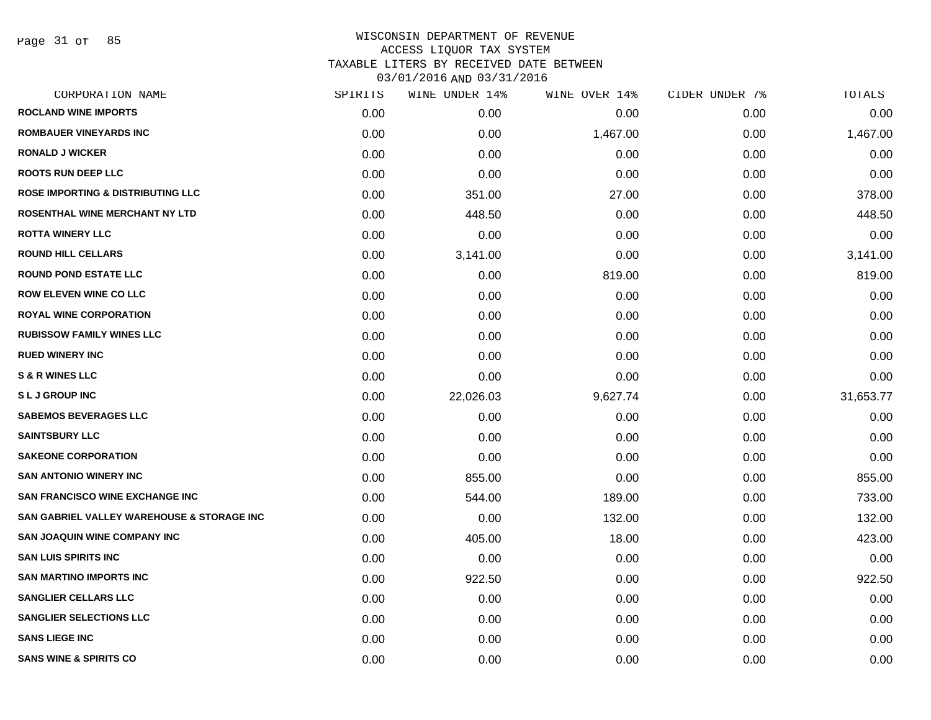Page 31 of 85

| CORPORATION NAME                             | SPIRITS | WINE UNDER 14% | WINE OVER 14% | CIDER UNDER 7% | TOTALS    |
|----------------------------------------------|---------|----------------|---------------|----------------|-----------|
| <b>ROCLAND WINE IMPORTS</b>                  | 0.00    | 0.00           | 0.00          | 0.00           | 0.00      |
| <b>ROMBAUER VINEYARDS INC</b>                | 0.00    | 0.00           | 1,467.00      | 0.00           | 1,467.00  |
| <b>RONALD J WICKER</b>                       | 0.00    | 0.00           | 0.00          | 0.00           | 0.00      |
| <b>ROOTS RUN DEEP LLC</b>                    | 0.00    | 0.00           | 0.00          | 0.00           | 0.00      |
| <b>ROSE IMPORTING &amp; DISTRIBUTING LLC</b> | 0.00    | 351.00         | 27.00         | 0.00           | 378.00    |
| ROSENTHAL WINE MERCHANT NY LTD               | 0.00    | 448.50         | 0.00          | 0.00           | 448.50    |
| <b>ROTTA WINERY LLC</b>                      | 0.00    | 0.00           | 0.00          | 0.00           | 0.00      |
| <b>ROUND HILL CELLARS</b>                    | 0.00    | 3,141.00       | 0.00          | 0.00           | 3,141.00  |
| <b>ROUND POND ESTATE LLC</b>                 | 0.00    | 0.00           | 819.00        | 0.00           | 819.00    |
| <b>ROW ELEVEN WINE CO LLC</b>                | 0.00    | 0.00           | 0.00          | 0.00           | 0.00      |
| <b>ROYAL WINE CORPORATION</b>                | 0.00    | 0.00           | 0.00          | 0.00           | 0.00      |
| <b>RUBISSOW FAMILY WINES LLC</b>             | 0.00    | 0.00           | 0.00          | 0.00           | 0.00      |
| <b>RUED WINERY INC</b>                       | 0.00    | 0.00           | 0.00          | 0.00           | 0.00      |
| <b>S &amp; R WINES LLC</b>                   | 0.00    | 0.00           | 0.00          | 0.00           | 0.00      |
| <b>SLJGROUP INC</b>                          | 0.00    | 22,026.03      | 9,627.74      | 0.00           | 31,653.77 |
| <b>SABEMOS BEVERAGES LLC</b>                 | 0.00    | 0.00           | 0.00          | 0.00           | 0.00      |
| <b>SAINTSBURY LLC</b>                        | 0.00    | 0.00           | 0.00          | 0.00           | 0.00      |
| <b>SAKEONE CORPORATION</b>                   | 0.00    | 0.00           | 0.00          | 0.00           | 0.00      |
| <b>SAN ANTONIO WINERY INC</b>                | 0.00    | 855.00         | 0.00          | 0.00           | 855.00    |
| <b>SAN FRANCISCO WINE EXCHANGE INC.</b>      | 0.00    | 544.00         | 189.00        | 0.00           | 733.00    |
| SAN GABRIEL VALLEY WAREHOUSE & STORAGE INC   | 0.00    | 0.00           | 132.00        | 0.00           | 132.00    |
| <b>SAN JOAQUIN WINE COMPANY INC</b>          | 0.00    | 405.00         | 18.00         | 0.00           | 423.00    |
| <b>SAN LUIS SPIRITS INC</b>                  | 0.00    | 0.00           | 0.00          | 0.00           | 0.00      |
| <b>SAN MARTINO IMPORTS INC</b>               | 0.00    | 922.50         | 0.00          | 0.00           | 922.50    |
| <b>SANGLIER CELLARS LLC</b>                  | 0.00    | 0.00           | 0.00          | 0.00           | 0.00      |
| <b>SANGLIER SELECTIONS LLC</b>               | 0.00    | 0.00           | 0.00          | 0.00           | 0.00      |
| <b>SANS LIEGE INC</b>                        | 0.00    | 0.00           | 0.00          | 0.00           | 0.00      |
| <b>SANS WINE &amp; SPIRITS CO</b>            | 0.00    | 0.00           | 0.00          | 0.00           | 0.00      |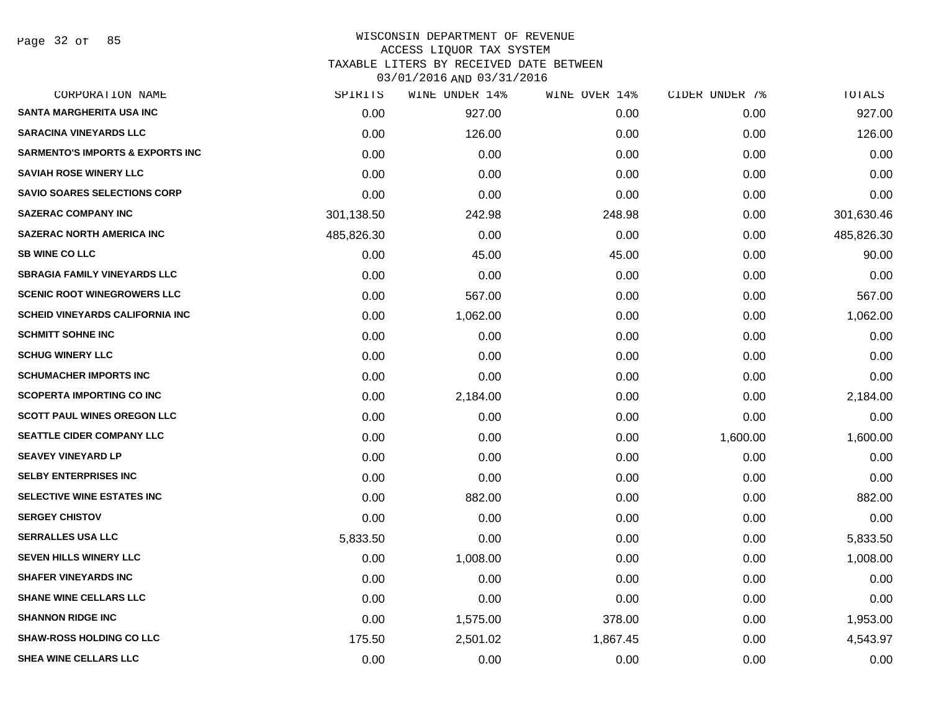Page 32 of 85

| CORPORATION NAME                            | SPIRITS    | WINE UNDER 14% | WINE OVER 14% | CIDER UNDER 7% | TOTALS     |
|---------------------------------------------|------------|----------------|---------------|----------------|------------|
| <b>SANTA MARGHERITA USA INC</b>             | 0.00       | 927.00         | 0.00          | 0.00           | 927.00     |
| <b>SARACINA VINEYARDS LLC</b>               | 0.00       | 126.00         | 0.00          | 0.00           | 126.00     |
| <b>SARMENTO'S IMPORTS &amp; EXPORTS INC</b> | 0.00       | 0.00           | 0.00          | 0.00           | 0.00       |
| <b>SAVIAH ROSE WINERY LLC</b>               | 0.00       | 0.00           | 0.00          | 0.00           | 0.00       |
| <b>SAVIO SOARES SELECTIONS CORP</b>         | 0.00       | 0.00           | 0.00          | 0.00           | 0.00       |
| <b>SAZERAC COMPANY INC</b>                  | 301,138.50 | 242.98         | 248.98        | 0.00           | 301,630.46 |
| <b>SAZERAC NORTH AMERICA INC</b>            | 485,826.30 | 0.00           | 0.00          | 0.00           | 485,826.30 |
| <b>SB WINE CO LLC</b>                       | 0.00       | 45.00          | 45.00         | 0.00           | 90.00      |
| <b>SBRAGIA FAMILY VINEYARDS LLC</b>         | 0.00       | 0.00           | 0.00          | 0.00           | 0.00       |
| <b>SCENIC ROOT WINEGROWERS LLC</b>          | 0.00       | 567.00         | 0.00          | 0.00           | 567.00     |
| <b>SCHEID VINEYARDS CALIFORNIA INC</b>      | 0.00       | 1,062.00       | 0.00          | 0.00           | 1,062.00   |
| <b>SCHMITT SOHNE INC</b>                    | 0.00       | 0.00           | 0.00          | 0.00           | 0.00       |
| <b>SCHUG WINERY LLC</b>                     | 0.00       | 0.00           | 0.00          | 0.00           | 0.00       |
| <b>SCHUMACHER IMPORTS INC</b>               | 0.00       | 0.00           | 0.00          | 0.00           | 0.00       |
| <b>SCOPERTA IMPORTING CO INC</b>            | 0.00       | 2,184.00       | 0.00          | 0.00           | 2,184.00   |
| <b>SCOTT PAUL WINES OREGON LLC</b>          | 0.00       | 0.00           | 0.00          | 0.00           | 0.00       |
| <b>SEATTLE CIDER COMPANY LLC</b>            | 0.00       | 0.00           | 0.00          | 1,600.00       | 1,600.00   |
| <b>SEAVEY VINEYARD LP</b>                   | 0.00       | 0.00           | 0.00          | 0.00           | 0.00       |
| <b>SELBY ENTERPRISES INC</b>                | 0.00       | 0.00           | 0.00          | 0.00           | 0.00       |
| SELECTIVE WINE ESTATES INC                  | 0.00       | 882.00         | 0.00          | 0.00           | 882.00     |
| <b>SERGEY CHISTOV</b>                       | 0.00       | 0.00           | 0.00          | 0.00           | 0.00       |
| <b>SERRALLES USA LLC</b>                    | 5,833.50   | 0.00           | 0.00          | 0.00           | 5,833.50   |
| <b>SEVEN HILLS WINERY LLC</b>               | 0.00       | 1,008.00       | 0.00          | 0.00           | 1,008.00   |
| <b>SHAFER VINEYARDS INC</b>                 | 0.00       | 0.00           | 0.00          | 0.00           | 0.00       |
| <b>SHANE WINE CELLARS LLC</b>               | 0.00       | 0.00           | 0.00          | 0.00           | 0.00       |
| <b>SHANNON RIDGE INC</b>                    | 0.00       | 1,575.00       | 378.00        | 0.00           | 1,953.00   |
| <b>SHAW-ROSS HOLDING CO LLC</b>             | 175.50     | 2,501.02       | 1,867.45      | 0.00           | 4,543.97   |
| SHEA WINE CELLARS LLC                       | 0.00       | 0.00           | 0.00          | 0.00           | 0.00       |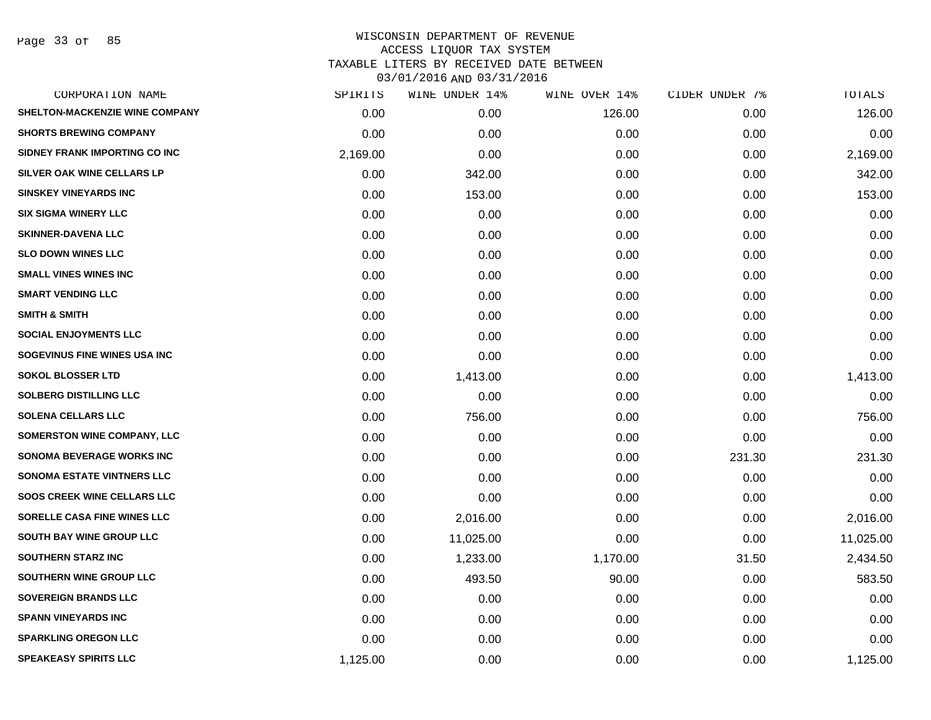Page 33 of 85

|          | WINE UNDER 14% | WINE OVER 14% |        | TOTALS         |
|----------|----------------|---------------|--------|----------------|
| 0.00     | 0.00           | 126.00        | 0.00   | 126.00         |
| 0.00     | 0.00           | 0.00          | 0.00   | 0.00           |
| 2,169.00 | 0.00           | 0.00          | 0.00   | 2,169.00       |
| 0.00     | 342.00         | 0.00          | 0.00   | 342.00         |
| 0.00     | 153.00         | 0.00          | 0.00   | 153.00         |
| 0.00     | 0.00           | 0.00          | 0.00   | 0.00           |
| 0.00     | 0.00           | 0.00          | 0.00   | 0.00           |
| 0.00     | 0.00           | 0.00          | 0.00   | 0.00           |
| 0.00     | 0.00           | 0.00          | 0.00   | 0.00           |
| 0.00     | 0.00           | 0.00          | 0.00   | 0.00           |
| 0.00     | 0.00           | 0.00          | 0.00   | 0.00           |
| 0.00     | 0.00           | 0.00          | 0.00   | 0.00           |
| 0.00     | 0.00           | 0.00          | 0.00   | 0.00           |
| 0.00     | 1,413.00       | 0.00          | 0.00   | 1,413.00       |
| 0.00     | 0.00           | 0.00          | 0.00   | 0.00           |
| 0.00     | 756.00         | 0.00          | 0.00   | 756.00         |
| 0.00     | 0.00           | 0.00          | 0.00   | 0.00           |
| 0.00     | 0.00           | 0.00          | 231.30 | 231.30         |
| 0.00     | 0.00           | 0.00          | 0.00   | 0.00           |
| 0.00     | 0.00           | 0.00          | 0.00   | 0.00           |
| 0.00     | 2,016.00       | 0.00          | 0.00   | 2,016.00       |
| 0.00     | 11,025.00      | 0.00          | 0.00   | 11,025.00      |
| 0.00     | 1,233.00       | 1,170.00      | 31.50  | 2,434.50       |
| 0.00     | 493.50         | 90.00         | 0.00   | 583.50         |
| 0.00     | 0.00           | 0.00          | 0.00   | 0.00           |
| 0.00     | 0.00           | 0.00          | 0.00   | 0.00           |
| 0.00     | 0.00           | 0.00          | 0.00   | 0.00           |
| 1,125.00 | 0.00           | 0.00          | 0.00   | 1,125.00       |
|          | SPIRITS        |               |        | CIDER UNDER 7% |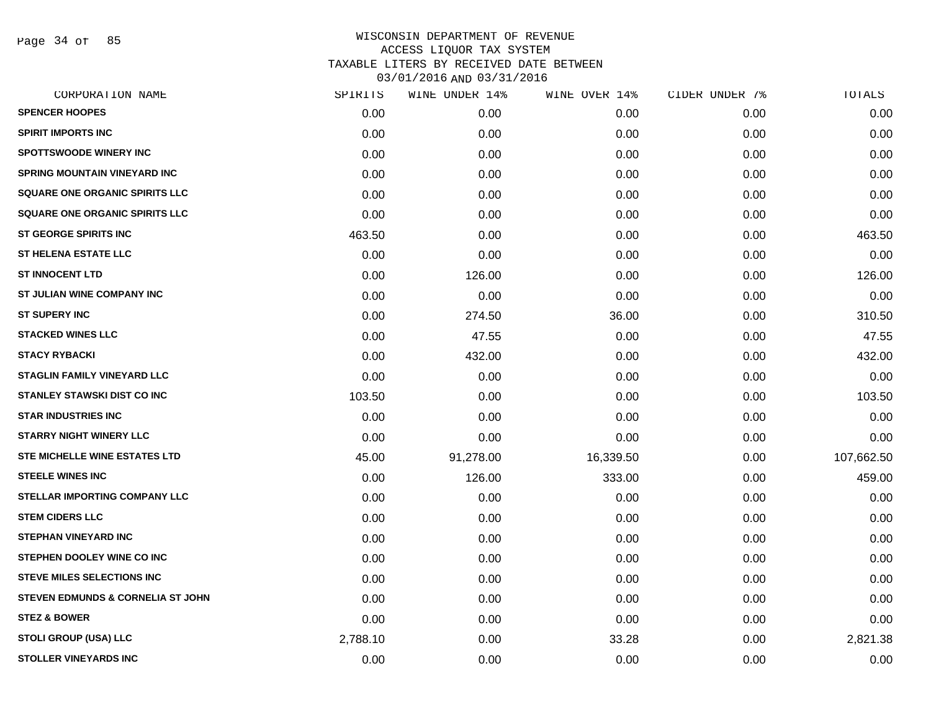Page 34 of 85

|          | WINE UNDER 14% | WINE OVER 14% | CIDER UNDER 7% | TOTALS     |
|----------|----------------|---------------|----------------|------------|
| 0.00     | 0.00           | 0.00          | 0.00           | 0.00       |
| 0.00     | 0.00           | 0.00          | 0.00           | 0.00       |
| 0.00     | 0.00           | 0.00          | 0.00           | 0.00       |
| 0.00     | 0.00           | 0.00          | 0.00           | 0.00       |
| 0.00     | 0.00           | 0.00          | 0.00           | 0.00       |
| 0.00     | 0.00           | 0.00          | 0.00           | 0.00       |
| 463.50   | 0.00           | 0.00          | 0.00           | 463.50     |
| 0.00     | 0.00           | 0.00          | 0.00           | 0.00       |
| 0.00     | 126.00         | 0.00          | 0.00           | 126.00     |
| 0.00     | 0.00           | 0.00          | 0.00           | 0.00       |
| 0.00     | 274.50         | 36.00         | 0.00           | 310.50     |
| 0.00     | 47.55          | 0.00          | 0.00           | 47.55      |
| 0.00     | 432.00         | 0.00          | 0.00           | 432.00     |
| 0.00     | 0.00           | 0.00          | 0.00           | 0.00       |
| 103.50   | 0.00           | 0.00          | 0.00           | 103.50     |
| 0.00     | 0.00           | 0.00          | 0.00           | 0.00       |
| 0.00     | 0.00           | 0.00          | 0.00           | 0.00       |
| 45.00    | 91,278.00      | 16,339.50     | 0.00           | 107,662.50 |
| 0.00     | 126.00         | 333.00        | 0.00           | 459.00     |
| 0.00     | 0.00           | 0.00          | 0.00           | 0.00       |
| 0.00     | 0.00           | 0.00          | 0.00           | 0.00       |
| 0.00     | 0.00           | 0.00          | 0.00           | 0.00       |
| 0.00     | 0.00           | 0.00          | 0.00           | 0.00       |
| 0.00     | 0.00           | 0.00          | 0.00           | 0.00       |
| 0.00     | 0.00           | 0.00          | 0.00           | 0.00       |
| 0.00     | 0.00           | 0.00          | 0.00           | 0.00       |
| 2,788.10 | 0.00           | 33.28         | 0.00           | 2,821.38   |
| 0.00     | 0.00           | 0.00          | 0.00           | 0.00       |
|          | SPIRITS        |               |                |            |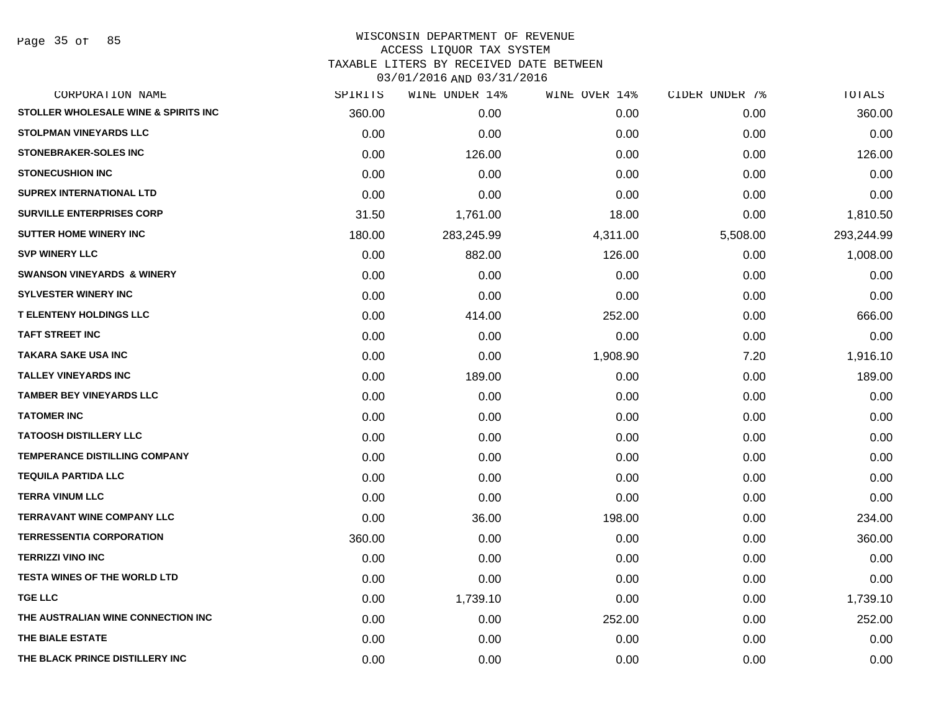Page 35 of 85

| SPIRITS | WINE UNDER 14% | WINE OVER 14% | CIDER UNDER 7% | TOTALS     |
|---------|----------------|---------------|----------------|------------|
| 360.00  | 0.00           | 0.00          | 0.00           | 360.00     |
| 0.00    | 0.00           | 0.00          | 0.00           | 0.00       |
| 0.00    | 126.00         | 0.00          | 0.00           | 126.00     |
| 0.00    | 0.00           | 0.00          | 0.00           | 0.00       |
| 0.00    | 0.00           | 0.00          | 0.00           | 0.00       |
| 31.50   | 1,761.00       | 18.00         | 0.00           | 1,810.50   |
| 180.00  | 283,245.99     | 4,311.00      | 5,508.00       | 293,244.99 |
| 0.00    | 882.00         | 126.00        | 0.00           | 1,008.00   |
| 0.00    | 0.00           | 0.00          | 0.00           | 0.00       |
| 0.00    | 0.00           | 0.00          | 0.00           | 0.00       |
| 0.00    | 414.00         | 252.00        | 0.00           | 666.00     |
| 0.00    | 0.00           | 0.00          | 0.00           | 0.00       |
| 0.00    | 0.00           | 1,908.90      | 7.20           | 1,916.10   |
| 0.00    | 189.00         | 0.00          | 0.00           | 189.00     |
| 0.00    | 0.00           | 0.00          | 0.00           | 0.00       |
| 0.00    | 0.00           | 0.00          | 0.00           | 0.00       |
| 0.00    | 0.00           | 0.00          | 0.00           | 0.00       |
| 0.00    | 0.00           | 0.00          | 0.00           | 0.00       |
| 0.00    | 0.00           | 0.00          | 0.00           | 0.00       |
| 0.00    | 0.00           | 0.00          | 0.00           | 0.00       |
| 0.00    | 36.00          | 198.00        | 0.00           | 234.00     |
| 360.00  | 0.00           | 0.00          | 0.00           | 360.00     |
| 0.00    | 0.00           | 0.00          | 0.00           | 0.00       |
| 0.00    | 0.00           | 0.00          | 0.00           | 0.00       |
| 0.00    | 1,739.10       | 0.00          | 0.00           | 1,739.10   |
| 0.00    | 0.00           | 252.00        | 0.00           | 252.00     |
| 0.00    | 0.00           | 0.00          | 0.00           | 0.00       |
| 0.00    | 0.00           | 0.00          | 0.00           | 0.00       |
|         |                |               |                |            |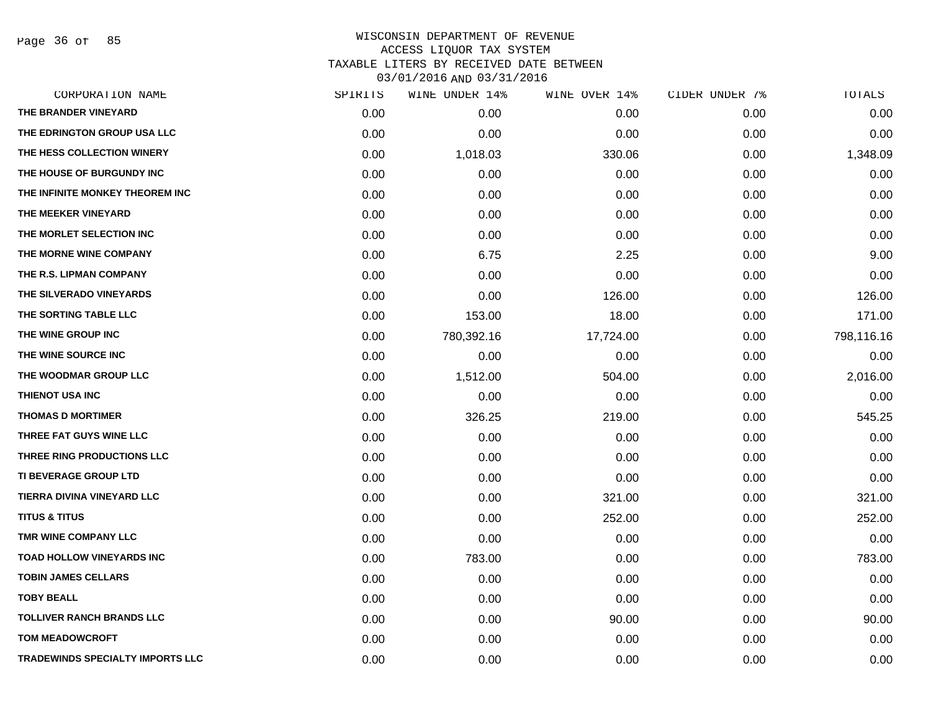Page 36 of 85

| CORPORATION NAME                        | SPIRITS | WINE UNDER 14% | WINE OVER 14% | CIDER UNDER 7% | TOTALS     |
|-----------------------------------------|---------|----------------|---------------|----------------|------------|
| THE BRANDER VINEYARD                    | 0.00    | 0.00           | 0.00          | 0.00           | 0.00       |
| THE EDRINGTON GROUP USA LLC             | 0.00    | 0.00           | 0.00          | 0.00           | 0.00       |
| THE HESS COLLECTION WINERY              | 0.00    | 1,018.03       | 330.06        | 0.00           | 1,348.09   |
| THE HOUSE OF BURGUNDY INC               | 0.00    | 0.00           | 0.00          | 0.00           | 0.00       |
| THE INFINITE MONKEY THEOREM INC         | 0.00    | 0.00           | 0.00          | 0.00           | 0.00       |
| THE MEEKER VINEYARD                     | 0.00    | 0.00           | 0.00          | 0.00           | 0.00       |
| THE MORLET SELECTION INC                | 0.00    | 0.00           | 0.00          | 0.00           | 0.00       |
| THE MORNE WINE COMPANY                  | 0.00    | 6.75           | 2.25          | 0.00           | 9.00       |
| THE R.S. LIPMAN COMPANY                 | 0.00    | 0.00           | 0.00          | 0.00           | 0.00       |
| THE SILVERADO VINEYARDS                 | 0.00    | 0.00           | 126.00        | 0.00           | 126.00     |
| THE SORTING TABLE LLC                   | 0.00    | 153.00         | 18.00         | 0.00           | 171.00     |
| THE WINE GROUP INC                      | 0.00    | 780,392.16     | 17,724.00     | 0.00           | 798,116.16 |
| THE WINE SOURCE INC                     | 0.00    | 0.00           | 0.00          | 0.00           | 0.00       |
| THE WOODMAR GROUP LLC                   | 0.00    | 1,512.00       | 504.00        | 0.00           | 2,016.00   |
| THIENOT USA INC                         | 0.00    | 0.00           | 0.00          | 0.00           | 0.00       |
| <b>THOMAS D MORTIMER</b>                | 0.00    | 326.25         | 219.00        | 0.00           | 545.25     |
| THREE FAT GUYS WINE LLC                 | 0.00    | 0.00           | 0.00          | 0.00           | 0.00       |
| THREE RING PRODUCTIONS LLC              | 0.00    | 0.00           | 0.00          | 0.00           | 0.00       |
| <b>TI BEVERAGE GROUP LTD</b>            | 0.00    | 0.00           | 0.00          | 0.00           | 0.00       |
| TIERRA DIVINA VINEYARD LLC              | 0.00    | 0.00           | 321.00        | 0.00           | 321.00     |
| <b>TITUS &amp; TITUS</b>                | 0.00    | 0.00           | 252.00        | 0.00           | 252.00     |
| TMR WINE COMPANY LLC                    | 0.00    | 0.00           | 0.00          | 0.00           | 0.00       |
| TOAD HOLLOW VINEYARDS INC               | 0.00    | 783.00         | 0.00          | 0.00           | 783.00     |
| <b>TOBIN JAMES CELLARS</b>              | 0.00    | 0.00           | 0.00          | 0.00           | 0.00       |
| <b>TOBY BEALL</b>                       | 0.00    | 0.00           | 0.00          | 0.00           | 0.00       |
| <b>TOLLIVER RANCH BRANDS LLC</b>        | 0.00    | 0.00           | 90.00         | 0.00           | 90.00      |
| <b>TOM MEADOWCROFT</b>                  | 0.00    | 0.00           | 0.00          | 0.00           | 0.00       |
| <b>TRADEWINDS SPECIALTY IMPORTS LLC</b> | 0.00    | 0.00           | 0.00          | 0.00           | 0.00       |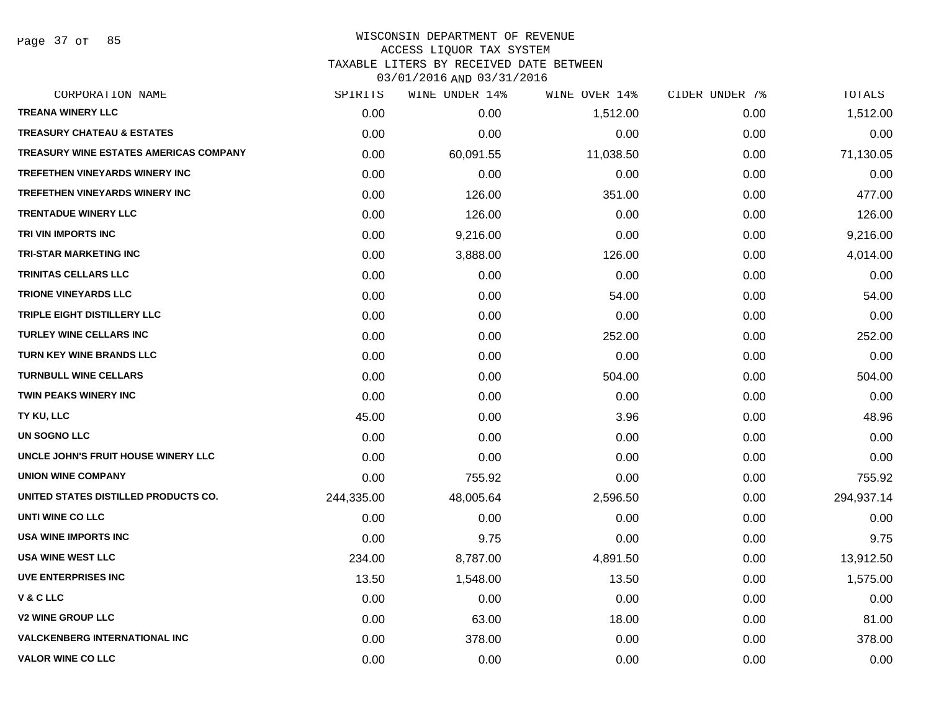Page 37 of 85

# WISCONSIN DEPARTMENT OF REVENUE ACCESS LIQUOR TAX SYSTEM TAXABLE LITERS BY RECEIVED DATE BETWEEN

03/01/2016 AND 03/31/2016

| CORPORATION NAME                       | SPIRITS    | WINE UNDER 14% | WINE OVER 14% | CIDER UNDER 7% | TOTALS     |
|----------------------------------------|------------|----------------|---------------|----------------|------------|
| <b>TREANA WINERY LLC</b>               | 0.00       | 0.00           | 1,512.00      | 0.00           | 1,512.00   |
| <b>TREASURY CHATEAU &amp; ESTATES</b>  | 0.00       | 0.00           | 0.00          | 0.00           | 0.00       |
| TREASURY WINE ESTATES AMERICAS COMPANY | 0.00       | 60,091.55      | 11,038.50     | 0.00           | 71,130.05  |
| <b>TREFETHEN VINEYARDS WINERY INC</b>  | 0.00       | 0.00           | 0.00          | 0.00           | 0.00       |
| <b>TREFETHEN VINEYARDS WINERY INC</b>  | 0.00       | 126.00         | 351.00        | 0.00           | 477.00     |
| <b>TRENTADUE WINERY LLC</b>            | 0.00       | 126.00         | 0.00          | 0.00           | 126.00     |
| TRI VIN IMPORTS INC                    | 0.00       | 9,216.00       | 0.00          | 0.00           | 9,216.00   |
| <b>TRI-STAR MARKETING INC</b>          | 0.00       | 3,888.00       | 126.00        | 0.00           | 4,014.00   |
| <b>TRINITAS CELLARS LLC</b>            | 0.00       | 0.00           | 0.00          | 0.00           | 0.00       |
| <b>TRIONE VINEYARDS LLC</b>            | 0.00       | 0.00           | 54.00         | 0.00           | 54.00      |
| TRIPLE EIGHT DISTILLERY LLC            | 0.00       | 0.00           | 0.00          | 0.00           | 0.00       |
| <b>TURLEY WINE CELLARS INC</b>         | 0.00       | 0.00           | 252.00        | 0.00           | 252.00     |
| <b>TURN KEY WINE BRANDS LLC</b>        | 0.00       | 0.00           | 0.00          | 0.00           | 0.00       |
| <b>TURNBULL WINE CELLARS</b>           | 0.00       | 0.00           | 504.00        | 0.00           | 504.00     |
| <b>TWIN PEAKS WINERY INC</b>           | 0.00       | 0.00           | 0.00          | 0.00           | 0.00       |
| TY KU, LLC                             | 45.00      | 0.00           | 3.96          | 0.00           | 48.96      |
| <b>UN SOGNO LLC</b>                    | 0.00       | 0.00           | 0.00          | 0.00           | 0.00       |
| UNCLE JOHN'S FRUIT HOUSE WINERY LLC    | 0.00       | 0.00           | 0.00          | 0.00           | 0.00       |
| <b>UNION WINE COMPANY</b>              | 0.00       | 755.92         | 0.00          | 0.00           | 755.92     |
| UNITED STATES DISTILLED PRODUCTS CO.   | 244,335.00 | 48,005.64      | 2,596.50      | 0.00           | 294,937.14 |
| UNTI WINE CO LLC                       | 0.00       | 0.00           | 0.00          | 0.00           | 0.00       |
| <b>USA WINE IMPORTS INC</b>            | 0.00       | 9.75           | 0.00          | 0.00           | 9.75       |
| <b>USA WINE WEST LLC</b>               | 234.00     | 8,787.00       | 4,891.50      | 0.00           | 13,912.50  |
| UVE ENTERPRISES INC                    | 13.50      | 1,548.00       | 13.50         | 0.00           | 1,575.00   |
| V & C LLC                              | 0.00       | 0.00           | 0.00          | 0.00           | 0.00       |
| <b>V2 WINE GROUP LLC</b>               | 0.00       | 63.00          | 18.00         | 0.00           | 81.00      |
| <b>VALCKENBERG INTERNATIONAL INC</b>   | 0.00       | 378.00         | 0.00          | 0.00           | 378.00     |
| <b>VALOR WINE CO LLC</b>               | 0.00       | 0.00           | 0.00          | 0.00           | 0.00       |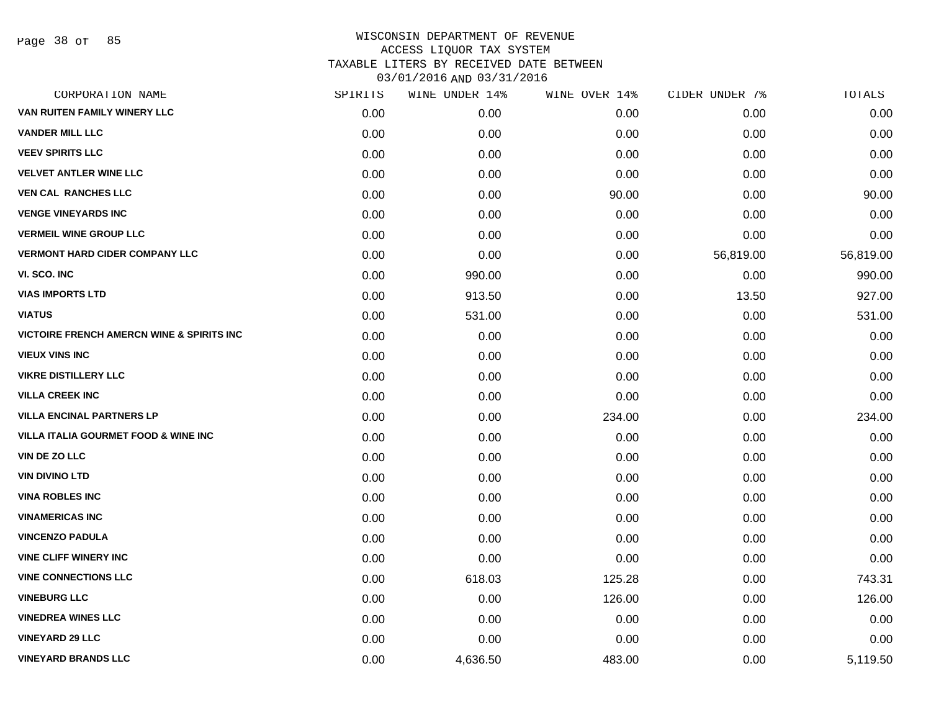Page 38 of 85

| CORPORATION NAME                                     | SPIRITS | WINE UNDER 14% | WINE OVER 14% | CIDER UNDER 7% | <b>TOTALS</b> |
|------------------------------------------------------|---------|----------------|---------------|----------------|---------------|
| VAN RUITEN FAMILY WINERY LLC                         | 0.00    | 0.00           | 0.00          | 0.00           | 0.00          |
| <b>VANDER MILL LLC</b>                               | 0.00    | 0.00           | 0.00          | 0.00           | 0.00          |
| <b>VEEV SPIRITS LLC</b>                              | 0.00    | 0.00           | 0.00          | 0.00           | 0.00          |
| <b>VELVET ANTLER WINE LLC</b>                        | 0.00    | 0.00           | 0.00          | 0.00           | 0.00          |
| <b>VEN CAL RANCHES LLC</b>                           | 0.00    | 0.00           | 90.00         | 0.00           | 90.00         |
| <b>VENGE VINEYARDS INC</b>                           | 0.00    | 0.00           | 0.00          | 0.00           | 0.00          |
| <b>VERMEIL WINE GROUP LLC</b>                        | 0.00    | 0.00           | 0.00          | 0.00           | 0.00          |
| <b>VERMONT HARD CIDER COMPANY LLC</b>                | 0.00    | 0.00           | 0.00          | 56,819.00      | 56,819.00     |
| VI. SCO. INC                                         | 0.00    | 990.00         | 0.00          | 0.00           | 990.00        |
| <b>VIAS IMPORTS LTD</b>                              | 0.00    | 913.50         | 0.00          | 13.50          | 927.00        |
| <b>VIATUS</b>                                        | 0.00    | 531.00         | 0.00          | 0.00           | 531.00        |
| <b>VICTOIRE FRENCH AMERCN WINE &amp; SPIRITS INC</b> | 0.00    | 0.00           | 0.00          | 0.00           | 0.00          |
| <b>VIEUX VINS INC</b>                                | 0.00    | 0.00           | 0.00          | 0.00           | 0.00          |
| <b>VIKRE DISTILLERY LLC</b>                          | 0.00    | 0.00           | 0.00          | 0.00           | 0.00          |
| <b>VILLA CREEK INC</b>                               | 0.00    | 0.00           | 0.00          | 0.00           | 0.00          |
| <b>VILLA ENCINAL PARTNERS LP</b>                     | 0.00    | 0.00           | 234.00        | 0.00           | 234.00        |
| <b>VILLA ITALIA GOURMET FOOD &amp; WINE INC</b>      | 0.00    | 0.00           | 0.00          | 0.00           | 0.00          |
| <b>VIN DE ZO LLC</b>                                 | 0.00    | 0.00           | 0.00          | 0.00           | 0.00          |
| <b>VIN DIVINO LTD</b>                                | 0.00    | 0.00           | 0.00          | 0.00           | 0.00          |
| <b>VINA ROBLES INC</b>                               | 0.00    | 0.00           | 0.00          | 0.00           | 0.00          |
| <b>VINAMERICAS INC</b>                               | 0.00    | 0.00           | 0.00          | 0.00           | 0.00          |
| <b>VINCENZO PADULA</b>                               | 0.00    | 0.00           | 0.00          | 0.00           | 0.00          |
| <b>VINE CLIFF WINERY INC</b>                         | 0.00    | 0.00           | 0.00          | 0.00           | 0.00          |
| <b>VINE CONNECTIONS LLC</b>                          | 0.00    | 618.03         | 125.28        | 0.00           | 743.31        |
| <b>VINEBURG LLC</b>                                  | 0.00    | 0.00           | 126.00        | 0.00           | 126.00        |
| <b>VINEDREA WINES LLC</b>                            | 0.00    | 0.00           | 0.00          | 0.00           | 0.00          |
| <b>VINEYARD 29 LLC</b>                               | 0.00    | 0.00           | 0.00          | 0.00           | 0.00          |
| <b>VINEYARD BRANDS LLC</b>                           | 0.00    | 4,636.50       | 483.00        | 0.00           | 5,119.50      |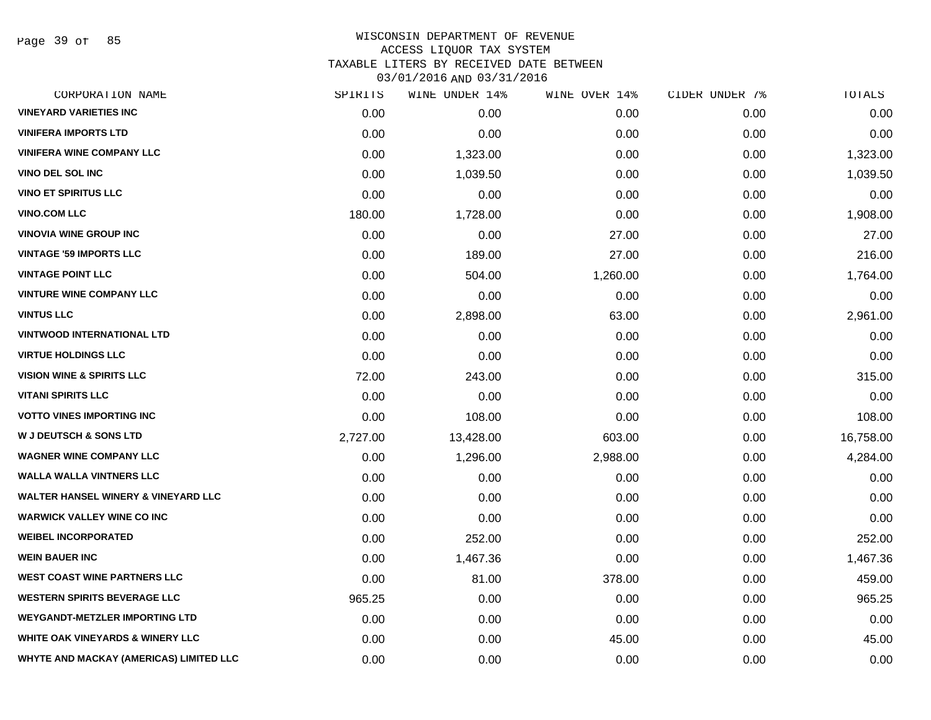Page 39 of 85

| CORPORATION NAME                               | SPIRITS  | WINE UNDER 14% | WINE OVER 14% | CIDER UNDER 7% | TOTALS    |
|------------------------------------------------|----------|----------------|---------------|----------------|-----------|
| <b>VINEYARD VARIETIES INC</b>                  | 0.00     | 0.00           | 0.00          | 0.00           | 0.00      |
| <b>VINIFERA IMPORTS LTD</b>                    | 0.00     | 0.00           | 0.00          | 0.00           | 0.00      |
| <b>VINIFERA WINE COMPANY LLC</b>               | 0.00     | 1,323.00       | 0.00          | 0.00           | 1,323.00  |
| <b>VINO DEL SOL INC</b>                        | 0.00     | 1,039.50       | 0.00          | 0.00           | 1,039.50  |
| <b>VINO ET SPIRITUS LLC</b>                    | 0.00     | 0.00           | 0.00          | 0.00           | 0.00      |
| <b>VINO.COM LLC</b>                            | 180.00   | 1,728.00       | 0.00          | 0.00           | 1,908.00  |
| <b>VINOVIA WINE GROUP INC</b>                  | 0.00     | 0.00           | 27.00         | 0.00           | 27.00     |
| <b>VINTAGE '59 IMPORTS LLC</b>                 | 0.00     | 189.00         | 27.00         | 0.00           | 216.00    |
| <b>VINTAGE POINT LLC</b>                       | 0.00     | 504.00         | 1,260.00      | 0.00           | 1,764.00  |
| <b>VINTURE WINE COMPANY LLC</b>                | 0.00     | 0.00           | 0.00          | 0.00           | 0.00      |
| <b>VINTUS LLC</b>                              | 0.00     | 2,898.00       | 63.00         | 0.00           | 2,961.00  |
| <b>VINTWOOD INTERNATIONAL LTD</b>              | 0.00     | 0.00           | 0.00          | 0.00           | 0.00      |
| <b>VIRTUE HOLDINGS LLC</b>                     | 0.00     | 0.00           | 0.00          | 0.00           | 0.00      |
| <b>VISION WINE &amp; SPIRITS LLC</b>           | 72.00    | 243.00         | 0.00          | 0.00           | 315.00    |
| <b>VITANI SPIRITS LLC</b>                      | 0.00     | 0.00           | 0.00          | 0.00           | 0.00      |
| <b>VOTTO VINES IMPORTING INC</b>               | 0.00     | 108.00         | 0.00          | 0.00           | 108.00    |
| <b>W J DEUTSCH &amp; SONS LTD</b>              | 2,727.00 | 13,428.00      | 603.00        | 0.00           | 16,758.00 |
| <b>WAGNER WINE COMPANY LLC</b>                 | 0.00     | 1,296.00       | 2,988.00      | 0.00           | 4,284.00  |
| <b>WALLA WALLA VINTNERS LLC</b>                | 0.00     | 0.00           | 0.00          | 0.00           | 0.00      |
| <b>WALTER HANSEL WINERY &amp; VINEYARD LLC</b> | 0.00     | 0.00           | 0.00          | 0.00           | 0.00      |
| <b>WARWICK VALLEY WINE CO INC</b>              | 0.00     | 0.00           | 0.00          | 0.00           | 0.00      |
| <b>WEIBEL INCORPORATED</b>                     | 0.00     | 252.00         | 0.00          | 0.00           | 252.00    |
| <b>WEIN BAUER INC</b>                          | 0.00     | 1,467.36       | 0.00          | 0.00           | 1,467.36  |
| <b>WEST COAST WINE PARTNERS LLC</b>            | 0.00     | 81.00          | 378.00        | 0.00           | 459.00    |
| <b>WESTERN SPIRITS BEVERAGE LLC</b>            | 965.25   | 0.00           | 0.00          | 0.00           | 965.25    |
| <b>WEYGANDT-METZLER IMPORTING LTD</b>          | 0.00     | 0.00           | 0.00          | 0.00           | 0.00      |
| <b>WHITE OAK VINEYARDS &amp; WINERY LLC</b>    | 0.00     | 0.00           | 45.00         | 0.00           | 45.00     |
| WHYTE AND MACKAY (AMERICAS) LIMITED LLC        | 0.00     | 0.00           | 0.00          | 0.00           | 0.00      |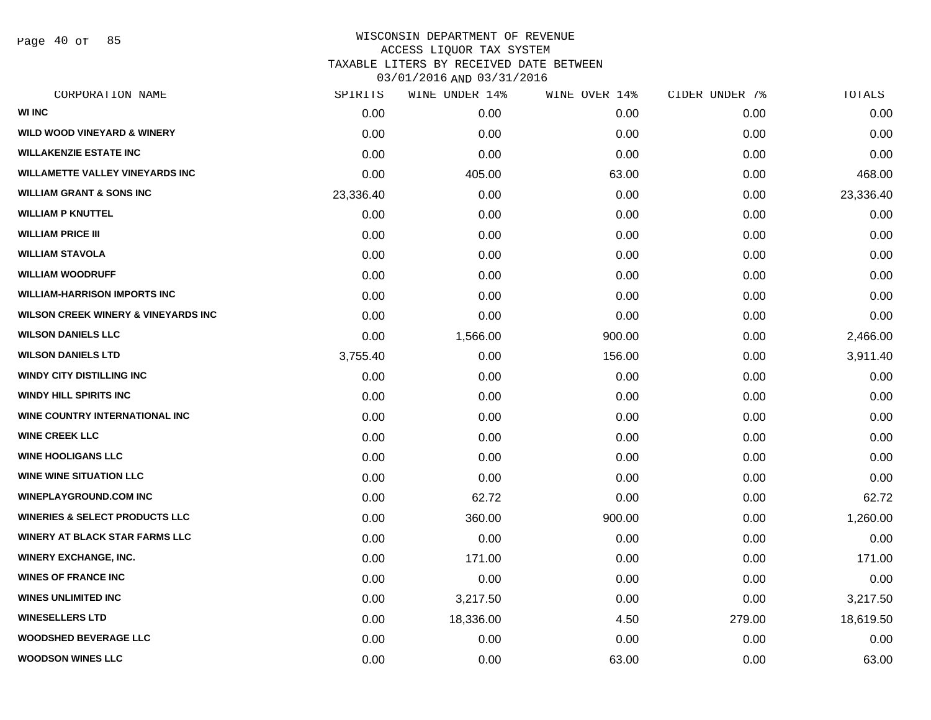Page 40 of 85

| CORPORATION NAME                               | SPIRITS   | WINE UNDER 14% | WINE OVER 14% | CIDER UNDER 7% | TOTALS    |
|------------------------------------------------|-----------|----------------|---------------|----------------|-----------|
| <b>WI INC</b>                                  | 0.00      | 0.00           | 0.00          | 0.00           | 0.00      |
| <b>WILD WOOD VINEYARD &amp; WINERY</b>         | 0.00      | 0.00           | 0.00          | 0.00           | 0.00      |
| <b>WILLAKENZIE ESTATE INC</b>                  | 0.00      | 0.00           | 0.00          | 0.00           | 0.00      |
| WILLAMETTE VALLEY VINEYARDS INC                | 0.00      | 405.00         | 63.00         | 0.00           | 468.00    |
| <b>WILLIAM GRANT &amp; SONS INC</b>            | 23,336.40 | 0.00           | 0.00          | 0.00           | 23,336.40 |
| <b>WILLIAM P KNUTTEL</b>                       | 0.00      | 0.00           | 0.00          | 0.00           | 0.00      |
| <b>WILLIAM PRICE III</b>                       | 0.00      | 0.00           | 0.00          | 0.00           | 0.00      |
| <b>WILLIAM STAVOLA</b>                         | 0.00      | 0.00           | 0.00          | 0.00           | 0.00      |
| WILLIAM WOODRUFF                               | 0.00      | 0.00           | 0.00          | 0.00           | 0.00      |
| <b>WILLIAM-HARRISON IMPORTS INC</b>            | 0.00      | 0.00           | 0.00          | 0.00           | 0.00      |
| <b>WILSON CREEK WINERY &amp; VINEYARDS INC</b> | 0.00      | 0.00           | 0.00          | 0.00           | 0.00      |
| <b>WILSON DANIELS LLC</b>                      | 0.00      | 1,566.00       | 900.00        | 0.00           | 2,466.00  |
| <b>WILSON DANIELS LTD</b>                      | 3,755.40  | 0.00           | 156.00        | 0.00           | 3,911.40  |
| <b>WINDY CITY DISTILLING INC</b>               | 0.00      | 0.00           | 0.00          | 0.00           | 0.00      |
| WINDY HILL SPIRITS INC                         | 0.00      | 0.00           | 0.00          | 0.00           | 0.00      |
| WINE COUNTRY INTERNATIONAL INC                 | 0.00      | 0.00           | 0.00          | 0.00           | 0.00      |
| <b>WINE CREEK LLC</b>                          | 0.00      | 0.00           | 0.00          | 0.00           | 0.00      |
| <b>WINE HOOLIGANS LLC</b>                      | 0.00      | 0.00           | 0.00          | 0.00           | 0.00      |
| <b>WINE WINE SITUATION LLC</b>                 | 0.00      | 0.00           | 0.00          | 0.00           | 0.00      |
| <b>WINEPLAYGROUND.COM INC</b>                  | 0.00      | 62.72          | 0.00          | 0.00           | 62.72     |
| <b>WINERIES &amp; SELECT PRODUCTS LLC</b>      | 0.00      | 360.00         | 900.00        | 0.00           | 1,260.00  |
| <b>WINERY AT BLACK STAR FARMS LLC</b>          | 0.00      | 0.00           | 0.00          | 0.00           | 0.00      |
| <b>WINERY EXCHANGE, INC.</b>                   | 0.00      | 171.00         | 0.00          | 0.00           | 171.00    |
| <b>WINES OF FRANCE INC</b>                     | 0.00      | 0.00           | 0.00          | 0.00           | 0.00      |
| <b>WINES UNLIMITED INC</b>                     | 0.00      | 3,217.50       | 0.00          | 0.00           | 3,217.50  |
| <b>WINESELLERS LTD</b>                         | 0.00      | 18,336.00      | 4.50          | 279.00         | 18,619.50 |
| <b>WOODSHED BEVERAGE LLC</b>                   | 0.00      | 0.00           | 0.00          | 0.00           | 0.00      |
| <b>WOODSON WINES LLC</b>                       | 0.00      | 0.00           | 63.00         | 0.00           | 63.00     |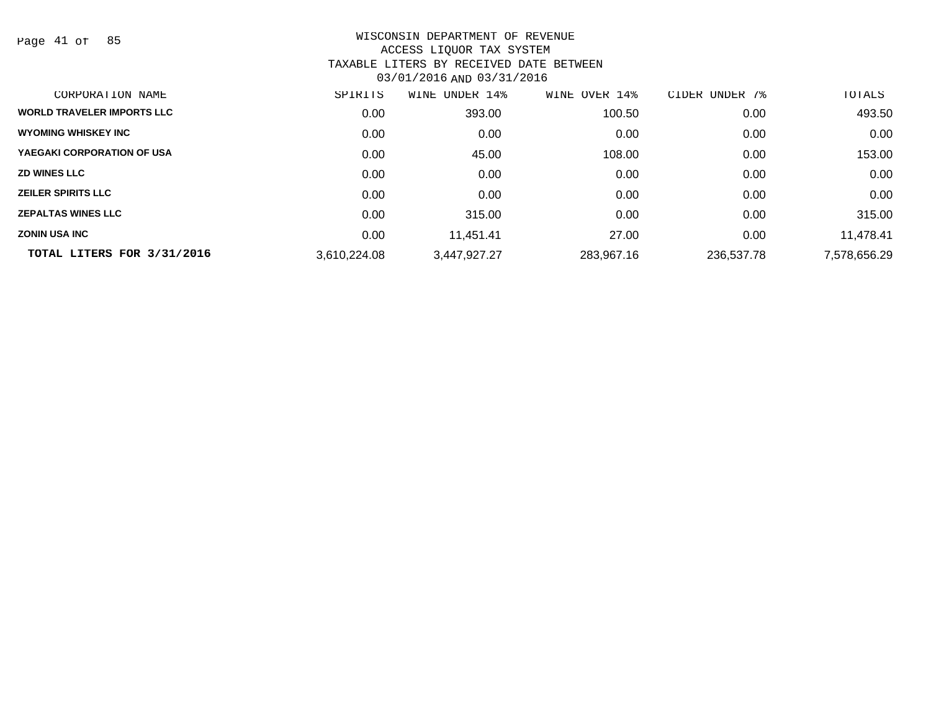Page 41 of 85

| CORPORATION NAME                  | SPIRITS      | UNDER 14%<br>WINE | WINE OVER 14% | 7%<br>CIDER<br>UNDER | TOTALS       |
|-----------------------------------|--------------|-------------------|---------------|----------------------|--------------|
| <b>WORLD TRAVELER IMPORTS LLC</b> | 0.00         | 393.00            | 100.50        | 0.00                 | 493.50       |
| <b>WYOMING WHISKEY INC</b>        | 0.00         | 0.00              | 0.00          | 0.00                 | 0.00         |
| YAEGAKI CORPORATION OF USA        | 0.00         | 45.00             | 108.00        | 0.00                 | 153.00       |
| <b>ZD WINES LLC</b>               | 0.00         | 0.00              | 0.00          | 0.00                 | 0.00         |
| <b>ZEILER SPIRITS LLC</b>         | 0.00         | 0.00              | 0.00          | 0.00                 | 0.00         |
| <b>ZEPALTAS WINES LLC</b>         | 0.00         | 315.00            | 0.00          | 0.00                 | 315.00       |
| <b>ZONIN USA INC</b>              | 0.00         | 11.451.41         | 27.00         | 0.00                 | 11,478.41    |
| TOTAL LITERS FOR 3/31/2016        | 3,610,224.08 | 3,447,927.27      | 283,967.16    | 236,537.78           | 7,578,656.29 |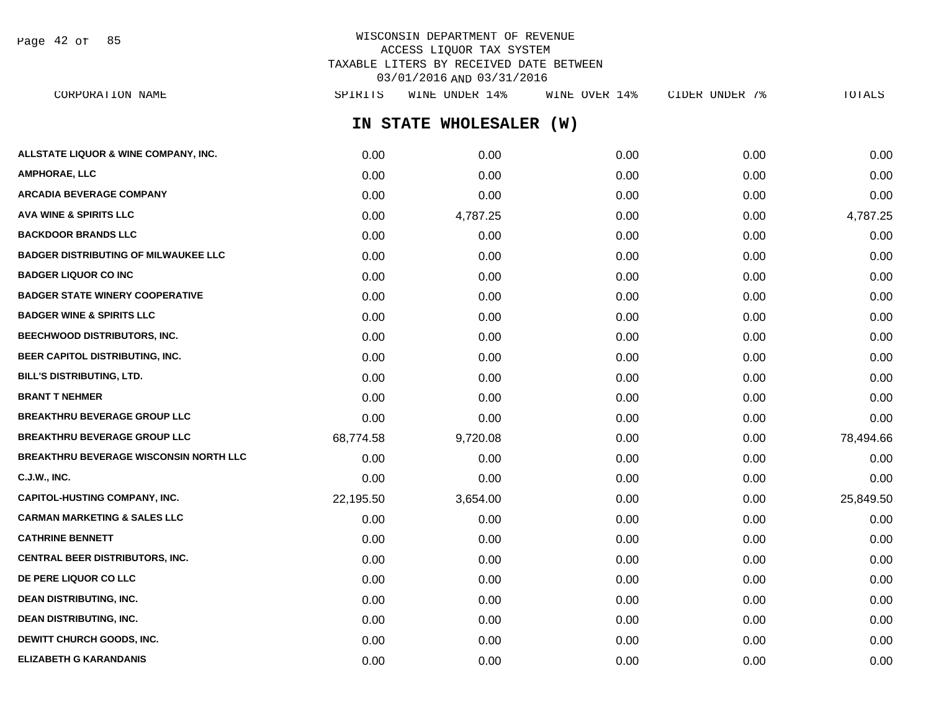Page 42 of 85

# WISCONSIN DEPARTMENT OF REVENUE ACCESS LIQUOR TAX SYSTEM TAXABLE LITERS BY RECEIVED DATE BETWEEN 03/01/2016 AND 03/31/2016

**IN STATE WHOLESALER (W) ALLSTATE LIQUOR & WINE COMPANY, INC.**  $0.00$   $0.00$   $0.00$   $0.00$   $0.00$   $0.00$   $0.00$   $0.00$   $0.00$   $0.00$   $0.00$   $0.00$ **AMPHORAE, LLC** 0.00 0.00 0.00 0.00 0.00 **ARCADIA BEVERAGE COMPANY** 0.00 0.00 0.00 0.00 0.00 **AVA WINE & SPIRITS LLC** 0.00 4,787.25 0.00 0.00 4,787.25 **BACKDOOR BRANDS LLC** 0.00 0.00 0.00 0.00 0.00 **BADGER DISTRIBUTING OF MILWAUKEE LLC** 0.00 0.00 0.00 0.00 0.00 **BADGER LIQUOR CO INC** 0.00 0.00 0.00 0.00 0.00 **BADGER STATE WINERY COOPERATIVE** 0.00 0.00 0.00 0.00 0.00 **BADGER WINE & SPIRITS LLC**  $\begin{array}{ccc} 0.00 & 0.00 & 0.00 \\ 0.00 & 0.00 & 0.00 \end{array}$ **BEECHWOOD DISTRIBUTORS, INC.** 0.00 0.00 0.00 0.00 0.00 **BEER CAPITOL DISTRIBUTING, INC.** 0.00 0.00 0.00 0.00 0.00 **BILL'S DISTRIBUTING, LTD.** 0.00 0.00 0.00 0.00 0.00 **BRANT T NEHMER** 0.00 0.00 0.00 0.00 0.00 **BREAKTHRU BEVERAGE GROUP LLC** 0.00 0.00 0.00 0.00 0.00 **BREAKTHRU BEVERAGE GROUP LLC**  $68,774.58$   $9,720.08$  0.00 0.00 0.00 78,494.66 **BREAKTHRU BEVERAGE WISCONSIN NORTH LLC** 0.00 0.00 0.00 0.00 0.00 **C.J.W., INC.** 0.00 0.00 0.00 0.00 0.00 **CAPITOL-HUSTING COMPANY, INC.** 22,195.50 3,654.00 0.00 0.00 25,849.50 **CARMAN MARKETING & SALES LLC** 0.00 0.00 0.00 0.00 0.00 **CATHRINE BENNETT** 0.00 0.00 0.00 0.00 0.00 **CENTRAL BEER DISTRIBUTORS, INC.** 0.00 0.00 0.00 0.00 0.00 **DE PERE LIQUOR CO LLC** 0.00 0.00 0.00 0.00 0.00 **DEAN DISTRIBUTING, INC.** 0.00 0.00 0.00 0.00 0.00 **DEAN DISTRIBUTING, INC.** 0.00 0.00 0.00 0.00 0.00 **DEWITT CHURCH GOODS, INC.** 0.00 0.00 0.00 0.00 0.00 CORPORATION NAME SPIRITS WINE UNDER 14% WINE OVER 14% CIDER UNDER 7% TOTALS

**ELIZABETH G KARANDANIS** 0.00 0.00 0.00 0.00 0.00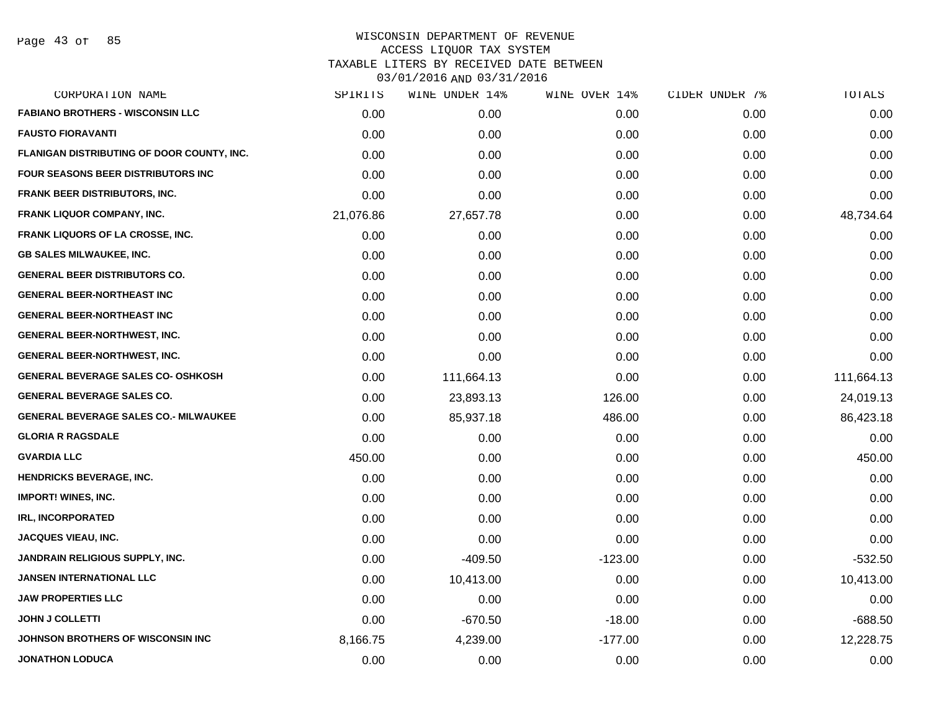| CORPORATION NAME                             | SPIRITS   | WINE UNDER 14% | WINE OVER 14% | CIDER UNDER 7% | TOTALS     |
|----------------------------------------------|-----------|----------------|---------------|----------------|------------|
| <b>FABIANO BROTHERS - WISCONSIN LLC</b>      | 0.00      | 0.00           | 0.00          | 0.00           | 0.00       |
| <b>FAUSTO FIORAVANTI</b>                     | 0.00      | 0.00           | 0.00          | 0.00           | 0.00       |
| FLANIGAN DISTRIBUTING OF DOOR COUNTY, INC.   | 0.00      | 0.00           | 0.00          | 0.00           | 0.00       |
| <b>FOUR SEASONS BEER DISTRIBUTORS INC.</b>   | 0.00      | 0.00           | 0.00          | 0.00           | 0.00       |
| <b>FRANK BEER DISTRIBUTORS, INC.</b>         | 0.00      | 0.00           | 0.00          | 0.00           | 0.00       |
| <b>FRANK LIQUOR COMPANY, INC.</b>            | 21,076.86 | 27,657.78      | 0.00          | 0.00           | 48,734.64  |
| FRANK LIQUORS OF LA CROSSE, INC.             | 0.00      | 0.00           | 0.00          | 0.00           | 0.00       |
| <b>GB SALES MILWAUKEE, INC.</b>              | 0.00      | 0.00           | 0.00          | 0.00           | 0.00       |
| <b>GENERAL BEER DISTRIBUTORS CO.</b>         | 0.00      | 0.00           | 0.00          | 0.00           | 0.00       |
| <b>GENERAL BEER-NORTHEAST INC</b>            | 0.00      | 0.00           | 0.00          | 0.00           | 0.00       |
| <b>GENERAL BEER-NORTHEAST INC</b>            | 0.00      | 0.00           | 0.00          | 0.00           | 0.00       |
| <b>GENERAL BEER-NORTHWEST, INC.</b>          | 0.00      | 0.00           | 0.00          | 0.00           | 0.00       |
| <b>GENERAL BEER-NORTHWEST, INC.</b>          | 0.00      | 0.00           | 0.00          | 0.00           | 0.00       |
| <b>GENERAL BEVERAGE SALES CO- OSHKOSH</b>    | 0.00      | 111,664.13     | 0.00          | 0.00           | 111,664.13 |
| <b>GENERAL BEVERAGE SALES CO.</b>            | 0.00      | 23,893.13      | 126.00        | 0.00           | 24,019.13  |
| <b>GENERAL BEVERAGE SALES CO.- MILWAUKEE</b> | 0.00      | 85,937.18      | 486.00        | 0.00           | 86,423.18  |
| <b>GLORIA R RAGSDALE</b>                     | 0.00      | 0.00           | 0.00          | 0.00           | 0.00       |
| <b>GVARDIA LLC</b>                           | 450.00    | 0.00           | 0.00          | 0.00           | 450.00     |
| <b>HENDRICKS BEVERAGE, INC.</b>              | 0.00      | 0.00           | 0.00          | 0.00           | 0.00       |
| <b>IMPORT! WINES, INC.</b>                   | 0.00      | 0.00           | 0.00          | 0.00           | 0.00       |
| <b>IRL, INCORPORATED</b>                     | 0.00      | 0.00           | 0.00          | 0.00           | 0.00       |
| <b>JACQUES VIEAU, INC.</b>                   | 0.00      | 0.00           | 0.00          | 0.00           | 0.00       |
| <b>JANDRAIN RELIGIOUS SUPPLY, INC.</b>       | 0.00      | $-409.50$      | $-123.00$     | 0.00           | $-532.50$  |
| <b>JANSEN INTERNATIONAL LLC</b>              | 0.00      | 10,413.00      | 0.00          | 0.00           | 10,413.00  |
| <b>JAW PROPERTIES LLC</b>                    | 0.00      | 0.00           | 0.00          | 0.00           | 0.00       |
| <b>JOHN J COLLETTI</b>                       | 0.00      | $-670.50$      | $-18.00$      | 0.00           | $-688.50$  |
| JOHNSON BROTHERS OF WISCONSIN INC            | 8,166.75  | 4,239.00       | $-177.00$     | 0.00           | 12,228.75  |
| <b>JONATHON LODUCA</b>                       | 0.00      | 0.00           | 0.00          | 0.00           | 0.00       |
|                                              |           |                |               |                |            |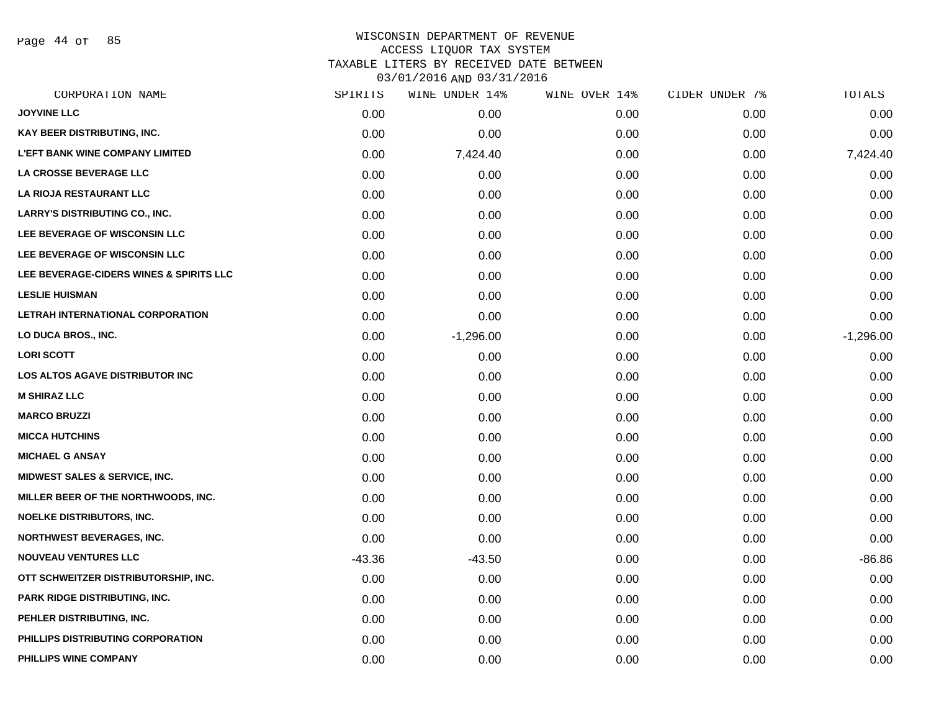Page 44 of 85

| CORPORATION NAME                        | SPIRITS  | WINE UNDER 14% | WINE OVER 14% | CIDER UNDER 7% | TOTALS      |
|-----------------------------------------|----------|----------------|---------------|----------------|-------------|
| <b>JOYVINE LLC</b>                      | 0.00     | 0.00           | 0.00          | 0.00           | 0.00        |
| KAY BEER DISTRIBUTING, INC.             | 0.00     | 0.00           | 0.00          | 0.00           | 0.00        |
| <b>L'EFT BANK WINE COMPANY LIMITED</b>  | 0.00     | 7,424.40       | 0.00          | 0.00           | 7,424.40    |
| LA CROSSE BEVERAGE LLC                  | 0.00     | 0.00           | 0.00          | 0.00           | 0.00        |
| LA RIOJA RESTAURANT LLC                 | 0.00     | 0.00           | 0.00          | 0.00           | 0.00        |
| <b>LARRY'S DISTRIBUTING CO., INC.</b>   | 0.00     | 0.00           | 0.00          | 0.00           | 0.00        |
| LEE BEVERAGE OF WISCONSIN LLC           | 0.00     | 0.00           | 0.00          | 0.00           | 0.00        |
| LEE BEVERAGE OF WISCONSIN LLC           | 0.00     | 0.00           | 0.00          | 0.00           | 0.00        |
| LEE BEVERAGE-CIDERS WINES & SPIRITS LLC | 0.00     | 0.00           | 0.00          | 0.00           | 0.00        |
| <b>LESLIE HUISMAN</b>                   | 0.00     | 0.00           | 0.00          | 0.00           | 0.00        |
| LETRAH INTERNATIONAL CORPORATION        | 0.00     | 0.00           | 0.00          | 0.00           | 0.00        |
| LO DUCA BROS., INC.                     | 0.00     | $-1,296.00$    | 0.00          | 0.00           | $-1,296.00$ |
| <b>LORI SCOTT</b>                       | 0.00     | 0.00           | 0.00          | 0.00           | 0.00        |
| LOS ALTOS AGAVE DISTRIBUTOR INC         | 0.00     | 0.00           | 0.00          | 0.00           | 0.00        |
| <b>M SHIRAZ LLC</b>                     | 0.00     | 0.00           | 0.00          | 0.00           | 0.00        |
| <b>MARCO BRUZZI</b>                     | 0.00     | 0.00           | 0.00          | 0.00           | 0.00        |
| <b>MICCA HUTCHINS</b>                   | 0.00     | 0.00           | 0.00          | 0.00           | 0.00        |
| <b>MICHAEL G ANSAY</b>                  | 0.00     | 0.00           | 0.00          | 0.00           | 0.00        |
| MIDWEST SALES & SERVICE, INC.           | 0.00     | 0.00           | 0.00          | 0.00           | 0.00        |
| MILLER BEER OF THE NORTHWOODS, INC.     | 0.00     | 0.00           | 0.00          | 0.00           | 0.00        |
| NOELKE DISTRIBUTORS, INC.               | 0.00     | 0.00           | 0.00          | 0.00           | 0.00        |
| <b>NORTHWEST BEVERAGES, INC.</b>        | 0.00     | 0.00           | 0.00          | 0.00           | 0.00        |
| <b>NOUVEAU VENTURES LLC</b>             | $-43.36$ | $-43.50$       | 0.00          | 0.00           | $-86.86$    |
| OTT SCHWEITZER DISTRIBUTORSHIP, INC.    | 0.00     | 0.00           | 0.00          | 0.00           | 0.00        |
| PARK RIDGE DISTRIBUTING, INC.           | 0.00     | 0.00           | 0.00          | 0.00           | 0.00        |
| PEHLER DISTRIBUTING, INC.               | 0.00     | 0.00           | 0.00          | 0.00           | 0.00        |
| PHILLIPS DISTRIBUTING CORPORATION       | 0.00     | 0.00           | 0.00          | 0.00           | 0.00        |
| PHILLIPS WINE COMPANY                   | 0.00     | 0.00           | 0.00          | 0.00           | 0.00        |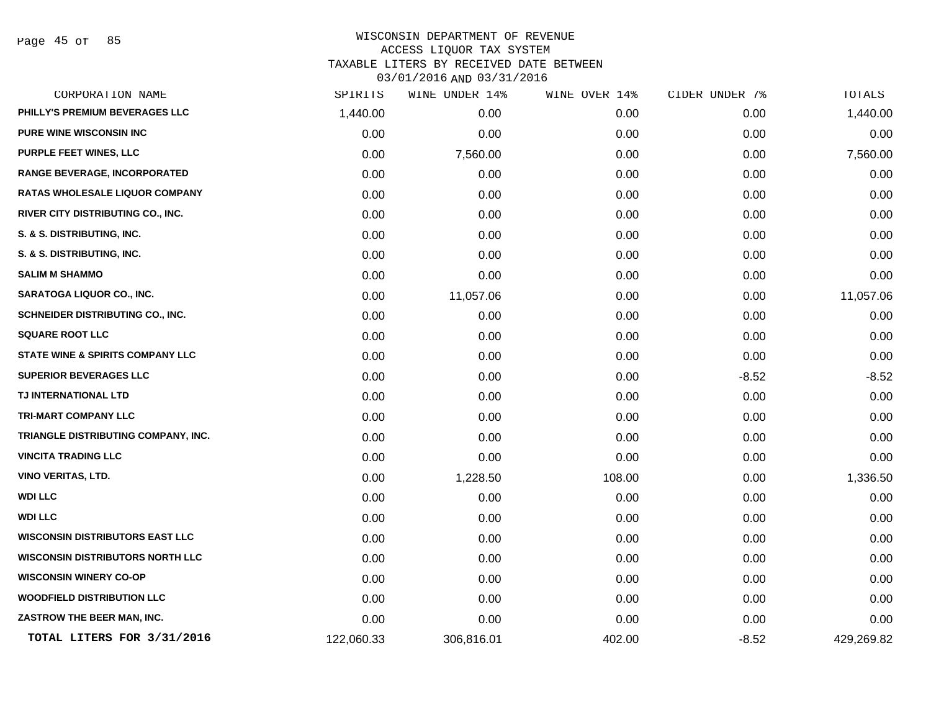Page 45 of 85

| CORPORATION NAME                            | SPIRITS    | WINE UNDER 14% | WINE OVER 14% | CIDER UNDER 7% | TOTALS     |
|---------------------------------------------|------------|----------------|---------------|----------------|------------|
| PHILLY'S PREMIUM BEVERAGES LLC              | 1,440.00   | 0.00           | 0.00          | 0.00           | 1,440.00   |
| <b>PURE WINE WISCONSIN INC</b>              | 0.00       | 0.00           | 0.00          | 0.00           | 0.00       |
| PURPLE FEET WINES, LLC                      | 0.00       | 7,560.00       | 0.00          | 0.00           | 7,560.00   |
| <b>RANGE BEVERAGE, INCORPORATED</b>         | 0.00       | 0.00           | 0.00          | 0.00           | 0.00       |
| <b>RATAS WHOLESALE LIQUOR COMPANY</b>       | 0.00       | 0.00           | 0.00          | 0.00           | 0.00       |
| RIVER CITY DISTRIBUTING CO., INC.           | 0.00       | 0.00           | 0.00          | 0.00           | 0.00       |
| S. & S. DISTRIBUTING, INC.                  | 0.00       | 0.00           | 0.00          | 0.00           | 0.00       |
| S. & S. DISTRIBUTING, INC.                  | 0.00       | 0.00           | 0.00          | 0.00           | 0.00       |
| <b>SALIM M SHAMMO</b>                       | 0.00       | 0.00           | 0.00          | 0.00           | 0.00       |
| <b>SARATOGA LIQUOR CO., INC.</b>            | 0.00       | 11,057.06      | 0.00          | 0.00           | 11,057.06  |
| SCHNEIDER DISTRIBUTING CO., INC.            | 0.00       | 0.00           | 0.00          | 0.00           | 0.00       |
| <b>SQUARE ROOT LLC</b>                      | 0.00       | 0.00           | 0.00          | 0.00           | 0.00       |
| <b>STATE WINE &amp; SPIRITS COMPANY LLC</b> | 0.00       | 0.00           | 0.00          | 0.00           | 0.00       |
| <b>SUPERIOR BEVERAGES LLC</b>               | 0.00       | 0.00           | 0.00          | $-8.52$        | $-8.52$    |
| TJ INTERNATIONAL LTD                        | 0.00       | 0.00           | 0.00          | 0.00           | 0.00       |
| <b>TRI-MART COMPANY LLC</b>                 | 0.00       | 0.00           | 0.00          | 0.00           | 0.00       |
| TRIANGLE DISTRIBUTING COMPANY, INC.         | 0.00       | 0.00           | 0.00          | 0.00           | 0.00       |
| <b>VINCITA TRADING LLC</b>                  | 0.00       | 0.00           | 0.00          | 0.00           | 0.00       |
| <b>VINO VERITAS, LTD.</b>                   | 0.00       | 1,228.50       | 108.00        | 0.00           | 1,336.50   |
| <b>WDI LLC</b>                              | 0.00       | 0.00           | 0.00          | 0.00           | 0.00       |
| <b>WDI LLC</b>                              | 0.00       | 0.00           | 0.00          | 0.00           | 0.00       |
| <b>WISCONSIN DISTRIBUTORS EAST LLC</b>      | 0.00       | 0.00           | 0.00          | 0.00           | 0.00       |
| <b>WISCONSIN DISTRIBUTORS NORTH LLC</b>     | 0.00       | 0.00           | 0.00          | 0.00           | 0.00       |
| <b>WISCONSIN WINERY CO-OP</b>               | 0.00       | 0.00           | 0.00          | 0.00           | 0.00       |
| <b>WOODFIELD DISTRIBUTION LLC</b>           | 0.00       | 0.00           | 0.00          | 0.00           | 0.00       |
| ZASTROW THE BEER MAN, INC.                  | 0.00       | 0.00           | 0.00          | 0.00           | 0.00       |
| TOTAL LITERS FOR 3/31/2016                  | 122,060.33 | 306,816.01     | 402.00        | $-8.52$        | 429,269.82 |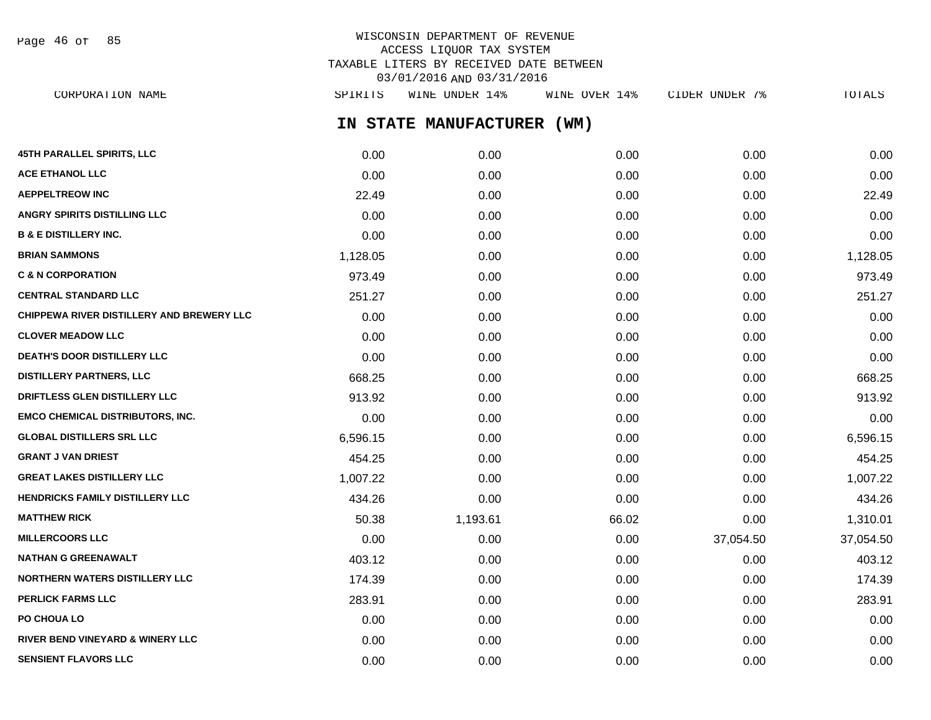Page 46 of 85

# WISCONSIN DEPARTMENT OF REVENUE ACCESS LIQUOR TAX SYSTEM TAXABLE LITERS BY RECEIVED DATE BETWEEN 03/01/2016 AND 03/31/2016

**IN STATE MANUFACTURER (WM) 45TH PARALLEL SPIRITS, LLC** 0.00 0.00 0.00 0.00 0.00 **ACE ETHANOL LLC** 0.00 0.00 0.00 0.00 0.00 **AEPPELTREOW INC** 22.49 0.00 0.00 0.00 22.49 **ANGRY SPIRITS DISTILLING LLC** 0.00 0.00 0.00 0.00 0.00 **B & E DISTILLERY INC.** 0.00 0.00 0.00 0.00 0.00 **BRIAN SAMMONS** 1,128.05 0.00 0.00 0.00 1,128.05 **C & N CORPORATION** 973.49 0.00 0.00 0.00 973.49 **CENTRAL STANDARD LLC** 251.27 0.00 0.00 0.00 251.27 **CHIPPEWA RIVER DISTILLERY AND BREWERY LLC** 0.00 0.00 0.00 0.00 0.00 **CLOVER MEADOW LLC** 0.00 0.00 0.00 0.00 0.00 **DEATH'S DOOR DISTILLERY LLC**  $0.00$   $0.00$   $0.00$   $0.00$   $0.00$   $0.00$   $0.00$   $0.00$   $0.00$   $0.00$   $0.00$   $0.00$   $0.00$   $0.00$   $0.00$   $0.00$   $0.00$   $0.00$   $0.00$   $0.00$   $0.00$   $0.00$   $0.00$   $0.00$   $0.00$   $0.00$   $0.00$   $0.$ **DISTILLERY PARTNERS, LLC** 668.25 0.00 0.00 0.00 668.25 **DRIFTLESS GLEN DISTILLERY LLC** 913.92 0.00 0.00 0.00 913.92 **EMCO CHEMICAL DISTRIBUTORS, INC.** 0.00 0.00 0.00 0.00 0.00 **GLOBAL DISTILLERS SRL LLC** 6,596.15 0.00 0.00 0.00 6,596.15 **GRANT J VAN DRIEST** 454.25 0.00 0.00 0.00 454.25 **GREAT LAKES DISTILLERY LLC** 1,007.22 0.00 0.00 0.00 1,007.22 **HENDRICKS FAMILY DISTILLERY LLC**  $434.26$   $0.00$   $0.00$   $0.00$   $0.00$   $0.00$   $434.26$ **MATTHEW RICK** 50.38 1,193.61 66.02 0.00 1,310.01 **MILLERCOORS LLC** 0.00 0.00 0.00 37,054.50 37,054.50 **NATHAN G GREENAWALT** 403.12 0.00 0.00 0.00 403.12 **NORTHERN WATERS DISTILLERY LLC** 174.39 0.00 0.00 0.00 0.00 0.00 0.00 0.00 174.39 **PERLICK FARMS LLC** 283.91 283.91 283.91 283.91 283.91 283.91 283.91 283.91 283.91 283.91 283.91 283.91 283.91 283.91 **PO CHOUA LO** 0.00 0.00 0.00 0.00 0.00 **RIVER BEND VINEYARD & WINERY LLC** 0.00 0.00 0.00 0.00 0.00 CORPORATION NAME SPIRITS WINE UNDER 14% WINE OVER 14% CIDER UNDER 7% TOTALS

**SENSIENT FLAVORS LLC** 0.00 0.00 0.00 0.00 0.00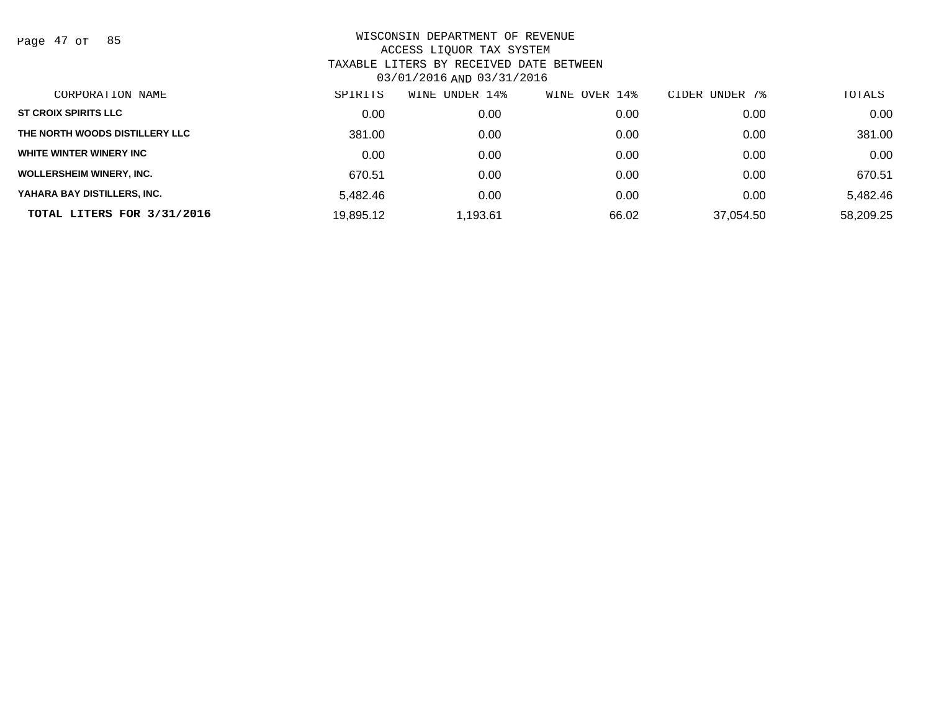Page 47 of 85

| CORPORATION NAME                | SPIRITS   | UNDER 14%<br>WINE | WINE OVER 14% | CIDER UNDER 7% | TOTALS    |
|---------------------------------|-----------|-------------------|---------------|----------------|-----------|
| <b>ST CROIX SPIRITS LLC</b>     | 0.00      | 0.00              | 0.00          | 0.00           | 0.00      |
| THE NORTH WOODS DISTILLERY LLC  | 381.00    | 0.00              | 0.00          | 0.00           | 381.00    |
| WHITE WINTER WINERY INC         | 0.00      | 0.00              | 0.00          | 0.00           | 0.00      |
| <b>WOLLERSHEIM WINERY, INC.</b> | 670.51    | 0.00              | 0.00          | 0.00           | 670.51    |
| YAHARA BAY DISTILLERS, INC.     | 5,482.46  | 0.00              | 0.00          | 0.00           | 5,482.46  |
| TOTAL LITERS FOR 3/31/2016      | 19,895.12 | ,193.61           | 66.02         | 37,054.50      | 58,209.25 |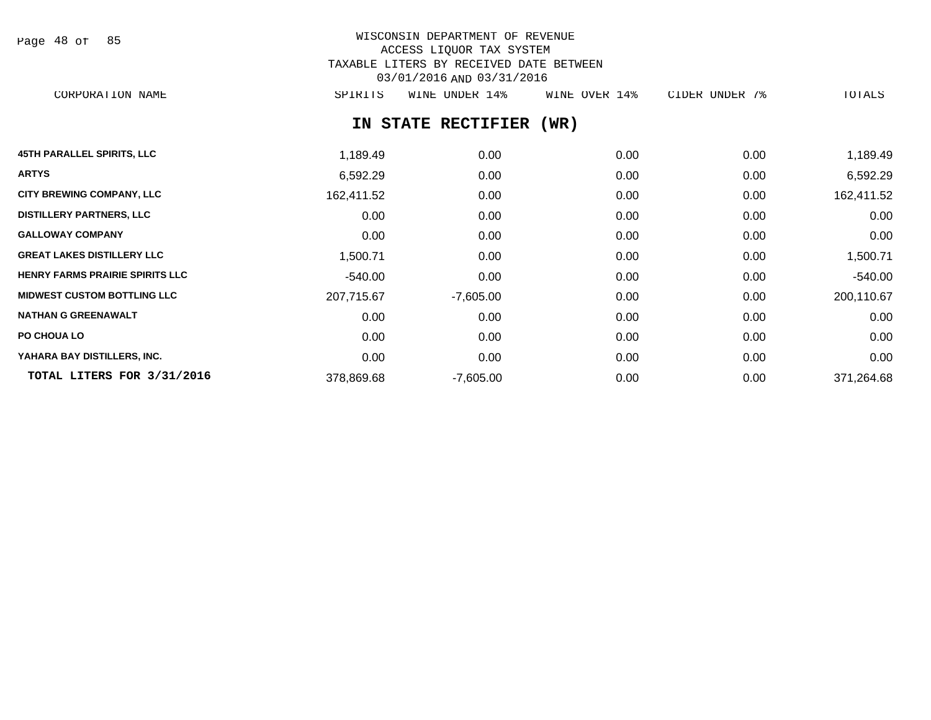| Page 48 of |  |  | 85 |
|------------|--|--|----|
|------------|--|--|----|

# WISCONSIN DEPARTMENT OF REVENUE ACCESS LIQUOR TAX SYSTEM TAXABLE LITERS BY RECEIVED DATE BETWEEN 03/01/2016 AND 03/31/2016

CORPORATION NAME SPIRITS WINE UNDER 14% WINE OVER 14% CIDER UNDER 7% TOTALS

# **IN STATE RECTIFIER (WR)**

| <b>45TH PARALLEL SPIRITS, LLC</b>      | 1,189.49   | 0.00        | 0.00 | 0.00 | 1,189.49   |
|----------------------------------------|------------|-------------|------|------|------------|
| <b>ARTYS</b>                           | 6,592.29   | 0.00        | 0.00 | 0.00 | 6,592.29   |
| <b>CITY BREWING COMPANY, LLC</b>       | 162,411.52 | 0.00        | 0.00 | 0.00 | 162,411.52 |
| <b>DISTILLERY PARTNERS, LLC</b>        | 0.00       | 0.00        | 0.00 | 0.00 | 0.00       |
| <b>GALLOWAY COMPANY</b>                | 0.00       | 0.00        | 0.00 | 0.00 | 0.00       |
| <b>GREAT LAKES DISTILLERY LLC</b>      | 1,500.71   | 0.00        | 0.00 | 0.00 | 1,500.71   |
| <b>HENRY FARMS PRAIRIE SPIRITS LLC</b> | $-540.00$  | 0.00        | 0.00 | 0.00 | $-540.00$  |
| <b>MIDWEST CUSTOM BOTTLING LLC</b>     | 207,715.67 | $-7,605.00$ | 0.00 | 0.00 | 200,110.67 |
| <b>NATHAN G GREENAWALT</b>             | 0.00       | 0.00        | 0.00 | 0.00 | 0.00       |
| <b>PO CHOUA LO</b>                     | 0.00       | 0.00        | 0.00 | 0.00 | 0.00       |
| YAHARA BAY DISTILLERS, INC.            | 0.00       | 0.00        | 0.00 | 0.00 | 0.00       |
| TOTAL LITERS FOR 3/31/2016             | 378,869.68 | $-7,605.00$ | 0.00 | 0.00 | 371,264.68 |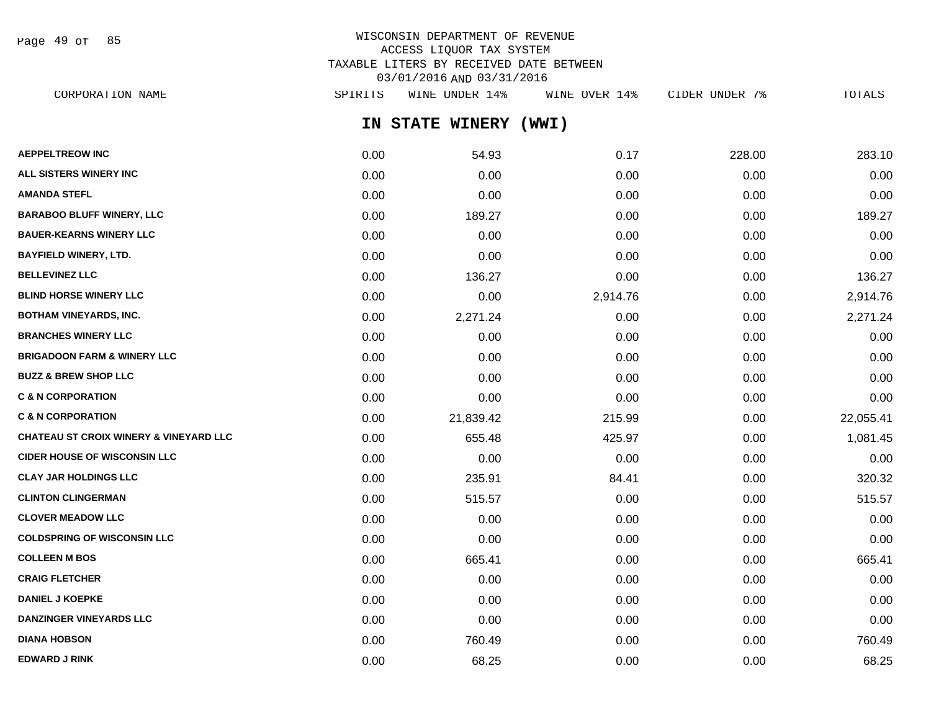Page 49 of 85

# WISCONSIN DEPARTMENT OF REVENUE ACCESS LIQUOR TAX SYSTEM TAXABLE LITERS BY RECEIVED DATE BETWEEN 03/01/2016 AND 03/31/2016

**IN STATE WINERY (WWI) AEPPELTREOW INC** 0.00 54.93 0.17 228.00 283.10 **ALL SISTERS WINERY INC** 0.00 0.00 0.00 0.00 0.00 **AMANDA STEFL** 0.00 0.00 0.00 0.00 0.00 **BARABOO BLUFF WINERY, LLC** 0.00 189.27 0.00 189.27 **BAUER-KEARNS WINERY LLC** 0.00 0.00 0.00 0.00 0.00 **BAYFIELD WINERY, LTD.** 0.00 0.00 0.00 0.00 0.00 **BELLEVINEZ LLC** 0.00 136.27 0.00 0.00 136.27 **BLIND HORSE WINERY LLC** 0.00 0.00 2,914.76 0.00 2,914.76 **BOTHAM VINEYARDS, INC.** 0.00 2,271.24 0.00 0.00 2,271.24 **BRANCHES WINERY LLC** 0.00 0.00 0.00 0.00 0.00 **BRIGADOON FARM & WINERY LLC**  $0.00$   $0.00$   $0.00$   $0.00$   $0.00$   $0.00$   $0.00$   $0.00$   $0.00$   $0.00$   $0.00$   $0.00$   $0.00$ **BUZZ & BREW SHOP LLC**  $\begin{array}{ccccccc} 0.00 & 0.00 & 0.00 & 0.00 & 0.00 & 0.00 & 0.00 & 0.00 & 0.00 & 0.00 & 0.00 & 0.00 & 0.00 & 0.00 & 0.00 & 0.00 & 0.00 & 0.00 & 0.00 & 0.00 & 0.00 & 0.00 & 0.00 & 0.00 & 0.00 & 0.00 & 0.00 & 0.00 & 0.00 & 0.00 & 0.00 & 0.0$ **C & N CORPORATION CONSUMED ASSOCIATION CONSUMING A LOCAL CONSUMING A LOCAL CONSUMING A LOCAL CONSUMING A LOCAL CONSUMING A LOCAL CONSUMING A LOCAL CONSUMING A LOCAL CONSUMING A LOCAL CONSUMING A LOCAL CONSUMING A LOCAL CO C & N CORPORATION** 0.00 21,839.42 215.99 0.00 22,055.41 **CHATEAU ST CROIX WINERY & VINEYARD LLC** 0.00 655.48 425.97 0.00 1,081.45 **CIDER HOUSE OF WISCONSIN LLC** 0.00 0.00 0.00 0.00 0.00 **CLAY JAR HOLDINGS LLC** 84.41 84.41 **84.41** 84.41 84.41 0.00 320.32 **CLINTON CLINGERMAN** 0.00 515.57 0.00 0.00 515.57 **CLOVER MEADOW LLC** 0.00 0.00 0.00 0.00 0.00 **COLDSPRING OF WISCONSIN LLC** 0.00 0.00 0.00 0.00 0.00 **COLLEEN M BOS** 0.00 665.41 0.00 0.00 665.41 **CRAIG FLETCHER** 0.00 0.00 0.00 0.00 0.00 **DANIEL J KOEPKE** 0.00 0.00 0.00 0.00 0.00 **DANZINGER VINEYARDS LLC** 0.00 0.00 0.00 0.00 0.00 **DIANA HOBSON** 0.00 760.49 0.00 0.00 760.49 CORPORATION NAME SPIRITS WINE UNDER 14% WINE OVER 14% CIDER UNDER 7% TOTALS

**EDWARD J RINK** 0.00 68.25 0.00 0.00 68.25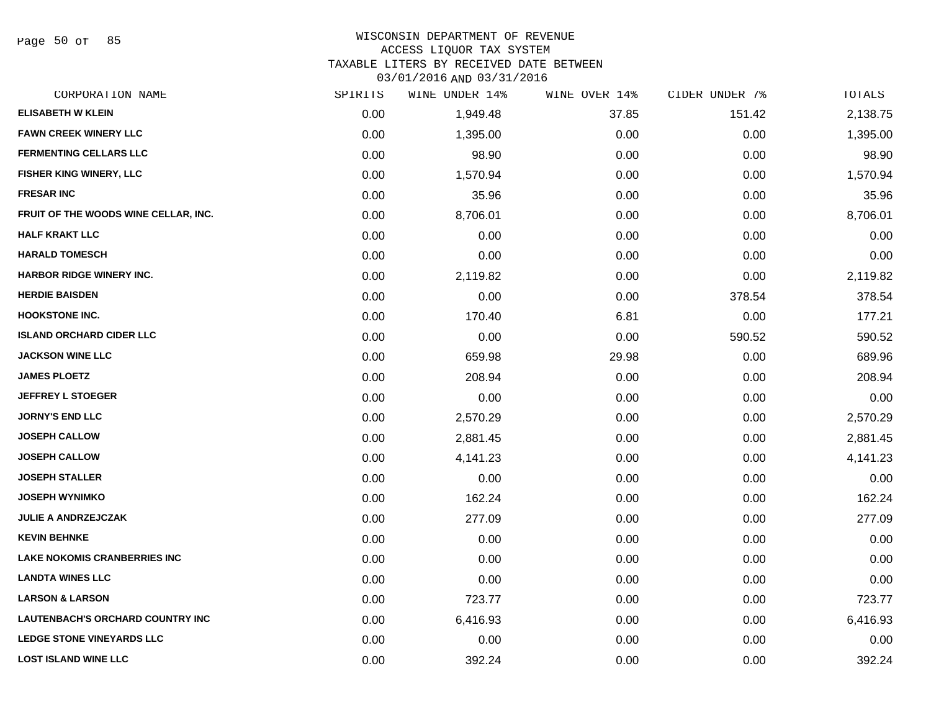Page 50 of 85

#### WISCONSIN DEPARTMENT OF REVENUE

#### ACCESS LIQUOR TAX SYSTEM

TAXABLE LITERS BY RECEIVED DATE BETWEEN

03/01/2016 AND 03/31/2016

| CORPORATION NAME                        | SPIRITS | WINE UNDER 14% | WINE OVER 14% | CIDER UNDER 7% | TOTALS   |
|-----------------------------------------|---------|----------------|---------------|----------------|----------|
| <b>ELISABETH W KLEIN</b>                | 0.00    | 1,949.48       | 37.85         | 151.42         | 2,138.75 |
| <b>FAWN CREEK WINERY LLC</b>            | 0.00    | 1,395.00       | 0.00          | 0.00           | 1,395.00 |
| <b>FERMENTING CELLARS LLC</b>           | 0.00    | 98.90          | 0.00          | 0.00           | 98.90    |
| FISHER KING WINERY, LLC                 | 0.00    | 1,570.94       | 0.00          | 0.00           | 1,570.94 |
| <b>FRESAR INC</b>                       | 0.00    | 35.96          | 0.00          | 0.00           | 35.96    |
| FRUIT OF THE WOODS WINE CELLAR, INC.    | 0.00    | 8,706.01       | 0.00          | 0.00           | 8,706.01 |
| <b>HALF KRAKT LLC</b>                   | 0.00    | 0.00           | 0.00          | 0.00           | 0.00     |
| <b>HARALD TOMESCH</b>                   | 0.00    | 0.00           | 0.00          | 0.00           | 0.00     |
| HARBOR RIDGE WINERY INC.                | 0.00    | 2,119.82       | 0.00          | 0.00           | 2,119.82 |
| <b>HERDIE BAISDEN</b>                   | 0.00    | 0.00           | 0.00          | 378.54         | 378.54   |
| <b>HOOKSTONE INC.</b>                   | 0.00    | 170.40         | 6.81          | 0.00           | 177.21   |
| <b>ISLAND ORCHARD CIDER LLC</b>         | 0.00    | 0.00           | 0.00          | 590.52         | 590.52   |
| <b>JACKSON WINE LLC</b>                 | 0.00    | 659.98         | 29.98         | 0.00           | 689.96   |
| <b>JAMES PLOETZ</b>                     | 0.00    | 208.94         | 0.00          | 0.00           | 208.94   |
| <b>JEFFREY L STOEGER</b>                | 0.00    | 0.00           | 0.00          | 0.00           | 0.00     |
| <b>JORNY'S END LLC</b>                  | 0.00    | 2,570.29       | 0.00          | 0.00           | 2,570.29 |
| <b>JOSEPH CALLOW</b>                    | 0.00    | 2,881.45       | 0.00          | 0.00           | 2,881.45 |
| <b>JOSEPH CALLOW</b>                    | 0.00    | 4,141.23       | 0.00          | 0.00           | 4,141.23 |
| <b>JOSEPH STALLER</b>                   | 0.00    | 0.00           | 0.00          | 0.00           | 0.00     |
| <b>JOSEPH WYNIMKO</b>                   | 0.00    | 162.24         | 0.00          | 0.00           | 162.24   |
| <b>JULIE A ANDRZEJCZAK</b>              | 0.00    | 277.09         | 0.00          | 0.00           | 277.09   |
| <b>KEVIN BEHNKE</b>                     | 0.00    | 0.00           | 0.00          | 0.00           | 0.00     |
| <b>LAKE NOKOMIS CRANBERRIES INC</b>     | 0.00    | 0.00           | 0.00          | 0.00           | 0.00     |
| <b>LANDTA WINES LLC</b>                 | 0.00    | 0.00           | 0.00          | 0.00           | 0.00     |
| <b>LARSON &amp; LARSON</b>              | 0.00    | 723.77         | 0.00          | 0.00           | 723.77   |
| <b>LAUTENBACH'S ORCHARD COUNTRY INC</b> | 0.00    | 6,416.93       | 0.00          | 0.00           | 6,416.93 |
| <b>LEDGE STONE VINEYARDS LLC</b>        | 0.00    | 0.00           | 0.00          | 0.00           | 0.00     |
| <b>LOST ISLAND WINE LLC</b>             | 0.00    | 392.24         | 0.00          | 0.00           | 392.24   |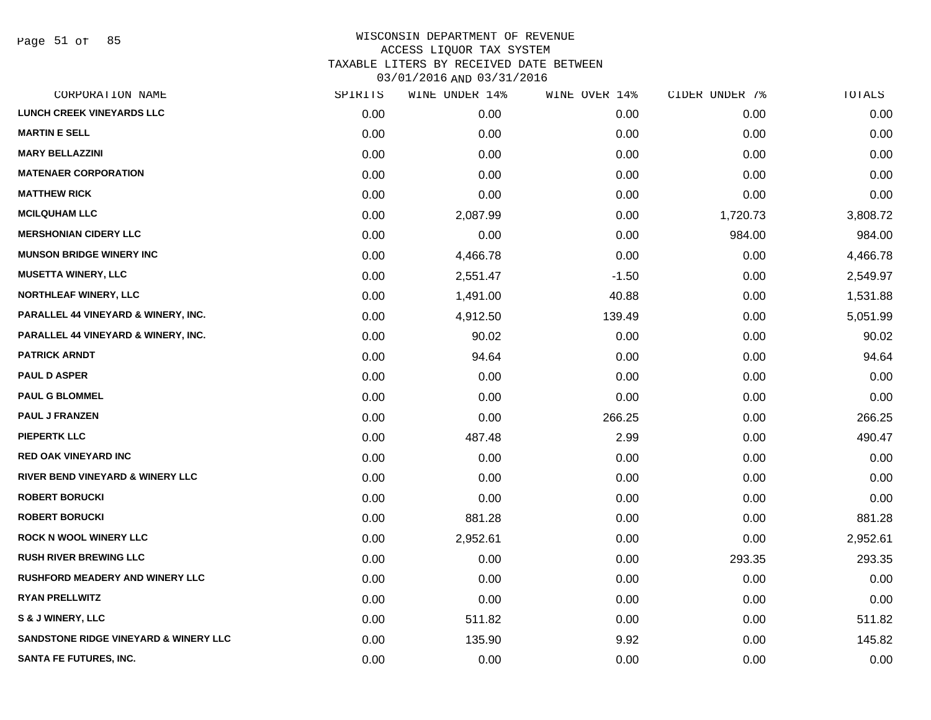Page 51 of 85

| CORPORATION NAME                                 | SPIRITS | WINE UNDER 14% | WINE OVER 14% | CIDER UNDER 7% | TOTALS   |
|--------------------------------------------------|---------|----------------|---------------|----------------|----------|
| <b>LUNCH CREEK VINEYARDS LLC</b>                 | 0.00    | 0.00           | 0.00          | 0.00           | 0.00     |
| <b>MARTIN E SELL</b>                             | 0.00    | 0.00           | 0.00          | 0.00           | 0.00     |
| <b>MARY BELLAZZINI</b>                           | 0.00    | 0.00           | 0.00          | 0.00           | 0.00     |
| <b>MATENAER CORPORATION</b>                      | 0.00    | 0.00           | 0.00          | 0.00           | 0.00     |
| <b>MATTHEW RICK</b>                              | 0.00    | 0.00           | 0.00          | 0.00           | 0.00     |
| <b>MCILQUHAM LLC</b>                             | 0.00    | 2,087.99       | 0.00          | 1,720.73       | 3,808.72 |
| <b>MERSHONIAN CIDERY LLC</b>                     | 0.00    | 0.00           | 0.00          | 984.00         | 984.00   |
| <b>MUNSON BRIDGE WINERY INC</b>                  | 0.00    | 4,466.78       | 0.00          | 0.00           | 4,466.78 |
| <b>MUSETTA WINERY, LLC</b>                       | 0.00    | 2,551.47       | $-1.50$       | 0.00           | 2,549.97 |
| <b>NORTHLEAF WINERY, LLC</b>                     | 0.00    | 1,491.00       | 40.88         | 0.00           | 1,531.88 |
| <b>PARALLEL 44 VINEYARD &amp; WINERY, INC.</b>   | 0.00    | 4,912.50       | 139.49        | 0.00           | 5,051.99 |
| <b>PARALLEL 44 VINEYARD &amp; WINERY, INC.</b>   | 0.00    | 90.02          | 0.00          | 0.00           | 90.02    |
| <b>PATRICK ARNDT</b>                             | 0.00    | 94.64          | 0.00          | 0.00           | 94.64    |
| <b>PAUL D ASPER</b>                              | 0.00    | 0.00           | 0.00          | 0.00           | 0.00     |
| <b>PAUL G BLOMMEL</b>                            | 0.00    | 0.00           | 0.00          | 0.00           | 0.00     |
| <b>PAUL J FRANZEN</b>                            | 0.00    | 0.00           | 266.25        | 0.00           | 266.25   |
| <b>PIEPERTK LLC</b>                              | 0.00    | 487.48         | 2.99          | 0.00           | 490.47   |
| <b>RED OAK VINEYARD INC</b>                      | 0.00    | 0.00           | 0.00          | 0.00           | 0.00     |
| RIVER BEND VINEYARD & WINERY LLC                 | 0.00    | 0.00           | 0.00          | 0.00           | 0.00     |
| <b>ROBERT BORUCKI</b>                            | 0.00    | 0.00           | 0.00          | 0.00           | 0.00     |
| <b>ROBERT BORUCKI</b>                            | 0.00    | 881.28         | 0.00          | 0.00           | 881.28   |
| <b>ROCK N WOOL WINERY LLC</b>                    | 0.00    | 2,952.61       | 0.00          | 0.00           | 2,952.61 |
| <b>RUSH RIVER BREWING LLC</b>                    | 0.00    | 0.00           | 0.00          | 293.35         | 293.35   |
| <b>RUSHFORD MEADERY AND WINERY LLC</b>           | 0.00    | 0.00           | 0.00          | 0.00           | 0.00     |
| <b>RYAN PRELLWITZ</b>                            | 0.00    | 0.00           | 0.00          | 0.00           | 0.00     |
| S & J WINERY, LLC                                | 0.00    | 511.82         | 0.00          | 0.00           | 511.82   |
| <b>SANDSTONE RIDGE VINEYARD &amp; WINERY LLC</b> | 0.00    | 135.90         | 9.92          | 0.00           | 145.82   |
| <b>SANTA FE FUTURES, INC.</b>                    | 0.00    | 0.00           | 0.00          | 0.00           | 0.00     |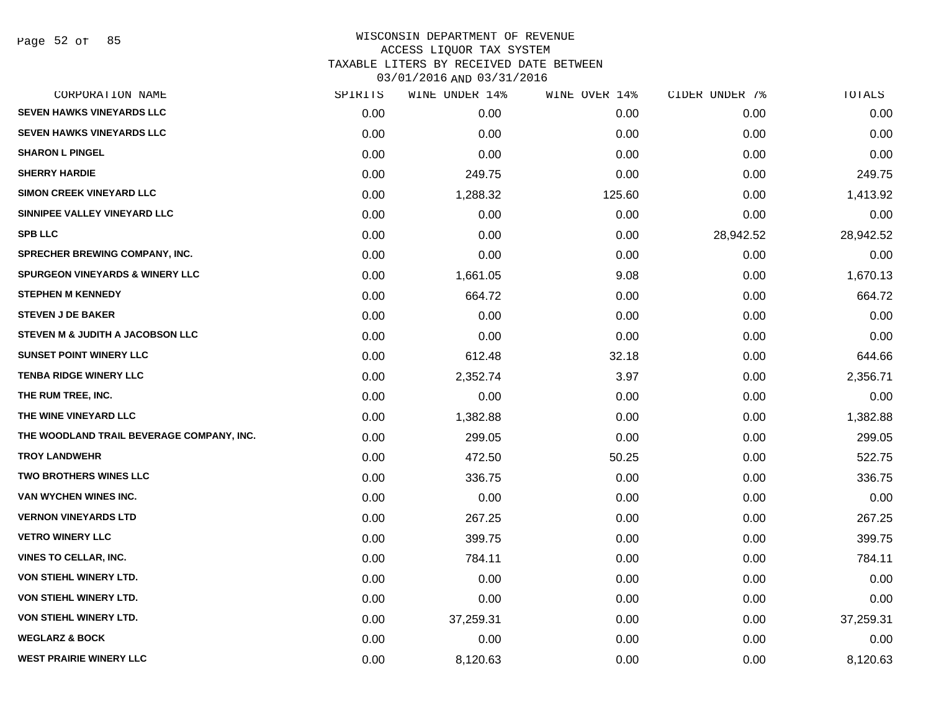# WISCONSIN DEPARTMENT OF REVENUE ACCESS LIQUOR TAX SYSTEM TAXABLE LITERS BY RECEIVED DATE BETWEEN

03/01/2016 AND 03/31/2016

| CORPORATION NAME                           | SPIRITS | WINE UNDER 14% | WINE OVER 14% | CIDER UNDER 7% | TOTALS    |
|--------------------------------------------|---------|----------------|---------------|----------------|-----------|
| <b>SEVEN HAWKS VINEYARDS LLC</b>           | 0.00    | 0.00           | 0.00          | 0.00           | 0.00      |
| <b>SEVEN HAWKS VINEYARDS LLC</b>           | 0.00    | 0.00           | 0.00          | 0.00           | 0.00      |
| <b>SHARON L PINGEL</b>                     | 0.00    | 0.00           | 0.00          | 0.00           | 0.00      |
| <b>SHERRY HARDIE</b>                       | 0.00    | 249.75         | 0.00          | 0.00           | 249.75    |
| <b>SIMON CREEK VINEYARD LLC</b>            | 0.00    | 1,288.32       | 125.60        | 0.00           | 1,413.92  |
| SINNIPEE VALLEY VINEYARD LLC               | 0.00    | 0.00           | 0.00          | 0.00           | 0.00      |
| <b>SPB LLC</b>                             | 0.00    | 0.00           | 0.00          | 28,942.52      | 28,942.52 |
| SPRECHER BREWING COMPANY, INC.             | 0.00    | 0.00           | 0.00          | 0.00           | 0.00      |
| <b>SPURGEON VINEYARDS &amp; WINERY LLC</b> | 0.00    | 1,661.05       | 9.08          | 0.00           | 1,670.13  |
| <b>STEPHEN M KENNEDY</b>                   | 0.00    | 664.72         | 0.00          | 0.00           | 664.72    |
| <b>STEVEN J DE BAKER</b>                   | 0.00    | 0.00           | 0.00          | 0.00           | 0.00      |
| STEVEN M & JUDITH A JACOBSON LLC           | 0.00    | 0.00           | 0.00          | 0.00           | 0.00      |
| <b>SUNSET POINT WINERY LLC</b>             | 0.00    | 612.48         | 32.18         | 0.00           | 644.66    |
| <b>TENBA RIDGE WINERY LLC</b>              | 0.00    | 2,352.74       | 3.97          | 0.00           | 2,356.71  |
| THE RUM TREE, INC.                         | 0.00    | 0.00           | 0.00          | 0.00           | 0.00      |
| THE WINE VINEYARD LLC                      | 0.00    | 1,382.88       | 0.00          | 0.00           | 1,382.88  |
| THE WOODLAND TRAIL BEVERAGE COMPANY, INC.  | 0.00    | 299.05         | 0.00          | 0.00           | 299.05    |
| <b>TROY LANDWEHR</b>                       | 0.00    | 472.50         | 50.25         | 0.00           | 522.75    |
| <b>TWO BROTHERS WINES LLC</b>              | 0.00    | 336.75         | 0.00          | 0.00           | 336.75    |
| VAN WYCHEN WINES INC.                      | 0.00    | 0.00           | 0.00          | 0.00           | 0.00      |
| <b>VERNON VINEYARDS LTD</b>                | 0.00    | 267.25         | 0.00          | 0.00           | 267.25    |
| <b>VETRO WINERY LLC</b>                    | 0.00    | 399.75         | 0.00          | 0.00           | 399.75    |
| <b>VINES TO CELLAR, INC.</b>               | 0.00    | 784.11         | 0.00          | 0.00           | 784.11    |
| VON STIEHL WINERY LTD.                     | 0.00    | 0.00           | 0.00          | 0.00           | 0.00      |
| VON STIEHL WINERY LTD.                     | 0.00    | 0.00           | 0.00          | 0.00           | 0.00      |
| VON STIEHL WINERY LTD.                     | 0.00    | 37,259.31      | 0.00          | 0.00           | 37,259.31 |
| <b>WEGLARZ &amp; BOCK</b>                  | 0.00    | 0.00           | 0.00          | 0.00           | 0.00      |
| <b>WEST PRAIRIE WINERY LLC</b>             | 0.00    | 8,120.63       | 0.00          | 0.00           | 8,120.63  |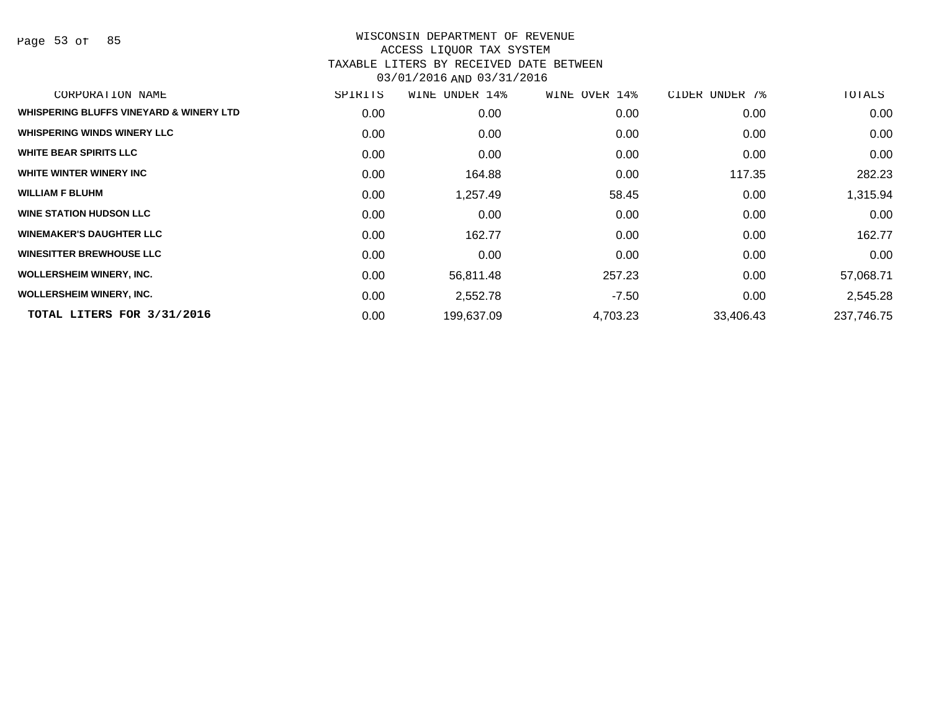Page 53 of 85

| CORPORATION NAME                        | SPIRITS | UNDER 14%<br>WINE | WINE OVER 14% | CIDER UNDER 7% | TOTALS     |
|-----------------------------------------|---------|-------------------|---------------|----------------|------------|
| WHISPERING BLUFFS VINEYARD & WINERY LTD | 0.00    | 0.00              | 0.00          | 0.00           | 0.00       |
| <b>WHISPERING WINDS WINERY LLC</b>      | 0.00    | 0.00              | 0.00          | 0.00           | 0.00       |
| <b>WHITE BEAR SPIRITS LLC</b>           | 0.00    | 0.00              | 0.00          | 0.00           | 0.00       |
| WHITE WINTER WINERY INC                 | 0.00    | 164.88            | 0.00          | 117.35         | 282.23     |
| <b>WILLIAM F BLUHM</b>                  | 0.00    | 1,257.49          | 58.45         | 0.00           | 1,315.94   |
| <b>WINE STATION HUDSON LLC</b>          | 0.00    | 0.00              | 0.00          | 0.00           | 0.00       |
| <b>WINEMAKER'S DAUGHTER LLC</b>         | 0.00    | 162.77            | 0.00          | 0.00           | 162.77     |
| <b>WINESITTER BREWHOUSE LLC</b>         | 0.00    | 0.00              | 0.00          | 0.00           | 0.00       |
| <b>WOLLERSHEIM WINERY, INC.</b>         | 0.00    | 56,811.48         | 257.23        | 0.00           | 57,068.71  |
| <b>WOLLERSHEIM WINERY, INC.</b>         | 0.00    | 2,552.78          | $-7.50$       | 0.00           | 2,545.28   |
| TOTAL LITERS FOR 3/31/2016              | 0.00    | 199,637.09        | 4,703.23      | 33,406.43      | 237,746.75 |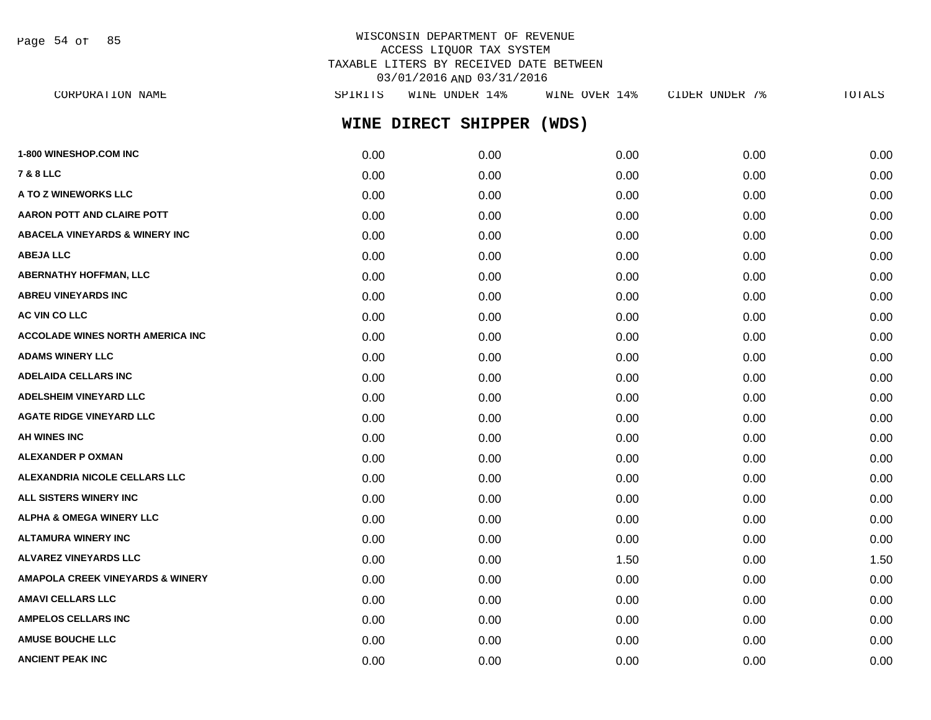Page 54 of 85

# WISCONSIN DEPARTMENT OF REVENUE ACCESS LIQUOR TAX SYSTEM TAXABLE LITERS BY RECEIVED DATE BETWEEN 03/01/2016 AND 03/31/2016

| CORPORATION NAME                            | SPIRITS | WINE UNDER 14%      | WINE OVER 14% | CIDER UNDER 7% | TOTALS |
|---------------------------------------------|---------|---------------------|---------------|----------------|--------|
|                                             |         | WINE DIRECT SHIPPER | (WDS)         |                |        |
| <b>1-800 WINESHOP.COM INC</b>               | 0.00    | 0.00                | 0.00          | 0.00           | 0.00   |
| 7 & 8 LLC                                   | 0.00    | 0.00                | 0.00          | 0.00           | 0.00   |
| <b>A TO Z WINEWORKS LLC</b>                 | 0.00    | 0.00                | 0.00          | 0.00           | 0.00   |
| AARON POTT AND CLAIRE POTT                  | 0.00    | 0.00                | 0.00          | 0.00           | 0.00   |
| <b>ABACELA VINEYARDS &amp; WINERY INC</b>   | 0.00    | 0.00                | 0.00          | 0.00           | 0.00   |
| <b>ABEJA LLC</b>                            | 0.00    | 0.00                | 0.00          | 0.00           | 0.00   |
| ABERNATHY HOFFMAN, LLC                      | 0.00    | 0.00                | 0.00          | 0.00           | 0.00   |
| <b>ABREU VINEYARDS INC</b>                  | 0.00    | 0.00                | 0.00          | 0.00           | 0.00   |
| <b>AC VIN CO LLC</b>                        | 0.00    | 0.00                | 0.00          | 0.00           | 0.00   |
| ACCOLADE WINES NORTH AMERICA INC            | 0.00    | 0.00                | 0.00          | 0.00           | 0.00   |
| <b>ADAMS WINERY LLC</b>                     | 0.00    | 0.00                | 0.00          | 0.00           | 0.00   |
| <b>ADELAIDA CELLARS INC</b>                 | 0.00    | 0.00                | 0.00          | 0.00           | 0.00   |
| <b>ADELSHEIM VINEYARD LLC</b>               | 0.00    | 0.00                | 0.00          | 0.00           | 0.00   |
| <b>AGATE RIDGE VINEYARD LLC</b>             | 0.00    | 0.00                | 0.00          | 0.00           | 0.00   |
| AH WINES INC                                | 0.00    | 0.00                | 0.00          | 0.00           | 0.00   |
| ALEXANDER P OXMAN                           | 0.00    | 0.00                | 0.00          | 0.00           | 0.00   |
| <b>ALEXANDRIA NICOLE CELLARS LLC</b>        | 0.00    | 0.00                | 0.00          | 0.00           | 0.00   |
| ALL SISTERS WINERY INC                      | 0.00    | 0.00                | 0.00          | 0.00           | 0.00   |
| <b>ALPHA &amp; OMEGA WINERY LLC</b>         | 0.00    | 0.00                | 0.00          | 0.00           | 0.00   |
| ALTAMURA WINERY INC                         | 0.00    | 0.00                | 0.00          | 0.00           | 0.00   |
| ALVAREZ VINEYARDS LLC                       | 0.00    | 0.00                | 1.50          | 0.00           | 1.50   |
| <b>AMAPOLA CREEK VINEYARDS &amp; WINERY</b> | 0.00    | 0.00                | 0.00          | 0.00           | 0.00   |
| AMAVI CELLARS LLC                           | 0.00    | 0.00                | 0.00          | 0.00           | 0.00   |
| <b>AMPELOS CELLARS INC</b>                  | 0.00    | 0.00                | 0.00          | 0.00           | 0.00   |
| <b>AMUSE BOUCHE LLC</b>                     | 0.00    | 0.00                | 0.00          | 0.00           | 0.00   |

**ANCIENT PEAK INC** 0.00 0.00 0.00 0.00 0.00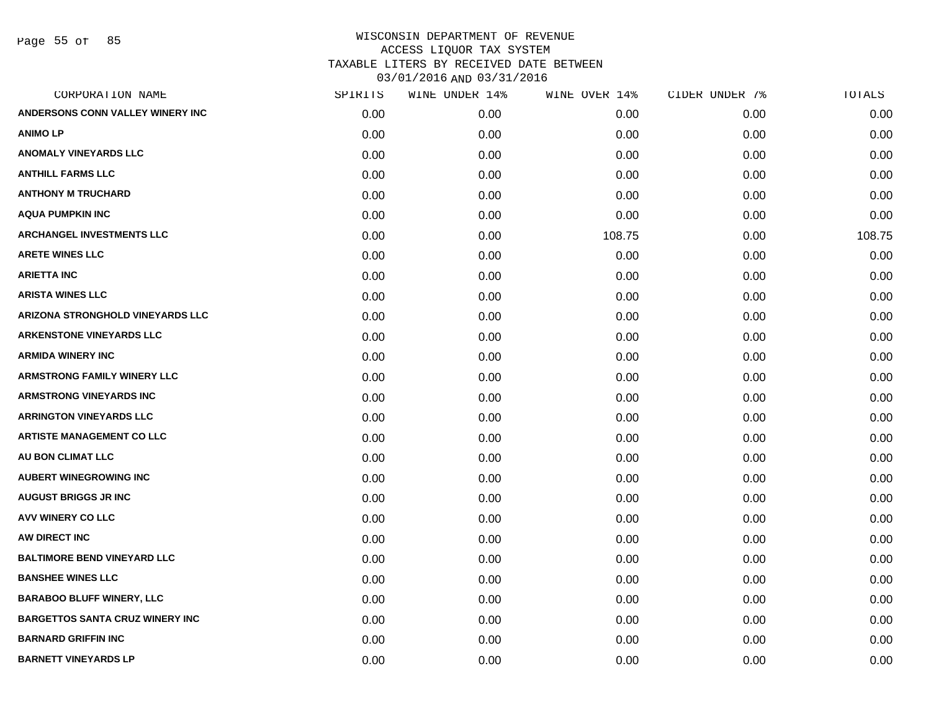Page 55 of 85

| CORPORATION NAME                        | SPIRITS | WINE UNDER 14% | WINE OVER 14% | CIDER UNDER 7% | TOTALS |
|-----------------------------------------|---------|----------------|---------------|----------------|--------|
| ANDERSONS CONN VALLEY WINERY INC        | 0.00    | 0.00           | 0.00          | 0.00           | 0.00   |
| <b>ANIMOLP</b>                          | 0.00    | 0.00           | 0.00          | 0.00           | 0.00   |
| <b>ANOMALY VINEYARDS LLC</b>            | 0.00    | 0.00           | 0.00          | 0.00           | 0.00   |
| <b>ANTHILL FARMS LLC</b>                | 0.00    | 0.00           | 0.00          | 0.00           | 0.00   |
| <b>ANTHONY M TRUCHARD</b>               | 0.00    | 0.00           | 0.00          | 0.00           | 0.00   |
| <b>AQUA PUMPKIN INC</b>                 | 0.00    | 0.00           | 0.00          | 0.00           | 0.00   |
| ARCHANGEL INVESTMENTS LLC               | 0.00    | 0.00           | 108.75        | 0.00           | 108.75 |
| <b>ARETE WINES LLC</b>                  | 0.00    | 0.00           | 0.00          | 0.00           | 0.00   |
| <b>ARIETTA INC</b>                      | 0.00    | 0.00           | 0.00          | 0.00           | 0.00   |
| <b>ARISTA WINES LLC</b>                 | 0.00    | 0.00           | 0.00          | 0.00           | 0.00   |
| <b>ARIZONA STRONGHOLD VINEYARDS LLC</b> | 0.00    | 0.00           | 0.00          | 0.00           | 0.00   |
| <b>ARKENSTONE VINEYARDS LLC</b>         | 0.00    | 0.00           | 0.00          | 0.00           | 0.00   |
| <b>ARMIDA WINERY INC</b>                | 0.00    | 0.00           | 0.00          | 0.00           | 0.00   |
| <b>ARMSTRONG FAMILY WINERY LLC</b>      | 0.00    | 0.00           | 0.00          | 0.00           | 0.00   |
| <b>ARMSTRONG VINEYARDS INC</b>          | 0.00    | 0.00           | 0.00          | 0.00           | 0.00   |
| <b>ARRINGTON VINEYARDS LLC</b>          | 0.00    | 0.00           | 0.00          | 0.00           | 0.00   |
| <b>ARTISTE MANAGEMENT CO LLC</b>        | 0.00    | 0.00           | 0.00          | 0.00           | 0.00   |
| <b>AU BON CLIMAT LLC</b>                | 0.00    | 0.00           | 0.00          | 0.00           | 0.00   |
| <b>AUBERT WINEGROWING INC</b>           | 0.00    | 0.00           | 0.00          | 0.00           | 0.00   |
| <b>AUGUST BRIGGS JR INC</b>             | 0.00    | 0.00           | 0.00          | 0.00           | 0.00   |
| <b>AVV WINERY CO LLC</b>                | 0.00    | 0.00           | 0.00          | 0.00           | 0.00   |
| AW DIRECT INC                           | 0.00    | 0.00           | 0.00          | 0.00           | 0.00   |
| <b>BALTIMORE BEND VINEYARD LLC</b>      | 0.00    | 0.00           | 0.00          | 0.00           | 0.00   |
| <b>BANSHEE WINES LLC</b>                | 0.00    | 0.00           | 0.00          | 0.00           | 0.00   |
| <b>BARABOO BLUFF WINERY, LLC</b>        | 0.00    | 0.00           | 0.00          | 0.00           | 0.00   |
| <b>BARGETTOS SANTA CRUZ WINERY INC</b>  | 0.00    | 0.00           | 0.00          | 0.00           | 0.00   |
| <b>BARNARD GRIFFIN INC</b>              | 0.00    | 0.00           | 0.00          | 0.00           | 0.00   |
| <b>BARNETT VINEYARDS LP</b>             | 0.00    | 0.00           | 0.00          | 0.00           | 0.00   |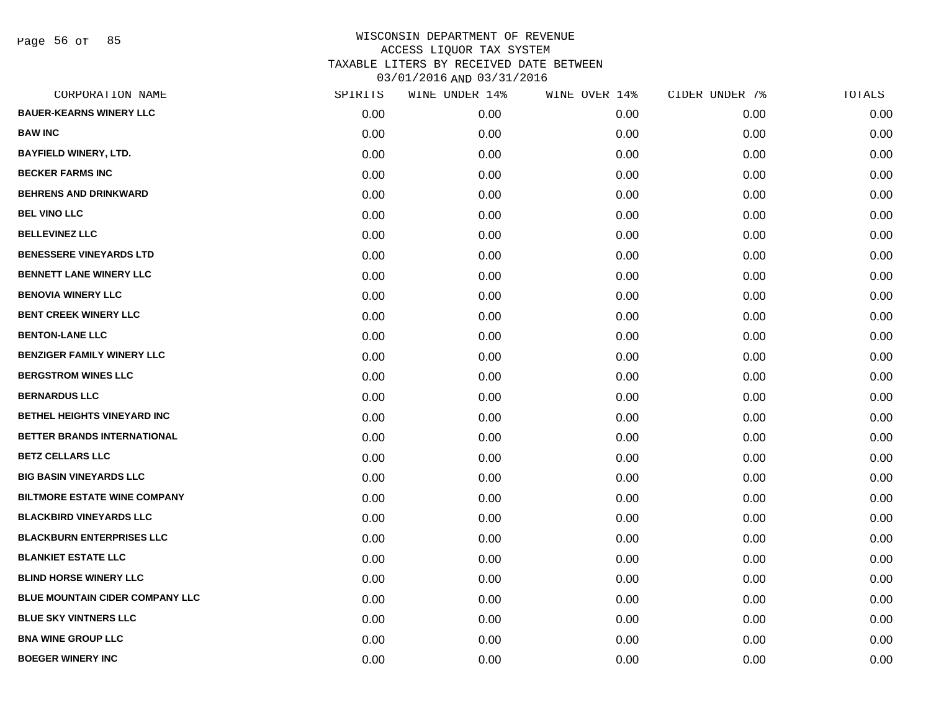Page 56 of 85

| CORPORATION NAME                    | SPIRITS | WINE UNDER 14% | WINE OVER 14% | CIDER UNDER 7% | TOTALS |
|-------------------------------------|---------|----------------|---------------|----------------|--------|
| <b>BAUER-KEARNS WINERY LLC</b>      | 0.00    | 0.00           | 0.00          | 0.00           | 0.00   |
| <b>BAW INC</b>                      | 0.00    | 0.00           | 0.00          | 0.00           | 0.00   |
| <b>BAYFIELD WINERY, LTD.</b>        | 0.00    | 0.00           | 0.00          | 0.00           | 0.00   |
| <b>BECKER FARMS INC</b>             | 0.00    | 0.00           | 0.00          | 0.00           | 0.00   |
| <b>BEHRENS AND DRINKWARD</b>        | 0.00    | 0.00           | 0.00          | 0.00           | 0.00   |
| <b>BEL VINO LLC</b>                 | 0.00    | 0.00           | 0.00          | 0.00           | 0.00   |
| <b>BELLEVINEZ LLC</b>               | 0.00    | 0.00           | 0.00          | 0.00           | 0.00   |
| <b>BENESSERE VINEYARDS LTD</b>      | 0.00    | 0.00           | 0.00          | 0.00           | 0.00   |
| <b>BENNETT LANE WINERY LLC</b>      | 0.00    | 0.00           | 0.00          | 0.00           | 0.00   |
| <b>BENOVIA WINERY LLC</b>           | 0.00    | 0.00           | 0.00          | 0.00           | 0.00   |
| <b>BENT CREEK WINERY LLC</b>        | 0.00    | 0.00           | 0.00          | 0.00           | 0.00   |
| <b>BENTON-LANE LLC</b>              | 0.00    | 0.00           | 0.00          | 0.00           | 0.00   |
| <b>BENZIGER FAMILY WINERY LLC</b>   | 0.00    | 0.00           | 0.00          | 0.00           | 0.00   |
| <b>BERGSTROM WINES LLC</b>          | 0.00    | 0.00           | 0.00          | 0.00           | 0.00   |
| <b>BERNARDUS LLC</b>                | 0.00    | 0.00           | 0.00          | 0.00           | 0.00   |
| BETHEL HEIGHTS VINEYARD INC         | 0.00    | 0.00           | 0.00          | 0.00           | 0.00   |
| BETTER BRANDS INTERNATIONAL         | 0.00    | 0.00           | 0.00          | 0.00           | 0.00   |
| <b>BETZ CELLARS LLC</b>             | 0.00    | 0.00           | 0.00          | 0.00           | 0.00   |
| <b>BIG BASIN VINEYARDS LLC</b>      | 0.00    | 0.00           | 0.00          | 0.00           | 0.00   |
| <b>BILTMORE ESTATE WINE COMPANY</b> | 0.00    | 0.00           | 0.00          | 0.00           | 0.00   |
| <b>BLACKBIRD VINEYARDS LLC</b>      | 0.00    | 0.00           | 0.00          | 0.00           | 0.00   |
| <b>BLACKBURN ENTERPRISES LLC</b>    | 0.00    | 0.00           | 0.00          | 0.00           | 0.00   |
| <b>BLANKIET ESTATE LLC</b>          | 0.00    | 0.00           | 0.00          | 0.00           | 0.00   |
| <b>BLIND HORSE WINERY LLC</b>       | 0.00    | 0.00           | 0.00          | 0.00           | 0.00   |
| BLUE MOUNTAIN CIDER COMPANY LLC     | 0.00    | 0.00           | 0.00          | 0.00           | 0.00   |
| <b>BLUE SKY VINTNERS LLC</b>        | 0.00    | 0.00           | 0.00          | 0.00           | 0.00   |
| <b>BNA WINE GROUP LLC</b>           | 0.00    | 0.00           | 0.00          | 0.00           | 0.00   |
| <b>BOEGER WINERY INC</b>            | 0.00    | 0.00           | 0.00          | 0.00           | 0.00   |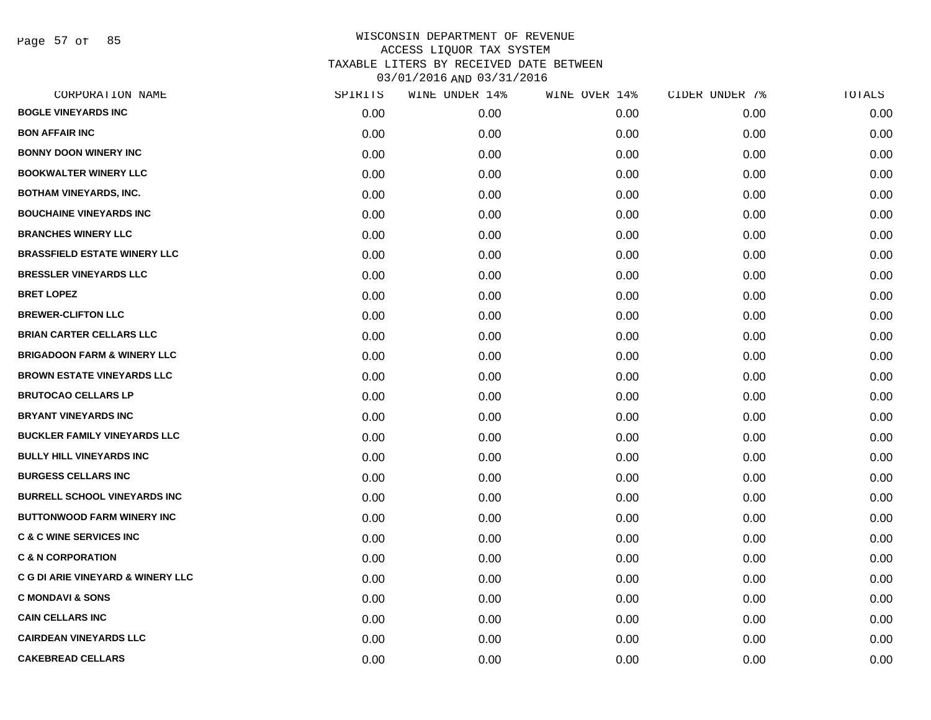Page 57 of 85

|      | WINE UNDER 14% |      |               | TOTALS         |
|------|----------------|------|---------------|----------------|
| 0.00 | 0.00           | 0.00 | 0.00          | 0.00           |
| 0.00 | 0.00           | 0.00 | 0.00          | 0.00           |
| 0.00 | 0.00           | 0.00 | 0.00          | 0.00           |
| 0.00 | 0.00           | 0.00 | 0.00          | 0.00           |
| 0.00 | 0.00           | 0.00 | 0.00          | 0.00           |
| 0.00 | 0.00           | 0.00 | 0.00          | 0.00           |
| 0.00 | 0.00           | 0.00 | 0.00          | 0.00           |
| 0.00 | 0.00           | 0.00 | 0.00          | 0.00           |
| 0.00 | 0.00           | 0.00 | 0.00          | 0.00           |
| 0.00 | 0.00           | 0.00 | 0.00          | 0.00           |
| 0.00 | 0.00           | 0.00 | 0.00          | 0.00           |
| 0.00 | 0.00           | 0.00 | 0.00          | 0.00           |
| 0.00 | 0.00           | 0.00 | 0.00          | 0.00           |
| 0.00 | 0.00           | 0.00 | 0.00          | 0.00           |
| 0.00 | 0.00           | 0.00 | 0.00          | 0.00           |
| 0.00 | 0.00           | 0.00 | 0.00          | 0.00           |
| 0.00 | 0.00           | 0.00 | 0.00          | 0.00           |
| 0.00 | 0.00           | 0.00 | 0.00          | 0.00           |
| 0.00 | 0.00           | 0.00 | 0.00          | 0.00           |
| 0.00 | 0.00           | 0.00 | 0.00          | 0.00           |
| 0.00 | 0.00           | 0.00 | 0.00          | 0.00           |
| 0.00 | 0.00           | 0.00 | 0.00          | 0.00           |
| 0.00 | 0.00           | 0.00 | 0.00          | 0.00           |
| 0.00 | 0.00           | 0.00 | 0.00          | 0.00           |
| 0.00 | 0.00           | 0.00 | 0.00          | 0.00           |
| 0.00 | 0.00           | 0.00 | 0.00          | 0.00           |
| 0.00 | 0.00           | 0.00 | 0.00          | 0.00           |
| 0.00 | 0.00           | 0.00 | 0.00          | 0.00           |
|      | SPIRITS        |      | WINE OVER 14% | CIDER UNDER 7% |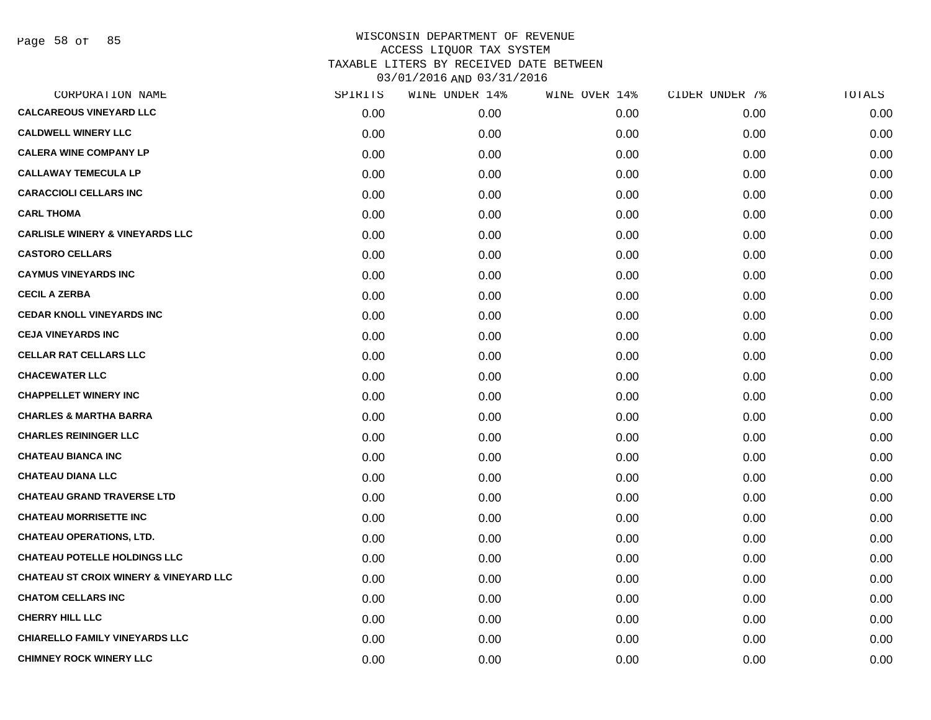Page 58 of 85

| CORPORATION NAME                                  | SPIRITS | WINE UNDER 14% | WINE OVER 14% | CIDER UNDER 7% | TOTALS |
|---------------------------------------------------|---------|----------------|---------------|----------------|--------|
| <b>CALCAREOUS VINEYARD LLC</b>                    | 0.00    | 0.00           | 0.00          | 0.00           | 0.00   |
| <b>CALDWELL WINERY LLC</b>                        | 0.00    | 0.00           | 0.00          | 0.00           | 0.00   |
| <b>CALERA WINE COMPANY LP</b>                     | 0.00    | 0.00           | 0.00          | 0.00           | 0.00   |
| <b>CALLAWAY TEMECULA LP</b>                       | 0.00    | 0.00           | 0.00          | 0.00           | 0.00   |
| <b>CARACCIOLI CELLARS INC</b>                     | 0.00    | 0.00           | 0.00          | 0.00           | 0.00   |
| <b>CARL THOMA</b>                                 | 0.00    | 0.00           | 0.00          | 0.00           | 0.00   |
| <b>CARLISLE WINERY &amp; VINEYARDS LLC</b>        | 0.00    | 0.00           | 0.00          | 0.00           | 0.00   |
| <b>CASTORO CELLARS</b>                            | 0.00    | 0.00           | 0.00          | 0.00           | 0.00   |
| <b>CAYMUS VINEYARDS INC</b>                       | 0.00    | 0.00           | 0.00          | 0.00           | 0.00   |
| <b>CECIL A ZERBA</b>                              | 0.00    | 0.00           | 0.00          | 0.00           | 0.00   |
| <b>CEDAR KNOLL VINEYARDS INC</b>                  | 0.00    | 0.00           | 0.00          | 0.00           | 0.00   |
| <b>CEJA VINEYARDS INC</b>                         | 0.00    | 0.00           | 0.00          | 0.00           | 0.00   |
| <b>CELLAR RAT CELLARS LLC</b>                     | 0.00    | 0.00           | 0.00          | 0.00           | 0.00   |
| <b>CHACEWATER LLC</b>                             | 0.00    | 0.00           | 0.00          | 0.00           | 0.00   |
| <b>CHAPPELLET WINERY INC</b>                      | 0.00    | 0.00           | 0.00          | 0.00           | 0.00   |
| <b>CHARLES &amp; MARTHA BARRA</b>                 | 0.00    | 0.00           | 0.00          | 0.00           | 0.00   |
| <b>CHARLES REININGER LLC</b>                      | 0.00    | 0.00           | 0.00          | 0.00           | 0.00   |
| <b>CHATEAU BIANCA INC</b>                         | 0.00    | 0.00           | 0.00          | 0.00           | 0.00   |
| <b>CHATEAU DIANA LLC</b>                          | 0.00    | 0.00           | 0.00          | 0.00           | 0.00   |
| <b>CHATEAU GRAND TRAVERSE LTD</b>                 | 0.00    | 0.00           | 0.00          | 0.00           | 0.00   |
| <b>CHATEAU MORRISETTE INC</b>                     | 0.00    | 0.00           | 0.00          | 0.00           | 0.00   |
| <b>CHATEAU OPERATIONS, LTD.</b>                   | 0.00    | 0.00           | 0.00          | 0.00           | 0.00   |
| <b>CHATEAU POTELLE HOLDINGS LLC</b>               | 0.00    | 0.00           | 0.00          | 0.00           | 0.00   |
| <b>CHATEAU ST CROIX WINERY &amp; VINEYARD LLC</b> | 0.00    | 0.00           | 0.00          | 0.00           | 0.00   |
| <b>CHATOM CELLARS INC</b>                         | 0.00    | 0.00           | 0.00          | 0.00           | 0.00   |
| <b>CHERRY HILL LLC</b>                            | 0.00    | 0.00           | 0.00          | 0.00           | 0.00   |
| <b>CHIARELLO FAMILY VINEYARDS LLC</b>             | 0.00    | 0.00           | 0.00          | 0.00           | 0.00   |
| <b>CHIMNEY ROCK WINERY LLC</b>                    | 0.00    | 0.00           | 0.00          | 0.00           | 0.00   |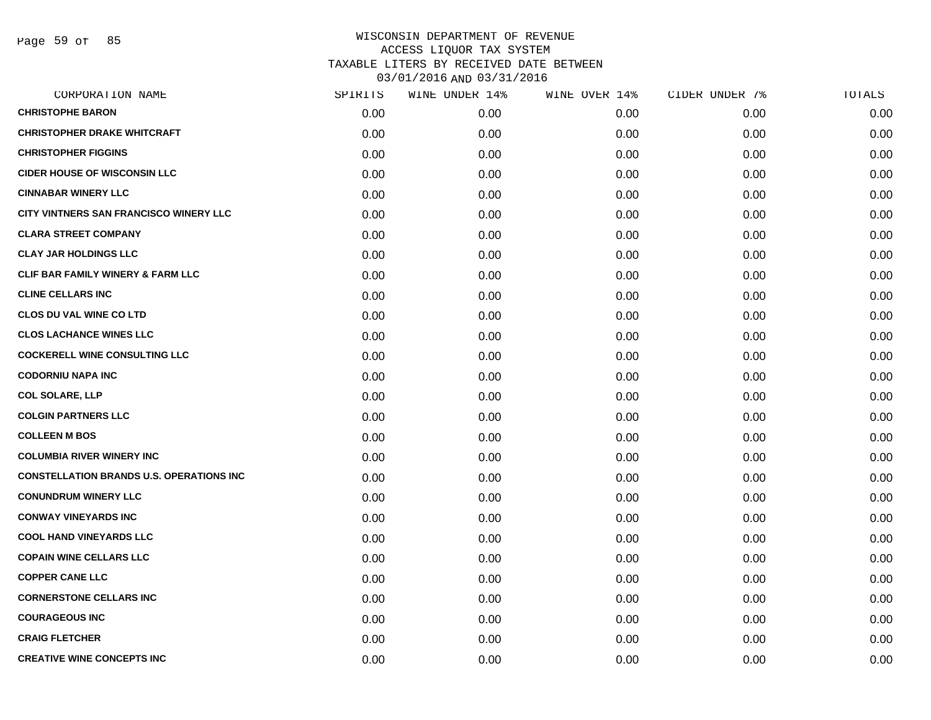Page 59 of 85

| CORPORATION NAME                                | SPIRITS | WINE UNDER 14% | WINE OVER 14% | CIDER UNDER 7% | TOTALS |
|-------------------------------------------------|---------|----------------|---------------|----------------|--------|
| <b>CHRISTOPHE BARON</b>                         | 0.00    | 0.00           | 0.00          | 0.00           | 0.00   |
| <b>CHRISTOPHER DRAKE WHITCRAFT</b>              | 0.00    | 0.00           | 0.00          | 0.00           | 0.00   |
| <b>CHRISTOPHER FIGGINS</b>                      | 0.00    | 0.00           | 0.00          | 0.00           | 0.00   |
| <b>CIDER HOUSE OF WISCONSIN LLC</b>             | 0.00    | 0.00           | 0.00          | 0.00           | 0.00   |
| <b>CINNABAR WINERY LLC</b>                      | 0.00    | 0.00           | 0.00          | 0.00           | 0.00   |
| CITY VINTNERS SAN FRANCISCO WINERY LLC          | 0.00    | 0.00           | 0.00          | 0.00           | 0.00   |
| <b>CLARA STREET COMPANY</b>                     | 0.00    | 0.00           | 0.00          | 0.00           | 0.00   |
| <b>CLAY JAR HOLDINGS LLC</b>                    | 0.00    | 0.00           | 0.00          | 0.00           | 0.00   |
| CLIF BAR FAMILY WINERY & FARM LLC               | 0.00    | 0.00           | 0.00          | 0.00           | 0.00   |
| <b>CLINE CELLARS INC</b>                        | 0.00    | 0.00           | 0.00          | 0.00           | 0.00   |
| <b>CLOS DU VAL WINE CO LTD</b>                  | 0.00    | 0.00           | 0.00          | 0.00           | 0.00   |
| <b>CLOS LACHANCE WINES LLC</b>                  | 0.00    | 0.00           | 0.00          | 0.00           | 0.00   |
| <b>COCKERELL WINE CONSULTING LLC</b>            | 0.00    | 0.00           | 0.00          | 0.00           | 0.00   |
| <b>CODORNIU NAPA INC</b>                        | 0.00    | 0.00           | 0.00          | 0.00           | 0.00   |
| <b>COL SOLARE, LLP</b>                          | 0.00    | 0.00           | 0.00          | 0.00           | 0.00   |
| <b>COLGIN PARTNERS LLC</b>                      | 0.00    | 0.00           | 0.00          | 0.00           | 0.00   |
| <b>COLLEEN M BOS</b>                            | 0.00    | 0.00           | 0.00          | 0.00           | 0.00   |
| <b>COLUMBIA RIVER WINERY INC</b>                | 0.00    | 0.00           | 0.00          | 0.00           | 0.00   |
| <b>CONSTELLATION BRANDS U.S. OPERATIONS INC</b> | 0.00    | 0.00           | 0.00          | 0.00           | 0.00   |
| <b>CONUNDRUM WINERY LLC</b>                     | 0.00    | 0.00           | 0.00          | 0.00           | 0.00   |
| <b>CONWAY VINEYARDS INC</b>                     | 0.00    | 0.00           | 0.00          | 0.00           | 0.00   |
| <b>COOL HAND VINEYARDS LLC</b>                  | 0.00    | 0.00           | 0.00          | 0.00           | 0.00   |
| <b>COPAIN WINE CELLARS LLC</b>                  | 0.00    | 0.00           | 0.00          | 0.00           | 0.00   |
| <b>COPPER CANE LLC</b>                          | 0.00    | 0.00           | 0.00          | 0.00           | 0.00   |
| <b>CORNERSTONE CELLARS INC</b>                  | 0.00    | 0.00           | 0.00          | 0.00           | 0.00   |
| <b>COURAGEOUS INC</b>                           | 0.00    | 0.00           | 0.00          | 0.00           | 0.00   |
| <b>CRAIG FLETCHER</b>                           | 0.00    | 0.00           | 0.00          | 0.00           | 0.00   |
| <b>CREATIVE WINE CONCEPTS INC</b>               | 0.00    | 0.00           | 0.00          | 0.00           | 0.00   |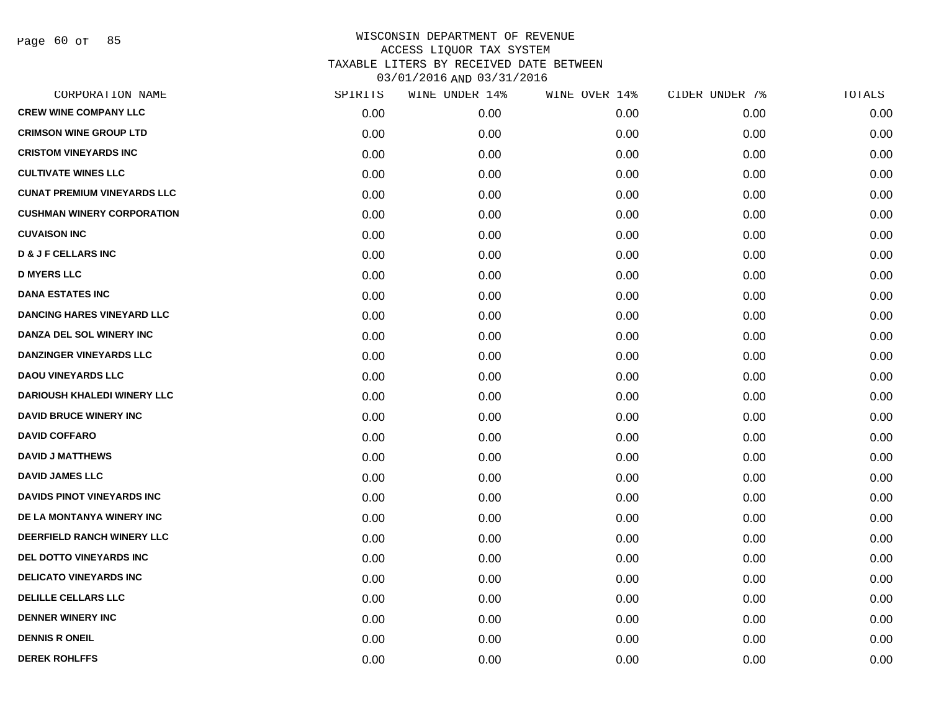Page 60 of 85

| CORPORATION NAME                   | SPIRITS | WINE UNDER 14% | WINE OVER 14% | CIDER UNDER 7% | TOTALS |
|------------------------------------|---------|----------------|---------------|----------------|--------|
| <b>CREW WINE COMPANY LLC</b>       | 0.00    | 0.00           | 0.00          | 0.00           | 0.00   |
| <b>CRIMSON WINE GROUP LTD</b>      | 0.00    | 0.00           | 0.00          | 0.00           | 0.00   |
| <b>CRISTOM VINEYARDS INC</b>       | 0.00    | 0.00           | 0.00          | 0.00           | 0.00   |
| <b>CULTIVATE WINES LLC</b>         | 0.00    | 0.00           | 0.00          | 0.00           | 0.00   |
| <b>CUNAT PREMIUM VINEYARDS LLC</b> | 0.00    | 0.00           | 0.00          | 0.00           | 0.00   |
| <b>CUSHMAN WINERY CORPORATION</b>  | 0.00    | 0.00           | 0.00          | 0.00           | 0.00   |
| <b>CUVAISON INC</b>                | 0.00    | 0.00           | 0.00          | 0.00           | 0.00   |
| <b>D &amp; J F CELLARS INC</b>     | 0.00    | 0.00           | 0.00          | 0.00           | 0.00   |
| <b>D MYERS LLC</b>                 | 0.00    | 0.00           | 0.00          | 0.00           | 0.00   |
| <b>DANA ESTATES INC</b>            | 0.00    | 0.00           | 0.00          | 0.00           | 0.00   |
| <b>DANCING HARES VINEYARD LLC</b>  | 0.00    | 0.00           | 0.00          | 0.00           | 0.00   |
| <b>DANZA DEL SOL WINERY INC</b>    | 0.00    | 0.00           | 0.00          | 0.00           | 0.00   |
| <b>DANZINGER VINEYARDS LLC</b>     | 0.00    | 0.00           | 0.00          | 0.00           | 0.00   |
| <b>DAOU VINEYARDS LLC</b>          | 0.00    | 0.00           | 0.00          | 0.00           | 0.00   |
| <b>DARIOUSH KHALEDI WINERY LLC</b> | 0.00    | 0.00           | 0.00          | 0.00           | 0.00   |
| <b>DAVID BRUCE WINERY INC</b>      | 0.00    | 0.00           | 0.00          | 0.00           | 0.00   |
| <b>DAVID COFFARO</b>               | 0.00    | 0.00           | 0.00          | 0.00           | 0.00   |
| <b>DAVID J MATTHEWS</b>            | 0.00    | 0.00           | 0.00          | 0.00           | 0.00   |
| <b>DAVID JAMES LLC</b>             | 0.00    | 0.00           | 0.00          | 0.00           | 0.00   |
| <b>DAVIDS PINOT VINEYARDS INC</b>  | 0.00    | 0.00           | 0.00          | 0.00           | 0.00   |
| DE LA MONTANYA WINERY INC          | 0.00    | 0.00           | 0.00          | 0.00           | 0.00   |
| DEERFIELD RANCH WINERY LLC         | 0.00    | 0.00           | 0.00          | 0.00           | 0.00   |
| DEL DOTTO VINEYARDS INC            | 0.00    | 0.00           | 0.00          | 0.00           | 0.00   |
| <b>DELICATO VINEYARDS INC</b>      | 0.00    | 0.00           | 0.00          | 0.00           | 0.00   |
| <b>DELILLE CELLARS LLC</b>         | 0.00    | 0.00           | 0.00          | 0.00           | 0.00   |
| <b>DENNER WINERY INC</b>           | 0.00    | 0.00           | 0.00          | 0.00           | 0.00   |
| <b>DENNIS R ONEIL</b>              | 0.00    | 0.00           | 0.00          | 0.00           | 0.00   |
| <b>DEREK ROHLFFS</b>               | 0.00    | 0.00           | 0.00          | 0.00           | 0.00   |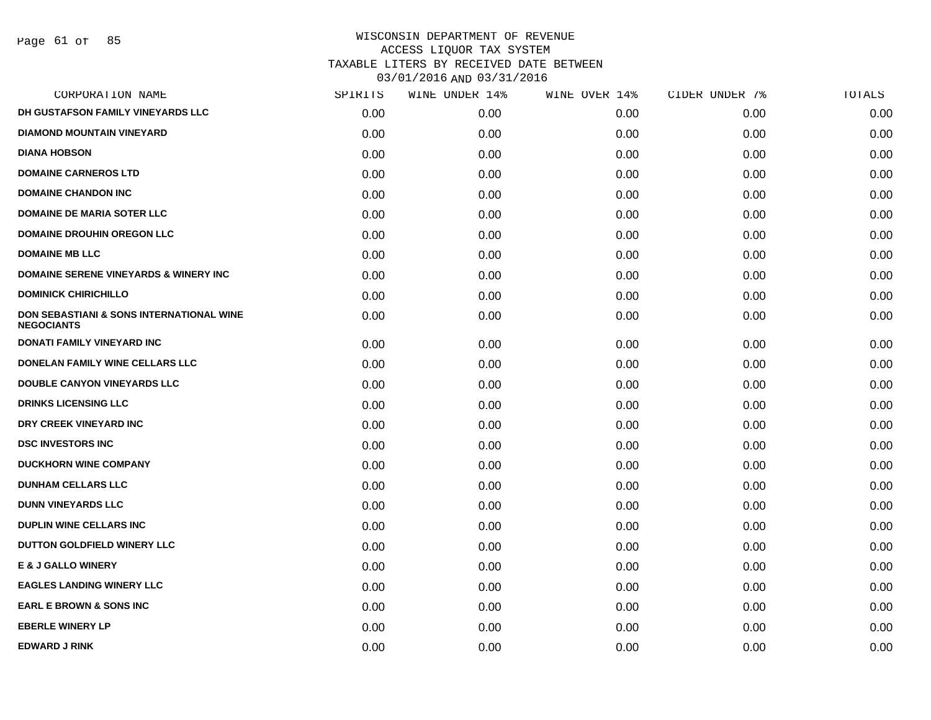Page 61 of 85

| SPIRITS | WINE UNDER 14% | WINE OVER 14% | CIDER UNDER 7% | TOTALS |
|---------|----------------|---------------|----------------|--------|
| 0.00    | 0.00           | 0.00          | 0.00           | 0.00   |
| 0.00    | 0.00           | 0.00          | 0.00           | 0.00   |
| 0.00    | 0.00           | 0.00          | 0.00           | 0.00   |
| 0.00    | 0.00           | 0.00          | 0.00           | 0.00   |
| 0.00    | 0.00           | 0.00          | 0.00           | 0.00   |
| 0.00    | 0.00           | 0.00          | 0.00           | 0.00   |
| 0.00    | 0.00           | 0.00          | 0.00           | 0.00   |
| 0.00    | 0.00           | 0.00          | 0.00           | 0.00   |
| 0.00    | 0.00           | 0.00          | 0.00           | 0.00   |
| 0.00    | 0.00           | 0.00          | 0.00           | 0.00   |
| 0.00    | 0.00           | 0.00          | 0.00           | 0.00   |
| 0.00    | 0.00           | 0.00          | 0.00           | 0.00   |
| 0.00    | 0.00           | 0.00          | 0.00           | 0.00   |
| 0.00    | 0.00           | 0.00          | 0.00           | 0.00   |
| 0.00    | 0.00           | 0.00          | 0.00           | 0.00   |
| 0.00    | 0.00           | 0.00          | 0.00           | 0.00   |
| 0.00    | 0.00           | 0.00          | 0.00           | 0.00   |
| 0.00    | 0.00           | 0.00          | 0.00           | 0.00   |
| 0.00    | 0.00           | 0.00          | 0.00           | 0.00   |
| 0.00    | 0.00           | 0.00          | 0.00           | 0.00   |
| 0.00    | 0.00           | 0.00          | 0.00           | 0.00   |
| 0.00    | 0.00           | 0.00          | 0.00           | 0.00   |
| 0.00    | 0.00           | 0.00          | 0.00           | 0.00   |
| 0.00    | 0.00           | 0.00          | 0.00           | 0.00   |
| 0.00    | 0.00           | 0.00          | 0.00           | 0.00   |
| 0.00    | 0.00           | 0.00          | 0.00           | 0.00   |
| 0.00    | 0.00           | 0.00          | 0.00           | 0.00   |
|         |                |               |                |        |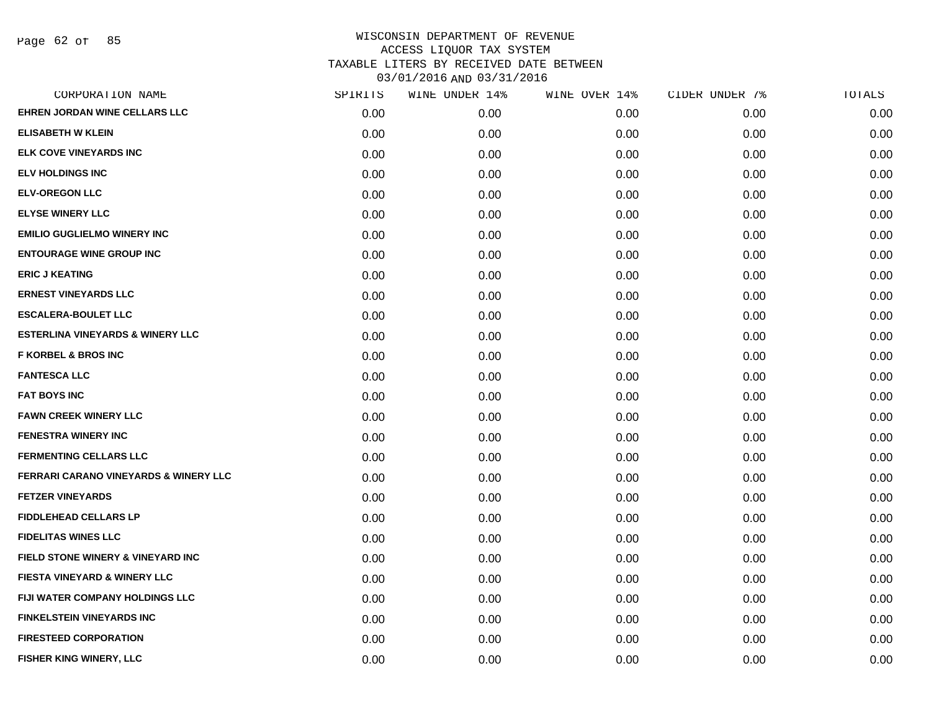Page 62 of 85

| CORPORATION NAME                                 | SPIRITS | WINE UNDER 14% | WINE OVER 14% | CIDER UNDER 7% | TOTALS |
|--------------------------------------------------|---------|----------------|---------------|----------------|--------|
| EHREN JORDAN WINE CELLARS LLC                    | 0.00    | 0.00           | 0.00          | 0.00           | 0.00   |
| <b>ELISABETH W KLEIN</b>                         | 0.00    | 0.00           | 0.00          | 0.00           | 0.00   |
| <b>ELK COVE VINEYARDS INC</b>                    | 0.00    | 0.00           | 0.00          | 0.00           | 0.00   |
| <b>ELV HOLDINGS INC</b>                          | 0.00    | 0.00           | 0.00          | 0.00           | 0.00   |
| <b>ELV-OREGON LLC</b>                            | 0.00    | 0.00           | 0.00          | 0.00           | 0.00   |
| <b>ELYSE WINERY LLC</b>                          | 0.00    | 0.00           | 0.00          | 0.00           | 0.00   |
| <b>EMILIO GUGLIELMO WINERY INC</b>               | 0.00    | 0.00           | 0.00          | 0.00           | 0.00   |
| <b>ENTOURAGE WINE GROUP INC</b>                  | 0.00    | 0.00           | 0.00          | 0.00           | 0.00   |
| <b>ERIC J KEATING</b>                            | 0.00    | 0.00           | 0.00          | 0.00           | 0.00   |
| <b>ERNEST VINEYARDS LLC</b>                      | 0.00    | 0.00           | 0.00          | 0.00           | 0.00   |
| <b>ESCALERA-BOULET LLC</b>                       | 0.00    | 0.00           | 0.00          | 0.00           | 0.00   |
| <b>ESTERLINA VINEYARDS &amp; WINERY LLC</b>      | 0.00    | 0.00           | 0.00          | 0.00           | 0.00   |
| <b>F KORBEL &amp; BROS INC</b>                   | 0.00    | 0.00           | 0.00          | 0.00           | 0.00   |
| <b>FANTESCA LLC</b>                              | 0.00    | 0.00           | 0.00          | 0.00           | 0.00   |
| <b>FAT BOYS INC</b>                              | 0.00    | 0.00           | 0.00          | 0.00           | 0.00   |
| <b>FAWN CREEK WINERY LLC</b>                     | 0.00    | 0.00           | 0.00          | 0.00           | 0.00   |
| <b>FENESTRA WINERY INC</b>                       | 0.00    | 0.00           | 0.00          | 0.00           | 0.00   |
| <b>FERMENTING CELLARS LLC</b>                    | 0.00    | 0.00           | 0.00          | 0.00           | 0.00   |
| <b>FERRARI CARANO VINEYARDS &amp; WINERY LLC</b> | 0.00    | 0.00           | 0.00          | 0.00           | 0.00   |
| <b>FETZER VINEYARDS</b>                          | 0.00    | 0.00           | 0.00          | 0.00           | 0.00   |
| <b>FIDDLEHEAD CELLARS LP</b>                     | 0.00    | 0.00           | 0.00          | 0.00           | 0.00   |
| <b>FIDELITAS WINES LLC</b>                       | 0.00    | 0.00           | 0.00          | 0.00           | 0.00   |
| FIELD STONE WINERY & VINEYARD INC                | 0.00    | 0.00           | 0.00          | 0.00           | 0.00   |
| <b>FIESTA VINEYARD &amp; WINERY LLC</b>          | 0.00    | 0.00           | 0.00          | 0.00           | 0.00   |
| FIJI WATER COMPANY HOLDINGS LLC                  | 0.00    | 0.00           | 0.00          | 0.00           | 0.00   |
| <b>FINKELSTEIN VINEYARDS INC</b>                 | 0.00    | 0.00           | 0.00          | 0.00           | 0.00   |
| <b>FIRESTEED CORPORATION</b>                     | 0.00    | 0.00           | 0.00          | 0.00           | 0.00   |
| FISHER KING WINERY, LLC                          | 0.00    | 0.00           | 0.00          | 0.00           | 0.00   |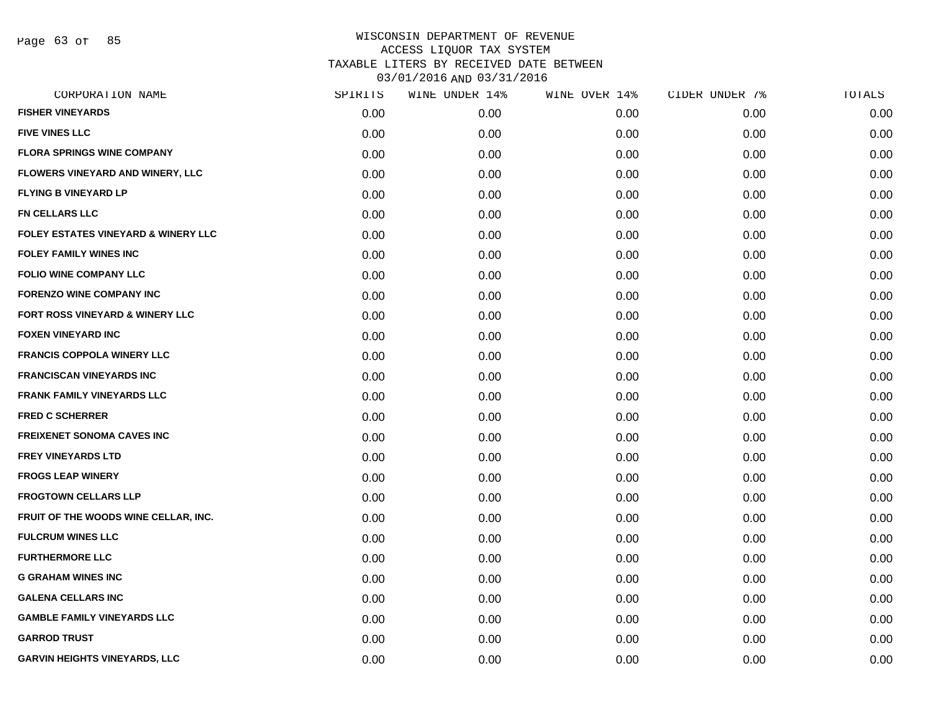Page 63 of 85

| SPIRITS | WINE UNDER 14% |      |               | TOTALS         |
|---------|----------------|------|---------------|----------------|
| 0.00    | 0.00           | 0.00 | 0.00          | 0.00           |
| 0.00    | 0.00           | 0.00 | 0.00          | 0.00           |
| 0.00    | 0.00           | 0.00 | 0.00          | 0.00           |
| 0.00    | 0.00           | 0.00 | 0.00          | 0.00           |
| 0.00    | 0.00           | 0.00 | 0.00          | 0.00           |
| 0.00    | 0.00           | 0.00 | 0.00          | 0.00           |
| 0.00    | 0.00           | 0.00 | 0.00          | 0.00           |
| 0.00    | 0.00           | 0.00 | 0.00          | 0.00           |
| 0.00    | 0.00           | 0.00 | 0.00          | 0.00           |
| 0.00    | 0.00           | 0.00 | 0.00          | 0.00           |
| 0.00    | 0.00           | 0.00 | 0.00          | 0.00           |
| 0.00    | 0.00           | 0.00 | 0.00          | 0.00           |
| 0.00    | 0.00           | 0.00 | 0.00          | 0.00           |
| 0.00    | 0.00           | 0.00 | 0.00          | 0.00           |
| 0.00    | 0.00           | 0.00 | 0.00          | 0.00           |
| 0.00    | 0.00           | 0.00 | 0.00          | 0.00           |
| 0.00    | 0.00           | 0.00 | 0.00          | 0.00           |
| 0.00    | 0.00           | 0.00 | 0.00          | 0.00           |
| 0.00    | 0.00           | 0.00 | 0.00          | 0.00           |
| 0.00    | 0.00           | 0.00 | 0.00          | 0.00           |
| 0.00    | 0.00           | 0.00 | 0.00          | 0.00           |
| 0.00    | 0.00           | 0.00 | 0.00          | 0.00           |
| 0.00    | 0.00           | 0.00 | 0.00          | 0.00           |
| 0.00    | 0.00           | 0.00 | 0.00          | 0.00           |
| 0.00    | 0.00           | 0.00 | 0.00          | 0.00           |
| 0.00    | 0.00           | 0.00 | 0.00          | 0.00           |
| 0.00    | 0.00           | 0.00 | 0.00          | 0.00           |
| 0.00    | 0.00           | 0.00 | 0.00          | 0.00           |
|         |                |      | WINE OVER 14% | CIDER UNDER 7% |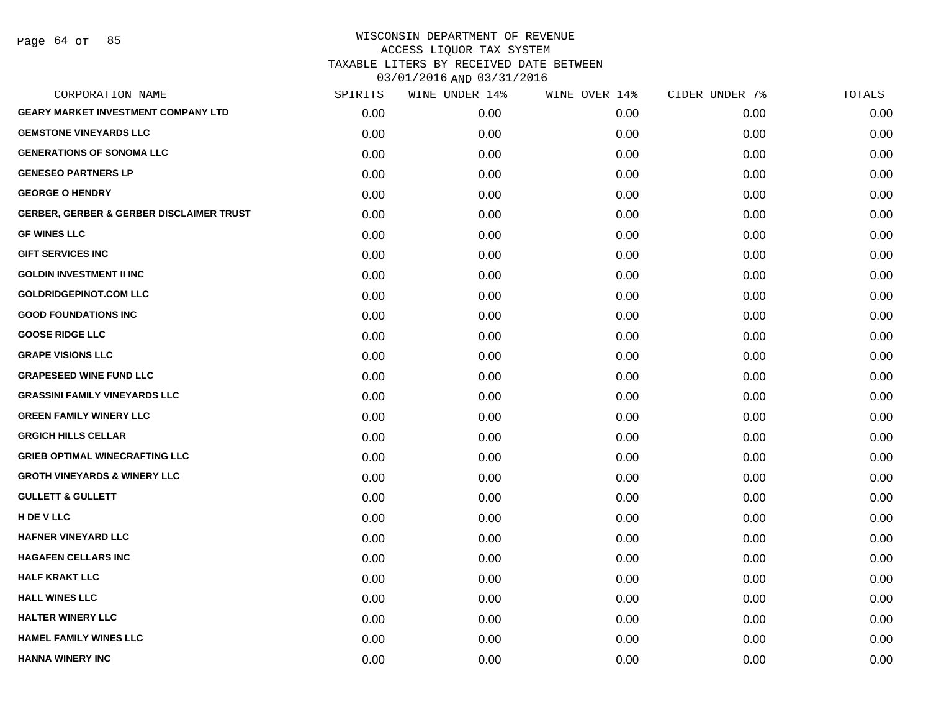Page 64 of 85

| SPIRITS | WINE UNDER 14% | WINE OVER 14% | CIDER UNDER 7% | TOTALS |
|---------|----------------|---------------|----------------|--------|
| 0.00    | 0.00           | 0.00          | 0.00           | 0.00   |
| 0.00    | 0.00           | 0.00          | 0.00           | 0.00   |
| 0.00    | 0.00           | 0.00          | 0.00           | 0.00   |
| 0.00    | 0.00           | 0.00          | 0.00           | 0.00   |
| 0.00    | 0.00           | 0.00          | 0.00           | 0.00   |
| 0.00    | 0.00           | 0.00          | 0.00           | 0.00   |
| 0.00    | 0.00           | 0.00          | 0.00           | 0.00   |
| 0.00    | 0.00           | 0.00          | 0.00           | 0.00   |
| 0.00    | 0.00           | 0.00          | 0.00           | 0.00   |
| 0.00    | 0.00           | 0.00          | 0.00           | 0.00   |
| 0.00    | 0.00           | 0.00          | 0.00           | 0.00   |
| 0.00    | 0.00           | 0.00          | 0.00           | 0.00   |
| 0.00    | 0.00           | 0.00          | 0.00           | 0.00   |
| 0.00    | 0.00           | 0.00          | 0.00           | 0.00   |
| 0.00    | 0.00           | 0.00          | 0.00           | 0.00   |
| 0.00    | 0.00           | 0.00          | 0.00           | 0.00   |
| 0.00    | 0.00           | 0.00          | 0.00           | 0.00   |
| 0.00    | 0.00           | 0.00          | 0.00           | 0.00   |
| 0.00    | 0.00           | 0.00          | 0.00           | 0.00   |
| 0.00    | 0.00           | 0.00          | 0.00           | 0.00   |
| 0.00    | 0.00           | 0.00          | 0.00           | 0.00   |
| 0.00    | 0.00           | 0.00          | 0.00           | 0.00   |
| 0.00    | 0.00           | 0.00          | 0.00           | 0.00   |
| 0.00    | 0.00           | 0.00          | 0.00           | 0.00   |
| 0.00    | 0.00           | 0.00          | 0.00           | 0.00   |
| 0.00    | 0.00           | 0.00          | 0.00           | 0.00   |
| 0.00    | 0.00           | 0.00          | 0.00           | 0.00   |
| 0.00    | 0.00           | 0.00          | 0.00           | 0.00   |
|         |                |               |                |        |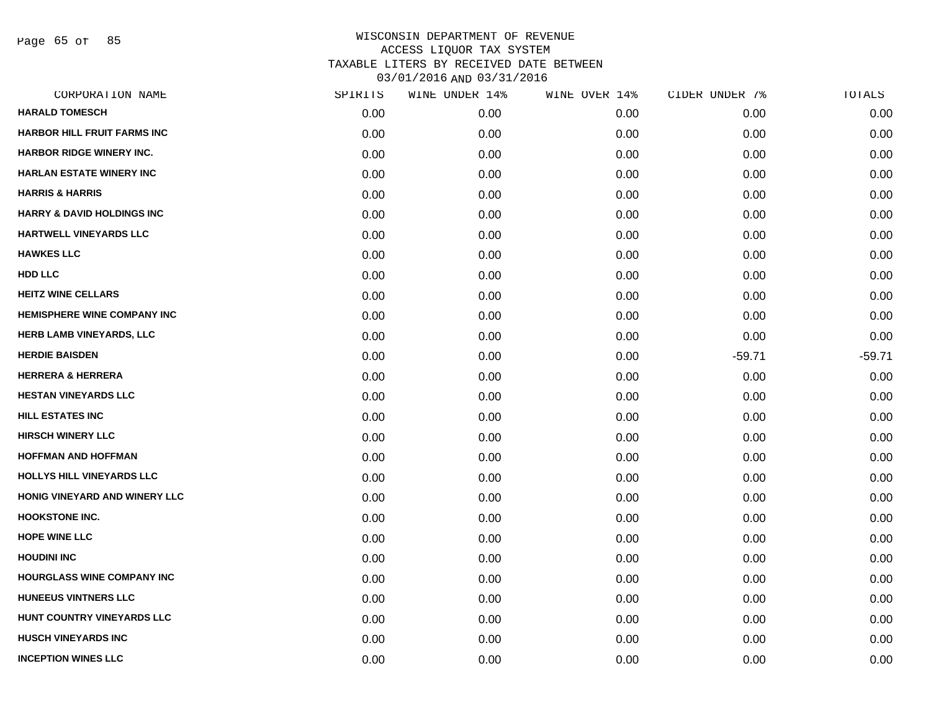Page 65 of 85

| CORPORATION NAME                      | SPIRITS | WINE UNDER 14% | WINE OVER 14% | CIDER UNDER 7% | TOTALS   |
|---------------------------------------|---------|----------------|---------------|----------------|----------|
| <b>HARALD TOMESCH</b>                 | 0.00    | 0.00           | 0.00          | 0.00           | 0.00     |
| <b>HARBOR HILL FRUIT FARMS INC</b>    | 0.00    | 0.00           | 0.00          | 0.00           | 0.00     |
| HARBOR RIDGE WINERY INC.              | 0.00    | 0.00           | 0.00          | 0.00           | 0.00     |
| <b>HARLAN ESTATE WINERY INC</b>       | 0.00    | 0.00           | 0.00          | 0.00           | 0.00     |
| <b>HARRIS &amp; HARRIS</b>            | 0.00    | 0.00           | 0.00          | 0.00           | 0.00     |
| <b>HARRY &amp; DAVID HOLDINGS INC</b> | 0.00    | 0.00           | 0.00          | 0.00           | 0.00     |
| HARTWELL VINEYARDS LLC                | 0.00    | 0.00           | 0.00          | 0.00           | 0.00     |
| <b>HAWKES LLC</b>                     | 0.00    | 0.00           | 0.00          | 0.00           | 0.00     |
| HDD LLC                               | 0.00    | 0.00           | 0.00          | 0.00           | 0.00     |
| <b>HEITZ WINE CELLARS</b>             | 0.00    | 0.00           | 0.00          | 0.00           | 0.00     |
| <b>HEMISPHERE WINE COMPANY INC</b>    | 0.00    | 0.00           | 0.00          | 0.00           | 0.00     |
| HERB LAMB VINEYARDS, LLC              | 0.00    | 0.00           | 0.00          | 0.00           | 0.00     |
| <b>HERDIE BAISDEN</b>                 | 0.00    | 0.00           | 0.00          | $-59.71$       | $-59.71$ |
| <b>HERRERA &amp; HERRERA</b>          | 0.00    | 0.00           | 0.00          | 0.00           | 0.00     |
| <b>HESTAN VINEYARDS LLC</b>           | 0.00    | 0.00           | 0.00          | 0.00           | 0.00     |
| HILL ESTATES INC                      | 0.00    | 0.00           | 0.00          | 0.00           | 0.00     |
| <b>HIRSCH WINERY LLC</b>              | 0.00    | 0.00           | 0.00          | 0.00           | 0.00     |
| <b>HOFFMAN AND HOFFMAN</b>            | 0.00    | 0.00           | 0.00          | 0.00           | 0.00     |
| HOLLYS HILL VINEYARDS LLC             | 0.00    | 0.00           | 0.00          | 0.00           | 0.00     |
| HONIG VINEYARD AND WINERY LLC         | 0.00    | 0.00           | 0.00          | 0.00           | 0.00     |
| <b>HOOKSTONE INC.</b>                 | 0.00    | 0.00           | 0.00          | 0.00           | 0.00     |
| HOPE WINE LLC                         | 0.00    | 0.00           | 0.00          | 0.00           | 0.00     |
| <b>HOUDINI INC</b>                    | 0.00    | 0.00           | 0.00          | 0.00           | 0.00     |
| <b>HOURGLASS WINE COMPANY INC</b>     | 0.00    | 0.00           | 0.00          | 0.00           | 0.00     |
| <b>HUNEEUS VINTNERS LLC</b>           | 0.00    | 0.00           | 0.00          | 0.00           | 0.00     |
| HUNT COUNTRY VINEYARDS LLC            | 0.00    | 0.00           | 0.00          | 0.00           | 0.00     |
| <b>HUSCH VINEYARDS INC</b>            | 0.00    | 0.00           | 0.00          | 0.00           | 0.00     |
| <b>INCEPTION WINES LLC</b>            | 0.00    | 0.00           | 0.00          | 0.00           | 0.00     |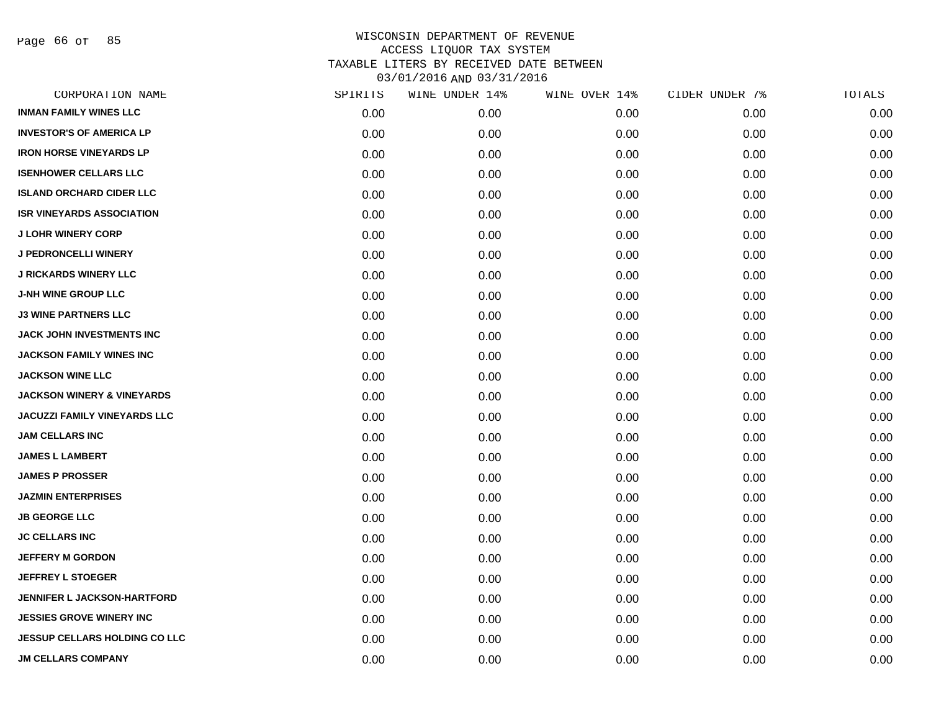Page 66 of 85

| CORPORATION NAME                      | SPIRITS | WINE UNDER 14% | WINE OVER 14% | CIDER UNDER 7% | TOTALS |
|---------------------------------------|---------|----------------|---------------|----------------|--------|
| <b>INMAN FAMILY WINES LLC</b>         | 0.00    | 0.00           | 0.00          | 0.00           | 0.00   |
| <b>INVESTOR'S OF AMERICA LP</b>       | 0.00    | 0.00           | 0.00          | 0.00           | 0.00   |
| <b>IRON HORSE VINEYARDS LP</b>        | 0.00    | 0.00           | 0.00          | 0.00           | 0.00   |
| <b>ISENHOWER CELLARS LLC</b>          | 0.00    | 0.00           | 0.00          | 0.00           | 0.00   |
| <b>ISLAND ORCHARD CIDER LLC</b>       | 0.00    | 0.00           | 0.00          | 0.00           | 0.00   |
| <b>ISR VINEYARDS ASSOCIATION</b>      | 0.00    | 0.00           | 0.00          | 0.00           | 0.00   |
| <b>J LOHR WINERY CORP</b>             | 0.00    | 0.00           | 0.00          | 0.00           | 0.00   |
| <b>J PEDRONCELLI WINERY</b>           | 0.00    | 0.00           | 0.00          | 0.00           | 0.00   |
| <b>J RICKARDS WINERY LLC</b>          | 0.00    | 0.00           | 0.00          | 0.00           | 0.00   |
| <b>J-NH WINE GROUP LLC</b>            | 0.00    | 0.00           | 0.00          | 0.00           | 0.00   |
| <b>J3 WINE PARTNERS LLC</b>           | 0.00    | 0.00           | 0.00          | 0.00           | 0.00   |
| JACK JOHN INVESTMENTS INC             | 0.00    | 0.00           | 0.00          | 0.00           | 0.00   |
| <b>JACKSON FAMILY WINES INC</b>       | 0.00    | 0.00           | 0.00          | 0.00           | 0.00   |
| <b>JACKSON WINE LLC</b>               | 0.00    | 0.00           | 0.00          | 0.00           | 0.00   |
| <b>JACKSON WINERY &amp; VINEYARDS</b> | 0.00    | 0.00           | 0.00          | 0.00           | 0.00   |
| <b>JACUZZI FAMILY VINEYARDS LLC</b>   | 0.00    | 0.00           | 0.00          | 0.00           | 0.00   |
| <b>JAM CELLARS INC</b>                | 0.00    | 0.00           | 0.00          | 0.00           | 0.00   |
| <b>JAMES L LAMBERT</b>                | 0.00    | 0.00           | 0.00          | 0.00           | 0.00   |
| <b>JAMES P PROSSER</b>                | 0.00    | 0.00           | 0.00          | 0.00           | 0.00   |
| <b>JAZMIN ENTERPRISES</b>             | 0.00    | 0.00           | 0.00          | 0.00           | 0.00   |
| <b>JB GEORGE LLC</b>                  | 0.00    | 0.00           | 0.00          | 0.00           | 0.00   |
| <b>JC CELLARS INC</b>                 | 0.00    | 0.00           | 0.00          | 0.00           | 0.00   |
| <b>JEFFERY M GORDON</b>               | 0.00    | 0.00           | 0.00          | 0.00           | 0.00   |
| <b>JEFFREY L STOEGER</b>              | 0.00    | 0.00           | 0.00          | 0.00           | 0.00   |
| <b>JENNIFER L JACKSON-HARTFORD</b>    | 0.00    | 0.00           | 0.00          | 0.00           | 0.00   |
| <b>JESSIES GROVE WINERY INC</b>       | 0.00    | 0.00           | 0.00          | 0.00           | 0.00   |
| <b>JESSUP CELLARS HOLDING CO LLC</b>  | 0.00    | 0.00           | 0.00          | 0.00           | 0.00   |
| <b>JM CELLARS COMPANY</b>             | 0.00    | 0.00           | 0.00          | 0.00           | 0.00   |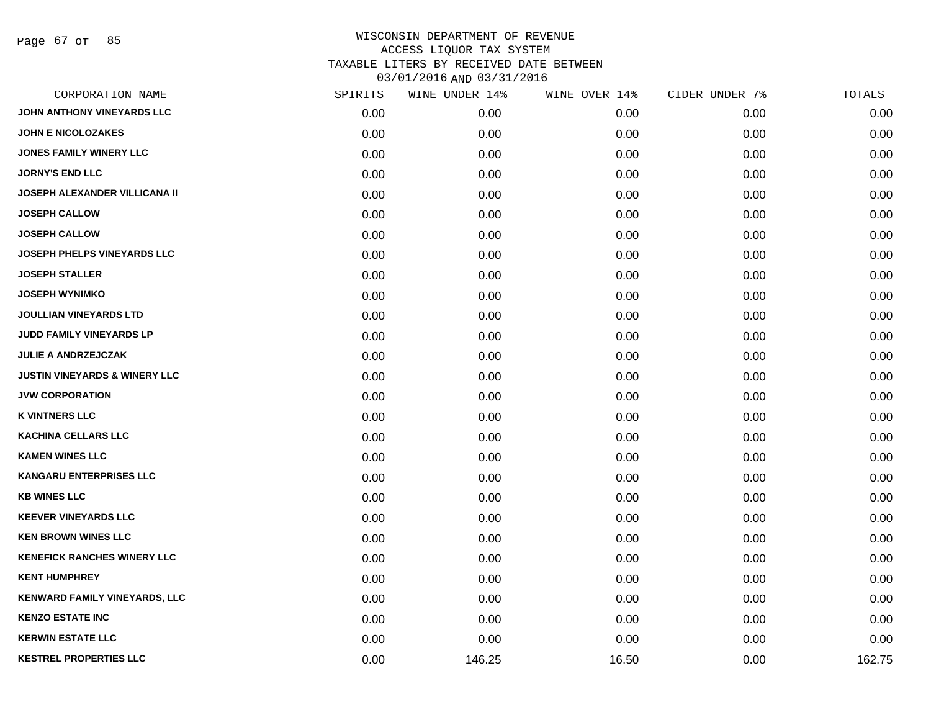Page 67 of 85

| CORPORATION NAME                         | SPIRITS | WINE UNDER 14% | WINE OVER 14% | CIDER UNDER 7% | TOTALS |
|------------------------------------------|---------|----------------|---------------|----------------|--------|
| JOHN ANTHONY VINEYARDS LLC               | 0.00    | 0.00           | 0.00          | 0.00           | 0.00   |
| <b>JOHN E NICOLOZAKES</b>                | 0.00    | 0.00           | 0.00          | 0.00           | 0.00   |
| <b>JONES FAMILY WINERY LLC</b>           | 0.00    | 0.00           | 0.00          | 0.00           | 0.00   |
| <b>JORNY'S END LLC</b>                   | 0.00    | 0.00           | 0.00          | 0.00           | 0.00   |
| JOSEPH ALEXANDER VILLICANA II            | 0.00    | 0.00           | 0.00          | 0.00           | 0.00   |
| <b>JOSEPH CALLOW</b>                     | 0.00    | 0.00           | 0.00          | 0.00           | 0.00   |
| <b>JOSEPH CALLOW</b>                     | 0.00    | 0.00           | 0.00          | 0.00           | 0.00   |
| JOSEPH PHELPS VINEYARDS LLC              | 0.00    | 0.00           | 0.00          | 0.00           | 0.00   |
| <b>JOSEPH STALLER</b>                    | 0.00    | 0.00           | 0.00          | 0.00           | 0.00   |
| <b>JOSEPH WYNIMKO</b>                    | 0.00    | 0.00           | 0.00          | 0.00           | 0.00   |
| <b>JOULLIAN VINEYARDS LTD</b>            | 0.00    | 0.00           | 0.00          | 0.00           | 0.00   |
| JUDD FAMILY VINEYARDS LP                 | 0.00    | 0.00           | 0.00          | 0.00           | 0.00   |
| <b>JULIE A ANDRZEJCZAK</b>               | 0.00    | 0.00           | 0.00          | 0.00           | 0.00   |
| <b>JUSTIN VINEYARDS &amp; WINERY LLC</b> | 0.00    | 0.00           | 0.00          | 0.00           | 0.00   |
| <b>JVW CORPORATION</b>                   | 0.00    | 0.00           | 0.00          | 0.00           | 0.00   |
| <b>K VINTNERS LLC</b>                    | 0.00    | 0.00           | 0.00          | 0.00           | 0.00   |
| <b>KACHINA CELLARS LLC</b>               | 0.00    | 0.00           | 0.00          | 0.00           | 0.00   |
| <b>KAMEN WINES LLC</b>                   | 0.00    | 0.00           | 0.00          | 0.00           | 0.00   |
| <b>KANGARU ENTERPRISES LLC</b>           | 0.00    | 0.00           | 0.00          | 0.00           | 0.00   |
| <b>KB WINES LLC</b>                      | 0.00    | 0.00           | 0.00          | 0.00           | 0.00   |
| <b>KEEVER VINEYARDS LLC</b>              | 0.00    | 0.00           | 0.00          | 0.00           | 0.00   |
| <b>KEN BROWN WINES LLC</b>               | 0.00    | 0.00           | 0.00          | 0.00           | 0.00   |
| <b>KENEFICK RANCHES WINERY LLC</b>       | 0.00    | 0.00           | 0.00          | 0.00           | 0.00   |
| <b>KENT HUMPHREY</b>                     | 0.00    | 0.00           | 0.00          | 0.00           | 0.00   |
| KENWARD FAMILY VINEYARDS, LLC            | 0.00    | 0.00           | 0.00          | 0.00           | 0.00   |
| <b>KENZO ESTATE INC</b>                  | 0.00    | 0.00           | 0.00          | 0.00           | 0.00   |
| <b>KERWIN ESTATE LLC</b>                 | 0.00    | 0.00           | 0.00          | 0.00           | 0.00   |
| <b>KESTREL PROPERTIES LLC</b>            | 0.00    | 146.25         | 16.50         | 0.00           | 162.75 |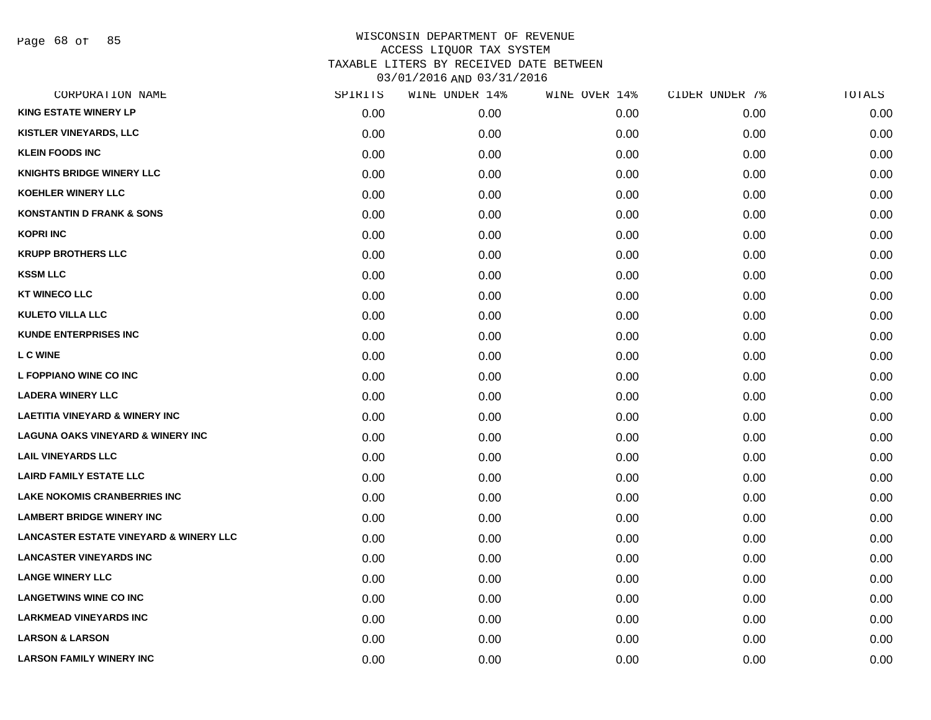Page 68 of 85

| CORPORATION NAME                                  | SPIRITS | WINE UNDER 14% | WINE OVER 14% | CIDER UNDER 7% | TOTALS |
|---------------------------------------------------|---------|----------------|---------------|----------------|--------|
| <b>KING ESTATE WINERY LP</b>                      | 0.00    | 0.00           | 0.00          | 0.00           | 0.00   |
| <b>KISTLER VINEYARDS, LLC</b>                     | 0.00    | 0.00           | 0.00          | 0.00           | 0.00   |
| <b>KLEIN FOODS INC</b>                            | 0.00    | 0.00           | 0.00          | 0.00           | 0.00   |
| <b>KNIGHTS BRIDGE WINERY LLC</b>                  | 0.00    | 0.00           | 0.00          | 0.00           | 0.00   |
| <b>KOEHLER WINERY LLC</b>                         | 0.00    | 0.00           | 0.00          | 0.00           | 0.00   |
| <b>KONSTANTIN D FRANK &amp; SONS</b>              | 0.00    | 0.00           | 0.00          | 0.00           | 0.00   |
| <b>KOPRI INC</b>                                  | 0.00    | 0.00           | 0.00          | 0.00           | 0.00   |
| <b>KRUPP BROTHERS LLC</b>                         | 0.00    | 0.00           | 0.00          | 0.00           | 0.00   |
| <b>KSSM LLC</b>                                   | 0.00    | 0.00           | 0.00          | 0.00           | 0.00   |
| <b>KT WINECO LLC</b>                              | 0.00    | 0.00           | 0.00          | 0.00           | 0.00   |
| <b>KULETO VILLA LLC</b>                           | 0.00    | 0.00           | 0.00          | 0.00           | 0.00   |
| <b>KUNDE ENTERPRISES INC</b>                      | 0.00    | 0.00           | 0.00          | 0.00           | 0.00   |
| <b>LC WINE</b>                                    | 0.00    | 0.00           | 0.00          | 0.00           | 0.00   |
| L FOPPIANO WINE CO INC                            | 0.00    | 0.00           | 0.00          | 0.00           | 0.00   |
| <b>LADERA WINERY LLC</b>                          | 0.00    | 0.00           | 0.00          | 0.00           | 0.00   |
| <b>LAETITIA VINEYARD &amp; WINERY INC</b>         | 0.00    | 0.00           | 0.00          | 0.00           | 0.00   |
| <b>LAGUNA OAKS VINEYARD &amp; WINERY INC</b>      | 0.00    | 0.00           | 0.00          | 0.00           | 0.00   |
| <b>LAIL VINEYARDS LLC</b>                         | 0.00    | 0.00           | 0.00          | 0.00           | 0.00   |
| <b>LAIRD FAMILY ESTATE LLC</b>                    | 0.00    | 0.00           | 0.00          | 0.00           | 0.00   |
| <b>LAKE NOKOMIS CRANBERRIES INC</b>               | 0.00    | 0.00           | 0.00          | 0.00           | 0.00   |
| <b>LAMBERT BRIDGE WINERY INC</b>                  | 0.00    | 0.00           | 0.00          | 0.00           | 0.00   |
| <b>LANCASTER ESTATE VINEYARD &amp; WINERY LLC</b> | 0.00    | 0.00           | 0.00          | 0.00           | 0.00   |
| <b>LANCASTER VINEYARDS INC</b>                    | 0.00    | 0.00           | 0.00          | 0.00           | 0.00   |
| <b>LANGE WINERY LLC</b>                           | 0.00    | 0.00           | 0.00          | 0.00           | 0.00   |
| <b>LANGETWINS WINE CO INC</b>                     | 0.00    | 0.00           | 0.00          | 0.00           | 0.00   |
| <b>LARKMEAD VINEYARDS INC</b>                     | 0.00    | 0.00           | 0.00          | 0.00           | 0.00   |
| <b>LARSON &amp; LARSON</b>                        | 0.00    | 0.00           | 0.00          | 0.00           | 0.00   |
| <b>LARSON FAMILY WINERY INC</b>                   | 0.00    | 0.00           | 0.00          | 0.00           | 0.00   |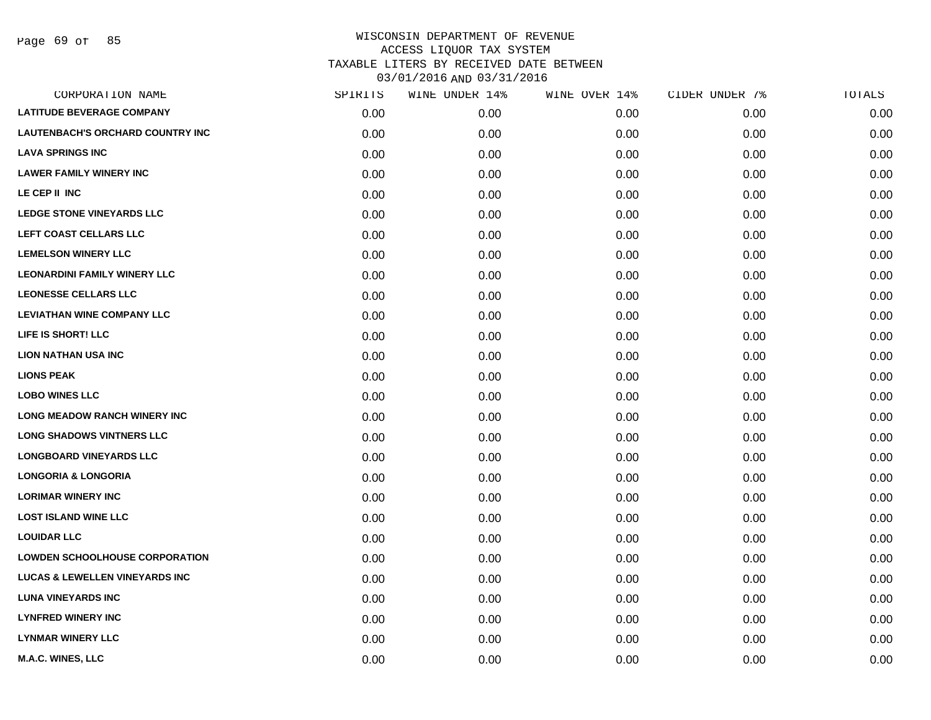|      | WINE UNDER 14% | WINE OVER 14% | CIDER UNDER 7% | TOTALS |
|------|----------------|---------------|----------------|--------|
| 0.00 | 0.00           | 0.00          | 0.00           | 0.00   |
| 0.00 | 0.00           | 0.00          | 0.00           | 0.00   |
| 0.00 | 0.00           | 0.00          | 0.00           | 0.00   |
| 0.00 | 0.00           | 0.00          | 0.00           | 0.00   |
| 0.00 | 0.00           | 0.00          | 0.00           | 0.00   |
| 0.00 | 0.00           | 0.00          | 0.00           | 0.00   |
| 0.00 | 0.00           | 0.00          | 0.00           | 0.00   |
| 0.00 | 0.00           | 0.00          | 0.00           | 0.00   |
| 0.00 | 0.00           | 0.00          | 0.00           | 0.00   |
| 0.00 | 0.00           | 0.00          | 0.00           | 0.00   |
| 0.00 | 0.00           | 0.00          | 0.00           | 0.00   |
| 0.00 | 0.00           | 0.00          | 0.00           | 0.00   |
| 0.00 | 0.00           | 0.00          | 0.00           | 0.00   |
| 0.00 | 0.00           | 0.00          | 0.00           | 0.00   |
| 0.00 | 0.00           | 0.00          | 0.00           | 0.00   |
| 0.00 | 0.00           | 0.00          | 0.00           | 0.00   |
| 0.00 | 0.00           | 0.00          | 0.00           | 0.00   |
| 0.00 | 0.00           | 0.00          | 0.00           | 0.00   |
| 0.00 | 0.00           | 0.00          | 0.00           | 0.00   |
| 0.00 | 0.00           | 0.00          | 0.00           | 0.00   |
| 0.00 | 0.00           | 0.00          | 0.00           | 0.00   |
| 0.00 | 0.00           | 0.00          | 0.00           | 0.00   |
| 0.00 | 0.00           | 0.00          | 0.00           | 0.00   |
| 0.00 | 0.00           | 0.00          | 0.00           | 0.00   |
| 0.00 | 0.00           | 0.00          | 0.00           | 0.00   |
| 0.00 | 0.00           | 0.00          | 0.00           | 0.00   |
| 0.00 | 0.00           | 0.00          | 0.00           | 0.00   |
| 0.00 | 0.00           | 0.00          | 0.00           | 0.00   |
|      | SPIRITS        |               |                |        |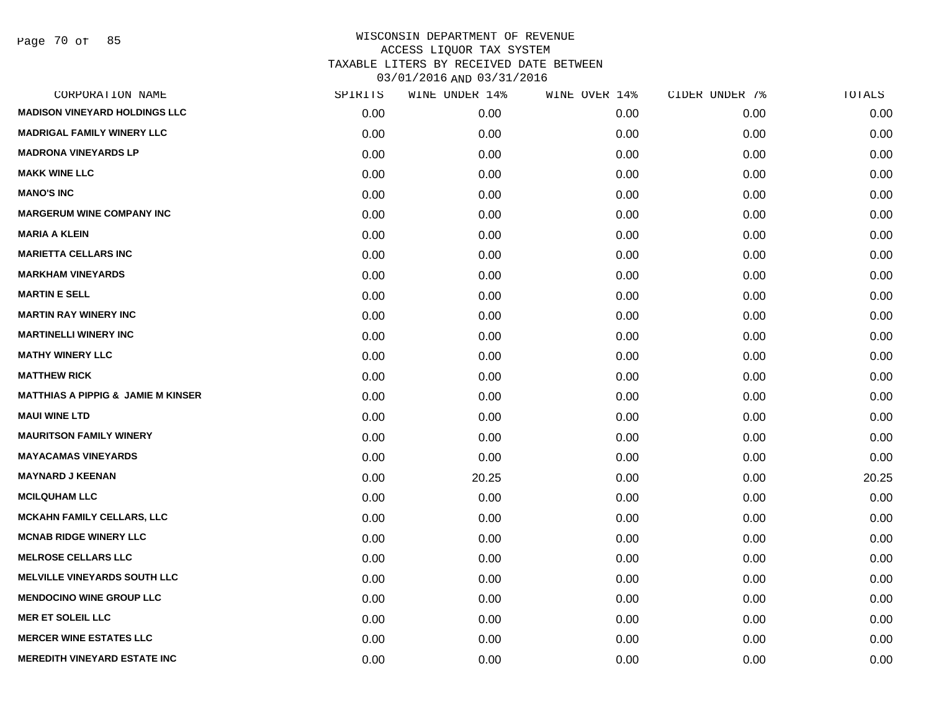Page 70 of 85

| CORPORATION NAME                              | SPIRITS | WINE UNDER 14% | WINE OVER 14% | CIDER UNDER 7% | TOTALS |
|-----------------------------------------------|---------|----------------|---------------|----------------|--------|
| <b>MADISON VINEYARD HOLDINGS LLC</b>          | 0.00    | 0.00           | 0.00          | 0.00           | 0.00   |
| <b>MADRIGAL FAMILY WINERY LLC</b>             | 0.00    | 0.00           | 0.00          | 0.00           | 0.00   |
| <b>MADRONA VINEYARDS LP</b>                   | 0.00    | 0.00           | 0.00          | 0.00           | 0.00   |
| <b>MAKK WINE LLC</b>                          | 0.00    | 0.00           | 0.00          | 0.00           | 0.00   |
| <b>MANO'S INC</b>                             | 0.00    | 0.00           | 0.00          | 0.00           | 0.00   |
| <b>MARGERUM WINE COMPANY INC</b>              | 0.00    | 0.00           | 0.00          | 0.00           | 0.00   |
| <b>MARIA A KLEIN</b>                          | 0.00    | 0.00           | 0.00          | 0.00           | 0.00   |
| <b>MARIETTA CELLARS INC</b>                   | 0.00    | 0.00           | 0.00          | 0.00           | 0.00   |
| <b>MARKHAM VINEYARDS</b>                      | 0.00    | 0.00           | 0.00          | 0.00           | 0.00   |
| <b>MARTIN E SELL</b>                          | 0.00    | 0.00           | 0.00          | 0.00           | 0.00   |
| <b>MARTIN RAY WINERY INC</b>                  | 0.00    | 0.00           | 0.00          | 0.00           | 0.00   |
| <b>MARTINELLI WINERY INC</b>                  | 0.00    | 0.00           | 0.00          | 0.00           | 0.00   |
| <b>MATHY WINERY LLC</b>                       | 0.00    | 0.00           | 0.00          | 0.00           | 0.00   |
| <b>MATTHEW RICK</b>                           | 0.00    | 0.00           | 0.00          | 0.00           | 0.00   |
| <b>MATTHIAS A PIPPIG &amp; JAMIE M KINSER</b> | 0.00    | 0.00           | 0.00          | 0.00           | 0.00   |
| <b>MAUI WINE LTD</b>                          | 0.00    | 0.00           | 0.00          | 0.00           | 0.00   |
| <b>MAURITSON FAMILY WINERY</b>                | 0.00    | 0.00           | 0.00          | 0.00           | 0.00   |
| <b>MAYACAMAS VINEYARDS</b>                    | 0.00    | 0.00           | 0.00          | 0.00           | 0.00   |
| <b>MAYNARD J KEENAN</b>                       | 0.00    | 20.25          | 0.00          | 0.00           | 20.25  |
| <b>MCILQUHAM LLC</b>                          | 0.00    | 0.00           | 0.00          | 0.00           | 0.00   |
| <b>MCKAHN FAMILY CELLARS, LLC</b>             | 0.00    | 0.00           | 0.00          | 0.00           | 0.00   |
| <b>MCNAB RIDGE WINERY LLC</b>                 | 0.00    | 0.00           | 0.00          | 0.00           | 0.00   |
| <b>MELROSE CELLARS LLC</b>                    | 0.00    | 0.00           | 0.00          | 0.00           | 0.00   |
| <b>MELVILLE VINEYARDS SOUTH LLC</b>           | 0.00    | 0.00           | 0.00          | 0.00           | 0.00   |
| <b>MENDOCINO WINE GROUP LLC</b>               | 0.00    | 0.00           | 0.00          | 0.00           | 0.00   |
| <b>MER ET SOLEIL LLC</b>                      | 0.00    | 0.00           | 0.00          | 0.00           | 0.00   |
| <b>MERCER WINE ESTATES LLC</b>                | 0.00    | 0.00           | 0.00          | 0.00           | 0.00   |
| <b>MEREDITH VINEYARD ESTATE INC</b>           | 0.00    | 0.00           | 0.00          | 0.00           | 0.00   |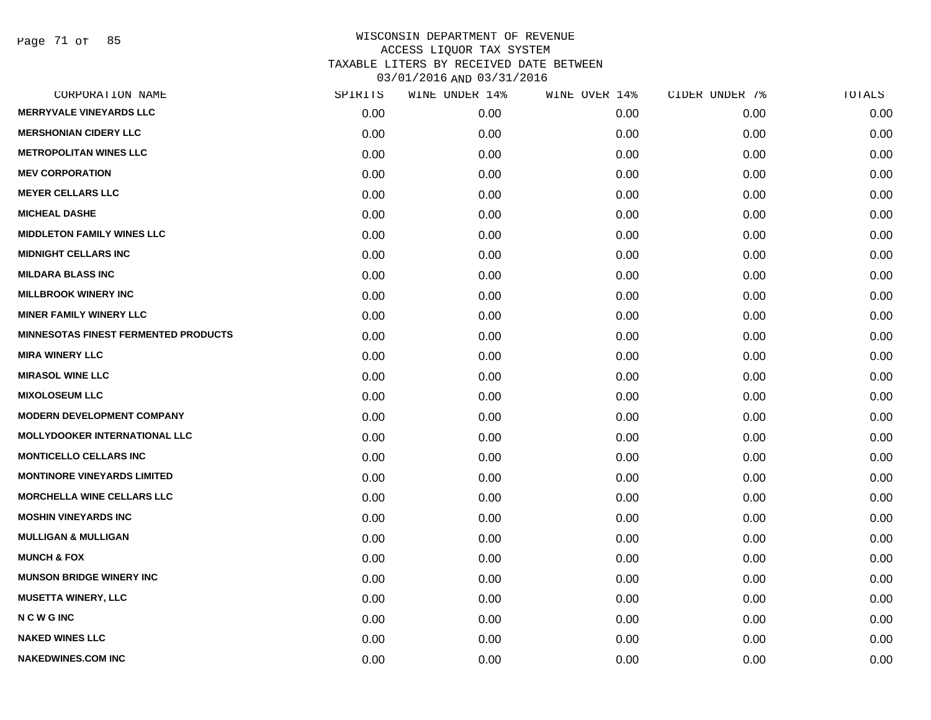Page 71 of 85

| CORPORATION NAME                            | SPIRITS | WINE UNDER 14% | WINE OVER 14% | CIDER UNDER 7% | TOTALS |
|---------------------------------------------|---------|----------------|---------------|----------------|--------|
| <b>MERRYVALE VINEYARDS LLC</b>              | 0.00    | 0.00           | 0.00          | 0.00           | 0.00   |
| <b>MERSHONIAN CIDERY LLC</b>                | 0.00    | 0.00           | 0.00          | 0.00           | 0.00   |
| <b>METROPOLITAN WINES LLC</b>               | 0.00    | 0.00           | 0.00          | 0.00           | 0.00   |
| <b>MEV CORPORATION</b>                      | 0.00    | 0.00           | 0.00          | 0.00           | 0.00   |
| <b>MEYER CELLARS LLC</b>                    | 0.00    | 0.00           | 0.00          | 0.00           | 0.00   |
| <b>MICHEAL DASHE</b>                        | 0.00    | 0.00           | 0.00          | 0.00           | 0.00   |
| <b>MIDDLETON FAMILY WINES LLC</b>           | 0.00    | 0.00           | 0.00          | 0.00           | 0.00   |
| <b>MIDNIGHT CELLARS INC</b>                 | 0.00    | 0.00           | 0.00          | 0.00           | 0.00   |
| <b>MILDARA BLASS INC</b>                    | 0.00    | 0.00           | 0.00          | 0.00           | 0.00   |
| <b>MILLBROOK WINERY INC</b>                 | 0.00    | 0.00           | 0.00          | 0.00           | 0.00   |
| <b>MINER FAMILY WINERY LLC</b>              | 0.00    | 0.00           | 0.00          | 0.00           | 0.00   |
| <b>MINNESOTAS FINEST FERMENTED PRODUCTS</b> | 0.00    | 0.00           | 0.00          | 0.00           | 0.00   |
| <b>MIRA WINERY LLC</b>                      | 0.00    | 0.00           | 0.00          | 0.00           | 0.00   |
| <b>MIRASOL WINE LLC</b>                     | 0.00    | 0.00           | 0.00          | 0.00           | 0.00   |
| <b>MIXOLOSEUM LLC</b>                       | 0.00    | 0.00           | 0.00          | 0.00           | 0.00   |
| <b>MODERN DEVELOPMENT COMPANY</b>           | 0.00    | 0.00           | 0.00          | 0.00           | 0.00   |
| <b>MOLLYDOOKER INTERNATIONAL LLC</b>        | 0.00    | 0.00           | 0.00          | 0.00           | 0.00   |
| <b>MONTICELLO CELLARS INC</b>               | 0.00    | 0.00           | 0.00          | 0.00           | 0.00   |
| <b>MONTINORE VINEYARDS LIMITED</b>          | 0.00    | 0.00           | 0.00          | 0.00           | 0.00   |
| <b>MORCHELLA WINE CELLARS LLC</b>           | 0.00    | 0.00           | 0.00          | 0.00           | 0.00   |
| <b>MOSHIN VINEYARDS INC</b>                 | 0.00    | 0.00           | 0.00          | 0.00           | 0.00   |
| <b>MULLIGAN &amp; MULLIGAN</b>              | 0.00    | 0.00           | 0.00          | 0.00           | 0.00   |
| <b>MUNCH &amp; FOX</b>                      | 0.00    | 0.00           | 0.00          | 0.00           | 0.00   |
| <b>MUNSON BRIDGE WINERY INC</b>             | 0.00    | 0.00           | 0.00          | 0.00           | 0.00   |
| <b>MUSETTA WINERY, LLC</b>                  | 0.00    | 0.00           | 0.00          | 0.00           | 0.00   |
| <b>NCWGINC</b>                              | 0.00    | 0.00           | 0.00          | 0.00           | 0.00   |
| <b>NAKED WINES LLC</b>                      | 0.00    | 0.00           | 0.00          | 0.00           | 0.00   |
| <b>NAKEDWINES.COM INC</b>                   | 0.00    | 0.00           | 0.00          | 0.00           | 0.00   |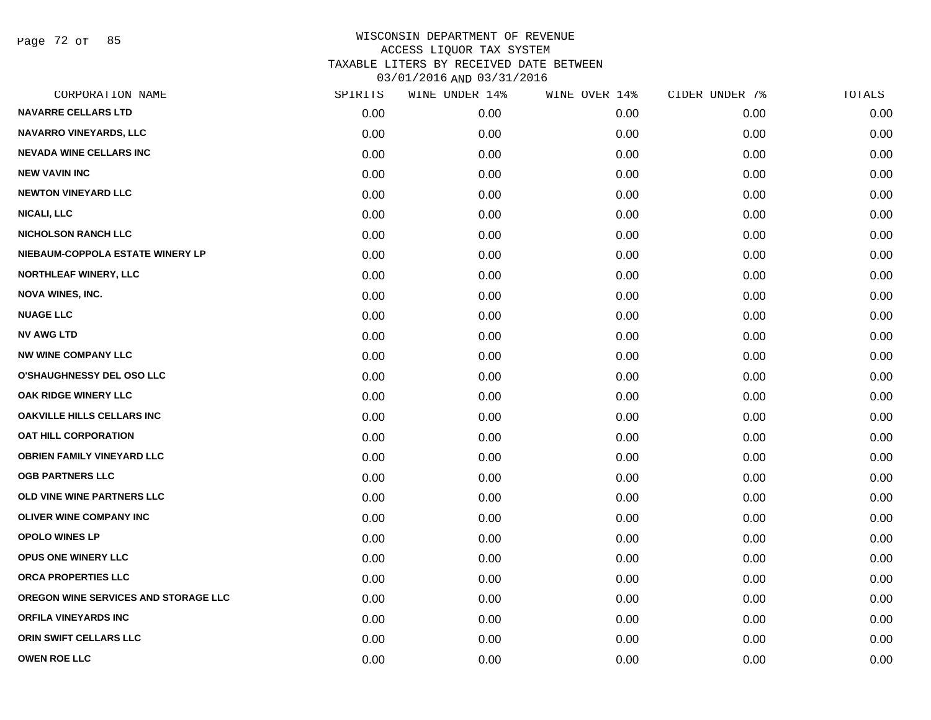Page 72 of 85

| CORPORATION NAME                     | SPIRITS | WINE UNDER 14% | WINE OVER 14% | CIDER UNDER 7% | TOTALS |
|--------------------------------------|---------|----------------|---------------|----------------|--------|
| <b>NAVARRE CELLARS LTD</b>           | 0.00    | 0.00           | 0.00          | 0.00           | 0.00   |
| <b>NAVARRO VINEYARDS, LLC</b>        | 0.00    | 0.00           | 0.00          | 0.00           | 0.00   |
| <b>NEVADA WINE CELLARS INC</b>       | 0.00    | 0.00           | 0.00          | 0.00           | 0.00   |
| <b>NEW VAVIN INC</b>                 | 0.00    | 0.00           | 0.00          | 0.00           | 0.00   |
| <b>NEWTON VINEYARD LLC</b>           | 0.00    | 0.00           | 0.00          | 0.00           | 0.00   |
| <b>NICALI, LLC</b>                   | 0.00    | 0.00           | 0.00          | 0.00           | 0.00   |
| <b>NICHOLSON RANCH LLC</b>           | 0.00    | 0.00           | 0.00          | 0.00           | 0.00   |
| NIEBAUM-COPPOLA ESTATE WINERY LP     | 0.00    | 0.00           | 0.00          | 0.00           | 0.00   |
| <b>NORTHLEAF WINERY, LLC</b>         | 0.00    | 0.00           | 0.00          | 0.00           | 0.00   |
| <b>NOVA WINES, INC.</b>              | 0.00    | 0.00           | 0.00          | 0.00           | 0.00   |
| <b>NUAGE LLC</b>                     | 0.00    | 0.00           | 0.00          | 0.00           | 0.00   |
| <b>NV AWG LTD</b>                    | 0.00    | 0.00           | 0.00          | 0.00           | 0.00   |
| <b>NW WINE COMPANY LLC</b>           | 0.00    | 0.00           | 0.00          | 0.00           | 0.00   |
| <b>O'SHAUGHNESSY DEL OSO LLC</b>     | 0.00    | 0.00           | 0.00          | 0.00           | 0.00   |
| OAK RIDGE WINERY LLC                 | 0.00    | 0.00           | 0.00          | 0.00           | 0.00   |
| OAKVILLE HILLS CELLARS INC           | 0.00    | 0.00           | 0.00          | 0.00           | 0.00   |
| <b>OAT HILL CORPORATION</b>          | 0.00    | 0.00           | 0.00          | 0.00           | 0.00   |
| <b>OBRIEN FAMILY VINEYARD LLC</b>    | 0.00    | 0.00           | 0.00          | 0.00           | 0.00   |
| <b>OGB PARTNERS LLC</b>              | 0.00    | 0.00           | 0.00          | 0.00           | 0.00   |
| OLD VINE WINE PARTNERS LLC           | 0.00    | 0.00           | 0.00          | 0.00           | 0.00   |
| <b>OLIVER WINE COMPANY INC</b>       | 0.00    | 0.00           | 0.00          | 0.00           | 0.00   |
| <b>OPOLO WINES LP</b>                | 0.00    | 0.00           | 0.00          | 0.00           | 0.00   |
| OPUS ONE WINERY LLC                  | 0.00    | 0.00           | 0.00          | 0.00           | 0.00   |
| ORCA PROPERTIES LLC                  | 0.00    | 0.00           | 0.00          | 0.00           | 0.00   |
| OREGON WINE SERVICES AND STORAGE LLC | 0.00    | 0.00           | 0.00          | 0.00           | 0.00   |
| ORFILA VINEYARDS INC                 | 0.00    | 0.00           | 0.00          | 0.00           | 0.00   |
| ORIN SWIFT CELLARS LLC               | 0.00    | 0.00           | 0.00          | 0.00           | 0.00   |
| <b>OWEN ROE LLC</b>                  | 0.00    | 0.00           | 0.00          | 0.00           | 0.00   |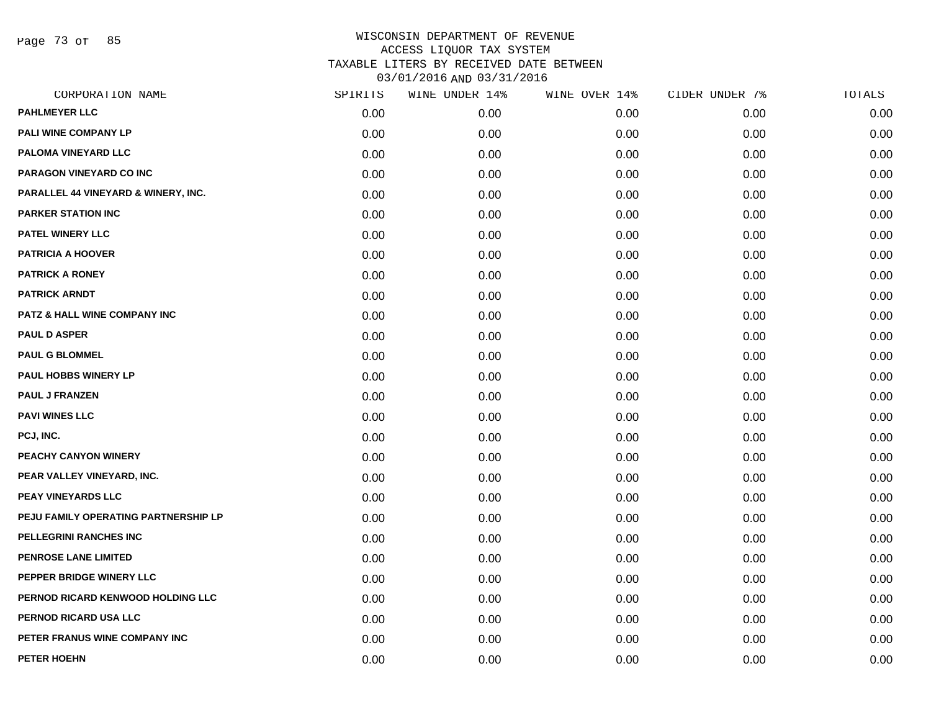Page 73 of 85

| CORPORATION NAME                        | SPIRITS | WINE UNDER 14% | WINE OVER 14% | CIDER UNDER 7% | TOTALS |
|-----------------------------------------|---------|----------------|---------------|----------------|--------|
| <b>PAHLMEYER LLC</b>                    | 0.00    | 0.00           | 0.00          | 0.00           | 0.00   |
| PALI WINE COMPANY LP                    | 0.00    | 0.00           | 0.00          | 0.00           | 0.00   |
| PALOMA VINEYARD LLC                     | 0.00    | 0.00           | 0.00          | 0.00           | 0.00   |
| PARAGON VINEYARD CO INC                 | 0.00    | 0.00           | 0.00          | 0.00           | 0.00   |
| PARALLEL 44 VINEYARD & WINERY, INC.     | 0.00    | 0.00           | 0.00          | 0.00           | 0.00   |
| <b>PARKER STATION INC</b>               | 0.00    | 0.00           | 0.00          | 0.00           | 0.00   |
| PATEL WINERY LLC                        | 0.00    | 0.00           | 0.00          | 0.00           | 0.00   |
| <b>PATRICIA A HOOVER</b>                | 0.00    | 0.00           | 0.00          | 0.00           | 0.00   |
| <b>PATRICK A RONEY</b>                  | 0.00    | 0.00           | 0.00          | 0.00           | 0.00   |
| <b>PATRICK ARNDT</b>                    | 0.00    | 0.00           | 0.00          | 0.00           | 0.00   |
| <b>PATZ &amp; HALL WINE COMPANY INC</b> | 0.00    | 0.00           | 0.00          | 0.00           | 0.00   |
| <b>PAUL D ASPER</b>                     | 0.00    | 0.00           | 0.00          | 0.00           | 0.00   |
| <b>PAUL G BLOMMEL</b>                   | 0.00    | 0.00           | 0.00          | 0.00           | 0.00   |
| <b>PAUL HOBBS WINERY LP</b>             | 0.00    | 0.00           | 0.00          | 0.00           | 0.00   |
| <b>PAUL J FRANZEN</b>                   | 0.00    | 0.00           | 0.00          | 0.00           | 0.00   |
| <b>PAVI WINES LLC</b>                   | 0.00    | 0.00           | 0.00          | 0.00           | 0.00   |
| PCJ, INC.                               | 0.00    | 0.00           | 0.00          | 0.00           | 0.00   |
| PEACHY CANYON WINERY                    | 0.00    | 0.00           | 0.00          | 0.00           | 0.00   |
| PEAR VALLEY VINEYARD, INC.              | 0.00    | 0.00           | 0.00          | 0.00           | 0.00   |
| PEAY VINEYARDS LLC                      | 0.00    | 0.00           | 0.00          | 0.00           | 0.00   |
| PEJU FAMILY OPERATING PARTNERSHIP LP    | 0.00    | 0.00           | 0.00          | 0.00           | 0.00   |
| PELLEGRINI RANCHES INC                  | 0.00    | 0.00           | 0.00          | 0.00           | 0.00   |
| <b>PENROSE LANE LIMITED</b>             | 0.00    | 0.00           | 0.00          | 0.00           | 0.00   |
| PEPPER BRIDGE WINERY LLC                | 0.00    | 0.00           | 0.00          | 0.00           | 0.00   |
| PERNOD RICARD KENWOOD HOLDING LLC       | 0.00    | 0.00           | 0.00          | 0.00           | 0.00   |
| PERNOD RICARD USA LLC                   | 0.00    | 0.00           | 0.00          | 0.00           | 0.00   |
| PETER FRANUS WINE COMPANY INC           | 0.00    | 0.00           | 0.00          | 0.00           | 0.00   |
| PETER HOEHN                             | 0.00    | 0.00           | 0.00          | 0.00           | 0.00   |
|                                         |         |                |               |                |        |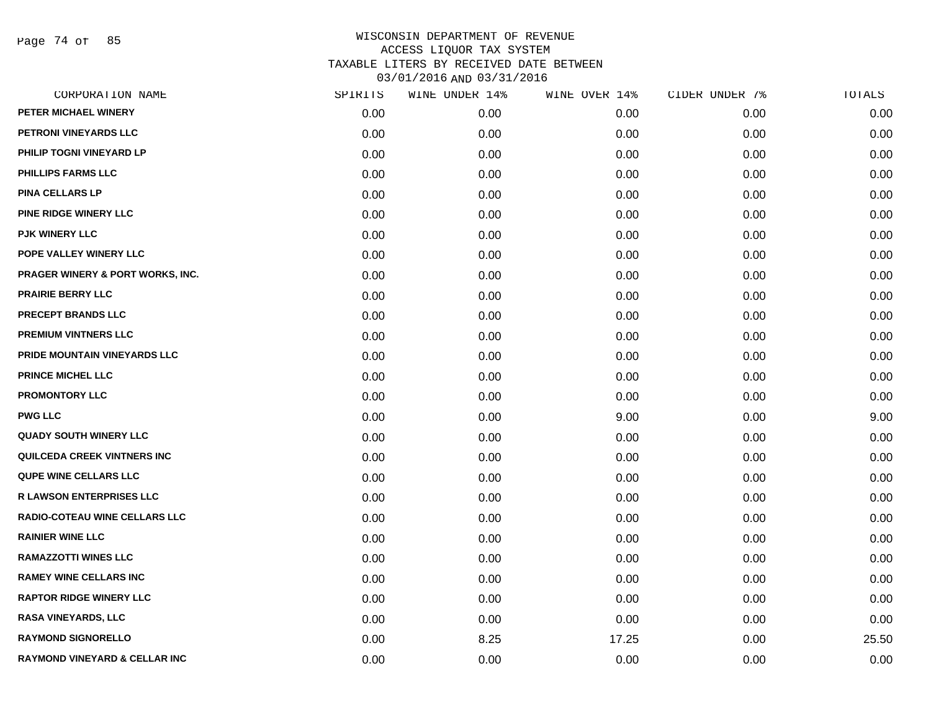Page 74 of 85

|      | WINE UNDER 14% |       | CIDER UNDER 7% | TOTALS |
|------|----------------|-------|----------------|--------|
| 0.00 | 0.00           | 0.00  | 0.00           | 0.00   |
| 0.00 | 0.00           | 0.00  | 0.00           | 0.00   |
| 0.00 | 0.00           | 0.00  | 0.00           | 0.00   |
| 0.00 | 0.00           | 0.00  | 0.00           | 0.00   |
| 0.00 | 0.00           | 0.00  | 0.00           | 0.00   |
| 0.00 | 0.00           | 0.00  | 0.00           | 0.00   |
| 0.00 | 0.00           | 0.00  | 0.00           | 0.00   |
| 0.00 | 0.00           | 0.00  | 0.00           | 0.00   |
| 0.00 | 0.00           | 0.00  | 0.00           | 0.00   |
| 0.00 | 0.00           | 0.00  | 0.00           | 0.00   |
| 0.00 | 0.00           | 0.00  | 0.00           | 0.00   |
| 0.00 | 0.00           | 0.00  | 0.00           | 0.00   |
| 0.00 | 0.00           | 0.00  | 0.00           | 0.00   |
| 0.00 | 0.00           | 0.00  | 0.00           | 0.00   |
| 0.00 | 0.00           | 0.00  | 0.00           | 0.00   |
| 0.00 | 0.00           | 9.00  | 0.00           | 9.00   |
| 0.00 | 0.00           | 0.00  | 0.00           | 0.00   |
| 0.00 | 0.00           | 0.00  | 0.00           | 0.00   |
| 0.00 | 0.00           | 0.00  | 0.00           | 0.00   |
| 0.00 | 0.00           | 0.00  | 0.00           | 0.00   |
| 0.00 | 0.00           | 0.00  | 0.00           | 0.00   |
| 0.00 | 0.00           | 0.00  | 0.00           | 0.00   |
| 0.00 | 0.00           | 0.00  | 0.00           | 0.00   |
| 0.00 | 0.00           | 0.00  | 0.00           | 0.00   |
| 0.00 | 0.00           | 0.00  | 0.00           | 0.00   |
| 0.00 | 0.00           | 0.00  | 0.00           | 0.00   |
| 0.00 | 8.25           | 17.25 | 0.00           | 25.50  |
| 0.00 | 0.00           | 0.00  | 0.00           | 0.00   |
|      | SPIRITS        |       | WINE OVER 14%  |        |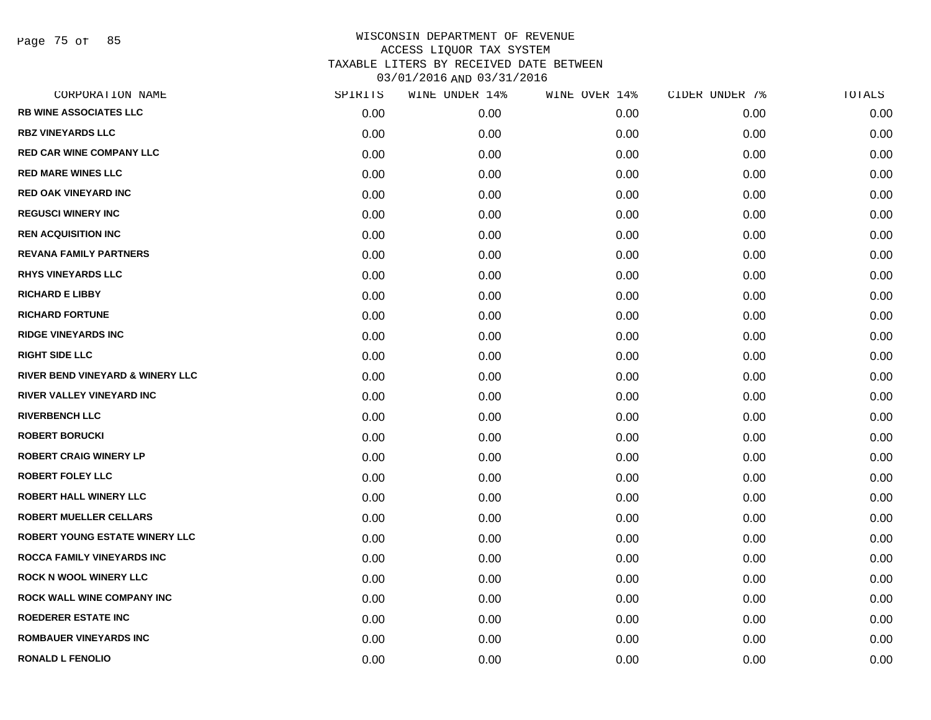Page 75 of 85

| CORPORATION NAME                      | SPIRITS | WINE UNDER 14% | WINE OVER 14% | CIDER UNDER 7% | TOTALS |
|---------------------------------------|---------|----------------|---------------|----------------|--------|
| <b>RB WINE ASSOCIATES LLC</b>         | 0.00    | 0.00           | 0.00          | 0.00           | 0.00   |
| <b>RBZ VINEYARDS LLC</b>              | 0.00    | 0.00           | 0.00          | 0.00           | 0.00   |
| <b>RED CAR WINE COMPANY LLC</b>       | 0.00    | 0.00           | 0.00          | 0.00           | 0.00   |
| <b>RED MARE WINES LLC</b>             | 0.00    | 0.00           | 0.00          | 0.00           | 0.00   |
| <b>RED OAK VINEYARD INC</b>           | 0.00    | 0.00           | 0.00          | 0.00           | 0.00   |
| <b>REGUSCI WINERY INC</b>             | 0.00    | 0.00           | 0.00          | 0.00           | 0.00   |
| <b>REN ACQUISITION INC</b>            | 0.00    | 0.00           | 0.00          | 0.00           | 0.00   |
| <b>REVANA FAMILY PARTNERS</b>         | 0.00    | 0.00           | 0.00          | 0.00           | 0.00   |
| <b>RHYS VINEYARDS LLC</b>             | 0.00    | 0.00           | 0.00          | 0.00           | 0.00   |
| <b>RICHARD E LIBBY</b>                | 0.00    | 0.00           | 0.00          | 0.00           | 0.00   |
| <b>RICHARD FORTUNE</b>                | 0.00    | 0.00           | 0.00          | 0.00           | 0.00   |
| <b>RIDGE VINEYARDS INC</b>            | 0.00    | 0.00           | 0.00          | 0.00           | 0.00   |
| <b>RIGHT SIDE LLC</b>                 | 0.00    | 0.00           | 0.00          | 0.00           | 0.00   |
| RIVER BEND VINEYARD & WINERY LLC      | 0.00    | 0.00           | 0.00          | 0.00           | 0.00   |
| RIVER VALLEY VINEYARD INC             | 0.00    | 0.00           | 0.00          | 0.00           | 0.00   |
| <b>RIVERBENCH LLC</b>                 | 0.00    | 0.00           | 0.00          | 0.00           | 0.00   |
| <b>ROBERT BORUCKI</b>                 | 0.00    | 0.00           | 0.00          | 0.00           | 0.00   |
| <b>ROBERT CRAIG WINERY LP</b>         | 0.00    | 0.00           | 0.00          | 0.00           | 0.00   |
| <b>ROBERT FOLEY LLC</b>               | 0.00    | 0.00           | 0.00          | 0.00           | 0.00   |
| <b>ROBERT HALL WINERY LLC</b>         | 0.00    | 0.00           | 0.00          | 0.00           | 0.00   |
| <b>ROBERT MUELLER CELLARS</b>         | 0.00    | 0.00           | 0.00          | 0.00           | 0.00   |
| <b>ROBERT YOUNG ESTATE WINERY LLC</b> | 0.00    | 0.00           | 0.00          | 0.00           | 0.00   |
| <b>ROCCA FAMILY VINEYARDS INC</b>     | 0.00    | 0.00           | 0.00          | 0.00           | 0.00   |
| <b>ROCK N WOOL WINERY LLC</b>         | 0.00    | 0.00           | 0.00          | 0.00           | 0.00   |
| <b>ROCK WALL WINE COMPANY INC</b>     | 0.00    | 0.00           | 0.00          | 0.00           | 0.00   |
| <b>ROEDERER ESTATE INC</b>            | 0.00    | 0.00           | 0.00          | 0.00           | 0.00   |
| <b>ROMBAUER VINEYARDS INC</b>         | 0.00    | 0.00           | 0.00          | 0.00           | 0.00   |
| <b>RONALD L FENOLIO</b>               | 0.00    | 0.00           | 0.00          | 0.00           | 0.00   |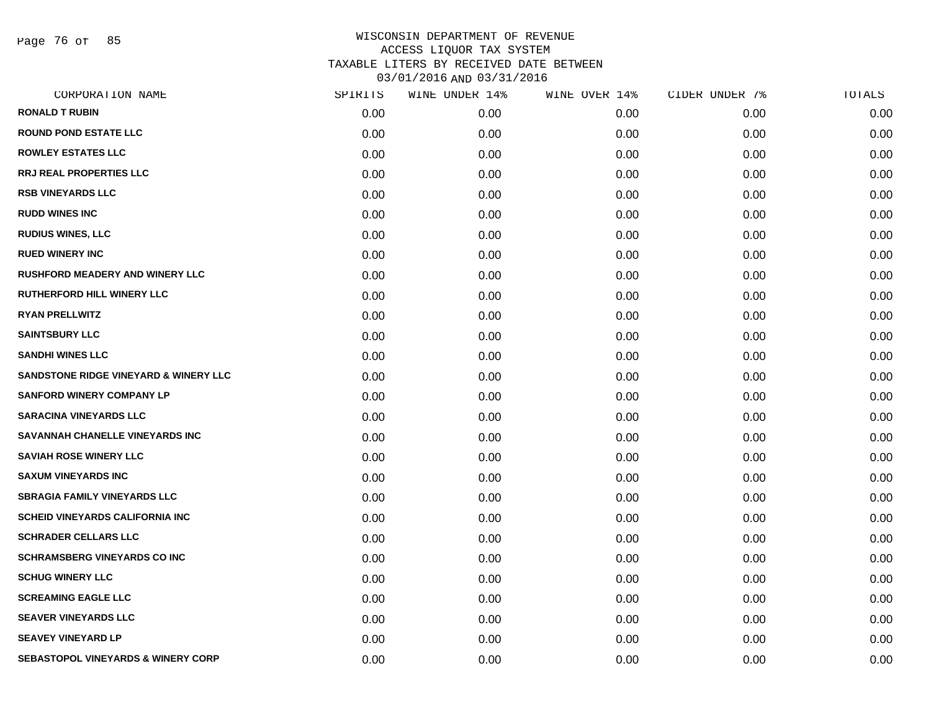Page 76 of 85

| CORPORATION NAME                                 | SPIRITS | WINE UNDER 14% | WINE OVER 14% | CIDER UNDER 7% | TOTALS |
|--------------------------------------------------|---------|----------------|---------------|----------------|--------|
| <b>RONALD T RUBIN</b>                            | 0.00    | 0.00           | 0.00          | 0.00           | 0.00   |
| <b>ROUND POND ESTATE LLC</b>                     | 0.00    | 0.00           | 0.00          | 0.00           | 0.00   |
| <b>ROWLEY ESTATES LLC</b>                        | 0.00    | 0.00           | 0.00          | 0.00           | 0.00   |
| <b>RRJ REAL PROPERTIES LLC</b>                   | 0.00    | 0.00           | 0.00          | 0.00           | 0.00   |
| <b>RSB VINEYARDS LLC</b>                         | 0.00    | 0.00           | 0.00          | 0.00           | 0.00   |
| <b>RUDD WINES INC</b>                            | 0.00    | 0.00           | 0.00          | 0.00           | 0.00   |
| <b>RUDIUS WINES, LLC</b>                         | 0.00    | 0.00           | 0.00          | 0.00           | 0.00   |
| <b>RUED WINERY INC</b>                           | 0.00    | 0.00           | 0.00          | 0.00           | 0.00   |
| <b>RUSHFORD MEADERY AND WINERY LLC</b>           | 0.00    | 0.00           | 0.00          | 0.00           | 0.00   |
| RUTHERFORD HILL WINERY LLC                       | 0.00    | 0.00           | 0.00          | 0.00           | 0.00   |
| <b>RYAN PRELLWITZ</b>                            | 0.00    | 0.00           | 0.00          | 0.00           | 0.00   |
| <b>SAINTSBURY LLC</b>                            | 0.00    | 0.00           | 0.00          | 0.00           | 0.00   |
| <b>SANDHI WINES LLC</b>                          | 0.00    | 0.00           | 0.00          | 0.00           | 0.00   |
| <b>SANDSTONE RIDGE VINEYARD &amp; WINERY LLC</b> | 0.00    | 0.00           | 0.00          | 0.00           | 0.00   |
| <b>SANFORD WINERY COMPANY LP</b>                 | 0.00    | 0.00           | 0.00          | 0.00           | 0.00   |
| <b>SARACINA VINEYARDS LLC</b>                    | 0.00    | 0.00           | 0.00          | 0.00           | 0.00   |
| SAVANNAH CHANELLE VINEYARDS INC                  | 0.00    | 0.00           | 0.00          | 0.00           | 0.00   |
| <b>SAVIAH ROSE WINERY LLC</b>                    | 0.00    | 0.00           | 0.00          | 0.00           | 0.00   |
| <b>SAXUM VINEYARDS INC</b>                       | 0.00    | 0.00           | 0.00          | 0.00           | 0.00   |
| <b>SBRAGIA FAMILY VINEYARDS LLC</b>              | 0.00    | 0.00           | 0.00          | 0.00           | 0.00   |
| <b>SCHEID VINEYARDS CALIFORNIA INC</b>           | 0.00    | 0.00           | 0.00          | 0.00           | 0.00   |
| <b>SCHRADER CELLARS LLC</b>                      | 0.00    | 0.00           | 0.00          | 0.00           | 0.00   |
| <b>SCHRAMSBERG VINEYARDS CO INC</b>              | 0.00    | 0.00           | 0.00          | 0.00           | 0.00   |
| <b>SCHUG WINERY LLC</b>                          | 0.00    | 0.00           | 0.00          | 0.00           | 0.00   |
| <b>SCREAMING EAGLE LLC</b>                       | 0.00    | 0.00           | 0.00          | 0.00           | 0.00   |
| <b>SEAVER VINEYARDS LLC</b>                      | 0.00    | 0.00           | 0.00          | 0.00           | 0.00   |
| <b>SEAVEY VINEYARD LP</b>                        | 0.00    | 0.00           | 0.00          | 0.00           | 0.00   |
| <b>SEBASTOPOL VINEYARDS &amp; WINERY CORP</b>    | 0.00    | 0.00           | 0.00          | 0.00           | 0.00   |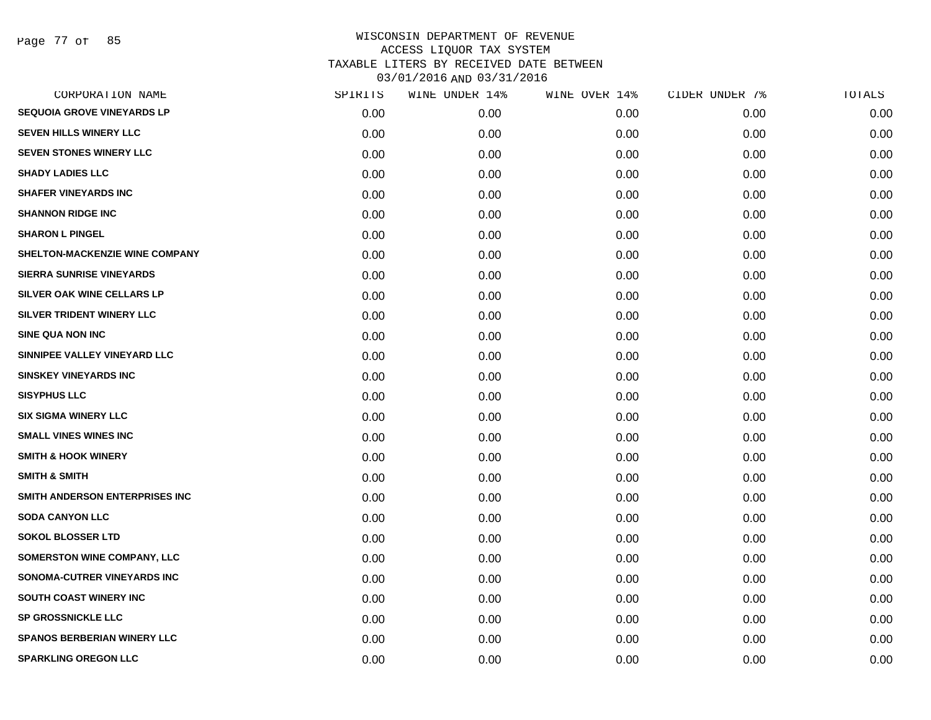Page 77 of 85

| CORPORATION NAME                   | SPIRITS | WINE UNDER 14% | WINE OVER 14% | CIDER UNDER 7% | TOTALS |
|------------------------------------|---------|----------------|---------------|----------------|--------|
| <b>SEQUOIA GROVE VINEYARDS LP</b>  | 0.00    | 0.00           | 0.00          | 0.00           | 0.00   |
| <b>SEVEN HILLS WINERY LLC</b>      | 0.00    | 0.00           | 0.00          | 0.00           | 0.00   |
| <b>SEVEN STONES WINERY LLC</b>     | 0.00    | 0.00           | 0.00          | 0.00           | 0.00   |
| <b>SHADY LADIES LLC</b>            | 0.00    | 0.00           | 0.00          | 0.00           | 0.00   |
| <b>SHAFER VINEYARDS INC</b>        | 0.00    | 0.00           | 0.00          | 0.00           | 0.00   |
| <b>SHANNON RIDGE INC</b>           | 0.00    | 0.00           | 0.00          | 0.00           | 0.00   |
| <b>SHARON L PINGEL</b>             | 0.00    | 0.00           | 0.00          | 0.00           | 0.00   |
| SHELTON-MACKENZIE WINE COMPANY     | 0.00    | 0.00           | 0.00          | 0.00           | 0.00   |
| <b>SIERRA SUNRISE VINEYARDS</b>    | 0.00    | 0.00           | 0.00          | 0.00           | 0.00   |
| <b>SILVER OAK WINE CELLARS LP</b>  | 0.00    | 0.00           | 0.00          | 0.00           | 0.00   |
| SILVER TRIDENT WINERY LLC          | 0.00    | 0.00           | 0.00          | 0.00           | 0.00   |
| <b>SINE QUA NON INC</b>            | 0.00    | 0.00           | 0.00          | 0.00           | 0.00   |
| SINNIPEE VALLEY VINEYARD LLC       | 0.00    | 0.00           | 0.00          | 0.00           | 0.00   |
| <b>SINSKEY VINEYARDS INC</b>       | 0.00    | 0.00           | 0.00          | 0.00           | 0.00   |
| <b>SISYPHUS LLC</b>                | 0.00    | 0.00           | 0.00          | 0.00           | 0.00   |
| <b>SIX SIGMA WINERY LLC</b>        | 0.00    | 0.00           | 0.00          | 0.00           | 0.00   |
| <b>SMALL VINES WINES INC</b>       | 0.00    | 0.00           | 0.00          | 0.00           | 0.00   |
| <b>SMITH &amp; HOOK WINERY</b>     | 0.00    | 0.00           | 0.00          | 0.00           | 0.00   |
| <b>SMITH &amp; SMITH</b>           | 0.00    | 0.00           | 0.00          | 0.00           | 0.00   |
| SMITH ANDERSON ENTERPRISES INC     | 0.00    | 0.00           | 0.00          | 0.00           | 0.00   |
| <b>SODA CANYON LLC</b>             | 0.00    | 0.00           | 0.00          | 0.00           | 0.00   |
| <b>SOKOL BLOSSER LTD</b>           | 0.00    | 0.00           | 0.00          | 0.00           | 0.00   |
| SOMERSTON WINE COMPANY, LLC        | 0.00    | 0.00           | 0.00          | 0.00           | 0.00   |
| SONOMA-CUTRER VINEYARDS INC        | 0.00    | 0.00           | 0.00          | 0.00           | 0.00   |
| SOUTH COAST WINERY INC             | 0.00    | 0.00           | 0.00          | 0.00           | 0.00   |
| <b>SP GROSSNICKLE LLC</b>          | 0.00    | 0.00           | 0.00          | 0.00           | 0.00   |
| <b>SPANOS BERBERIAN WINERY LLC</b> | 0.00    | 0.00           | 0.00          | 0.00           | 0.00   |
| <b>SPARKLING OREGON LLC</b>        | 0.00    | 0.00           | 0.00          | 0.00           | 0.00   |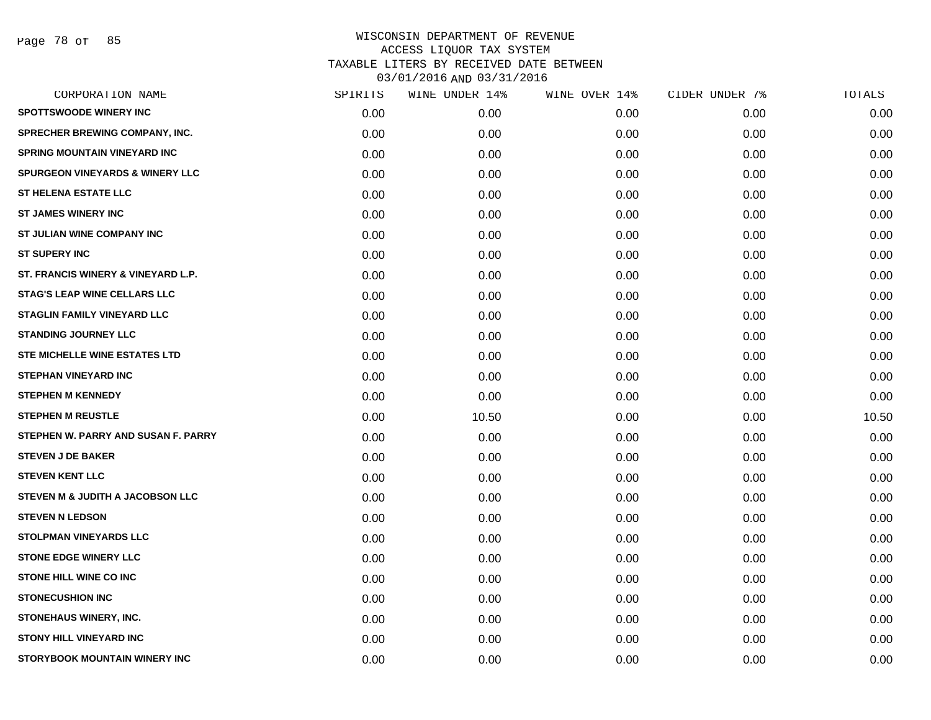Page 78 of 85

| CORPORATION NAME                           | SPIRITS | WINE UNDER 14% | WINE OVER 14% | CIDER UNDER 7% | TOTALS |
|--------------------------------------------|---------|----------------|---------------|----------------|--------|
| <b>SPOTTSWOODE WINERY INC</b>              | 0.00    | 0.00           | 0.00          | 0.00           | 0.00   |
| <b>SPRECHER BREWING COMPANY, INC.</b>      | 0.00    | 0.00           | 0.00          | 0.00           | 0.00   |
| <b>SPRING MOUNTAIN VINEYARD INC</b>        | 0.00    | 0.00           | 0.00          | 0.00           | 0.00   |
| <b>SPURGEON VINEYARDS &amp; WINERY LLC</b> | 0.00    | 0.00           | 0.00          | 0.00           | 0.00   |
| ST HELENA ESTATE LLC                       | 0.00    | 0.00           | 0.00          | 0.00           | 0.00   |
| <b>ST JAMES WINERY INC</b>                 | 0.00    | 0.00           | 0.00          | 0.00           | 0.00   |
| <b>ST JULIAN WINE COMPANY INC</b>          | 0.00    | 0.00           | 0.00          | 0.00           | 0.00   |
| <b>ST SUPERY INC</b>                       | 0.00    | 0.00           | 0.00          | 0.00           | 0.00   |
| ST. FRANCIS WINERY & VINEYARD L.P.         | 0.00    | 0.00           | 0.00          | 0.00           | 0.00   |
| <b>STAG'S LEAP WINE CELLARS LLC</b>        | 0.00    | 0.00           | 0.00          | 0.00           | 0.00   |
| <b>STAGLIN FAMILY VINEYARD LLC</b>         | 0.00    | 0.00           | 0.00          | 0.00           | 0.00   |
| <b>STANDING JOURNEY LLC</b>                | 0.00    | 0.00           | 0.00          | 0.00           | 0.00   |
| <b>STE MICHELLE WINE ESTATES LTD</b>       | 0.00    | 0.00           | 0.00          | 0.00           | 0.00   |
| <b>STEPHAN VINEYARD INC</b>                | 0.00    | 0.00           | 0.00          | 0.00           | 0.00   |
| <b>STEPHEN M KENNEDY</b>                   | 0.00    | 0.00           | 0.00          | 0.00           | 0.00   |
| <b>STEPHEN M REUSTLE</b>                   | 0.00    | 10.50          | 0.00          | 0.00           | 10.50  |
| STEPHEN W. PARRY AND SUSAN F. PARRY        | 0.00    | 0.00           | 0.00          | 0.00           | 0.00   |
| <b>STEVEN J DE BAKER</b>                   | 0.00    | 0.00           | 0.00          | 0.00           | 0.00   |
| <b>STEVEN KENT LLC</b>                     | 0.00    | 0.00           | 0.00          | 0.00           | 0.00   |
| STEVEN M & JUDITH A JACOBSON LLC           | 0.00    | 0.00           | 0.00          | 0.00           | 0.00   |
| <b>STEVEN N LEDSON</b>                     | 0.00    | 0.00           | 0.00          | 0.00           | 0.00   |
| <b>STOLPMAN VINEYARDS LLC</b>              | 0.00    | 0.00           | 0.00          | 0.00           | 0.00   |
| <b>STONE EDGE WINERY LLC</b>               | 0.00    | 0.00           | 0.00          | 0.00           | 0.00   |
| STONE HILL WINE CO INC                     | 0.00    | 0.00           | 0.00          | 0.00           | 0.00   |
| <b>STONECUSHION INC</b>                    | 0.00    | 0.00           | 0.00          | 0.00           | 0.00   |
| STONEHAUS WINERY, INC.                     | 0.00    | 0.00           | 0.00          | 0.00           | 0.00   |
| <b>STONY HILL VINEYARD INC</b>             | 0.00    | 0.00           | 0.00          | 0.00           | 0.00   |
| <b>STORYBOOK MOUNTAIN WINERY INC</b>       | 0.00    | 0.00           | 0.00          | 0.00           | 0.00   |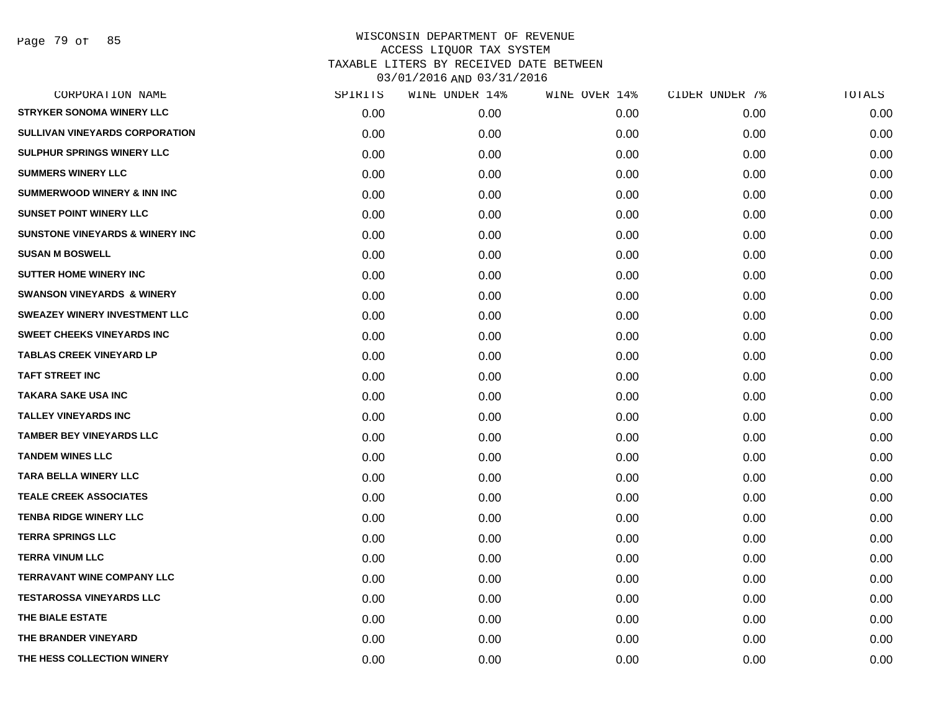Page 79 of 85

| CORPORATION NAME                           | SPIRITS | WINE UNDER 14% | WINE OVER 14% | CIDER UNDER 7% | TOTALS |
|--------------------------------------------|---------|----------------|---------------|----------------|--------|
| <b>STRYKER SONOMA WINERY LLC</b>           | 0.00    | 0.00           | 0.00          | 0.00           | 0.00   |
| <b>SULLIVAN VINEYARDS CORPORATION</b>      | 0.00    | 0.00           | 0.00          | 0.00           | 0.00   |
| SULPHUR SPRINGS WINERY LLC                 | 0.00    | 0.00           | 0.00          | 0.00           | 0.00   |
| <b>SUMMERS WINERY LLC</b>                  | 0.00    | 0.00           | 0.00          | 0.00           | 0.00   |
| <b>SUMMERWOOD WINERY &amp; INN INC</b>     | 0.00    | 0.00           | 0.00          | 0.00           | 0.00   |
| <b>SUNSET POINT WINERY LLC</b>             | 0.00    | 0.00           | 0.00          | 0.00           | 0.00   |
| <b>SUNSTONE VINEYARDS &amp; WINERY INC</b> | 0.00    | 0.00           | 0.00          | 0.00           | 0.00   |
| <b>SUSAN M BOSWELL</b>                     | 0.00    | 0.00           | 0.00          | 0.00           | 0.00   |
| <b>SUTTER HOME WINERY INC</b>              | 0.00    | 0.00           | 0.00          | 0.00           | 0.00   |
| <b>SWANSON VINEYARDS &amp; WINERY</b>      | 0.00    | 0.00           | 0.00          | 0.00           | 0.00   |
| <b>SWEAZEY WINERY INVESTMENT LLC</b>       | 0.00    | 0.00           | 0.00          | 0.00           | 0.00   |
| <b>SWEET CHEEKS VINEYARDS INC</b>          | 0.00    | 0.00           | 0.00          | 0.00           | 0.00   |
| <b>TABLAS CREEK VINEYARD LP</b>            | 0.00    | 0.00           | 0.00          | 0.00           | 0.00   |
| <b>TAFT STREET INC</b>                     | 0.00    | 0.00           | 0.00          | 0.00           | 0.00   |
| <b>TAKARA SAKE USA INC</b>                 | 0.00    | 0.00           | 0.00          | 0.00           | 0.00   |
| <b>TALLEY VINEYARDS INC</b>                | 0.00    | 0.00           | 0.00          | 0.00           | 0.00   |
| <b>TAMBER BEY VINEYARDS LLC</b>            | 0.00    | 0.00           | 0.00          | 0.00           | 0.00   |
| <b>TANDEM WINES LLC</b>                    | 0.00    | 0.00           | 0.00          | 0.00           | 0.00   |
| <b>TARA BELLA WINERY LLC</b>               | 0.00    | 0.00           | 0.00          | 0.00           | 0.00   |
| <b>TEALE CREEK ASSOCIATES</b>              | 0.00    | 0.00           | 0.00          | 0.00           | 0.00   |
| <b>TENBA RIDGE WINERY LLC</b>              | 0.00    | 0.00           | 0.00          | 0.00           | 0.00   |
| <b>TERRA SPRINGS LLC</b>                   | 0.00    | 0.00           | 0.00          | 0.00           | 0.00   |
| <b>TERRA VINUM LLC</b>                     | 0.00    | 0.00           | 0.00          | 0.00           | 0.00   |
| <b>TERRAVANT WINE COMPANY LLC</b>          | 0.00    | 0.00           | 0.00          | 0.00           | 0.00   |
| <b>TESTAROSSA VINEYARDS LLC</b>            | 0.00    | 0.00           | 0.00          | 0.00           | 0.00   |
| THE BIALE ESTATE                           | 0.00    | 0.00           | 0.00          | 0.00           | 0.00   |
| THE BRANDER VINEYARD                       | 0.00    | 0.00           | 0.00          | 0.00           | 0.00   |
| THE HESS COLLECTION WINERY                 | 0.00    | 0.00           | 0.00          | 0.00           | 0.00   |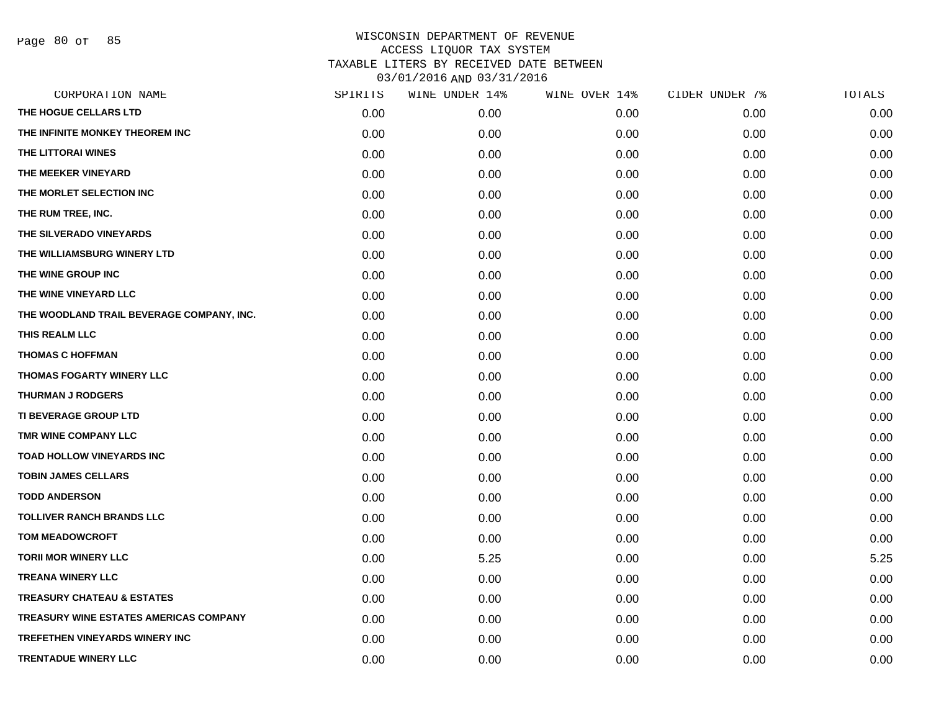Page 80 of 85

| CORPORATION NAME                          | SPIRITS | WINE UNDER 14% | WINE OVER 14% | CIDER UNDER 7% | TOTALS |
|-------------------------------------------|---------|----------------|---------------|----------------|--------|
| THE HOGUE CELLARS LTD                     | 0.00    | 0.00           | 0.00          | 0.00           | 0.00   |
| THE INFINITE MONKEY THEOREM INC           | 0.00    | 0.00           | 0.00          | 0.00           | 0.00   |
| THE LITTORAI WINES                        | 0.00    | 0.00           | 0.00          | 0.00           | 0.00   |
| THE MEEKER VINEYARD                       | 0.00    | 0.00           | 0.00          | 0.00           | 0.00   |
| THE MORLET SELECTION INC                  | 0.00    | 0.00           | 0.00          | 0.00           | 0.00   |
| THE RUM TREE, INC.                        | 0.00    | 0.00           | 0.00          | 0.00           | 0.00   |
| THE SILVERADO VINEYARDS                   | 0.00    | 0.00           | 0.00          | 0.00           | 0.00   |
| THE WILLIAMSBURG WINERY LTD               | 0.00    | 0.00           | 0.00          | 0.00           | 0.00   |
| THE WINE GROUP INC                        | 0.00    | 0.00           | 0.00          | 0.00           | 0.00   |
| THE WINE VINEYARD LLC                     | 0.00    | 0.00           | 0.00          | 0.00           | 0.00   |
| THE WOODLAND TRAIL BEVERAGE COMPANY, INC. | 0.00    | 0.00           | 0.00          | 0.00           | 0.00   |
| THIS REALM LLC                            | 0.00    | 0.00           | 0.00          | 0.00           | 0.00   |
| <b>THOMAS C HOFFMAN</b>                   | 0.00    | 0.00           | 0.00          | 0.00           | 0.00   |
| THOMAS FOGARTY WINERY LLC                 | 0.00    | 0.00           | 0.00          | 0.00           | 0.00   |
| <b>THURMAN J RODGERS</b>                  | 0.00    | 0.00           | 0.00          | 0.00           | 0.00   |
| <b>TI BEVERAGE GROUP LTD</b>              | 0.00    | 0.00           | 0.00          | 0.00           | 0.00   |
| TMR WINE COMPANY LLC                      | 0.00    | 0.00           | 0.00          | 0.00           | 0.00   |
| <b>TOAD HOLLOW VINEYARDS INC</b>          | 0.00    | 0.00           | 0.00          | 0.00           | 0.00   |
| <b>TOBIN JAMES CELLARS</b>                | 0.00    | 0.00           | 0.00          | 0.00           | 0.00   |
| <b>TODD ANDERSON</b>                      | 0.00    | 0.00           | 0.00          | 0.00           | 0.00   |
| <b>TOLLIVER RANCH BRANDS LLC</b>          | 0.00    | 0.00           | 0.00          | 0.00           | 0.00   |
| <b>TOM MEADOWCROFT</b>                    | 0.00    | 0.00           | 0.00          | 0.00           | 0.00   |
| <b>TORII MOR WINERY LLC</b>               | 0.00    | 5.25           | 0.00          | 0.00           | 5.25   |
| <b>TREANA WINERY LLC</b>                  | 0.00    | 0.00           | 0.00          | 0.00           | 0.00   |
| <b>TREASURY CHATEAU &amp; ESTATES</b>     | 0.00    | 0.00           | 0.00          | 0.00           | 0.00   |
| TREASURY WINE ESTATES AMERICAS COMPANY    | 0.00    | 0.00           | 0.00          | 0.00           | 0.00   |
| <b>TREFETHEN VINEYARDS WINERY INC</b>     | 0.00    | 0.00           | 0.00          | 0.00           | 0.00   |
| <b>TRENTADUE WINERY LLC</b>               | 0.00    | 0.00           | 0.00          | 0.00           | 0.00   |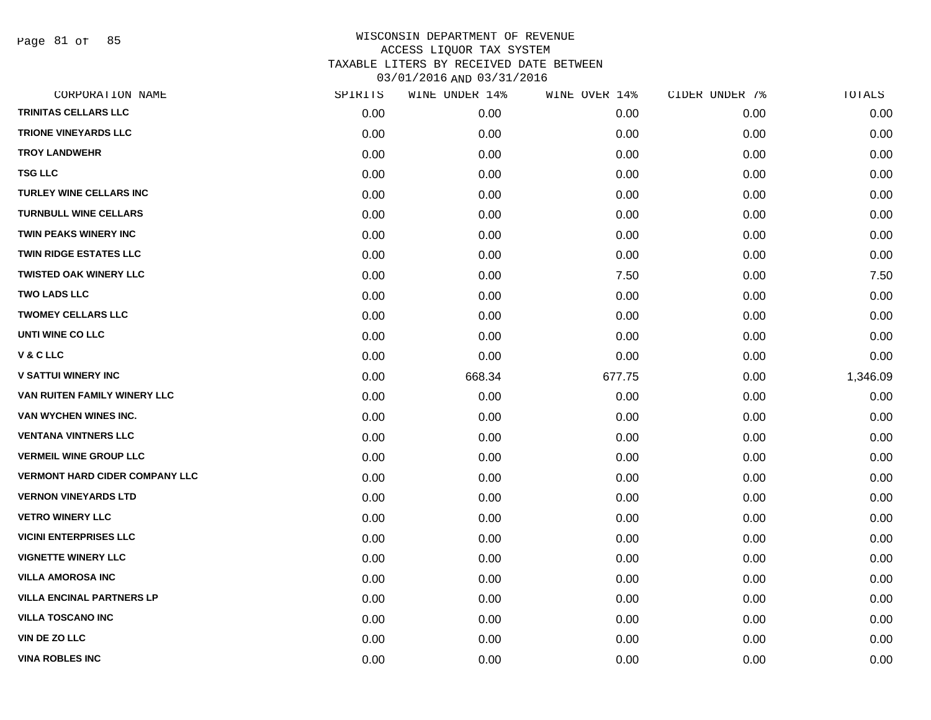Page 81 of 85

| CORPORATION NAME                      | SPIRITS | WINE UNDER 14% | WINE OVER 14% | CIDER UNDER 7% | TOTALS   |
|---------------------------------------|---------|----------------|---------------|----------------|----------|
| <b>TRINITAS CELLARS LLC</b>           | 0.00    | 0.00           | 0.00          | 0.00           | 0.00     |
| <b>TRIONE VINEYARDS LLC</b>           | 0.00    | 0.00           | 0.00          | 0.00           | 0.00     |
| <b>TROY LANDWEHR</b>                  | 0.00    | 0.00           | 0.00          | 0.00           | 0.00     |
| <b>TSG LLC</b>                        | 0.00    | 0.00           | 0.00          | 0.00           | 0.00     |
| <b>TURLEY WINE CELLARS INC</b>        | 0.00    | 0.00           | 0.00          | 0.00           | 0.00     |
| <b>TURNBULL WINE CELLARS</b>          | 0.00    | 0.00           | 0.00          | 0.00           | 0.00     |
| <b>TWIN PEAKS WINERY INC</b>          | 0.00    | 0.00           | 0.00          | 0.00           | 0.00     |
| <b>TWIN RIDGE ESTATES LLC</b>         | 0.00    | 0.00           | 0.00          | 0.00           | 0.00     |
| <b>TWISTED OAK WINERY LLC</b>         | 0.00    | 0.00           | 7.50          | 0.00           | 7.50     |
| <b>TWO LADS LLC</b>                   | 0.00    | 0.00           | 0.00          | 0.00           | 0.00     |
| <b>TWOMEY CELLARS LLC</b>             | 0.00    | 0.00           | 0.00          | 0.00           | 0.00     |
| UNTI WINE CO LLC                      | 0.00    | 0.00           | 0.00          | 0.00           | 0.00     |
| V & C LLC                             | 0.00    | 0.00           | 0.00          | 0.00           | 0.00     |
| <b>V SATTUI WINERY INC</b>            | 0.00    | 668.34         | 677.75        | 0.00           | 1,346.09 |
| VAN RUITEN FAMILY WINERY LLC          | 0.00    | 0.00           | 0.00          | 0.00           | 0.00     |
| VAN WYCHEN WINES INC.                 | 0.00    | 0.00           | 0.00          | 0.00           | 0.00     |
| <b>VENTANA VINTNERS LLC</b>           | 0.00    | 0.00           | 0.00          | 0.00           | 0.00     |
| <b>VERMEIL WINE GROUP LLC</b>         | 0.00    | 0.00           | 0.00          | 0.00           | 0.00     |
| <b>VERMONT HARD CIDER COMPANY LLC</b> | 0.00    | 0.00           | 0.00          | 0.00           | 0.00     |
| <b>VERNON VINEYARDS LTD</b>           | 0.00    | 0.00           | 0.00          | 0.00           | 0.00     |
| <b>VETRO WINERY LLC</b>               | 0.00    | 0.00           | 0.00          | 0.00           | 0.00     |
| <b>VICINI ENTERPRISES LLC</b>         | 0.00    | 0.00           | 0.00          | 0.00           | 0.00     |
| <b>VIGNETTE WINERY LLC</b>            | 0.00    | 0.00           | 0.00          | 0.00           | 0.00     |
| <b>VILLA AMOROSA INC</b>              | 0.00    | 0.00           | 0.00          | 0.00           | 0.00     |
| <b>VILLA ENCINAL PARTNERS LP</b>      | 0.00    | 0.00           | 0.00          | 0.00           | 0.00     |
| <b>VILLA TOSCANO INC</b>              | 0.00    | 0.00           | 0.00          | 0.00           | 0.00     |
| VIN DE ZO LLC                         | 0.00    | 0.00           | 0.00          | 0.00           | 0.00     |
| <b>VINA ROBLES INC</b>                | 0.00    | 0.00           | 0.00          | 0.00           | 0.00     |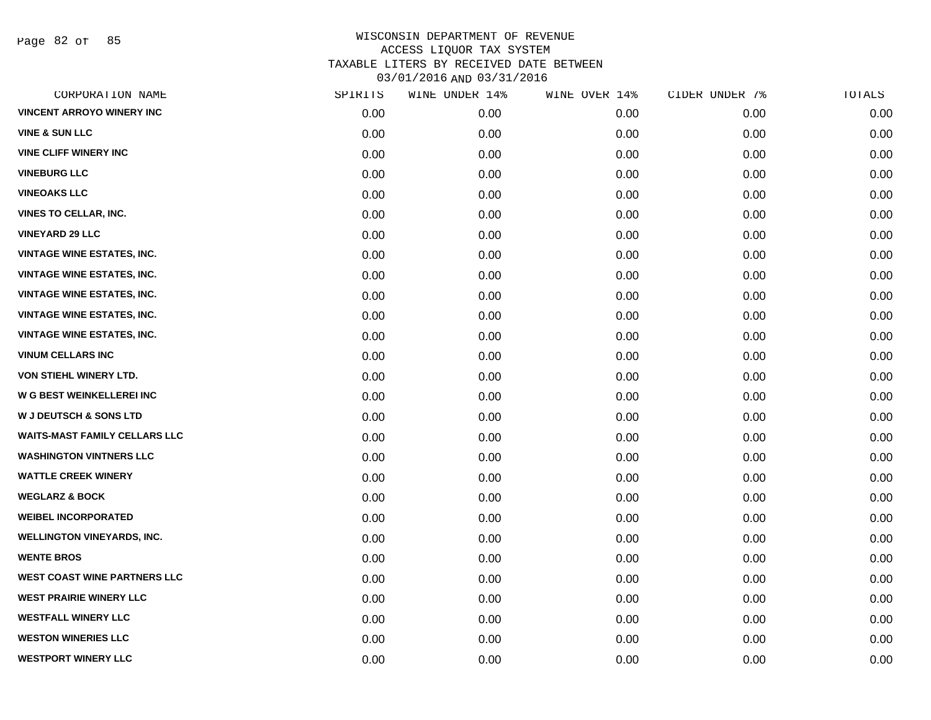Page 82 of 85

| CORPORATION NAME                     | SPIRITS | WINE UNDER 14% | WINE OVER 14% | CIDER UNDER 7% | TOTALS |
|--------------------------------------|---------|----------------|---------------|----------------|--------|
| <b>VINCENT ARROYO WINERY INC</b>     | 0.00    | 0.00           | 0.00          | 0.00           | 0.00   |
| <b>VINE &amp; SUN LLC</b>            | 0.00    | 0.00           | 0.00          | 0.00           | 0.00   |
| <b>VINE CLIFF WINERY INC</b>         | 0.00    | 0.00           | 0.00          | 0.00           | 0.00   |
| <b>VINEBURG LLC</b>                  | 0.00    | 0.00           | 0.00          | 0.00           | 0.00   |
| <b>VINEOAKS LLC</b>                  | 0.00    | 0.00           | 0.00          | 0.00           | 0.00   |
| <b>VINES TO CELLAR, INC.</b>         | 0.00    | 0.00           | 0.00          | 0.00           | 0.00   |
| <b>VINEYARD 29 LLC</b>               | 0.00    | 0.00           | 0.00          | 0.00           | 0.00   |
| <b>VINTAGE WINE ESTATES, INC.</b>    | 0.00    | 0.00           | 0.00          | 0.00           | 0.00   |
| <b>VINTAGE WINE ESTATES, INC.</b>    | 0.00    | 0.00           | 0.00          | 0.00           | 0.00   |
| <b>VINTAGE WINE ESTATES, INC.</b>    | 0.00    | 0.00           | 0.00          | 0.00           | 0.00   |
| <b>VINTAGE WINE ESTATES, INC.</b>    | 0.00    | 0.00           | 0.00          | 0.00           | 0.00   |
| <b>VINTAGE WINE ESTATES, INC.</b>    | 0.00    | 0.00           | 0.00          | 0.00           | 0.00   |
| <b>VINUM CELLARS INC</b>             | 0.00    | 0.00           | 0.00          | 0.00           | 0.00   |
| <b>VON STIEHL WINERY LTD.</b>        | 0.00    | 0.00           | 0.00          | 0.00           | 0.00   |
| W G BEST WEINKELLEREI INC            | 0.00    | 0.00           | 0.00          | 0.00           | 0.00   |
| <b>W J DEUTSCH &amp; SONS LTD</b>    | 0.00    | 0.00           | 0.00          | 0.00           | 0.00   |
| <b>WAITS-MAST FAMILY CELLARS LLC</b> | 0.00    | 0.00           | 0.00          | 0.00           | 0.00   |
| <b>WASHINGTON VINTNERS LLC</b>       | 0.00    | 0.00           | 0.00          | 0.00           | 0.00   |
| <b>WATTLE CREEK WINERY</b>           | 0.00    | 0.00           | 0.00          | 0.00           | 0.00   |
| <b>WEGLARZ &amp; BOCK</b>            | 0.00    | 0.00           | 0.00          | 0.00           | 0.00   |
| <b>WEIBEL INCORPORATED</b>           | 0.00    | 0.00           | 0.00          | 0.00           | 0.00   |
| <b>WELLINGTON VINEYARDS, INC.</b>    | 0.00    | 0.00           | 0.00          | 0.00           | 0.00   |
| <b>WENTE BROS</b>                    | 0.00    | 0.00           | 0.00          | 0.00           | 0.00   |
| <b>WEST COAST WINE PARTNERS LLC</b>  | 0.00    | 0.00           | 0.00          | 0.00           | 0.00   |
| <b>WEST PRAIRIE WINERY LLC</b>       | 0.00    | 0.00           | 0.00          | 0.00           | 0.00   |
| <b>WESTFALL WINERY LLC</b>           | 0.00    | 0.00           | 0.00          | 0.00           | 0.00   |
| <b>WESTON WINERIES LLC</b>           | 0.00    | 0.00           | 0.00          | 0.00           | 0.00   |
| <b>WESTPORT WINERY LLC</b>           | 0.00    | 0.00           | 0.00          | 0.00           | 0.00   |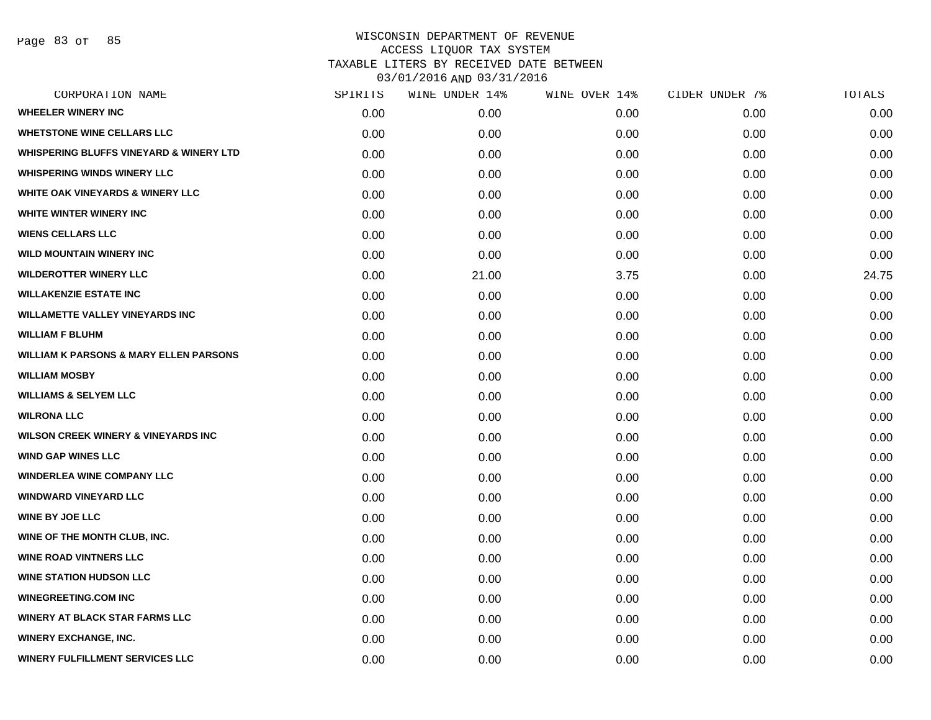| CORPORATION NAME                                   | SPIRITS | WINE UNDER 14% | WINE OVER 14% | CIDER UNDER 7% | TOTALS |
|----------------------------------------------------|---------|----------------|---------------|----------------|--------|
| <b>WHEELER WINERY INC</b>                          | 0.00    | 0.00           | 0.00          | 0.00           | 0.00   |
| <b>WHETSTONE WINE CELLARS LLC</b>                  | 0.00    | 0.00           | 0.00          | 0.00           | 0.00   |
| <b>WHISPERING BLUFFS VINEYARD &amp; WINERY LTD</b> | 0.00    | 0.00           | 0.00          | 0.00           | 0.00   |
| <b>WHISPERING WINDS WINERY LLC</b>                 | 0.00    | 0.00           | 0.00          | 0.00           | 0.00   |
| <b>WHITE OAK VINEYARDS &amp; WINERY LLC</b>        | 0.00    | 0.00           | 0.00          | 0.00           | 0.00   |
| WHITE WINTER WINERY INC                            | 0.00    | 0.00           | 0.00          | 0.00           | 0.00   |
| <b>WIENS CELLARS LLC</b>                           | 0.00    | 0.00           | 0.00          | 0.00           | 0.00   |
| <b>WILD MOUNTAIN WINERY INC</b>                    | 0.00    | 0.00           | 0.00          | 0.00           | 0.00   |
| <b>WILDEROTTER WINERY LLC</b>                      | 0.00    | 21.00          | 3.75          | 0.00           | 24.75  |
| <b>WILLAKENZIE ESTATE INC</b>                      | 0.00    | 0.00           | 0.00          | 0.00           | 0.00   |
| <b>WILLAMETTE VALLEY VINEYARDS INC</b>             | 0.00    | 0.00           | 0.00          | 0.00           | 0.00   |
| <b>WILLIAM F BLUHM</b>                             | 0.00    | 0.00           | 0.00          | 0.00           | 0.00   |
| <b>WILLIAM K PARSONS &amp; MARY ELLEN PARSONS</b>  | 0.00    | 0.00           | 0.00          | 0.00           | 0.00   |
| <b>WILLIAM MOSBY</b>                               | 0.00    | 0.00           | 0.00          | 0.00           | 0.00   |
| <b>WILLIAMS &amp; SELYEM LLC</b>                   | 0.00    | 0.00           | 0.00          | 0.00           | 0.00   |
| <b>WILRONA LLC</b>                                 | 0.00    | 0.00           | 0.00          | 0.00           | 0.00   |
| <b>WILSON CREEK WINERY &amp; VINEYARDS INC</b>     | 0.00    | 0.00           | 0.00          | 0.00           | 0.00   |
| <b>WIND GAP WINES LLC</b>                          | 0.00    | 0.00           | 0.00          | 0.00           | 0.00   |
| <b>WINDERLEA WINE COMPANY LLC</b>                  | 0.00    | 0.00           | 0.00          | 0.00           | 0.00   |
| <b>WINDWARD VINEYARD LLC</b>                       | 0.00    | 0.00           | 0.00          | 0.00           | 0.00   |
| <b>WINE BY JOE LLC</b>                             | 0.00    | 0.00           | 0.00          | 0.00           | 0.00   |
| WINE OF THE MONTH CLUB, INC.                       | 0.00    | 0.00           | 0.00          | 0.00           | 0.00   |
| <b>WINE ROAD VINTNERS LLC</b>                      | 0.00    | 0.00           | 0.00          | 0.00           | 0.00   |
| <b>WINE STATION HUDSON LLC</b>                     | 0.00    | 0.00           | 0.00          | 0.00           | 0.00   |
| <b>WINEGREETING.COM INC</b>                        | 0.00    | 0.00           | 0.00          | 0.00           | 0.00   |
| <b>WINERY AT BLACK STAR FARMS LLC</b>              | 0.00    | 0.00           | 0.00          | 0.00           | 0.00   |
| <b>WINERY EXCHANGE, INC.</b>                       | 0.00    | 0.00           | 0.00          | 0.00           | 0.00   |
| <b>WINERY FULFILLMENT SERVICES LLC</b>             | 0.00    | 0.00           | 0.00          | 0.00           | 0.00   |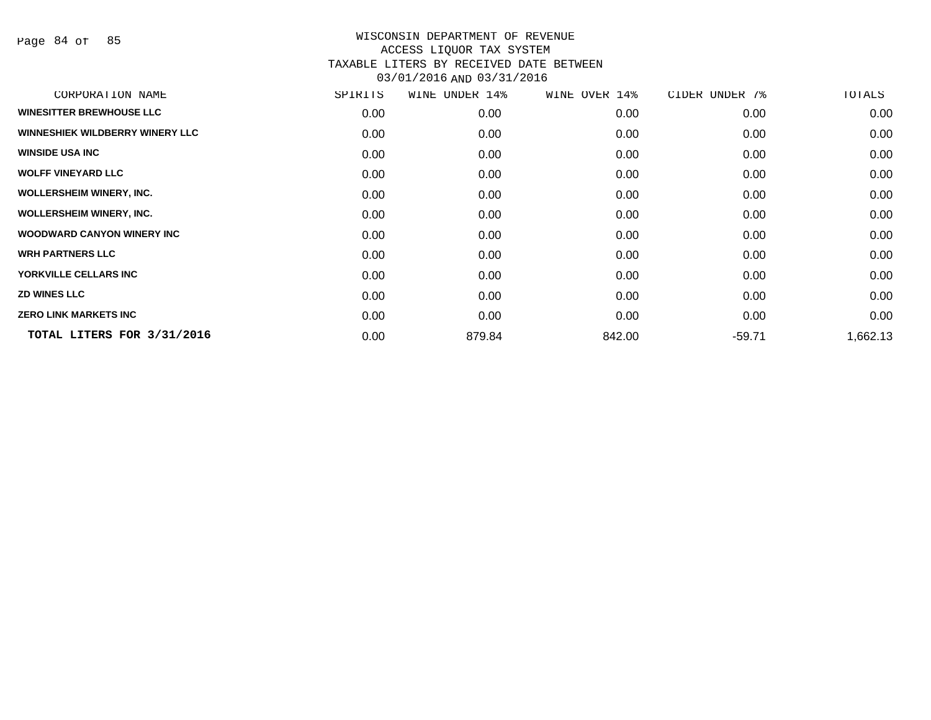Page 84 of 85

| CORPORATION NAME                       | SPIRITS | WINE UNDER 14% | WINE OVER 14% | CIDER UNDER 7% | TOTALS   |
|----------------------------------------|---------|----------------|---------------|----------------|----------|
| <b>WINESITTER BREWHOUSE LLC</b>        | 0.00    | 0.00           | 0.00          | 0.00           | 0.00     |
| <b>WINNESHIEK WILDBERRY WINERY LLC</b> | 0.00    | 0.00           | 0.00          | 0.00           | 0.00     |
| <b>WINSIDE USA INC</b>                 | 0.00    | 0.00           | 0.00          | 0.00           | 0.00     |
| <b>WOLFF VINEYARD LLC</b>              | 0.00    | 0.00           | 0.00          | 0.00           | 0.00     |
| <b>WOLLERSHEIM WINERY, INC.</b>        | 0.00    | 0.00           | 0.00          | 0.00           | 0.00     |
| <b>WOLLERSHEIM WINERY, INC.</b>        | 0.00    | 0.00           | 0.00          | 0.00           | 0.00     |
| <b>WOODWARD CANYON WINERY INC.</b>     | 0.00    | 0.00           | 0.00          | 0.00           | 0.00     |
| <b>WRH PARTNERS LLC</b>                | 0.00    | 0.00           | 0.00          | 0.00           | 0.00     |
| YORKVILLE CELLARS INC                  | 0.00    | 0.00           | 0.00          | 0.00           | 0.00     |
| <b>ZD WINES LLC</b>                    | 0.00    | 0.00           | 0.00          | 0.00           | 0.00     |
| <b>ZERO LINK MARKETS INC</b>           | 0.00    | 0.00           | 0.00          | 0.00           | 0.00     |
| TOTAL LITERS FOR 3/31/2016             | 0.00    | 879.84         | 842.00        | $-59.71$       | 1,662.13 |